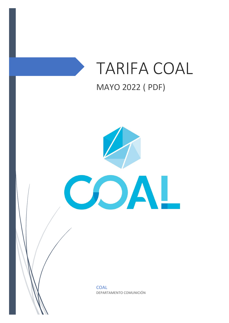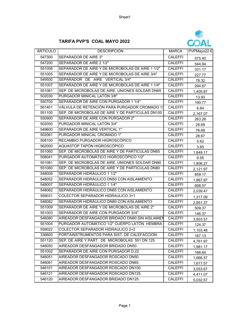## **TARIFA PVP'S COAL MAYO 2022**



| <b>ARTICULO</b> | <b>DESCRIPCIÓN</b>                               | <b>MARCA</b>   | PVPMayo22 € |
|-----------------|--------------------------------------------------|----------------|-------------|
| 547300          | <b>SEPARADOR DE AIRE 3"</b>                      | <b>CALEFFI</b> | 575.40      |
| 547200          | SEPARADOR DE AIRE 2 1/2"                         | <b>CALEFFI</b> | 544.94      |
| 551008          | SEPARADOR DE AIRE Y DE MICROBOLAS DE AIRE 1 1/2" | <b>CALEFFI</b> | 331.17      |
| 551005          | SEPARADOR DE AIRE Y DE MICROBOLAS DE AIRE 3/4"   | CALEFFI        | 227.77      |
| 549500          | SEPARADOR DE AIRE VERTICAL 3/4"                  | <b>CALEFFI</b> | 78.32       |
| 551007          | SEPARADOR DE AIRE Y DE MICROBOLAS DE AIRE 1 1/4" | <b>CALEFFI</b> | 294.87      |
| 551061          | SEP. DE MICROBOLAS DE AIRE. UNIONES SOLDAR DN65  | <b>CALEFFI</b> | 1,405.87    |
| 502030          | PURGADOR MINICAL LATÓN 3/8"                      | <b>CALEFFI</b> | 13.93       |
| 550700          | SEPARADOR DE AIRE CON PURGADOR 1 1/4"            | <b>CALEFFI</b> | 190.77      |
| 561401          | VÁLVULA DE RETENCIÓN PARA PURGADOR CROMADO 1/    | <b>CALEFFI</b> | 6.64        |
| 551100          | SEP. DE MICROBOLAS DE AIRE Y DE PARTICULAS DN100 | <b>CALEFFI</b> | 2,167.07    |
| 550900          | SEPARADOR DE AIRE CON PURGADOR 2"                | <b>CALEFFI</b> | 263.26      |
| 502050          | PURGADOR MINICAL LATÓN 3/4"                      | <b>CALEFFI</b> | 26.69       |
| 549600          | SEPARADOR DE AIRE VERTICAL 1"                    | <b>CALEFFI</b> | 76.69       |
| 502061          | PURGADOR MINICAL CROMADO 1"                      | <b>CALEFFI</b> | 28.67       |
| 508100          | RECAMBIO PURGADOR HIGROSCÓPICO                   | <b>CALEFFI</b> | 5.62        |
| 562000          | AQUASTOP TAPÓN HIGROSCÓPICO                      | <b>CALEFFI</b> | 3.65        |
| 551060          | SEP. DE MICROBOLAS DE AIRE Y DE PARTICULAS DN65  | <b>CALEFFI</b> | 1,849.17    |
| 508041          | PURGADOR AUTOMÁTICO HIGROSCÓPICO 1/2"            | <b>CALEFFI</b> | 9.55        |
| 551081          | SEP. DE MICROBOLAS DE AIRE. UNIONES SOLDAR DN80  | <b>CALEFFI</b> | 1,806.27    |
| 551080          | SEP. DE MICROBOLAS DE AIRE Y DE PARTICULAS DN80  | <b>CALEFFI</b> | 2,121.97    |
| 548008          | SEPARADOR HIDRÁULICO 1 1/2"                      | <b>CALEFFI</b> | 859.17      |
| 548052          | SEPARADOR HIDRÁULICO DN50 CON AISLAMIENTO        | <b>CALEFFI</b> | 1,967.97    |
| 548007          | SEPARADOR HIDRÁULICO 1 1/4"                      | <b>CALEFFI</b> | 698.57      |
| 548062          | SEPARADOR HIDRÁULICO DN65 CON AISLAMIENTO        | <b>CALEFFI</b> | 2,039.47    |
| 559031          | COLECTOR SEPARADOR HIDRAULICO 3+1                | <b>CALEFFI</b> | 1,317.09    |
| 548082          | SEPARADOR HIDRÁULICO DN80 CON AISLAMIENTO        | <b>CALEFFI</b> | 2,951.37    |
| 551009          | SEPARADOR DE AIRE Y DE MICROBOLAS DE AIRE 2"     | <b>CALEFFI</b> | 509.37      |
| 551003          | SEPARADOR DE AIRE CON PURGADOR 3//4"             | <b>CALEFFI</b> | 146.37      |
| 546080          | AIREADOR DESFANGADOR BRIDADO DN80. SIN AISLAMIEN | <b>CALEFFI</b> | 3,503.57    |
| 551004          | PURGADOR AUTOMÁTICO 1/2" CUERPO LATÓN HEMBRA     | <b>CALEFFI</b> | 124.37      |
| 559022          | COLECTOR SEPARADOR HIDRAULICO 2+2                | <b>CALEFFI</b> | 1,103.48    |
| 336600          | PORTAINSTRUMENTOS PARA SIST. DE CALEFACCION      | CALEFFI        | 167.13      |
| 551120          | SEP. DE AIRE Y PART. DE MICROBOLAS 551 DN 125    | CALEFFI        | 4,761.97    |
| 546050          | AIREADOR DESFANGADOR BRIDADO DN50.               | <b>CALEFFI</b> | 1,981.17    |
| 551002          | SEPARADOR DE AIRE CON PURGADOR D.22              | <b>CALEFFI</b> | 166.64      |
| 546051          | AIREADOR DESFANGADOR ROSCADO DN50.               | <b>CALEFFI</b> | 1,666.57    |
| 546061          | AIREADOR DESFANGADOR ROSCADO DN65.               | <b>CALEFFI</b> | 1,677.57    |
| 546101          | AIREADOR DESFANGADOR ROSCADO DN100.              | <b>CALEFFI</b> | 3,053.67    |
| 546121          | AIREADOR DESFANGADOR ROSCADO DN125.              | <b>CALEFFI</b> | 4,411.07    |
| 546120          | AIREADOR DESFANGADOR BRIDADO DN125.              | <b>CALEFFI</b> | 5,032.57    |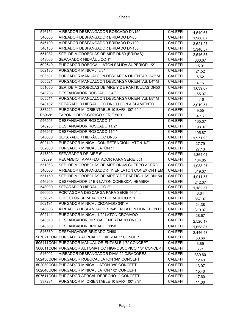| 546151 | AIREADOR DESFANGADOR ROSCADO DN150.                     | CALEFFI        | 4,549.67 |
|--------|---------------------------------------------------------|----------------|----------|
| 546060 | AIREADOR DESFANGADOR BRIDADO DN65                       | <b>CALEFFI</b> | 1,986.67 |
| 546100 | AIREADOR DESFANGADOR BRIDADO DN100.                     | <b>CALEFFI</b> | 3,621.27 |
| 546150 | AIREADOR DESFANGADOR BRIDADO DN150.                     | <b>CALEFFI</b> | 5,340.57 |
| 551082 | SEP. DE MICROBOLAS DE AIRE DN80 (BRIDAS)                | <b>CALEFFI</b> | 2,546.57 |
| 548006 | SEPARADOR HIDRÁULICO 1"                                 | <b>CALEFFI</b> | 600.67   |
| 502640 | PURGADOR ROBOCAL LATÓN SALIDA SUPERIOR 1/2"             | <b>CALEFFI</b> | 15.91    |
| 502130 | PURGADOR MINICAL 3/8"                                   | <b>CALEFFI</b> | 21.52    |
| 505531 | PURGADOR MANUALCON DESCARGA ORIENTAB. 3/8" M            | <b>CALEFFI</b> | 5.62     |
| 505521 | PURGADOR MANUALCON DESCARGA ORIENTAB.1/4" M             | <b>CALEFFI</b> | 4.16     |
| 551050 | SEP. DE MICROBOLAS DE AIRE Y DE PARTICULAS DN50         | <b>CALEFFI</b> | 1,639.07 |
| 546205 | DESFANGADOR ROSCADO 3/4F                                | <b>CALEFFI</b> | 165.07   |
| 505511 | PURGADOR MANUALCON DESCARGA ORIENTAB.1/8" M             | <b>CALEFFI</b> | 4.16     |
| 548102 | SEPARADOR HIDRAULICO DN100 CON AISLAMIENTO              | <b>CALEFFI</b> | 3,019.57 |
| 337221 | PURGADOR M. ORIENTABLE 10 BAR/ 100° 1/4"                | <b>CALEFFI</b> | 9.55     |
| R59681 | <b>TAPON HIDROSCOPICO SERIE 5020</b>                    | <b>CALEFFI</b> | 4.16     |
| 546206 | DESFANGADOR ROSCADO 1"                                  | <b>CALEFFI</b> | 165.07   |
| 546208 | DESFANGADOR ROSCADO 11/2"                               | <b>CALEFFI</b> | 198.07   |
| 546207 | DESFANGADOR ROSCADO 11/4"                               | <b>CALEFFI</b> | 195.87   |
| 548060 | SEPARADOR HIDRÁULICO DN65                               | <b>CALEFFI</b> | 1,971.93 |
| 502140 | PURGADOR MINICAL CON RETENCION LATON 1/2"               | <b>CALEFFI</b> | 27.79    |
| 502060 | PURGADOR MINICAL LATÓN 1"                               | <b>CALEFFI</b> | 27.13    |
| 547500 | <b>SEPARADOR DE AIRE 5"</b>                             | <b>CALEFFI</b> | 1,364.01 |
| 59829  | RECAMBIO TAPA+FLOTADOR PARA SERIE 551                   | <b>CALEFFI</b> | 104.85   |
| 551063 | SEP. DE MICROBOLAS DE AIRE DN-65 CUERPO ACERO           | <b>CALEFFI</b> | 1,938.27 |
| 546006 | AIREADOR DESFANGADOR 1" EN LATON CONEXION HEM           | <b>CALEFFI</b> | 319.07   |
| 551150 | SEP. DE MICROBOLAS DE AIRE Y DE PARTICULAS DN150        | <b>CALEFFI</b> | 4,911.57 |
| 546209 | DESFANGADOR 2" EN LATON CONEXION HEMBRA                 | <b>CALEFFI</b> | 242.07   |
| 548009 | SEPARADOR HIDRÁULICO 2"                                 | <b>CALEFFI</b> | 1,182.57 |
| 560000 | PORTAGOMA DESCARGA PARA SERIE 5604                      | <b>CALEFFI</b> | 6.64     |
| 559021 | COLECTOR SEPARADOR HIDRAULICO 2+1                       | <b>CALEFFI</b> | 857.07   |
| 502131 | PURGADOR MINICAL CROMADO 3/8" M                         | <b>CALEFFI</b> | 24.38    |
| 546005 | AIREADOR DESFANGADOR 3/4" EN LATON CONEXION HE          | <b>CALEFFI</b> | 319.07   |
| 502141 | PURGADOR MINICAL 1/2" LATON CROMADO                     | <b>CALEFFI</b> | 28.67    |
| 546510 | DESFANGADOR DIRTCAL EMBRIDADO DN100                     | <b>CALEFFI</b> | 2,520.17 |
| 546550 | DESFANGADOR BRIDADO DN50.                               | <b>CALEFFI</b> | 1,658.87 |
| 546580 | DESFANGADOR BRIDADO DN80                                | <b>CALEFFI</b> | 2,446.47 |
|        | 507621CON PURGADOR AERCAL IZQUIERDA 1" CONCEPT          | <b>CALEFFI</b> | 33.66    |
|        | 505411CON PURGADOR MANUAL ORIENTABLE 1/8" CONCEPT       | <b>CALEFFI</b> | 3.85     |
|        | 508011CON PURGADOR AUTOMATICO HIGROSCOPICO 1/8" CONCEPT | <b>CALEFFI</b> | 6.71     |
| 546002 | AIREADOR DESFANGADOR DIAM.22 C/RACORES                  | <b>CALEFFI</b> | 339.60   |
|        | 502430CON PURGADOR ROBOCAL LATÓN 3/8" CONCEPT           | <b>CALEFFI</b> | 12.43    |
|        | 502030CON PURGADOR MINICAL LATÓN 3/8" CONCEPT           | <b>CALEFFI</b> | 13.97    |
|        | 502040CON PURGADOR MINICAL LATÓN 1/2" CONCEPT           | <b>CALEFFI</b> | 15.40    |
|        | 507611CON PURGADOR AERCAL DERECHO 1" CONCEPT            | <b>CALEFFI</b> | 17.60    |
| 337231 | PURGADOR M. ORIENTABLE 10 BAR/ 100° 3/8"                | <b>CALEFFI</b> | 11.30    |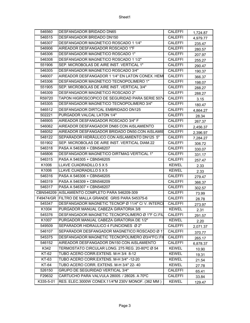| 546560       | <b>DESFANGADOR BRIDADO DN65</b>                     | <b>CALEFFI</b> | 1,724.87 |
|--------------|-----------------------------------------------------|----------------|----------|
| 546515       | DESFANGADOR BRIDADO DN150                           | <b>CALEFFI</b> | 4,979.77 |
| 546307       | DESFANGADOR MAGNETICO ROSCADO 1 1/4"                | <b>CALEFFI</b> | 235.47   |
| 546906       | AIREADOR DESFANGADOR ROSCADO 1"F                    | <b>CALEFFI</b> | 280.57   |
| 546306       | DESFANGADOR MAGNETICO ROSCADO 1"                    | <b>CALEFFI</b> | 207.97   |
| 546308       | DESFANGADOR MAGNETICO ROSCADO 1 1/2"                | <b>CALEFFI</b> | 255.27   |
| 551906       | SEP. MICROBOLAS DE AIRE INST. VERTICAL 1"           | <b>CALEFFI</b> | 290.47   |
| 546305       | DESFANGADOR MAGNETICO ROSCADO 3/4"                  | <b>CALEFFI</b> | 190.37   |
| 546007       | AIREADOR DESFANGADOR 1 1/4" EN LATON CONEX. HEMI    | <b>CALEFFI</b> | 366.37   |
| 545306       | DESFANGADOR MAGNETICO TECNOPOLIMERO 1"              | <b>CALEFFI</b> | 198.07   |
| 551905       | SEP. MICROBOLAS DE AIRE INST. VERTICAL 3/4"         | <b>CALEFFI</b> | 288.27   |
| 546309       | DESFANGADOR MAGNETICO ROSCADO 2"                    | <b>CALEFFI</b> | 288.27   |
| R59720       | TAPON HIGROSCOPICO DE SEGURIDAD PARA SERIE 507x     | <b>CALEFFI</b> | 3.15     |
| 545305       | DESFANGADOR MAGNETICO TECNOPOLIMERO 3/4"            | <b>CALEFFI</b> | 180.47   |
| 546512       | DESFANGADOR DIRTCAL EMBRIDADO DN125                 | <b>CALEFFI</b> | 4,864.27 |
| 502221       | PURGADOR VALCAL LATON 1/4"                          | <b>CALEFFI</b> | 28.34    |
| 546905       | AIREADOR DESFANGADOR ROSCADO 3/4" F                 | <b>CALEFFI</b> | 267.37   |
| 546062       | AIREADOR DESFANGADOR DN65 CON AISLAMIENTO           | <b>CALEFFI</b> | 2,456.37 |
| 546052       | AIREADOR DESFANGADOR BRIDADO DN50.CON AISLAMIE      | <b>CALEFFI</b> | 2,396.97 |
| 548122       | SEPARADOR HIDRÁULICO CON AISLAMIENTO DN125 5"       | <b>CALEFFI</b> | 7,284.27 |
| 551902       | SEP. MICROBOLAS DE AIRE INST. VERTICAL DIAM.22      | <b>CALEFFI</b> | 306.72   |
| 546318       | PASA A 546308 + CBN546207                           | <b>CALEFFI</b> | 330.07   |
| 546806       | DESFANGADOR MAGNETICO DIRTMAG VERTICAL 1"           | <b>CALEFFI</b> | 331.17   |
| 546315       | PASA A 546305 + CBN546205                           | <b>CALEFFI</b> | 257.47   |
| K1006        | LLAVE CUADRADILLO 5 X 5                             | <b>KEWEL</b>   | 2.33     |
| K1006        | LLAVE CUADRADILLO 5 X 5                             | <b>KEWEL</b>   | 2.33     |
| 546316       | PASA A 546306 + CBN546205                           | <b>CALEFFI</b> | 279.47   |
| 546319       | PASA A 546309 + CBN546209                           | <b>CALEFFI</b> | 366.37   |
| 546317       | PASA A 546307 + CBN546207                           | <b>CALEFFI</b> | 302.57   |
|              | CBN546209 AISLAMIENTO COMPLETO PARA 546209-309      | <b>CALEFFI</b> | 73.99    |
|              | F49474/GR FILTRO DE MALLA GRANDE GRIS PARA 545375-6 | <b>CALEFFI</b> | 28.78    |
| 545347       | DESFANGADOR MAGNETIC TECNOP Ø 11/4" C/ V. INTERCI   | <b>CALEFFI</b> | 273.97   |
| K1004        | PURGADOR MANUAL CABEZA GIRATORIA 3/8                | <b>KEWEL</b>   | 2.31     |
| 545376       | DESFANGADOR MAGNETIC TECNOPOLIMERO ∅ 1"F C/.FIL     | CALEFFI        | 291.57   |
| K1007        | PURGADOR MANUAL CABEZA GIRATORIA DE 1/2"            | <b>KEWEL</b>   | 2.20     |
| 549509       | SEPARADOR HIDRAULICO 4 FUNCIONES Ø 2"               | <b>CALEFFI</b> | 2,071.37 |
| 546107       | SEPARADOR DESFANGADOR MAGNETICO ROSCADO Ø 1         | CALEFFI        | 370.77   |
| 545375       | DESFANGADOR MAGNETIC TECNOPOLIMERO Ø3/4"FC/.FII     | <b>CALEFFI</b> | 265.17   |
| 546152       | AIREADOR DESFANGADOR DN150 CON AISLAMIENTO          | <b>CALEFFI</b> | 6,878.37 |
| K342         | TERMOSTATO CIRCULAR LONG. 275 REG. 20-80°C Ø 54     | <b>KEWEL</b>   | 10.90    |
| KT-62        | TUBO ACERO CORR.EXTENS. M-H 3/4 8-12                | <b>KEWEL</b>   | 19.31    |
| KT-63        | TUBO ACERO CORR.EXTENS. M-H 3/4" -12-20             | <b>KEWEL</b>   | 21.54    |
| <b>KT-64</b> | TUBO ACERO CORR. EXTENS. M-H 3/4" 22-40             | <b>KEWEL</b>   | 27.78    |
| 526150       | GRUPO DE SEGURIDAD VERTICAL 3/4"                    | CALEFFI        | 65.41    |
| F29632       | CARTUCHO PARA VALVULA 28005. / 28026. A 70°C        | <b>CALEFFI</b> | 33.84    |
| K335-5-01    | RES. ELEC.3000W CONEX.11/4"M 230V MONOF. (362 MM)   | <b>KEWEL</b>   | 129.47   |
|              |                                                     |                |          |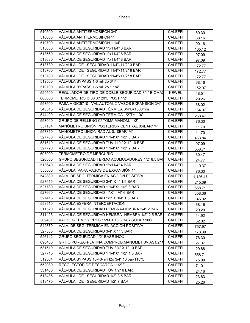| 510500 | VÁLVULA ANTITERMOSIFÓN 3/4"                       | <b>CALEFFI</b> | 69.30           |
|--------|---------------------------------------------------|----------------|-----------------|
| 510600 | VÁLVULA ANTITERMOSIFÓN 1"                         | <b>CALEFFI</b> | 68.16           |
| 510700 | VÁLVULA ANTITERMOSIFÓN 1 1/4"                     | <b>CALEFFI</b> | 90.16           |
| 513630 | VÁLVULA DE SEGURIDAD 1"x11/4" 3 BAR               | <b>CALEFFI</b> | 105.12          |
| 513660 | VÁLVULA DE SEGURIDAD 1"x11/4" 6 BAR               | <b>CALEFFI</b> | 97.09           |
| 513680 | VÁLVULA DE SEGURIDAD 1"x11/4" 8 BAR               | <b>CALEFFI</b> | 97.09           |
| 513730 | VÁLVULA DE SEGURIDAD 11/4"x11/2" 3 BAR            | <b>CALEFFI</b> | 172.77          |
| 513760 | VÁLVULA DE SEGURIDAD 11/4"x11/2" 6 BAR            | <b>CALEFFI</b> | 172.77          |
| 513780 | VÁLVULA DE SEGURIDAD 11/4"x11/2" 8 BAR            | <b>CALEFFI</b> | 172.77          |
| 519500 | VÁLVULA BYPASS 1-6 mH2o 3/4"                      | <b>CALEFFI</b> | 68.16           |
| 519700 | VÁLVULA BYPASS 1-6 mH2o 1 1/4"                    | <b>CALEFFI</b> | 152.97          |
| 529500 | REGULADOR DE TIRO DE DOBLE SEGURIDAD 3/4" BIOMAS  | <b>KEWEL</b>   | 48.51           |
| 688000 | TERMÓMETRO Ø 80 0:120'C POST.1/2"                 | <b>CALEFFI</b> | 29.26           |
| 558500 | PASA A GIC5710 VÁL.AUTOM. X VASOS EXPANSIÓN 3/4"  | <b>CALEFFI</b> | 38.02           |
| 543513 | VÁLVULA DE SEGURIDAD TÉRMICA 3/4"L=1300mm         | <b>CALEFFI</b> | 154.07          |
| 544400 | VÁLVULA DE SEGURIDAD TÉRMICA 1/2"T=110C           | <b>CALEFFI</b> | 268.47          |
| 553040 | GRUPO DE RELLENO C/ TOMA MANOM. 1/2"              | <b>CALEFFI</b> | 76.30           |
| 557104 | MANÓMETRO UNIÓN POSTERIOR CENTRAL 0:4BAR1/4"      | <b>CALEFFI</b> | 11.70           |
| 557310 | MANÓMETRO UNIÓN RADIAL 0:10BAR1/4"                | <b>CALEFFI</b> | 11.70           |
| 527760 | VÁLVULA DE SEGURIDAD 1 1/4"X1 1/2" 6 BAR          | <b>CALEFFI</b> | 463.84          |
| 531610 | VÁLVULA DE SEGURIDAD TÜV 11/4" X 1" 10 BAR        | <b>CALEFFI</b> | 97.09           |
| 527720 | VÁLVULA DE SEGURIDAD 1 1/4"X1 1/2" 2 BAR          | <b>CALEFFI</b> | 558.71          |
| 693000 | <b>TERMÓMETRO DE MERCURIO</b>                     | <b>CALEFFI</b> | 30.47           |
| 526800 | GRUPO SEGURIDAD TERMO ACUMULADORES 1/2" 8,5 BAR   | <b>CALEFFI</b> | 24.77           |
| 513640 | VÁLVULA DE SEGURIDAD 1"x11/4" 4 BAR               | <b>CALEFFI</b> | 110.37          |
| 558060 | VÁLVULA PARA VASOS DE EXPANSIÓN 1"                | <b>CALEFFI</b> | 76.30           |
| 542880 | VÁLV. DE SEG. TÉRMICA EN ACCIÓN POSITIVA.         | <b>CALEFFI</b> | 1,126.47        |
| 527515 | VÁLVULA DE SEGURIDAD 3/4" X 1" 1,5 BAR            | <b>CALEFFI</b> | 215.09          |
| 527780 | VÁLVULA DE SEGURIDAD 1 1/4"X1 1/2" 8 BAR          | <b>CALEFFI</b> | 558.71          |
| 527660 | VÁLVULA DE SEGURIDAD 1"X1 1/4" 6 BAR              | <b>CALEFFI</b> | 358.36          |
| 527415 | VÁLVULA DE SEGURIDAD 1/2" X 3/4" 1,5 BAR          | <b>CALEFFI</b> | 146.92          |
| 558510 | VÁLVULA ESFERA INTERCEPTACIÓN.                    | <b>CALEFFI</b> | 68.16           |
| 311520 | VÁLVULA DE SEGURIDAD HEMBRA-HEMBRA 3/4" 2 BAR.    | <b>CALEFFI</b> | 20.20           |
| 311425 | VALVULA DE SEGURIDAD HEMBRA- HEMBRA 1/2" 2,5 BAR. | CALEFFI        | 14.92           |
| 309461 | VAL.SEG.TEMP Y PRES.1/2M X 15 6 BAR SOLAR 90C     | CALEFFI        | 82.02           |
| 542870 | VÁLV. DE SEG. TÉRMICA EN ACCIÓN POSITIVA.         | <b>CALEFFI</b> | 757.97          |
| 527530 | VÁLVULA DE SEGURIDAD 3/4" X 1" 3 BAR              | CALEFFI        | 178.39          |
| 526142 | GRUPO SEGURIDAD 1/2" BASE INOX                    | CALEFFI        | 76.30           |
| 690400 | GRIFO PURGA+PLATINA COMPROB.MANOMET 3VIAS1/2" 0   | CALEFFI        | 27.37           |
| 531510 | VÁLVULA DE SEGURIDAD TÜV 3/4" X 1" 10 BAR         | CALEFFI        |                 |
| 527715 | VÁLVULA DE SEGURIDAD 1 1/4"X1 1/2" 1,5 BAR        | <b>CALEFFI</b> | 29.88<br>558.71 |
| 519504 | VÁLVULA BYPASS 10-40- mH2o 3/4" 10 bar-110°C      | <b>CALEFFI</b> |                 |
| 552080 | RECOLECTOR DE DESCARGA 11/2"F                     | <b>CALEFFI</b> | 75.09           |
| 531460 | VÁLVULA DE SEGURIDAD TÜV 1/2" 6 BAR               | <b>CALEFFI</b> | 71.01           |
|        | VÁLVULA DE SEGURIDAD 1/2" 3,5 BAR                 |                | 24.16           |
| 513435 |                                                   | <b>CALEFFI</b> | 23.83           |
| 513470 | VÁLVULA DE SEGURIDAD 1/2" 7 BAR                   | CALEFFI        | 25.26           |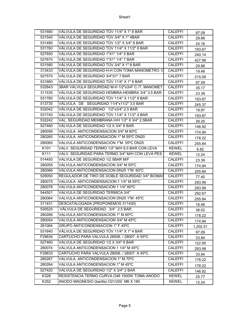| 531680           | VÁLVULA DE SEGURIDAD TÜV 11/4" X 1" 8 BAR          | <b>CALEFFI</b> | 97.09    |
|------------------|----------------------------------------------------|----------------|----------|
| 531540           | VÁLVULA DE SEGURIDAD TÜV 3/4" X 1" 4BAR            | <b>CALEFFI</b> | 29.88    |
| 531480           | VÁLVULA DE SEGURIDAD TÜV 1/2" X 3/4" 8 BAR         | <b>CALEFFI</b> | 24.16    |
| 531760           | VÁLVULA DE SEGURIDAD TÜV 11/4" X 11/2" 6 BAR       | <b>CALEFFI</b> | 193.67   |
| 527650           | VÁLVULA DE SEGURIDAD 1"X1" 1/4" 5 BAR              | <b>CALEFFI</b> | 240.14   |
| 527670           | VÁLVULA DE SEGURIDAD 1"X1" 1/4" 7 BAR              | <b>CALEFFI</b> | 427.99   |
| 531580           | VÁLVULA DE SEGURIDAD TÜV 3/4" X 1" 8 BAR           | <b>CALEFFI</b> | 29.88    |
| 313433           | VÁLVULA DE SEGURIDAD H-H CON TOMA MANOMETRO 1/     | <b>CALEFFI</b> | 19.48    |
| 527570           | VÁLVULA DE SEGURIDAD 3/4"X1" 7 BAR                 | <b>CALEFFI</b> | 215.09   |
| 531660           | VÁLVULA DE SEGURIDAD TÜV 11/4" X 1" 6 BAR          | <b>CALEFFI</b> | 97.09    |
| 532843           | 3BAR VÁLVULA SEGURIDAD M-H 1/2"x3/4" C./T. MANOMET | <b>CALEFFI</b> | 35.17    |
| 311535           | VÁLVULA DE SEGURIDAD HEMBRA-HEMBRA 3/4" 3,5 BAR.   | <b>CALEFFI</b> | 23.39    |
| 531780           | VÁLVULA DE SEGURIDAD TÜV 11/4" X 11/2" 8 BAR       | <b>CALEFFI</b> | 193.67   |
| 513735           | VÁLVULA DE SEGURIDAD 11/4"x11/2" 3,5 BAR           | <b>CALEFFI</b> | 245.37   |
| 532042           | VÁLVULA DE SEGURIDAD 1/2"x3/4" 2,5 BAR             | <b>CALEFFI</b> | 19.87    |
| 531740           | VÁLVULA DE SEGURIDAD TÜV 11/4" X 11/2" 4 BAR       | <b>CALEFFI</b> | 193.67   |
| 532242           | VAL. SEGURIDAD MEMBRANA H/H 1/2" X 3/4" 2,5BAR     | <b>CALEFFI</b> | 26.25    |
| 527480           | VÁLVULA DE SEGURIDAD 1/2 X 3/4" 8 BAR              | CALEFFI        | 146.92   |
| 280056           | VALVULA ANTICONDENSACION 3/4" M 60°C               | <b>CALEFFI</b> | 174.94   |
| 280265           | VALVULA ANTICONDENSACION 1" M 55°C DN20            | <b>CALEFFI</b> | 178.22   |
| 280065           | VALVULA ANTICONDENSACION 1"M 55°C DN25             | <b>CALEFFI</b> | 255.84   |
| K <sub>101</sub> | VALV. SEGURIDAD TERMO 1/2" M/H 8,5 BAR CON LEVA    | <b>KEWEL</b>   | 6.82     |
| K111             | VALV. SEGURIDAD PARA TERMO 3/4" M/H CON LEVA PES   | <b>KEWEL</b>   | 12.24    |
| 514450           | VALVULA DE SEGURIDAD 1/2 5BAR M/F                  | <b>CALEFFI</b> | 23.39    |
| 280055           | VALVULA ANTICONDENSACION 3/4" M 55°C               | <b>CALEFFI</b> | 174.94   |
| 280066           | VALVULA ANTICONDENSACION DN25 1"M 60°C             | <b>CALEFFI</b> | 255.84   |
| 529050           | REGULADOR DE TIRO DE DOBLE SEGURIDAD 3/4" BIOMAS   | <b>CALEFFI</b> | 77.40    |
| 280075           | VALVULA ANTICONDENSACION 1 1/4" M 55°C             | <b>CALEFFI</b> | 293.99   |
| 280076           | VALVULA ANTICONDENSACION 1 1/4" 60°C               | <b>CALEFFI</b> | 293.99   |
| 544501           | VALVULA DE SEGURIDAD TERMICA 3/4"                  | <b>CALEFFI</b> | 292.67   |
| 280064           | VALVULA ANTICONDENSACION DN25 1"M 45°C             | <b>CALEFFI</b> | 255.84   |
| 311431           | DESCATALOGADA (PROPONEMOS 311430)                  | <b>CALEFFI</b> | 16.46    |
| 530525           | VÁLVULA DE SEGURIDAD 3/4" 2,5 BAR                  | <b>CALEFFI</b> | 38.02    |
| 280266           | VALVULA ANTICONDENSACION 1" M 60°C                 | <b>CALEFFI</b> | 178.22   |
| 280054           | VALVULA ANTICONDENSACION 3/4" M 45°C               | <b>CALEFFI</b> | 174.94   |
| 281064           | GRUPO ANTICONDENSACION 1" F 45°C                   | CALEFFI        | 1,202.51 |
| 531640           | VÁLVULA DE SEGURIDAD TÜV 11/4" X 1" 4 BAR          | <b>CALEFFI</b> | 97.09    |
| F29634           | CARTUCHO PARA VALVULA 28006. / 28007. A 55°C       | <b>CALEFFI</b> | 33.84    |
| 527460           | VALVULA DE SEGURIDAD 1/2 X 3/4" 6 BAR              | <b>CALEFFI</b> | 122.95   |
| 280074           | VALVULA ANTICONDENSACION 1 1/4" M 45°C             | CALEFFI        | 293.99   |
| F29633           | CARTUCHO PARA VALVULA 28006. / 28007. A 45°C       | <b>CALEFFI</b> | 33.84    |
| 280267           | VALVULA ANTICONDENSACION 1" M 70°C                 | <b>CALEFFI</b> | 178.22   |
| 280264           | VALVULA ANTICONDENSACION 1" M 45°C                 | CALEFFI        | 178.22   |
| 527420           | VALVULA DE SEGURIDAD 1/2" X 3/4" 2 BAR             | <b>CALEFFI</b> | 146.92   |
| K328             | RESISTENCIA TERMO CURVA O48 1500W TOMA ANODO       | <b>KEWEL</b>   | 25.77    |
| K352             | ANODO MAGNESIO (barilla) O21/200 M6 X 180          | <b>KEWEL</b>   | 12.24    |

Page 5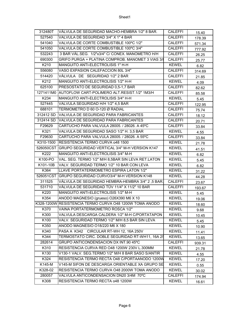| 312480T          | VÁLVULA DE SEGURIDAD MACHO-HEMBRA 1/2" 8 BAR.            | <b>CALEFFI</b> | 15.40  |
|------------------|----------------------------------------------------------|----------------|--------|
| 527540           | VALVULA DE SEGURIDAD 3/4" X 1" 4 BAR                     | <b>CALEFFI</b> | 178.39 |
| 541040           | VALVULA DE CORTE COMBUSTIBLE 100°C 1/2"                  | <b>CALEFFI</b> | 571.34 |
| 541050           | VALVULA DE CORTE COMBUSTIBLE 100°C 3/4"                  | <b>CALEFFI</b> | 777.92 |
| 532243           | 3 BAR VÁL.SEG. 1/2"x3/4" C/ CONEX. MANOMETRO H/H         | <b>CALEFFI</b> | 26.25  |
| 690300           | GRIFO PURGA + PLATINA COMPROB. MANOMET 3 VIAS 3/8        | <b>CALEFFI</b> | 25.77  |
| K210             | MANGUITO ANTI-ELECTROLISIS 1" H-H                        | <b>KEWEL</b>   | 6.82   |
| 556080           | VASO EXPASION CALEFACCION 80L 3/4"                       | <b>CALEFFI</b> | 314.69 |
| 514420           | VÁLVULA DE SEGURIDAD 1/2" 2 BAR                          | CALEFFI        | 21.85  |
| K <sub>212</sub> | MANGUITO ANTI-ELECTROLISIS 1/2" H-H                      | <b>KEWEL</b>   | 4.09   |
| 625100           | PRESOSTATO DE SEGURIDAD 0,5-1,7 BAR                      | <b>CALEFFI</b> | 82.62  |
|                  | 1271411M0 AUTOFLOW CART-POLIMERO ALT.RESIST.1/2" 1M3/H   | <b>CALEFFI</b> | 85.58  |
| K234             | MANGUITO ANTI-ELECTROLISIS 3/4" H-H                      | <b>KEWEL</b>   | 5.45   |
| 527445           | VALVULA SEGURIDAD H/H 1/2" 4,5 BAR                       | <b>CALEFFI</b> | 122.95 |
| 688101           | TERMOMETRO D 60 O-120 Ø RADIAL                           | <b>CALEFFI</b> | 75.74  |
| 312412 SD        | VALVULA DE SEGURIDAD PARA FABRICANTES                    | <b>CALEFFI</b> | 18.12  |
| 312414 SD        | VALVULA DE SEGURIDAD PARA FABRICANTES                    | CALEFFI        | 20.71  |
| F29629           | CARTUCHO PARA VALVULA 28005. / 28026. A 45°C             | <b>CALEFFI</b> | 33.84  |
| K321             | VALVULA DE SEGURIDAD SASO 1/2" H. 3,5 BAR                | <b>KEWEL</b>   | 4.55   |
| F29630           | CARTUCHO PARA VALVULA 28005. / 28026. A 55°C             | <b>CALEFFI</b> | 33.84  |
| K310-1500        | <b>RESISTENCIA TERMO CURVA 048 1500</b>                  | <b>KEWEL</b>   | 21.78  |
|                  | 526050CST GRUPO SEGURIDAD VERTICAL 3/4" M-H VERSION K147 | <b>KEWEL</b>   | 41.51  |
| K222             | MANGUITO ANTI-ELECTROLISIS 3/4" M-H                      | <b>KEWEL</b>   | 6.82   |
| K100-PO          | VAL. SEG. TERMO 1/2" M/H 8,5BAR SIN LEVA RET.LATON       | <b>KEWEL</b>   | 5.45   |
| K101-10B         | VALV. SEGURIDAD TERMO 1/2" 10 BAR CON LEVA               | <b>KEWEL</b>   | 6.82   |
| K364             | LLAVE PORTATERMOMETRO ESPIRA LATON 1/2"                  | <b>KEWEL</b>   | 31.22  |
|                  | 526051CST GRUPO SEGURIDAD CURVO3/4" M-H VERSION K148     | <b>KEWEL</b>   | 44.28  |
| 311525           | VÁLVULA DE SEGURIDAD HEMBRA-HEMBRA 3/4" 2,5 BAR.         | <b>CALEFFI</b> | 23.67  |
| 531710           | VÁLVULA DE SEGURIDAD TÜV 11/4" X 11/2" 10 BAR            | <b>CALEFFI</b> | 193.67 |
| K220             | MANGUITO ANTI-ELECTROLISIS 1/2" M-H                      | <b>KEWEL</b>   | 5.45   |
| K354             | ANODO MAGNESIO (grueso) O26X390 M6 X 10                  | <b>KEWEL</b>   | 19.06  |
|                  | K328-1200W RESISTENCIA TERMO CURVA O48 1200W TOMA ANODO  | <b>KEWEL</b>   | 18.60  |
| K370             | VAINA PORTATERMOMETRO ROSCA 1/2"                         | <b>KEWEL</b>   | 9.68   |
| K300             | VALVULA DESCARGA CALDERA 1/2" M-H C/PORTATAPON           | <b>KEWEL</b>   | 10.45  |
| K100             | VALV. SEGURIDAD TERMO 1/2" M/H 8,5 BAR SIN LEVA          | <b>KEWEL</b>   | 5.45   |
| K350             | ANODO MAGNESIO 018/220 M6 X 180                          | <b>KEWEL</b>   | 10.90  |
| K340             | PASA A K342 CIRCULAR RT-WH 12, 16A 250V                  | <b>KEWEL</b>   | 11.41  |
| K344             | TERMOSTATO CIRC. DOBLE SEGURIDAD RT-WH11, 16A 25         | <b>KEWEL</b>   | 13.65  |
| 282614           | GRUPO ANTICONDENSACION DX INT.90 45°C                    | CALEFFI        | 939.31 |
| K310             | RESISTENCIA CURVA RED O48 1200W 230V L.300MM             | <b>KEWEL</b>   | 21.78  |
| K130             | V130-1 VALV. SEG.TERMO 1/2" M/H 8 BAR SASO S/ANTIR       | <b>KEWEL</b>   | 4.55   |
| K324             | RESISTENCIA TERMO RECTA O48 C/PORTAANODO 1200W           | <b>KEWEL</b>   | 17.20  |
| K145-M           | V145-M SIFON DE DESCARGA ORIENTABLE XA GRUPO SE          | <b>KEWEL</b>   | 0.55   |
| K328-02          | RESISTENCIA TERMO CURVA O48 2000W TOMA ANODO             | <b>KEWEL</b>   | 30.02  |
| 280057           | VALVULA ANTICONDENSACION DN20 3/4M 70°C                  | CALEFFI        | 174.94 |
| K308             | RESISTENCIA TERMO RECTA 048 1200W                        | <b>KEWEL</b>   | 16.61  |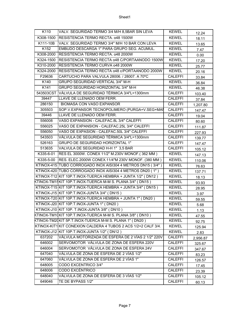| K110      | VALV. SEGURIDAD TERMO 3/4 M/H 8,5BAR SIN LEVA                  | <b>KEWEL</b>   | 12.24    |
|-----------|----------------------------------------------------------------|----------------|----------|
| K308-1500 | RESISTENCIA TERMO RECTA. 048 1500W                             | <b>KEWEL</b>   | 18.11    |
| K111-10B  | VALV. SEGURIDAD TERMO 3/4" M/H 10 BAR CON LEVA                 | <b>KEWEL</b>   | 13.65    |
| K152      | EMBUDO DESCARGA 1" PARA GRUPO SEG. ACUMUL.                     | <b>KEWEL</b>   | 7.47     |
| K308-2000 | RESISTENCIA TERMO RECTA. 048 2000W                             | <b>KEWEL</b>   | 0.00     |
| K324-1500 | RESISTENCIA TERMO RECTA 048 C/PORTAANODO 1500W                 | <b>KEWEL</b>   | 17.20    |
| K310-2000 | RESISTENCIA TERMO CURVA 048 2000W                              | <b>KEWEL</b>   | 25.77    |
| K324-2000 | RESISTENCIA TERMO RECTA 048 c/PORTAANODO 2000W                 | <b>KEWEL</b>   | 20.16    |
| F29636    | CARTUCHO PARA VALVULA 28006. / 28007. A 70°C                   | <b>CALEFFI</b> | 33.84    |
| K140      | <b>GRUPO SEGURIDAD VERTICAL 3/4" M-H</b>                       | <b>KEWEL</b>   | 36.84    |
| K141      | GRUPO SEGURIDAD HORIZONTAL 3/4" M-H                            | <b>KEWEL</b>   | 46.38    |
|           | 543503CST VÁLVULA DE SEGURIDAD TÉRMICA 3/4"L=1300mm            | <b>CALEFFI</b> | 103.40   |
| 39447     | LLAVE DE LLENADO OEM FERR.                                     | <b>CALEFFI</b> | 37.84    |
| 286150    | <b>BIOMASA CON VASO EXPANSOR</b>                               | <b>CALEFFI</b> | 1,207.80 |
| 305503    | SOP.V.EXPANSOR TECNOPOLIMERO (PURGA+V.SEG+MAI                  | <b>CALEFFI</b> | 147.47   |
| 39446     | LLAVE DE LLENADO OEM FERR.                                     | <b>CALEFFI</b> | 19.04    |
| 556008    | VASO EXPANSION - CALEFAC.8L 3/4" CALEFFI                       | <b>CALEFFI</b> | 80.60    |
| 556025    | VASO DE EXPANSION - CALEFAC.25L 3/4" CALEFFI                   | <b>CALEFFI</b> | 111.87   |
| 556050    | VASO DE EXPASION - CALEFAC.50L 3/4" CALEFFI                    | <b>CALEFFI</b> | 227.93   |
| 543503    | VÁLVULA DE SEGURIDAD TÉRMICA 3/4"L=1300mm                      | <b>CALEFFI</b> | 139.77   |
| 526163    | <b>GRUPO DE SEGURIDAD HORIZONTAL 1"</b>                        | <b>CALEFFI</b> | 147.47   |
| 513635    | VALVULA DE SEGURIDAD H-H 1" 3,5 BAR                            | <b>CALEFFI</b> | 105.12   |
| K335-6-01 | RES EL 3000W. CONEX 11/2" M.230V MONOF.(362 MM)                | <b>KEWEL</b>   | 147.13   |
| K335-5-00 | RES. ELEC.2000W CONEX.11/4"M 230V MONOF. (380 MM)              | <b>KEWEL</b>   | 110.06   |
|           | KTINOX-415 TUBO CORROGADO INOX AISI304 4 METROS DN15 (3/4")    | <b>KEWEL</b>   | 76.63    |
|           | KTINOX-420 TUBO CORROGADO INOX AISI304 4 METROS DN20 (1")      | <b>KEWEL</b>   | 137.71   |
|           | KTINOX-T12 KIT 10P.T.INOX-TUERCA HEMBRA + JUNTA 1/2" (DN12)    | <b>KEWEL</b>   | 18.13    |
|           | KTINOX-TM15KIT 10P.T.INOX-TUERCA M-M S. PLANA 3/4" (DN15 )     | <b>KEWEL</b>   | 93.93    |
|           | KTINOX-T15 KIT 10P.T.INOX-TUERCA HEMBRA + JUNTA 3/4" (DN15)    | <b>KEWEL</b>   | 28.95    |
|           | KTINOX-J15 KIT 10P.T.INOX-JUNTA 3/4" (DN15)                    | <b>KEWEL</b>   | 3.97     |
|           | KTINOX-T20 KIT 10P.T.INOX-TUERCA HEMBRA + JUNTA 1" (DN20)      | <b>KEWEL</b>   | 59.55    |
|           | KTINOX-J20 KIT 10P.T.INOX-JUNTA 1" (DN20)                      | <b>KEWEL</b>   | 5.68     |
|           | KTINOX-J10 KIT 10P. T.INOX-JUNTA 3/8" (DN10)                   | <b>KEWEL</b>   | 1.13     |
|           | KTINOX-TM10KIT 10P.T.INOX-TUERCA M-M S. PLANA 3/8" (DN10)      | <b>KEWEL</b>   | 47.55    |
|           | KTINOX-TM20KIT 5P.T.INOX-TUERCA M-M S. PLANA 1" (DN20)         | <b>KEWEL</b>   | 92.75    |
|           | KTINOX-KIT1 KIT CONEXION CALDERA 4 TUBOS 2 ACS 1/2+2 CALF 3/4. | <b>KEWEL</b>   | 125.94   |
|           | KTINOX-J12 KIT 10P.T.INOX-JUNTA 1/2" (DN12)                    | <b>KEWEL</b>   | 2.83     |
| 637202    | VÁLVULA MOTORIZADA DE ESFERA DE 2 VÍAS 2 1/2" 220V             | <b>CALEFFI</b> | 2,956.87 |
| 646002    | SERVOMOTOR VÁLVULA DE ZONA DE ESFERA 220V                      | CALEFFI        | 325.67   |
| 646004    | SERVOMOTOR VÁLVULA DE ZONA DE ESFERA 24V                       | <b>CALEFFI</b> | 347.67   |
| 647040    | VÁLVULA DE ZONA DE ESFERA DE 2 VÍAS 1/2"                       | <b>CALEFFI</b> | 83.23    |
| 647060    | VÁLVULA DE ZONA DE ESFERA DE 2 VÍAS 1"                         | CALEFFI        | 126.57   |
| 648005    | CODO EXCENTRICO 3/4"                                           | CALEFFI        | 17.45    |
| 648006    | <b>CODO EXCÉNTRICO</b>                                         | <b>CALEFFI</b> | 23.39    |
| 648040    | VÁLVULA DE ZONA DE ESFERA DE 3 VÍAS 1/2"                       | <b>CALEFFI</b> | 105.12   |
| 649046    | TE DE BYPASS 1/2"                                              | <b>CALEFFI</b> | 60.13    |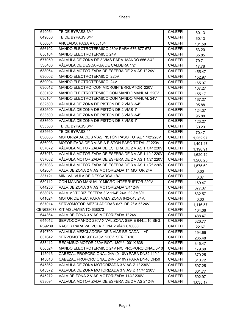| 649054 | TE DE BYPASS 3/4"                                  | <b>CALEFFI</b> | 60.13    |
|--------|----------------------------------------------------|----------------|----------|
| 649056 | TE DE BYPASS 3/4"                                  | <b>CALEFFI</b> | 60.13    |
| 656004 | ANULADO, PASA A 656104                             | <b>CALEFFI</b> | 101.50   |
| 656102 | MANDO ELECTROTÉRMICO 230V PARA 676-677-678         | <b>CALEFFI</b> | 53.20    |
| 656104 | MANDO ELECTROTÉRMICO 24V                           | <b>CALEFFI</b> | 65.85    |
| 677050 | VÁLVULA DE ZONA DE 3 VÍAS PARA MANDO 656 3/4"      | <b>CALEFFI</b> | 79.71    |
| 538400 | VÁLVULA DE DESCARGA DE CALDERA 1/2"                | <b>CALEFFI</b> | 17.78    |
| 638064 | VÁLVULA MOTORIZADA DE ESFERA DE 2 VÍAS 1" 24V      | <b>CALEFFI</b> | 455.47   |
| 630002 | MANDO ELECTROTÉRMICO 220V                          | <b>CALEFFI</b> | 152.97   |
| 630004 | MANDO ELECTROTÉRMICO 24V                           | <b>CALEFFI</b> | 165.07   |
| 630012 | MANDO ELECTRO. CON MICROINTERRUPTOR 220V           | <b>CALEFFI</b> | 167.27   |
| 630102 | MANDO ELECTROTÉRMICO CON MANDO MANUAL 220V         | <b>CALEFFI</b> | 155.17   |
| 630104 | MANDO ELECTROTÉRMICO CON MANDO MANUAL 24V          | CALEFFI        | 167.27   |
| 632500 | VÁLVULA DE ZONA DE PISTÓN DE 2 VÍAS 3/4"           | <b>CALEFFI</b> | 95.88    |
| 632600 | VÁLVULA DE ZONA DE PISTÓN DE 2 VÍAS 1"             | <b>CALEFFI</b> | 124.37   |
| 633500 | VÁLVULA DE ZONA DE PISTÓN DE 3 VÍAS 3/4"           | <b>CALEFFI</b> | 95.88    |
| 633600 | VÁLVULA DE ZONA DE PISTÓN DE 3 VÍAS 1"             | <b>CALEFFI</b> | 123.27   |
| 635560 | TE DE BYPASS 3/4"                                  | <b>CALEFFI</b> | 50.23    |
| 635660 | TE DE BYPASS 1"                                    | <b>CALEFFI</b> | 70.47    |
| 636083 | MOTORIZADA DE 3 VÍAS PISTÓN PASO TOTAL 1 1/2"220V  | <b>CALEFFI</b> | 1,252.97 |
| 636093 | MOTORIZADA DE 3 VÍAS A PISTÓN PASO TOTAL 2" 220V.  | <b>CALEFFI</b> | 1,401.47 |
| 637072 | VÁLVULA MOTORIZADA DE ESFERA DE 2 VÍAS 1 1/4" 220V | <b>CALEFFI</b> | 1,198.91 |
| 637073 | VÁLVULA MOTORIZADA DE ESFERA DE 3 VÍAS 1 1/4" 220V | <b>CALEFFI</b> | 1,620.12 |
| 637082 | VÁLVULA MOTORIZADA DE ESFERA DE 2 VÍAS 1 1/2" 220V | <b>CALEFFI</b> | 1,260.25 |
| 637083 | VÁLVULA MOTORIZADA DE ESFERA DE 3 VÍAS 1 1/2" 220V | <b>CALEFFI</b> | 1,575.60 |
| 642064 | VALV.DE ZONA 2 VIAS MOTORIZADA 1" MOTOR 24V        | <b>CALEFFI</b> | 0.00     |
| 337121 | MINI VÁLVULA DE DESCARGA 1/4"                      | <b>CALEFFI</b> | 6.37     |
| 630112 | CON MANDO MANUAL Y MICRO INTERRUPTOR 220V          | <b>CALEFFI</b> | 169.47   |
| 644256 | VALV.DE ZONA 3 VIAS MOTORIZADA 3/4" 24V            | <b>CALEFFI</b> | 377.37   |
| 638075 | VALV.MOTORIZ.ESFERA 3 V.11/4" 24V. 22,8M3/H        | <b>CALEFFI</b> | 632.57   |
| 641024 | MOTOR DE REC. PARA VALV.ZONA 642-643 24V.          | <b>CALEFFI</b> | 0.00     |
| 637014 | SERVOMOTOR MEZCLADORAS 637 DE 2" A 5" 24V          | CALEFFI        | 1,116.57 |
|        | CBN638073 KIT AISLAMIENTO 638073                   | <b>CALEFFI</b> | 104.06   |
| 644364 | VALV.DE ZONA 3 VIAS MOTORIZADA 1" 24V.             | <b>CALEFFI</b> | 488.47   |
| 644012 | SERVOCOMANDO 230V X VAL.ZONA SERIE 64410 SEG.      | <b>CALEFFI</b> | 326.77   |
| R69239 | RACOR PARA VÁLVULA ZONA 2 VÍAS 676060              | CALEFFI        | 22.67    |
| 610700 | VÁLVULA MEZCLADORA DE 3 VÍAS BRIDADA 11/4"         | <b>CALEFFI</b> | 194.66   |
| 637042 | SERVOMOTOR 90° 0-10V 230V SERIE 610                | CALEFFI        | 285.48   |
| 638412 | RECAMBIO MOTOR 230V ROT. 180° / 100" X 638         | CALEFFI        | 345.47   |
| 656524 | MANDO ELECTROTERMICO 24V N/C PROPORCIONAL 0-10     | <b>CALEFFI</b> | 179.60   |
| 145015 | CABEZAL PROPORCIONAL 24V (0-10V) PARA DN32 11/4"   | <b>CALEFFI</b> | 370.25   |
| 145016 | CABEZAL PROPORCIONAL 24V (0-10V) PARA DN40 DN50    | CALEFFI        | 610.72   |
| 645362 | VALVULA DE ZONA MOTORIZADA 3 VIAS Ø 1" 230V        | CALEFFI        | 597.25   |
| 645372 | VALVULA DE ZONA MOTORIZADA 3 VIAS Ø 11/4" 230V     | CALEFFI        | 601.77   |
| 645272 | VALV.DE ZONA 2 VIAS MOTORIZADA 11/4" 230V.         | <b>CALEFFI</b> | 592.97   |
| 638094 | VALVULA MOTORIZADA DE ESFERA DE 2 VIAS 2" 24V      | CALEFFI        | 1,035.17 |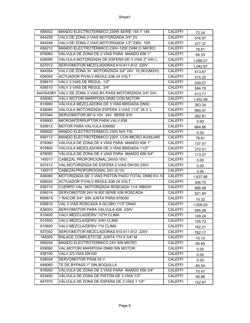| 656502 | MANDO ELECTROTERMICO 230W SERIE 145 Y 149                  | CALEFFI        | 72.34    |
|--------|------------------------------------------------------------|----------------|----------|
| 644258 | VALV.DE ZONA 2 VIAS MOTORIZADA 3/4" 2V                     | <b>CALEFFI</b> | 416.97   |
| 644246 | VALV.DE ZONA 2 VIAS MOTORIZADA 1/2" 230V. 10S              | <b>CALEFFI</b> | 377.37   |
| 656212 | MANDO ELECTROTÉRMICO 230V-1200 OHM C/ MICRO                | <b>CALEFFI</b> | 78.61    |
| 676060 | VÁLVULA DE ZONA DE 2 VÍAS PARA MANDO 656 1"                | <b>CALEFFI</b> | 84.33    |
| 638095 | VALVULA MOTORIZADA DE ESFERA DE 3 VIAS 2" 24V L            | <b>CALEFFI</b> | 1,089.07 |
| 637012 | SERVOMOTOR MEZCLADORAS 610-611-612 220V                    | <b>CALEFFI</b> | 1,042.87 |
| 644354 | VALV.DE ZONA 3V. MOTORIZADA 3/4" 24V. 10,3KV(M3/H)         | <b>CALEFFI</b> | 413.67   |
| 636004 | ACTUADOR P/VALV.REGUL.636 24 VOLT.                         | CALEFFI        | 515.25   |
| 636410 | VALV.3 VIAS DE REGUL. 1/2"                                 | <b>CALEFFI</b> | 539.57   |
| 636510 | VALV 3 VIAS DE REGUL. 3/4"                                 | <b>CALEFFI</b> | 564.78   |
|        | 6443543BY VALV.DE ZONA 3 VIAS BY-PASS MOTORIZADA 3/4" 24V. | <b>CALEFFI</b> | 413.71   |
| 639082 | VALV.MOTORI.MARIPOSA DN80 CON MOTOR                        | <b>CALEFFI</b> | 1,452.99 |
| 610900 | VÁLVULA MEZCLADORA DE 3 VÍAS BRIDADA DN50                  | <b>CALEFFI</b> | 363.34   |
| 638085 | VALVULA MOTORIZADA ESFERA 3 VIAS 11/2" 24 V. L             | <b>CALEFFI</b> | 990.07   |
| 637044 | SERVOMOTOR 90° 0-10V 24V SERIE 610                         | <b>CALEFFI</b> | 382.81   |
| 639900 | MICROINTERRUPTOR PARA VALV.639                             | <b>CALEFFI</b> | 0.00     |
| 639912 | MOTOR PARA VALVULA 639080                                  | <b>CALEFFI</b> | 664.88   |
| 656602 | MANDO ELECTROTERMICO 230V N/A T/N                          | <b>CALEFFI</b> | 0.00     |
| 656112 | MANDO ELECTROTÉRMICO 220V. CON MICRO AUXILIAR              | <b>CALEFFI</b> | 78.61    |
| 678060 | VÁLVULA DE ZONA DE 4 VÍAS PARA MANDO 656 1"                | <b>CALEFFI</b> | 137.57   |
| 610800 | VÁLVULA MEZCLADORA DE 3 VÍAS BRIDADA 11/2"                 | <b>CALEFFI</b> | 272.51   |
| 678050 | VÁLVULA DE ZONA DE 4 VÍAS PARA MANDO 656 3/4"              | <b>CALEFFI</b> | 113.37   |
| 145017 | CABEZAL PROPORCIONAL 24V(0-10V)                            | <b>CALEFFI</b> | 0.00     |
| 637412 | VAL.MOTORIZADA DE ESFERA 2 VIAS DN100 230V                 | <b>CALEFFI</b> | 0.00     |
| 145013 | CABEZALPROPORCIONAL 24V (0-10)                             | <b>CALEFFI</b> | 0.00     |
| 636080 | MOTORIZADA DE 3 VÍAS PISTÓN PASO TOTAL DN80 KV-10          | <b>CALEFFI</b> | 1,637.86 |
| 636024 | ACTUADOR P/VALV.REGUL.636 24 VOLT.                         | <b>CALEFFI</b> | 306.70   |
| 636710 | CUERPO VAL. MOTORIZADA ROSCADA 11/4 16M3/H                 | <b>CALEFFI</b> | 686.48   |
| 636014 | SERVOMOTOR 24V N 500 SERIE 636 ROSCADA                     | <b>CALEFFI</b> | 521.84   |
| R69615 | 1 RACOR 3/4" SIN JUNTA PARA 676050                         | CALEFFI        | 15.32    |
| 636810 | VAL.3 VIAS ROSCADA A GLOBO 11/2" DN40                      | <b>CALEFFI</b> | 1,009.20 |
| 636002 | SERVOMOTOR PARA VALVULA 636 230V                           | <b>CALEFFI</b> | 565.28   |
| 610400 | VALV.MEZCLA/DERIV 1/2"H CLIMA                              | <b>CALEFFI</b> | 149.24   |
| 610500 | VALV.MEZCLA/DERIV 3/4H CLIMA                               | <b>CALEFFI</b> | 155.72   |
| 610600 | VALV.MEZCLA/DERIV 1"H CLIMA                                | <b>CALEFFI</b> | 162.21   |
| 637002 | SERVOMOTOR MEZCLADORAS 610-611-612 220V                    | <b>CALEFFI</b> | 782.17   |
| 145005 | ENLACE COMPLETO DE JUNTA 1"H X 3/4" M                      | CALEFFI        | 10.10    |
| 656204 | MANDO ELECTROTERMICO 24V SIN MICRO                         | <b>CALEFFI</b> | 65.85    |
| 639080 | VAL.MOTORI.MARIPOSA DN80 SIN MOTOR                         | <b>CALEFFI</b> | 0.00     |
| 636100 | VALV.2/3 VIAS DN100                                        | <b>CALEFFI</b> | 0.00     |
| 636034 | SERVOMOTOR P/636 24 V.                                     | CALEFFI        | 0.00     |
| 649060 | TE DE BYPASS 1" SIN BOQUILLA                               | <b>CALEFFI</b> | 85.54    |
| 676050 | VÁLVULA DE ZONA DE 2 VÍAS PARA MANDO 656 3/4"              | <b>CALEFFI</b> | 70.47    |
| 633400 | VÁLVULA DE ZONA DE PISTÓN DE 3 VÍAS 1/2"                   | <b>CALEFFI</b> | 95.88    |
| 647070 | VÁLVULA DE ZONA DE ESFERA DE 2 VÍAS 1 1/4"                 | <b>CALEFFI</b> | 152.97   |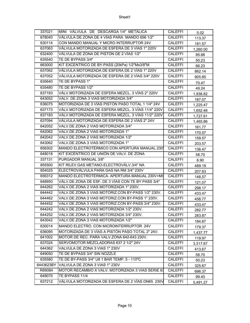| 337021    | MINI VÁLVULA DE DESCARGA 1/4" METÁLICA             | <b>CALEFFI</b> | 5.02     |
|-----------|----------------------------------------------------|----------------|----------|
| 678040    | VÁLVULA DE ZONA DE 4 VÍAS PARA MANDO 656 1/2"      | <b>CALEFFI</b> | 113.37   |
| 630114    | CON MANDO MANUAL Y MICRO INTERRUPTOR 24V           | CALEFFI        | 181.57   |
| 637063    | VÁLVULA MOTORIZADA DE ESFERA DE 3 VÍAS 1" 220V     | <b>CALEFFI</b> | 1,260.00 |
| 632400    | VÁLVULA DE ZONA DE PISTÓN DE 2 VÍAS 1/2"           | CALEFFI        | 95.88    |
| 635540    | TE DE BYPASS 3/4"                                  | <b>CALEFFI</b> | 50.23    |
| 663000    | KIT EXCENTRICO DE BY-PASS (20kPa) 1/2"Mx3/8"M      | <b>CALEFFI</b> | 66.23    |
| 637062    | VÁLVULA MOTORIZADA DE ESFERA DE 2 VÍAS 1" 220V     | <b>CALEFFI</b> | 862.14   |
| 637052    | VÁLVULA MOTORIZADA DE ESFERA DE 2 VÍAS 3/4" 220V   | <b>CALEFFI</b> | 905.85   |
| 635640    | TE DE BYPASS 1"                                    | <b>CALEFFI</b> | 70.47    |
| 635480    | TE DE BYPASS 1/2"                                  | <b>CALEFFI</b> | 49.24    |
| 637193    | VÁLV.MOTORIZADA DE ESFERA MEZCL. 3 VÍAS 2" 220V    | <b>CALEFFI</b> | 1,938.82 |
| 643052    | VALV. DE ZONA 3 VIAS MOTORIZADA 3/4"               | <b>CALEFFI</b> | 187.07   |
| 636075    | MOTORIZADA DE 3 VÍAS PISTÓN PASO TOTAL 1 1/4" 24V  | <b>CALEFFI</b> | 1,225.47 |
| 637173    | VÁLV.MOTORIZADA DE ESFERA MEZCL. 3 VÍAS 11/4" 220V | <b>CALEFFI</b> | 1,652.48 |
| 637183    | VÁLV.MOTORIZADA DE ESFERA MEZCL. 3 VÍAS 11/2" 220V | <b>CALEFFI</b> | 1,727.61 |
| 637094    | VÁLVULA MOTORIZADA DE ESFERA DE 2 VÍAS 2" 24V      | <b>CALEFFI</b> | 1,465.86 |
| 642052    | VALV.DE ZONA 2 VIAS MOTORIZADA 3/4"                | CALEFFI        | 161.77   |
| 642062    | VALV.DE ZONA 2 VIAS MOTORIZADA 1"                  | <b>CALEFFI</b> | 170.57   |
| 642042    | VALV.DE ZONA 2 VIAS MOTORIZADA 1/2"                | <b>CALEFFI</b> | 159.57   |
| 643062    | VALV.DE ZONA 3 VIAS MOTORIZADA 1"                  | <b>CALEFFI</b> | 203.57   |
| 656302    | MANDO ELECTROTÉRMICO CON APERTURA MANUAL 230       | <b>CALEFFI</b> | 136.47   |
| 648018    | KIT EXCÉNTRICO DE UNIÓN DE VALV. DE ZONA           | <b>CALEFFI</b> | 58.70    |
| 337131    | PURGADOR MANUAL 3/8"                               | <b>CALEFFI</b> | 6.90     |
| 855500    | KIT RILEV.GAS METANO-ELECTROVÁLV.3/4" NA           | <b>CALEFFI</b> | 489.19   |
| 854025    | ELECTROVÁLVULA PARA GAS NA RM 3/4" 230V            | <b>CALEFFI</b> | 207.63   |
| 656312    | MANDO ELECTROTÉRMICA. APERTURA MANUAL 230V+MI      | <b>CALEFFI</b> | 148.57   |
| 648950    | VÁLV.DE ZONA DE ESF. DE 3 VÍAS CON TE BY PASS 3/4" | <b>CALEFFI</b> | 121.07   |
| 644262    | VALV.DE ZONA 2 VIAS MOTORIZADA 1" 230V.            | <b>CALEFFI</b> | 298.17   |
| 644442    | VALV.DE ZONA 3 VIAS MOTORIZ.CON BY-PASS 1/2" 230V. | <b>CALEFFI</b> | 433.47   |
| 644462    | VALV.DE ZONA 3 VIAS MOTORIZ.CON BY-PASS 1" 230V.   | CALEFFI        | 458.77   |
| 644452    | VALV.DE ZONA 3 VIAS MOTORIZ.CON BY-PASS 3/4" 230V. | <b>CALEFFI</b> | 433.47   |
| 644242    | VALV.DE ZONA 2 VIAS MOTORIZADA 1/2" 230V.          | <b>CALEFFI</b> | 282.77   |
| 644252    | VALV.DE ZONA 2 VIAS MOTORIZADA 3/4" 230V.          | CALEFFI        | 283.87   |
| 643042    | VALV.DE ZONA 3 VIAS MOTORIZADA 1/2"                | <b>CALEFFI</b> | 184.87   |
| 630014    | MANDO ELECTRO. CON MICROINTERRUPTOR 24V            | <b>CALEFFI</b> | 179.37   |
| 636095    | MOTORIZADA DE 3 VÍAS A PISTÓN PASO TOTAL 2" 24V.   | <b>CALEFFI</b> | 1,437.77 |
| 641002    | MOTOR DE REC. PARA VALV.ZONA 642-643 230V.         | <b>CALEFFI</b> | 119.97   |
| 637024    | SERVOMOTOR MEZCLADORAS 637 2 1/2" 24V              | <b>CALEFFI</b> | 3,317.67 |
| 644362    | VALVULA DE ZONA 3 VIAS 1" 230V                     | <b>CALEFFI</b> | 413.67   |
| 649050    | TE DE BYPASS 3/4" SIN NOZZLE                       | <b>CALEFFI</b> | 58.70    |
| 635580    | TE DE BY-PASS 3/4" U8 1 BAR TEMP. 5 - 110°C        | <b>CALEFFI</b> | 50.23    |
| 6443623BY | VALVULA DE ZONA 3 VIAS 1" 230V                     | CALEFFI        | 325.67   |
| R69084    | MOTOR RECAMBIO X VALV. MOTORIZADA 3 VIAS SERIE 63  | <b>CALEFFI</b> | 696.37   |
| 649070    | TE BYPASS 11/4                                     | <b>CALEFFI</b> | 99.40    |
| 637212    | VÁLVULA MOTORIZADA DE ESFERA DE 2 VÍAS DN65 230V   | <b>CALEFFI</b> | 5,491.27 |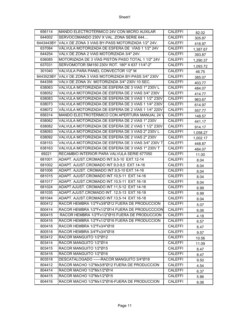| 656114    | MANDO ELECTROTÉRMICO 24V CON MICRO AUXILAR                 | <b>CALEFFI</b> | 82.02    |
|-----------|------------------------------------------------------------|----------------|----------|
| 644002    | SERVOCOMANDO 230V X VAL. ZONA SERIE 644                    | <b>CALEFFI</b> | 305.87   |
|           | 6443443BY VALV.DE ZONA 3 VIAS BY-PASS MOTORIZADA 1/2" 24V. | <b>CALEFFI</b> | 416.97   |
| 637084    | VÁLVULA MOTORIZADA DE ESFERA DE VÍAS 1 1/2" 24V            | <b>CALEFFI</b> | 1,387.67 |
| 644254    | VALV.DE ZONA 2 VIAS MOTORIZADA 3/4" 24V.                   | <b>CALEFFI</b> | 393.87   |
| 636085    | MOTORIZADA DE 3 VÍAS PISTÓN PASO TOTAL 1 1/2" 24V          | <b>CALEFFI</b> | 1,290.37 |
| 637031    | SERVOMOTOR SM150 230V ROT. 180° X 637 11/4"-2"             | <b>CALEFFI</b> | 1,093.72 |
| 301040    | VALVULA PARA PANEL CONVECTOR 1/2" M                        | <b>CALEFFI</b> | 46.75    |
| 6443523BY | VALV DE ZONA 3 VIAS MOTORIZADA BY-PASS 3/4" 230V           | <b>CALEFFI</b> | 385.07   |
| 644356    | VALV.DE ZONA 3V. MOTORIZADA 3/4" 230V.10 SEC.              | <b>CALEFFI</b> | 403.77   |
| 638063    | VALVULA MOTORIZADA DE ESFERA DE 3 VIAS 1" 230V L           | <b>CALEFFI</b> | 484.07   |
| 638052    | VALVULA MOTORIZADA DE ESFERA DE 2 VIAS 3/4" 230V           | <b>CALEFFI</b> | 414.77   |
| 638083    | VALVULA MOTORIZADA DE ESFERA DE 3 VIAS 1 1/2" 230V         | <b>CALEFFI</b> | 963.67   |
| 638073    | VALVULA MOTORIZADA DE ESFERA DE 3 VIAS 1 1/4" 230V         | <b>CALEFFI</b> | 614.97   |
| 638072    | VÁLVULA MOTORIZADA DE ESFERA DE 2 VÍAS 1 1/4" 220V         | <b>CALEFFI</b> | 557.77   |
| 656314    | MANDO ELECTROTÉRMICO CON APERTURA MANUAL 24 \              | <b>CALEFFI</b> | 148.57   |
| 638062    | VALVULA MOTORIZADA DE ESFERA DE 2 VIAS 1" 230V             | <b>CALEFFI</b> | 441.17   |
| 638082    | VALVULA MOTORIZADA DE ESFERA DE 2 VIAS 1 1/2" 230V         | <b>CALEFFI</b> | 914.17   |
| 638093    | VALVULA MOTORIZADA DE ESFERA DE 3 VIAS 2" 230V L           | <b>CALEFFI</b> | 1,058.27 |
| 638092    | VALVULA MOTORIZADA DE ESFERA DE 2 VIAS 2" 230V             | <b>CALEFFI</b> | 1,002.17 |
| 638153    | VALVULA MOTORIZADA DE ESFERA DE 3 VIAS 3/4" 230V T         | <b>CALEFFI</b> | 448.87   |
| 638163    | VALVULA MOTORIZADA DE ESFERA DE 3 VIAS 1" 230V T           | <b>CALEFFI</b> | 484.07   |
| 69221     | RECAMBIO INTERIOR PARA VALVULA SERIE 677050                | <b>CALEFFI</b> | 11.00    |
| 681001    | ADAPT. AJUST.CROMADO INT.9,5-10 EXT.12-14                  | <b>CALEFFI</b> | 8.04     |
| 681002    | ADAPT. AJUST.CROMADO INT.9,0-9,5 EXT.14-16                 | <b>CALEFFI</b> | 8.04     |
| 681006    | ADAPT. AJUST. CROMADO INT.9,5-10 EXT.14-16                 | <b>CALEFFI</b> | 8.04     |
| 681015    | ADAPT. AJUST.CROMADO INT.10,5-11 EXT.14-16                 | <b>CALEFFI</b> | 8.04     |
| 681017    | ADAPT. AJUST.CROMADO INT.10,5-11 EXT.16-18                 | <b>CALEFFI</b> | 8.04     |
| 681024    | ADAPT.AJUST. CROMADO INT.11,5-12 EXT.14-16                 | <b>CALEFFI</b> | 6.99     |
| 681035    | ADAPT.AJUST.CROMADO INT. 12,5-13 EXT.16-18                 | <b>CALEFFI</b> | 6.99     |
| 681044    | ADAPT. AJUST.CROMADO INT.13,5-14 EXT.16-18                 | <b>CALEFFI</b> | 8.04     |
| 800412    | RACOR HEMBRA 1/2"Fx3/8"Ø12 FUERA DE PRODUCCION             | <b>CALEFFI</b> | 5.07     |
| 800414    | RACOR HEMBRA 1/2"Fx1/2"Ø14 FUERA DE PRODUCCCION            | <b>CALEFFI</b> | 6.06     |
| 800415    | RACOR HEMBRA 1/2"Fx1/2"Ø15 FUERA DE PRODUCCION             | <b>CALEFFI</b> | 4.18     |
| 800416    | RACOR HEMBRA 1/2"Fx1/2"Ø16 FUERA DE PRODUCCION             | <b>CALEFFI</b> | 6.57     |
| 800418    | RACOR HEMBRA 1/2"Fx3/4"Ø18                                 | <b>CALEFFI</b> | 8.47     |
| 800518    | RACOR HEMBRA 3/4"Fx3/4"Ø18                                 | <b>CALEFFI</b> | 9.57     |
| 803412    | RACOR MANGUITO 1/2"Ø12                                     | <b>CALEFFI</b> | 10.56    |
| 803414    | RACOR MANGUITO 1/2"Ø14                                     | <b>CALEFFI</b> | 11.09    |
| 803415    | RACOR MANGUITO 1/2"Ø15                                     | <b>CALEFFI</b> | 8.47     |
| 803416    | RACOR MANGUITO 1/2"Ø16                                     | <b>CALEFFI</b> | 8.47     |
| 803518    | DESCATALOGADO ------RACOR MANGUITO 3/4"Ø18                 | <b>CALEFFI</b> | 9.50     |
| 804412    | RACOR MACHO 1/2"Mx3/8"Ø12 FUERA DE PRODUCCION              | <b>CALEFFI</b> | 4.54     |
| 804414    | RACOR MACHO 1/2"Mx1/2"Ø14                                  | <b>CALEFFI</b> | 6.37     |
| 804415    | RACOR MACHO 1/2"Mx1/2"Ø15                                  | <b>CALEFFI</b> | 5.86     |
| 804416    | RACOR MACHO 1/2"Mx1/2"Ø16-FUERA DE PRODUCCION              | <b>CALEFFI</b> | 6.06     |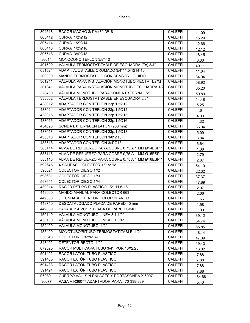| 804518 | RACOR MACHO 3/4"Mx3/4"Ø18                        | <b>CALEFFI</b> | 11.09  |
|--------|--------------------------------------------------|----------------|--------|
| 805412 | CURVA 1/2"Ø12                                    | <b>CALEFFI</b> | 15.29  |
| 805414 | CURVA 1/2"Ø14                                    | <b>CALEFFI</b> | 12.66  |
| 805416 | <b>CURVA 1/2"Ø16</b>                             | <b>CALEFFI</b> | 12.12  |
| 805518 | <b>CURVA 3/4"Ø18</b>                             | <b>CALEFFI</b> | 18.45  |
| 86014  | MONOCONO TEFLON 3/8"-12                          | <b>CALEFFI</b> | 0.30   |
| 401500 | VÁLVULA TERMOSTATIZABLE DE ESCUADRA (Fe) 3/4"    | <b>CALEFFI</b> | 40.11  |
| 681524 | ADAPT. AJUSTABLE CROMADO 3/4"11,5-1214-16        | <b>CALEFFI</b> | 11.64  |
| 200000 | MANDO TERMOSTÁTICO CON SENSOR LÍQUIDO            | <b>CALEFFI</b> | 34.94  |
| 301241 | VÁLVULA PARA INSTALACIÓN MONOTUBO RECTA 1/2"M    | <b>CALEFFI</b> | 58.92  |
| 301341 | VÁLVULA PARA INSTALACIÓN MONOTUBO ESCUADRA 1/2   | <b>CALEFFI</b> | 65.20  |
| 328400 | VÁLVULA MONOTUBO PARA SONDA EXTERNA 1/2"         | <b>CALEFFI</b> | 50.89  |
| 338302 | VÁLVULA TERMOSTATIZABLE EN ESCUADRA 3/8"         | <b>CALEFFI</b> | 14.48  |
| 438012 | ADAPTADOR CON TEFLÓN 23p.1,5Ø12                  | <b>CALEFFI</b> | 5.25   |
| 438014 | ADAPTADOR CON TEFLÓN 23p.1,5Ø14                  | <b>CALEFFI</b> | 4.61   |
| 438015 | ADAPTADOR CON TEFLÓN 23p.1,5015                  | <b>CALEFFI</b> | 4.03   |
| 438016 | ADAPTADOR CON TEFLÓN 23p.1,5Ø16                  | <b>CALEFFI</b> | 4.32   |
| 454090 | SONDA EXTERNA EN LATÓN (900 mm)                  | <b>CALEFFI</b> | 36.04  |
| 438018 | ADAPTADOR CON TEFLÓN 23p.1,5Ø18                  | <b>CALEFFI</b> | 5.09   |
| 438310 | ADAPTADOR CON TEFLÓN 3/8"Ø10                     | <b>CALEFFI</b> | 3.84   |
| 438518 | ADAPTADOR CON TEFLÓN 3/4"Ø18                     | <b>CALEFFI</b> | 6.64   |
| 585114 | ALMA DE REFUERZO PARA COBRE 0,75 A 1 MM Ø14ESP.1 | <b>CALEFFI</b> | 1.38   |
| 585115 | ALMA DE REFUERZO PARA COBRE 0,75 A 1 MM Ø15ESP.1 | <b>CALEFFI</b> | 2.79   |
| 585116 | ALMA DE REFUERZO PARA COBRE 0,75 A 1 MM Ø16ESP.1 | <b>CALEFFI</b> | 2.87   |
| 592645 | 4 SALIDAS COLECTOR 1" 1/2 "M                     | <b>CALEFFI</b> | 54.19  |
| 598621 | <b>COLECTOR CIEGO 1"/2</b>                       | <b>CALEFFI</b> | 22.32  |
| 598631 | <b>COLECTOR CIEGO 1"/3</b>                       | <b>CALEFFI</b> | 37.37  |
| 598641 | COLECTOR CIEGO 1"/4                              | <b>CALEFFI</b> | 47.89  |
| 439014 | RACOR P/TUBO PLASTICO 1/2" 11,6-16               | <b>CALEFFI</b> | 2.07   |
| 449000 | MANDO MANUAL PARA COLECTOR 663                   | <b>CALEFFI</b> | 2.66   |
| 449300 | J. FUNDASDETENTOR COLOR BLANCO                   | <b>CALEFFI</b> | 1.66   |
| 449740 | DESCATALOGADO PLACA DE PARED 40 mm               | <b>CALEFFI</b> | 1.58   |
| 449800 | PASA A K-PVC1 / PLACA DE PARED SIMPLE            | <b>CALEFFI</b> | 1.90   |
| 450140 | VÁLVULA MONOTUBO LINEA 3 1 1/2"                  | <b>CALEFFI</b> | 39.12  |
| 450150 | VÁLVULA MONOTUBO LINEA 3 1 3/4"                  | <b>CALEFFI</b> | 54.74  |
| 452400 | VÁLVULA MONOTUBO 1/2"                            | <b>CALEFFI</b> | 65.85  |
| 455400 | MONOTUBO/BITUBO TERMOSTATIZABLE 1/2"             | <b>CALEFFI</b> | 48.14  |
| 350540 | COLECTOR 3/4"x4SAL.                              | <b>CALEFFI</b> | 47.39  |
| 343402 | DETENTOR RECTO 1/2"                              | <b>CALEFFI</b> | 19.43  |
| 679525 | RACOR MULTICAPA TUBO 3/4" POR 16X2,25            | <b>CALEFFI</b> | 16.02  |
| 591402 | RACOR LATÓN TUBO PLÁSTICO                        | <b>CALEFFI</b> | 7.88   |
| 591405 | RACOR LATÓN TUBO PLÁSTICO                        | <b>CALEFFI</b> | 7.88   |
| 591433 | RACOR LATÓN TUBO PLÁSTICO                        | <b>CALEFFI</b> | 7.88   |
| 591424 | RACOR LATÓN TUBO PLÁSTICO                        | <b>CALEFFI</b> | 7.88   |
| F69801 | CUERPO VAL. SIN ENLACES Y PORTASONDA X 60071     | <b>CALEFFI</b> | 464.68 |
| 36077  | PASA A R36077.ADAPTADOR PARA 470-338-339         | <b>CALEFFI</b> | 5.43   |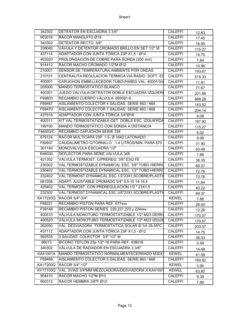| 342302   | DETENTOR EN ESCUADRA 3 3/8"                       | CALEFFI        | 12.83  |
|----------|---------------------------------------------------|----------------|--------|
| 903018   | RACOR MANGUITO Ø18                                | <b>CALEFFI</b> | 17.45  |
| 343302   | DETENTOR RECTO 3/8"                               | <b>CALEFFI</b> | 16.90  |
| 338040   | VÁVULA Y DETENTOR CROMADO BRILLO EN SET 1/2" M    | <b>CALEFFI</b> | 115.27 |
| 437114   | ADAPTADOR CON JUNTA TÓRICA 23P X1,5 - Ø14         | <b>CALEFFI</b> | 14.75  |
| 453020   | PROLONGACIÓN DE COBRE PARA SONDA (200 mm)         | <b>CALEFFI</b> | 7.84   |
| 914412   | RACOR MACHO CROMADO 1/2"M Ø12                     | <b>CALEFFI</b> | 10.56  |
| 210001   | SENSOR DE TEMPERATURA AMBIENTE POR ONDAS          | <b>CALEFFI</b> | 193.67 |
| 210101   | CENTRALITA REGULACION TERMICA VIA RADIO SOFT. ES  | <b>CALEFFI</b> | 515.33 |
| 400001   | CAPUCHON EMBELLECEDOR TUBO-PARED VAL. 40001/3/4   | <b>CALEFFI</b> | 11.91  |
| 205000   | MANDO TERMOSTATICO BLANCO                         | <b>CALEFFI</b> | 71.67  |
| 400301   | JUEGO VALVULA-DETENTOR DOBLE ESCUADRA IZQUIERI    | <b>CALEFFI</b> | 201.86 |
| F69803   | RECAMBIO CUERPO VALVULA. 600081-6                 | <b>CALEFFI</b> | 988.28 |
| F69467   | AISLAMIENTO COLECTOR 4 SALIDAS SERIE 663 / 668    | <b>CALEFFI</b> | 143.52 |
| F69470   | AISLAMIENTO COLECTOR 7 SALIDAS SERIE 663 / 668    | <b>CALEFFI</b> | 204.14 |
| 437516   | ADAPTADOR CON JUNTA TÓRICA 3/4"Ø16                | <b>CALEFFI</b> | 9.08   |
| 400311   | KIT VAL.TERMOSTATIZABLE-DET. DOBLE ESC. IZQUIERDA | <b>CALEFFI</b> | 197.92 |
| 199100   | MANDO TERMOSTÁTICO CON SONDA A DISTANCIA          | <b>CALEFFI</b> | 115.27 |
| F46003/C | RECAMBIO CAPUCHON SERIE 338                       | <b>CALEFFI</b> | 6.02   |
| 679124   | RACOR MULTICAPA 23P. 1,5- Ø 16X2 LATONADO         | <b>CALEFFI</b> | 9.08   |
| F69937   | CAUDALIMETRO C/TORNILLO. 1-4 LITROS/MIN. PARA 670 | <b>CALEFFI</b> | 31.90  |
| 301140   | MONOVALVULA ESCUADRA 1/2"                         | <b>CALEFFI</b> | 50.49  |
| R46030   | DEFLECTOR PARA SERIE VALVULA 348                  | <b>CALEFFI</b> | 1.66   |
| 421302   | VALVULA TERMOST. C/PREREG. 3/8" ESQ FE            | <b>CALEFFI</b> | 38.35  |
| 230302   | VAL.TERMOSTIZABLE DYNAMICAL ESC. 3/8" TUBO HIERRO | <b>CALEFFI</b> | 69.37  |
| 230402   | VAL.TERMOSTIZABLE DYNAMICAL ESC. 1/2" TUBO HIERRO | <b>CALEFFI</b> | 72.78  |
| 232402   | VAL.TERMOST.DYNAMICAL ESC.1/2"23X1,5COBRE/PLASTI  | <b>CALEFFI</b> | 72.78  |
| 681506   | ADAPT. AJUSTABLE CROMADO 3/4" 9,5-10 14-16,4      | <b>CALEFFI</b> | 11.64  |
| 425402   | VAL.TERMOST. CON PREREGULACION 1/2 " 23X1,5       | <b>CALEFFI</b> | 40.22  |
| 232302   | VAL.TERMOST.DYNAMICAL ESC.3/8"23X1,5COBRE/PLASTI  | <b>CALEFFI</b> | 69.37  |
| KA17220Q | RACOR 3/4"-3/4"                                   | <b>KEWEL</b>   | 7.88   |
| F69221   | RECAMBIO PISTON PARA REF. 677xxx                  | <b>CALEFFI</b> | 26.40  |
| F39146   | RECAMBIO PISTON SERIES 220,221,223 y 224xxx       | <b>CALEFFI</b> | 12.28  |
| 400510   | VÁLVULA MONOTUBO TERMOSTATIZABLE 1/2"-M23 DERE    | <b>CALEFFI</b> | 170.57 |
| 400520   | VÁLVULA MONOTUBO TERMOSTATIZABLE 1/2"-M23 IZQUIE  | <b>CALEFFI</b> | 170.57 |
| 262050   | VAL. DESVIADORA TERMOSTATICA SOLAR Ø 3/4 35-55ºC  | <b>CALEFFI</b> | 203.57 |
| 437112   | ADAPTADOR CON JUNTA TÓRICA 23P X1,5 - Ø12         | <b>CALEFFI</b> | 14.75  |
| 592535   | 3 SALIDAS COLECTOR 3/4" 1/2" M                    | <b>CALEFFI</b> | 36.33  |
| 86013    | BICONO TEFLÓN 23p.1/2"-16 PARA REF. 438016        | CALEFFI        | 0.59   |
| 340302   | VÁLVULA DE RADIADOR EN ESCUADRA 3 3/8"            | <b>CALEFFI</b> | 14.48  |
| KA41001A | MANDO TERMOSTATICO NORMALMENTECERRADO M30X1       | <b>KEWEL</b>   | 41.58  |
| F69468   | AISLAMIENTO COLECTOR 5 SALIDAS SERIE 663 / 668    | <b>CALEFFI</b> | 160.62 |
| KA17200Q | RACOR 3/4"-1/2"                                   | <b>KEWEL</b>   | 3.94   |
| KV17100Q | VAL. 3VIAS 3/4"MM MEZCLADORA/DESVIADORA X KA41001 | <b>KEWEL</b>   | 63.80  |
| 904410   | RACOR MACHO 1/2"M Ø10                             | <b>CALEFFI</b> | 9.38   |
| 900312   | RACOR HEMBRA 3/8"F Ø12                            | <b>CALEFFI</b> | 7.89   |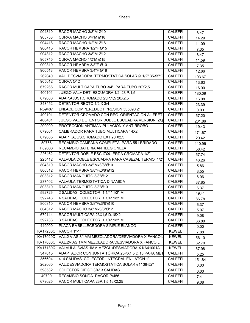| CURVA MACHO 3/4"M Ø18<br>905758<br><b>CALEFFI</b><br>14.29<br>904418<br>RACOR MACHO 1/2"M Ø18<br><b>CALEFFI</b><br>11.09<br>900415<br>RACOR HEMBRA 1/2"F Ø15<br><b>CALEFFI</b><br>7.35<br>RACOR MACHO 3/8"M Ø12<br><b>CALEFFI</b><br>904312<br>8.47<br>905745<br>CURVA MACHO 1/2"M Ø15<br><b>CALEFFI</b><br>11.59<br>RACOR HEMBRA 3/8"F Ø10<br>900310<br><b>CALEFFI</b><br>7.35<br>RACOR HEMBRA 3/4"F Ø18<br>900518<br><b>CALEFFI</b><br>12.66<br>262040<br>VAL. DESVIADORA TERMOSTATICA SOLAR Ø 1/2" 35-55°C<br><b>CALEFFI</b><br>193.67<br>905012<br>CURVA Ø12<br><b>CALEFFI</b><br>13.63<br>RACOR MULTICAPA TUBO 3/4" PARA TUBO 20X2,5<br>679266<br><b>CALEFFI</b><br>16.90<br>400101<br>JUEGO VAL+-DET. ESCUADRA 1/2 23 P.1,5<br><b>CALEFFI</b><br>180.09<br>ADAP.AJUST.CROMADO 23P.1,5 20X2,5<br><b>CALEFFI</b><br>679066<br>16.08<br>DETENTOR RECTO 1/2 X 3/4<br>343452<br><b>CALEFFI</b><br>23.39<br>ENLACE COMPL.REDUCT.PRESION 535090 2"<br>R59487<br><b>CALEFFI</b><br>0.00<br>DETENTOR CROMADO CON REG. ORIENTACION AL FRETI<br>400191<br><b>CALEFFI</b><br>57.20<br>JUEGO VAL+DETENTOR DOBLE ESCUADRA VERSION IZQI<br><b>CALEFFI</b><br>400401<br>201.86<br>PROTECCIÓN ANTIMANIPULACIÓN Y ANTIRROBO<br>209000<br><b>CALEFFI</b><br>19.43<br>679001<br>CALIBRADOR PARA TUBO MULTICAPA 14X2<br><b>CALEFFI</b><br>171.67<br>679065<br>ADAPT.AJUS.CROMADO EXT.20 X2,5<br><b>CALEFFI</b><br>20.42<br>RECAMBIO CAMPANA COMPLETA PARA 551 BRIDADO<br>59756<br><b>CALEFFI</b><br>110.96<br>F69888<br>RECAMBIO BATERIA ANTILEGIONELA<br><b>CALEFFI</b><br>58.42<br>DETENTOR DOBLE ESC.IZQUIERDA CROMADA 1/2"<br><b>CALEFFI</b><br>226462<br>57.74<br>225412<br>VALVULA DOBLE ESCUADRA PARA CABEZAL TERMO. 1/2"<br><b>CALEFFI</b><br>46.26<br>804310<br>RACOR MACHO 3/8"Mx3/8"Ø10<br><b>CALEFFI</b><br>5.86<br>800312<br>RACOR HEMBRA 3/8"Fx3/8"Ø12<br><b>CALEFFI</b><br>8.55<br>803312<br>RACOR MANGUITO 3/8"Ø12<br><b>CALEFFI</b><br>6.06<br>237402<br>VALVULA TERMOSTATICA DINAMICA<br><b>CALEFFI</b><br>87.85<br>RACOR MANGUITO 3/8"Ø10<br>803310<br><b>CALEFFI</b><br>6.37<br>2 SALIDAS COLECTOR 1 1/4" 1/2" M<br>592726<br><b>CALEFFI</b><br>49.41<br>4 SALIDAS COLECTOR 1 1/4" 1/2" M<br><b>CALEFFI</b><br>592746<br>86.78<br>RACOR HEMBRA 3/8"Fx3/8"Ø10<br><b>CALEFFI</b><br>800310<br>6.37<br>804312<br>RACOR MACHO 3/8"Mx3/8"Ø12<br><b>CALEFFI</b><br>5.07<br>679144<br>RACOR MULTICAPA 23X1,5 D.18X2<br><b>CALEFFI</b><br>9.08<br>3 SALIDAS COLECTOR 1 1/4" 1/2" M<br><b>CALEFFI</b><br>592736<br>66.80<br>PLACA EMBELLECEDORA SIMPLE BLANCO<br>449900<br><b>CALEFFI</b><br>0.00<br>KA17230Q<br><b>RACOR 1"-1"</b><br><b>KEWEL</b><br>7.88<br>VAL.2 VIAS 3/4MM MEZCLADORA/DESVIADORA X FANCOIL<br><b>KEWEL</b><br>KV17020Q<br>56.10<br>KV17030Q<br>VAL.2VIAS 1MM MEZCLADORA/DESVIADORA X FANCOIL<br><b>KEWEL</b><br>62.70<br>KV17130Q<br>VALVULA .3VIAS 1MM MEZCL./DESVIADORA X KA41001A<br><b>KEWEL</b><br>67.98<br>347015<br>ADAPTADOR CON JUNTA TÓRICA 23PX1,5 D.15 PARA MET<br><b>CALEFFI</b><br>5.25<br>4+4 SALIDAS COLECTOR INTEGRAL EN LATÓN 1"<br>356604<br><b>CALEFFI</b><br>151.84<br>VAL.DESVIADORA TERMOSTATICA SOLAR ø1" 38-52°<br>262060<br><b>CALEFFI</b><br>0.00<br>598532<br>COLECTOR CIEGO 3/4" 3 SALIDAS<br><b>CALEFFI</b><br>0.00<br>49700<br>RECAMBIO SONDA+RACOR P/456<br><b>CALEFFI</b><br>7.41<br>RACOR MULTICAPA 23P.1,5 16X2,25<br><b>CALEFFI</b><br>679025<br>9.08 | 904310 | RACOR MACHO 3/8"M Ø10 | <b>CALEFFI</b> | 8.47 |
|------------------------------------------------------------------------------------------------------------------------------------------------------------------------------------------------------------------------------------------------------------------------------------------------------------------------------------------------------------------------------------------------------------------------------------------------------------------------------------------------------------------------------------------------------------------------------------------------------------------------------------------------------------------------------------------------------------------------------------------------------------------------------------------------------------------------------------------------------------------------------------------------------------------------------------------------------------------------------------------------------------------------------------------------------------------------------------------------------------------------------------------------------------------------------------------------------------------------------------------------------------------------------------------------------------------------------------------------------------------------------------------------------------------------------------------------------------------------------------------------------------------------------------------------------------------------------------------------------------------------------------------------------------------------------------------------------------------------------------------------------------------------------------------------------------------------------------------------------------------------------------------------------------------------------------------------------------------------------------------------------------------------------------------------------------------------------------------------------------------------------------------------------------------------------------------------------------------------------------------------------------------------------------------------------------------------------------------------------------------------------------------------------------------------------------------------------------------------------------------------------------------------------------------------------------------------------------------------------------------------------------------------------------------------------------------------------------------------------------------------------------------------------------------------------------------------------------------------------------------------------------------------------------------------------------------------------------------------------------------------------------------------------------------------------------------------------------------------------------------------------------------------------------------------------------------------------------------------------------------------------------------------------------------------------------------------------------------------------------------------------------------------------------|--------|-----------------------|----------------|------|
|                                                                                                                                                                                                                                                                                                                                                                                                                                                                                                                                                                                                                                                                                                                                                                                                                                                                                                                                                                                                                                                                                                                                                                                                                                                                                                                                                                                                                                                                                                                                                                                                                                                                                                                                                                                                                                                                                                                                                                                                                                                                                                                                                                                                                                                                                                                                                                                                                                                                                                                                                                                                                                                                                                                                                                                                                                                                                                                                                                                                                                                                                                                                                                                                                                                                                                                                                                                                            |        |                       |                |      |
|                                                                                                                                                                                                                                                                                                                                                                                                                                                                                                                                                                                                                                                                                                                                                                                                                                                                                                                                                                                                                                                                                                                                                                                                                                                                                                                                                                                                                                                                                                                                                                                                                                                                                                                                                                                                                                                                                                                                                                                                                                                                                                                                                                                                                                                                                                                                                                                                                                                                                                                                                                                                                                                                                                                                                                                                                                                                                                                                                                                                                                                                                                                                                                                                                                                                                                                                                                                                            |        |                       |                |      |
|                                                                                                                                                                                                                                                                                                                                                                                                                                                                                                                                                                                                                                                                                                                                                                                                                                                                                                                                                                                                                                                                                                                                                                                                                                                                                                                                                                                                                                                                                                                                                                                                                                                                                                                                                                                                                                                                                                                                                                                                                                                                                                                                                                                                                                                                                                                                                                                                                                                                                                                                                                                                                                                                                                                                                                                                                                                                                                                                                                                                                                                                                                                                                                                                                                                                                                                                                                                                            |        |                       |                |      |
|                                                                                                                                                                                                                                                                                                                                                                                                                                                                                                                                                                                                                                                                                                                                                                                                                                                                                                                                                                                                                                                                                                                                                                                                                                                                                                                                                                                                                                                                                                                                                                                                                                                                                                                                                                                                                                                                                                                                                                                                                                                                                                                                                                                                                                                                                                                                                                                                                                                                                                                                                                                                                                                                                                                                                                                                                                                                                                                                                                                                                                                                                                                                                                                                                                                                                                                                                                                                            |        |                       |                |      |
|                                                                                                                                                                                                                                                                                                                                                                                                                                                                                                                                                                                                                                                                                                                                                                                                                                                                                                                                                                                                                                                                                                                                                                                                                                                                                                                                                                                                                                                                                                                                                                                                                                                                                                                                                                                                                                                                                                                                                                                                                                                                                                                                                                                                                                                                                                                                                                                                                                                                                                                                                                                                                                                                                                                                                                                                                                                                                                                                                                                                                                                                                                                                                                                                                                                                                                                                                                                                            |        |                       |                |      |
|                                                                                                                                                                                                                                                                                                                                                                                                                                                                                                                                                                                                                                                                                                                                                                                                                                                                                                                                                                                                                                                                                                                                                                                                                                                                                                                                                                                                                                                                                                                                                                                                                                                                                                                                                                                                                                                                                                                                                                                                                                                                                                                                                                                                                                                                                                                                                                                                                                                                                                                                                                                                                                                                                                                                                                                                                                                                                                                                                                                                                                                                                                                                                                                                                                                                                                                                                                                                            |        |                       |                |      |
|                                                                                                                                                                                                                                                                                                                                                                                                                                                                                                                                                                                                                                                                                                                                                                                                                                                                                                                                                                                                                                                                                                                                                                                                                                                                                                                                                                                                                                                                                                                                                                                                                                                                                                                                                                                                                                                                                                                                                                                                                                                                                                                                                                                                                                                                                                                                                                                                                                                                                                                                                                                                                                                                                                                                                                                                                                                                                                                                                                                                                                                                                                                                                                                                                                                                                                                                                                                                            |        |                       |                |      |
|                                                                                                                                                                                                                                                                                                                                                                                                                                                                                                                                                                                                                                                                                                                                                                                                                                                                                                                                                                                                                                                                                                                                                                                                                                                                                                                                                                                                                                                                                                                                                                                                                                                                                                                                                                                                                                                                                                                                                                                                                                                                                                                                                                                                                                                                                                                                                                                                                                                                                                                                                                                                                                                                                                                                                                                                                                                                                                                                                                                                                                                                                                                                                                                                                                                                                                                                                                                                            |        |                       |                |      |
|                                                                                                                                                                                                                                                                                                                                                                                                                                                                                                                                                                                                                                                                                                                                                                                                                                                                                                                                                                                                                                                                                                                                                                                                                                                                                                                                                                                                                                                                                                                                                                                                                                                                                                                                                                                                                                                                                                                                                                                                                                                                                                                                                                                                                                                                                                                                                                                                                                                                                                                                                                                                                                                                                                                                                                                                                                                                                                                                                                                                                                                                                                                                                                                                                                                                                                                                                                                                            |        |                       |                |      |
|                                                                                                                                                                                                                                                                                                                                                                                                                                                                                                                                                                                                                                                                                                                                                                                                                                                                                                                                                                                                                                                                                                                                                                                                                                                                                                                                                                                                                                                                                                                                                                                                                                                                                                                                                                                                                                                                                                                                                                                                                                                                                                                                                                                                                                                                                                                                                                                                                                                                                                                                                                                                                                                                                                                                                                                                                                                                                                                                                                                                                                                                                                                                                                                                                                                                                                                                                                                                            |        |                       |                |      |
|                                                                                                                                                                                                                                                                                                                                                                                                                                                                                                                                                                                                                                                                                                                                                                                                                                                                                                                                                                                                                                                                                                                                                                                                                                                                                                                                                                                                                                                                                                                                                                                                                                                                                                                                                                                                                                                                                                                                                                                                                                                                                                                                                                                                                                                                                                                                                                                                                                                                                                                                                                                                                                                                                                                                                                                                                                                                                                                                                                                                                                                                                                                                                                                                                                                                                                                                                                                                            |        |                       |                |      |
|                                                                                                                                                                                                                                                                                                                                                                                                                                                                                                                                                                                                                                                                                                                                                                                                                                                                                                                                                                                                                                                                                                                                                                                                                                                                                                                                                                                                                                                                                                                                                                                                                                                                                                                                                                                                                                                                                                                                                                                                                                                                                                                                                                                                                                                                                                                                                                                                                                                                                                                                                                                                                                                                                                                                                                                                                                                                                                                                                                                                                                                                                                                                                                                                                                                                                                                                                                                                            |        |                       |                |      |
|                                                                                                                                                                                                                                                                                                                                                                                                                                                                                                                                                                                                                                                                                                                                                                                                                                                                                                                                                                                                                                                                                                                                                                                                                                                                                                                                                                                                                                                                                                                                                                                                                                                                                                                                                                                                                                                                                                                                                                                                                                                                                                                                                                                                                                                                                                                                                                                                                                                                                                                                                                                                                                                                                                                                                                                                                                                                                                                                                                                                                                                                                                                                                                                                                                                                                                                                                                                                            |        |                       |                |      |
|                                                                                                                                                                                                                                                                                                                                                                                                                                                                                                                                                                                                                                                                                                                                                                                                                                                                                                                                                                                                                                                                                                                                                                                                                                                                                                                                                                                                                                                                                                                                                                                                                                                                                                                                                                                                                                                                                                                                                                                                                                                                                                                                                                                                                                                                                                                                                                                                                                                                                                                                                                                                                                                                                                                                                                                                                                                                                                                                                                                                                                                                                                                                                                                                                                                                                                                                                                                                            |        |                       |                |      |
|                                                                                                                                                                                                                                                                                                                                                                                                                                                                                                                                                                                                                                                                                                                                                                                                                                                                                                                                                                                                                                                                                                                                                                                                                                                                                                                                                                                                                                                                                                                                                                                                                                                                                                                                                                                                                                                                                                                                                                                                                                                                                                                                                                                                                                                                                                                                                                                                                                                                                                                                                                                                                                                                                                                                                                                                                                                                                                                                                                                                                                                                                                                                                                                                                                                                                                                                                                                                            |        |                       |                |      |
|                                                                                                                                                                                                                                                                                                                                                                                                                                                                                                                                                                                                                                                                                                                                                                                                                                                                                                                                                                                                                                                                                                                                                                                                                                                                                                                                                                                                                                                                                                                                                                                                                                                                                                                                                                                                                                                                                                                                                                                                                                                                                                                                                                                                                                                                                                                                                                                                                                                                                                                                                                                                                                                                                                                                                                                                                                                                                                                                                                                                                                                                                                                                                                                                                                                                                                                                                                                                            |        |                       |                |      |
|                                                                                                                                                                                                                                                                                                                                                                                                                                                                                                                                                                                                                                                                                                                                                                                                                                                                                                                                                                                                                                                                                                                                                                                                                                                                                                                                                                                                                                                                                                                                                                                                                                                                                                                                                                                                                                                                                                                                                                                                                                                                                                                                                                                                                                                                                                                                                                                                                                                                                                                                                                                                                                                                                                                                                                                                                                                                                                                                                                                                                                                                                                                                                                                                                                                                                                                                                                                                            |        |                       |                |      |
|                                                                                                                                                                                                                                                                                                                                                                                                                                                                                                                                                                                                                                                                                                                                                                                                                                                                                                                                                                                                                                                                                                                                                                                                                                                                                                                                                                                                                                                                                                                                                                                                                                                                                                                                                                                                                                                                                                                                                                                                                                                                                                                                                                                                                                                                                                                                                                                                                                                                                                                                                                                                                                                                                                                                                                                                                                                                                                                                                                                                                                                                                                                                                                                                                                                                                                                                                                                                            |        |                       |                |      |
|                                                                                                                                                                                                                                                                                                                                                                                                                                                                                                                                                                                                                                                                                                                                                                                                                                                                                                                                                                                                                                                                                                                                                                                                                                                                                                                                                                                                                                                                                                                                                                                                                                                                                                                                                                                                                                                                                                                                                                                                                                                                                                                                                                                                                                                                                                                                                                                                                                                                                                                                                                                                                                                                                                                                                                                                                                                                                                                                                                                                                                                                                                                                                                                                                                                                                                                                                                                                            |        |                       |                |      |
|                                                                                                                                                                                                                                                                                                                                                                                                                                                                                                                                                                                                                                                                                                                                                                                                                                                                                                                                                                                                                                                                                                                                                                                                                                                                                                                                                                                                                                                                                                                                                                                                                                                                                                                                                                                                                                                                                                                                                                                                                                                                                                                                                                                                                                                                                                                                                                                                                                                                                                                                                                                                                                                                                                                                                                                                                                                                                                                                                                                                                                                                                                                                                                                                                                                                                                                                                                                                            |        |                       |                |      |
|                                                                                                                                                                                                                                                                                                                                                                                                                                                                                                                                                                                                                                                                                                                                                                                                                                                                                                                                                                                                                                                                                                                                                                                                                                                                                                                                                                                                                                                                                                                                                                                                                                                                                                                                                                                                                                                                                                                                                                                                                                                                                                                                                                                                                                                                                                                                                                                                                                                                                                                                                                                                                                                                                                                                                                                                                                                                                                                                                                                                                                                                                                                                                                                                                                                                                                                                                                                                            |        |                       |                |      |
|                                                                                                                                                                                                                                                                                                                                                                                                                                                                                                                                                                                                                                                                                                                                                                                                                                                                                                                                                                                                                                                                                                                                                                                                                                                                                                                                                                                                                                                                                                                                                                                                                                                                                                                                                                                                                                                                                                                                                                                                                                                                                                                                                                                                                                                                                                                                                                                                                                                                                                                                                                                                                                                                                                                                                                                                                                                                                                                                                                                                                                                                                                                                                                                                                                                                                                                                                                                                            |        |                       |                |      |
|                                                                                                                                                                                                                                                                                                                                                                                                                                                                                                                                                                                                                                                                                                                                                                                                                                                                                                                                                                                                                                                                                                                                                                                                                                                                                                                                                                                                                                                                                                                                                                                                                                                                                                                                                                                                                                                                                                                                                                                                                                                                                                                                                                                                                                                                                                                                                                                                                                                                                                                                                                                                                                                                                                                                                                                                                                                                                                                                                                                                                                                                                                                                                                                                                                                                                                                                                                                                            |        |                       |                |      |
|                                                                                                                                                                                                                                                                                                                                                                                                                                                                                                                                                                                                                                                                                                                                                                                                                                                                                                                                                                                                                                                                                                                                                                                                                                                                                                                                                                                                                                                                                                                                                                                                                                                                                                                                                                                                                                                                                                                                                                                                                                                                                                                                                                                                                                                                                                                                                                                                                                                                                                                                                                                                                                                                                                                                                                                                                                                                                                                                                                                                                                                                                                                                                                                                                                                                                                                                                                                                            |        |                       |                |      |
|                                                                                                                                                                                                                                                                                                                                                                                                                                                                                                                                                                                                                                                                                                                                                                                                                                                                                                                                                                                                                                                                                                                                                                                                                                                                                                                                                                                                                                                                                                                                                                                                                                                                                                                                                                                                                                                                                                                                                                                                                                                                                                                                                                                                                                                                                                                                                                                                                                                                                                                                                                                                                                                                                                                                                                                                                                                                                                                                                                                                                                                                                                                                                                                                                                                                                                                                                                                                            |        |                       |                |      |
|                                                                                                                                                                                                                                                                                                                                                                                                                                                                                                                                                                                                                                                                                                                                                                                                                                                                                                                                                                                                                                                                                                                                                                                                                                                                                                                                                                                                                                                                                                                                                                                                                                                                                                                                                                                                                                                                                                                                                                                                                                                                                                                                                                                                                                                                                                                                                                                                                                                                                                                                                                                                                                                                                                                                                                                                                                                                                                                                                                                                                                                                                                                                                                                                                                                                                                                                                                                                            |        |                       |                |      |
|                                                                                                                                                                                                                                                                                                                                                                                                                                                                                                                                                                                                                                                                                                                                                                                                                                                                                                                                                                                                                                                                                                                                                                                                                                                                                                                                                                                                                                                                                                                                                                                                                                                                                                                                                                                                                                                                                                                                                                                                                                                                                                                                                                                                                                                                                                                                                                                                                                                                                                                                                                                                                                                                                                                                                                                                                                                                                                                                                                                                                                                                                                                                                                                                                                                                                                                                                                                                            |        |                       |                |      |
|                                                                                                                                                                                                                                                                                                                                                                                                                                                                                                                                                                                                                                                                                                                                                                                                                                                                                                                                                                                                                                                                                                                                                                                                                                                                                                                                                                                                                                                                                                                                                                                                                                                                                                                                                                                                                                                                                                                                                                                                                                                                                                                                                                                                                                                                                                                                                                                                                                                                                                                                                                                                                                                                                                                                                                                                                                                                                                                                                                                                                                                                                                                                                                                                                                                                                                                                                                                                            |        |                       |                |      |
|                                                                                                                                                                                                                                                                                                                                                                                                                                                                                                                                                                                                                                                                                                                                                                                                                                                                                                                                                                                                                                                                                                                                                                                                                                                                                                                                                                                                                                                                                                                                                                                                                                                                                                                                                                                                                                                                                                                                                                                                                                                                                                                                                                                                                                                                                                                                                                                                                                                                                                                                                                                                                                                                                                                                                                                                                                                                                                                                                                                                                                                                                                                                                                                                                                                                                                                                                                                                            |        |                       |                |      |
|                                                                                                                                                                                                                                                                                                                                                                                                                                                                                                                                                                                                                                                                                                                                                                                                                                                                                                                                                                                                                                                                                                                                                                                                                                                                                                                                                                                                                                                                                                                                                                                                                                                                                                                                                                                                                                                                                                                                                                                                                                                                                                                                                                                                                                                                                                                                                                                                                                                                                                                                                                                                                                                                                                                                                                                                                                                                                                                                                                                                                                                                                                                                                                                                                                                                                                                                                                                                            |        |                       |                |      |
|                                                                                                                                                                                                                                                                                                                                                                                                                                                                                                                                                                                                                                                                                                                                                                                                                                                                                                                                                                                                                                                                                                                                                                                                                                                                                                                                                                                                                                                                                                                                                                                                                                                                                                                                                                                                                                                                                                                                                                                                                                                                                                                                                                                                                                                                                                                                                                                                                                                                                                                                                                                                                                                                                                                                                                                                                                                                                                                                                                                                                                                                                                                                                                                                                                                                                                                                                                                                            |        |                       |                |      |
|                                                                                                                                                                                                                                                                                                                                                                                                                                                                                                                                                                                                                                                                                                                                                                                                                                                                                                                                                                                                                                                                                                                                                                                                                                                                                                                                                                                                                                                                                                                                                                                                                                                                                                                                                                                                                                                                                                                                                                                                                                                                                                                                                                                                                                                                                                                                                                                                                                                                                                                                                                                                                                                                                                                                                                                                                                                                                                                                                                                                                                                                                                                                                                                                                                                                                                                                                                                                            |        |                       |                |      |
|                                                                                                                                                                                                                                                                                                                                                                                                                                                                                                                                                                                                                                                                                                                                                                                                                                                                                                                                                                                                                                                                                                                                                                                                                                                                                                                                                                                                                                                                                                                                                                                                                                                                                                                                                                                                                                                                                                                                                                                                                                                                                                                                                                                                                                                                                                                                                                                                                                                                                                                                                                                                                                                                                                                                                                                                                                                                                                                                                                                                                                                                                                                                                                                                                                                                                                                                                                                                            |        |                       |                |      |
|                                                                                                                                                                                                                                                                                                                                                                                                                                                                                                                                                                                                                                                                                                                                                                                                                                                                                                                                                                                                                                                                                                                                                                                                                                                                                                                                                                                                                                                                                                                                                                                                                                                                                                                                                                                                                                                                                                                                                                                                                                                                                                                                                                                                                                                                                                                                                                                                                                                                                                                                                                                                                                                                                                                                                                                                                                                                                                                                                                                                                                                                                                                                                                                                                                                                                                                                                                                                            |        |                       |                |      |
|                                                                                                                                                                                                                                                                                                                                                                                                                                                                                                                                                                                                                                                                                                                                                                                                                                                                                                                                                                                                                                                                                                                                                                                                                                                                                                                                                                                                                                                                                                                                                                                                                                                                                                                                                                                                                                                                                                                                                                                                                                                                                                                                                                                                                                                                                                                                                                                                                                                                                                                                                                                                                                                                                                                                                                                                                                                                                                                                                                                                                                                                                                                                                                                                                                                                                                                                                                                                            |        |                       |                |      |
|                                                                                                                                                                                                                                                                                                                                                                                                                                                                                                                                                                                                                                                                                                                                                                                                                                                                                                                                                                                                                                                                                                                                                                                                                                                                                                                                                                                                                                                                                                                                                                                                                                                                                                                                                                                                                                                                                                                                                                                                                                                                                                                                                                                                                                                                                                                                                                                                                                                                                                                                                                                                                                                                                                                                                                                                                                                                                                                                                                                                                                                                                                                                                                                                                                                                                                                                                                                                            |        |                       |                |      |
|                                                                                                                                                                                                                                                                                                                                                                                                                                                                                                                                                                                                                                                                                                                                                                                                                                                                                                                                                                                                                                                                                                                                                                                                                                                                                                                                                                                                                                                                                                                                                                                                                                                                                                                                                                                                                                                                                                                                                                                                                                                                                                                                                                                                                                                                                                                                                                                                                                                                                                                                                                                                                                                                                                                                                                                                                                                                                                                                                                                                                                                                                                                                                                                                                                                                                                                                                                                                            |        |                       |                |      |
|                                                                                                                                                                                                                                                                                                                                                                                                                                                                                                                                                                                                                                                                                                                                                                                                                                                                                                                                                                                                                                                                                                                                                                                                                                                                                                                                                                                                                                                                                                                                                                                                                                                                                                                                                                                                                                                                                                                                                                                                                                                                                                                                                                                                                                                                                                                                                                                                                                                                                                                                                                                                                                                                                                                                                                                                                                                                                                                                                                                                                                                                                                                                                                                                                                                                                                                                                                                                            |        |                       |                |      |
|                                                                                                                                                                                                                                                                                                                                                                                                                                                                                                                                                                                                                                                                                                                                                                                                                                                                                                                                                                                                                                                                                                                                                                                                                                                                                                                                                                                                                                                                                                                                                                                                                                                                                                                                                                                                                                                                                                                                                                                                                                                                                                                                                                                                                                                                                                                                                                                                                                                                                                                                                                                                                                                                                                                                                                                                                                                                                                                                                                                                                                                                                                                                                                                                                                                                                                                                                                                                            |        |                       |                |      |
|                                                                                                                                                                                                                                                                                                                                                                                                                                                                                                                                                                                                                                                                                                                                                                                                                                                                                                                                                                                                                                                                                                                                                                                                                                                                                                                                                                                                                                                                                                                                                                                                                                                                                                                                                                                                                                                                                                                                                                                                                                                                                                                                                                                                                                                                                                                                                                                                                                                                                                                                                                                                                                                                                                                                                                                                                                                                                                                                                                                                                                                                                                                                                                                                                                                                                                                                                                                                            |        |                       |                |      |
|                                                                                                                                                                                                                                                                                                                                                                                                                                                                                                                                                                                                                                                                                                                                                                                                                                                                                                                                                                                                                                                                                                                                                                                                                                                                                                                                                                                                                                                                                                                                                                                                                                                                                                                                                                                                                                                                                                                                                                                                                                                                                                                                                                                                                                                                                                                                                                                                                                                                                                                                                                                                                                                                                                                                                                                                                                                                                                                                                                                                                                                                                                                                                                                                                                                                                                                                                                                                            |        |                       |                |      |
|                                                                                                                                                                                                                                                                                                                                                                                                                                                                                                                                                                                                                                                                                                                                                                                                                                                                                                                                                                                                                                                                                                                                                                                                                                                                                                                                                                                                                                                                                                                                                                                                                                                                                                                                                                                                                                                                                                                                                                                                                                                                                                                                                                                                                                                                                                                                                                                                                                                                                                                                                                                                                                                                                                                                                                                                                                                                                                                                                                                                                                                                                                                                                                                                                                                                                                                                                                                                            |        |                       |                |      |
|                                                                                                                                                                                                                                                                                                                                                                                                                                                                                                                                                                                                                                                                                                                                                                                                                                                                                                                                                                                                                                                                                                                                                                                                                                                                                                                                                                                                                                                                                                                                                                                                                                                                                                                                                                                                                                                                                                                                                                                                                                                                                                                                                                                                                                                                                                                                                                                                                                                                                                                                                                                                                                                                                                                                                                                                                                                                                                                                                                                                                                                                                                                                                                                                                                                                                                                                                                                                            |        |                       |                |      |
|                                                                                                                                                                                                                                                                                                                                                                                                                                                                                                                                                                                                                                                                                                                                                                                                                                                                                                                                                                                                                                                                                                                                                                                                                                                                                                                                                                                                                                                                                                                                                                                                                                                                                                                                                                                                                                                                                                                                                                                                                                                                                                                                                                                                                                                                                                                                                                                                                                                                                                                                                                                                                                                                                                                                                                                                                                                                                                                                                                                                                                                                                                                                                                                                                                                                                                                                                                                                            |        |                       |                |      |
|                                                                                                                                                                                                                                                                                                                                                                                                                                                                                                                                                                                                                                                                                                                                                                                                                                                                                                                                                                                                                                                                                                                                                                                                                                                                                                                                                                                                                                                                                                                                                                                                                                                                                                                                                                                                                                                                                                                                                                                                                                                                                                                                                                                                                                                                                                                                                                                                                                                                                                                                                                                                                                                                                                                                                                                                                                                                                                                                                                                                                                                                                                                                                                                                                                                                                                                                                                                                            |        |                       |                |      |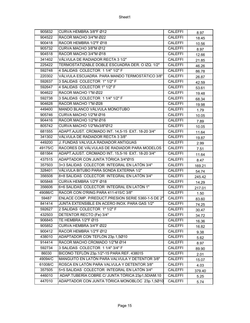| 905832  | CURVA HEMBRA 3/8"F Ø12                             | <b>CALEFFI</b> | 8.97   |
|---------|----------------------------------------------------|----------------|--------|
| 904522  | RACOR MACHO 3/4"M Ø22                              | <b>CALEFFI</b> | 18.45  |
| 900418  | RACOR HEMBRA 1/2"F Ø18                             | <b>CALEFFI</b> | 10.56  |
| 905732  | CURVA MACHO 3/8"M Ø12                              | <b>CALEFFI</b> | 8.97   |
| 904518  | RACOR MACHO 3/4"M Ø18                              | <b>CALEFFI</b> | 12.66  |
| 341402  | VÁLVULA DE RADIADOR RECTA 3 1/2"                   | <b>CALEFFI</b> | 21.85  |
| 225422  | TERMOSTATIZABLE DOBLE ESCUADRA DER. O IZQ. 1/2"    | <b>CALEFFI</b> | 46.26  |
| 592748  | 4 SALIDAS COLECTOR 1 1/4" 1/2" F                   | <b>CALEFFI</b> | 86.78  |
| 220302  | VÁLVULA ESCUADRA PARA MANDO TERMOSTÁTICO 3/8"      | <b>CALEFFI</b> | 26.87  |
| 592637  | 3 SALIDAS COLECTOR 1" 1/2" F                       | <b>CALEFFI</b> | 42.59  |
| 592647  | 4 SALIDAS COLECTOR 1" 1/2" F                       | <b>CALEFFI</b> | 53.61  |
| 904622  | RACOR MACHO 1"M Ø22                                | <b>CALEFFI</b> | 19.48  |
| 592738  | 3 SALIDAS COLECTOR 1 1/4" 1/2" F                   | <b>CALEFFI</b> | 68.34  |
| 904628  | RACOR MACHO 1"M Ø28                                | <b>CALEFFI</b> | 19.98  |
| 449400  | MANDO BLANCO VÁLVULA MONOTUBO                      | <b>CALEFFI</b> | 1.79   |
| 905746  | CURVA MACHO 1/2"M Ø16                              | <b>CALEFFI</b> | 10.05  |
| 904416  | RACOR MACHO 1/2"M Ø16                              | <b>CALEFFI</b> | 7.89   |
| 805742  | CURVA MACHO 1/2"Mx3/8"Ø12                          | <b>CALEFFI</b> | 10.05  |
| 681555  | ADAPT.AJUST. CROMADO INT. 14,5-15 EXT. 18-20 3/4"  | <b>CALEFFI</b> | 11.64  |
| 341302  | VÁLVULA DE RADIADOR RECTA 3 3/8"                   | <b>CALEFFI</b> | 19.87  |
| 449200  | J. FUNDAS VALVULA RADIADOR ANTIGUAS                | <b>CALEFFI</b> | 2.99   |
| 49175/C | RACORES DE VÁLVULAS DE RADIADOR PARA MODELOS       | <b>CALEFFI</b> | 7.51   |
| 681564  | ADAPT.AJUST. CROMADO INT. 15,5-16 EXT. 18-20 3/4"  | <b>CALEFFI</b> | 11.64  |
| 437515  | ADAPTADOR CON JUNTA TÓRICA 3/4"Ø15                 | <b>CALEFFI</b> | 8.47   |
| 357503  | 3+3 SALIDAS COLECTOR INTEGRAL EN LATÓN 3/4"        | <b>CALEFFI</b> | 169.21 |
| 328401  | VÁLVULA BITUBO PARA SONDA EXTERNA 1/2"             | <b>CALEFFI</b> | 54.74  |
| 356508  | 8+8 SALIDAS COLECTOR INTEGRAL EN LATÓN 3/4"        | <b>CALEFFI</b> | 245.42 |
| 905848  | CURVA HEMBRA 1/2"F Ø18                             | <b>CALEFFI</b> | 14.29  |
| 356606  | 6+6 SALIDAS COLECTOR INTEGRAL EN LATÓN 1"          | <b>CALEFFI</b> | 217.01 |
| 49086/C | RACOR CON O'RING PARA 411-415/C 3/8"               | <b>CALEFFI</b> | 1.50   |
| 59487   | ENLACE COMP. P/REDUCT.PRESION SERIE 5360-1-5 DE 2" | <b>CALEFFI</b> | 83.60  |
| 841414  | JUNTA EXTENSIBLE EN ACERO INOX. PARA GAS 1/2"      | <b>CALEFFI</b> | 74.25  |
| 592627  | 2 SALIDAS COLECTOR 1" 1/2" F                       | <b>CALEFFI</b> | 30.47  |
| 432503  | DETENTOR RECTO (Fe) 3/4"                           | CALEFFI        | 34.72  |
| 906845  | TE HEMBRA 1/2"F Ø15                                | <b>CALEFFI</b> | 16.36  |
| 905852  | CURVA HEMBRA 3/4"F Ø22                             | CALEFFI        | 16.82  |
| 900412  | RACOR HEMBRA 1/2"F Ø12                             | CALEFFI        | 9.38   |
| 438010  | ADAPTADOR CON TEFLÓN 23p.1,5Ø10                    | CALEFFI        | 5.62   |
| 914414  | RACOR MACHO CROMADO 1/2"M Ø14                      | <b>CALEFFI</b> | 8.97   |
| 592734  | 3 SALIDAS COLECTOR 1 1/4" 3/4" F                   | <b>CALEFFI</b> | 89.90  |
| 86030   | BICONO TEFLÓN 23p.1/2"-15 PARA REF. 438015         | <b>CALEFFI</b> | 2.01   |
| 49094/C | MANGUITO EN LATÓN PARA VALVULA Y DETENTOR 3/8"     | <b>CALEFFI</b> | 15.07  |
| 61008/C | ROSCA EN LATÓN PARA VALVULA Y DETENTOR 3/8"        | <b>CALEFFI</b> | 4.03   |
| 357505  | 5+5 SALIDAS COLECTOR INTEGRAL EN LATÓN 3/4"        | CALEFFI        | 379.40 |
| 446010  | ADAP.TUBERÍA COBRE C/ JUNTA TÓRICA 23p1,5DIAM.10   | <b>CALEFFI</b> | 5.25   |
| 447010  | ADAPTADOR CON JUNTA TÓRICA MONOBLOC 23p.1,5Ø10     | <b>CALEFFI</b> | 5.74   |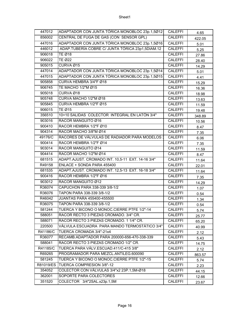| 447012    | ADAPTADOR CON JUNTA TÓRICA MONOBLOC 23p.1,5Ø12    | <b>CALEFFI</b> | 4.65   |
|-----------|---------------------------------------------------|----------------|--------|
| 856002    | CENTRAL DE FUGA DE GAS (CON SENSOR GPL)           | <b>CALEFFI</b> | 422.05 |
| 447016    | ADAPTADOR CON JUNTA TÓRICA MONOBLOC 23p.1,5016    | <b>CALEFFI</b> | 5.01   |
| 446012    | ADAP.TUBERÍA COBRE C/ JUNTA TÓRICA 23p1,5DIAM.12  | <b>CALEFFI</b> | 5.25   |
| 906018    | <b>TE Ø18</b>                                     | <b>CALEFFI</b> | 27.86  |
| 906022    | <b>TE Ø22</b>                                     | <b>CALEFFI</b> | 28.40  |
| 905015    | CURVA Ø15                                         | <b>CALEFFI</b> | 14.29  |
| 447014    | ADAPTADOR CON JUNTA TÓRICA MONOBLOC 23p.1,5Ø14    | <b>CALEFFI</b> | 5.01   |
| 447015    | ADAPTADOR CON JUNTA TÓRICA MONOBLOC 23p.1,5Ø15    | <b>CALEFFI</b> | 4.41   |
| 905858    | CURVA HEMBRA 3/4"F Ø18                            | <b>CALEFFI</b> | 15.29  |
| 906745    | TE MACHO 1/2"M Ø15                                | <b>CALEFFI</b> | 16.36  |
| 905018    | CURVA Ø18                                         | <b>CALEFFI</b> | 18.98  |
| 905748    | CURVA MACHO 1/2"M Ø18                             | <b>CALEFFI</b> | 13.63  |
| 905845    | CURVA HEMBRA 1/2"F Ø15                            | <b>CALEFFI</b> | 11.59  |
| 906015    | TE Ø15                                            | <b>CALEFFI</b> | 19.48  |
| 356510    | 10+10 SALIDAS COLECTOR INTEGRAL EN LATÓN 3/4"     | <b>CALEFFI</b> | 348.89 |
| 903016    | RACOR MANGUITO Ø16                                | <b>CALEFFI</b> | 10.56  |
| 900410    | RACOR HEMBRA 1/2"F Ø10                            | <b>CALEFFI</b> | 8.47   |
| 904314    | RACOR MACHO 3/8"M Ø14                             | <b>CALEFFI</b> | 7.35   |
| 49176/C   | RACORES DE VÁLVULAS DE RADIADOR PARA MODELOS      | <b>CALEFFI</b> | 6.06   |
| 900414    | RACOR HEMBRA 1/2"F Ø14                            | <b>CALEFFI</b> | 7.35   |
| 903014    | RACOR MANGUITO Ø14                                | <b>CALEFFI</b> | 11.59  |
| 904414    | RACOR MACHO 1/2"M Ø14                             | <b>CALEFFI</b> | 8.47   |
| 681515    | ADAPT.AJUST. CROMADO INT. 10,5-11 EXT. 14-16 3/4" | <b>CALEFFI</b> | 11.64  |
| R49158    | ENLACE + SONDA PARA 455400                        | <b>CALEFFI</b> | 22.01  |
| 681535    | ADAPT.AJUST. CROMADO INT. 12,5-13 EXT. 16-18 3/4" | <b>CALEFFI</b> | 11.64  |
| 900416    | RACOR HEMBRA 1/2"F Ø16                            | <b>CALEFFI</b> | 7.35   |
| 903012    | RACOR MANGUITO Ø12                                | <b>CALEFFI</b> | 14.29  |
| R36074    | CAPUCHON PARA 338-339 3/8-1/2                     | <b>CALEFFI</b> | 1.07   |
| R36076    | TAPON PARA 338-339 3/8-1/2                        | CALEFFI        | 0.54   |
| R46042    | JUANTAS PARA 455400-455500                        | <b>CALEFFI</b> | 1.34   |
| R36075    | TAPON PARA 338-339 3/8-1/2                        | <b>CALEFFI</b> | 0.54   |
| 581244    | TUERCA Y BICONO O MONOC.CIERRE PTFE 1/2"-14       | <b>CALEFFI</b> | 5.74   |
| 588051    | RACOR RECTO 3 PIEZAS CROMADO. 3/4" CR.            | <b>CALEFFI</b> | 25.77  |
| 588071    | RACOR RECTO 3 PIEZAS CROMADO. 1 1/4" CR.          | <b>CALEFFI</b> | 65.20  |
| 220500    | VÁLVULA ESCUADRA PARA MANDO TERMOSTÁTICO 3/4"     | <b>CALEFFI</b> | 40.99  |
| R41186/C  | TUERCA CROMADA 3/4"-21x4                          | CALEFFI        | 2.12   |
| R36077    | RECAMB.ADAPTADOR PARA 200000-656-470-338-339      | CALEFFI        | 5.43   |
| 588041    | RACOR RECTO 3 PIEZAS CROMADO 1/2" CR.             | <b>CALEFFI</b> | 14.75  |
| R41185/C  | TUERCA PARA VÁLV.ESCUAD.411/C-415 3/8"            | <b>CALEFFI</b> | 2.12   |
| R69265    | PROGRAMADOR PARA MEZCL.ANTILEG.600090             | <b>CALEFFI</b> | 863.57 |
| 581245    | TUERCA Y BICONO O MONOC.CIERRE PTFE 1/2"-15       | <b>CALEFFI</b> | 5.74   |
| R81019/ES | TUERCA COMPRESION 3/8"-12                         | <b>CALEFFI</b> | 2.23   |
| 354052    | COLECTOR CON VÁLVULAS 3/4"x2 23P.1,5M-Ø18         | <b>CALEFFI</b> | 44.15  |
| 362001    | SOPORTE PARA COLECTORES                           | <b>CALEFFI</b> | 12.66  |
| 351520    | COLECTOR 3/4"2SAL.x23p.1,5M                       | <b>CALEFFI</b> | 23.67  |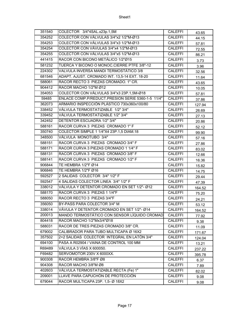| COLECTOR CON VÁLVULAS 3/4"x2 1/2"M-Ø13<br>354252<br><b>CALEFFI</b><br>44.15<br>COLECTOR CON VÁLVULAS 3/4"x3 1/2"M-Ø13<br>354253<br><b>CALEFFI</b><br>57.81<br>COLECTOR CON VÁVULAS 3/4"x4 1/2"M-Ø13<br>354254<br><b>CALEFFI</b><br>72.55<br>COLECTOR CON VÁLVULAS 3/4"x5 1/2"M-Ø13<br><b>CALEFFI</b><br>354255<br>86.21<br>RACOR CON BICONO METÁLICO 1/2"Ø15<br>441415<br><b>CALEFFI</b><br>3.73<br>TUERCA Y BICONO O MONOC.CIERRE PTFE 3/8"-12<br><b>CALEFFI</b><br>581232<br>3.96<br>VALVULA INVERSA MANDI TERMOSTÁTICO 3/8<br>224302<br><b>CALEFFI</b><br>32.56<br>ADAPT. AJUST. CROMADO INT. 13,5-14 EXT. 18-20<br><b>CALEFFI</b><br>681546<br>11.64<br>RACOR RECTO 3 PIEZAS CROMADO. 1" CR.<br>588061<br><b>CALEFFI</b><br>43.65<br>RACOR MACHO 1/2"M Ø12<br><b>CALEFFI</b><br>904412<br>10.05<br>COLECTOR CON VÁLVULAS 3/4"x3 23P.1,5M-Ø18<br><b>CALEFFI</b><br>354053<br>57.81<br>ENLACE COMP.P/REDUCT.PRESION SERIE 5360-1-5 11/4"<br>59485<br><b>CALEFFI</b><br>37.86<br>ARMARIO INSPECCIÓN PLÁSTICO 730x360x100/80<br>362073<br><b>CALEFFI</b><br>127.94<br>VÁLVULA TERMOSTATIZABLE 1/2" 3/4"<br>338452<br><b>CALEFFI</b><br>26.69<br>VÁLVULA TERMOSTATIZABLE 1/2" 3/4"<br><b>CALEFFI</b><br>339452<br>27.13<br>342452<br>DETENTOR ESCUADRA 1/2" 3/4"<br><b>CALEFFI</b><br>20.86<br>RACOR CURVA 3 PIEZAS CROMADO 1" F<br>588161<br><b>CALEFFI</b><br>52.12<br>350740<br>COLECTOR SIMPLE 1 1/4"X4 23P.1,5 DIAM.18<br><b>CALEFFI</b><br>99.90<br>VÁLVULA MONOTUBO 3/4"<br>348500<br><b>CALEFFI</b><br>57.16<br>RACOR CURVA 3 PIEZAS CROMADO 3/4" F<br>588151<br><b>CALEFFI</b><br>27.86<br>588171<br>RACOR CURVA 3 PIEZAS CROMADO 1 1/4" F<br><b>CALEFFI</b><br>83.02<br>RACOR CURVA 3 PIEZAS CROMADO 3/8" F<br>588131<br><b>CALEFFI</b><br>12.66<br>RACOR CURVA 3 PIEZAS CROMADO 1/2" F<br>588141<br><b>CALEFFI</b><br>16.36<br>TE HEMBRA 1/2"F Ø14<br>906844<br><b>CALEFFI</b><br>15.82<br>906846<br>TE HEMBRA 1/2"F Ø16<br><b>CALEFFI</b><br>14.75<br>2 SALIDAS COLECTOR 3/4" 1/2" F<br><b>CALEFFI</b><br>592527<br>29.44<br>4 SALIDAS COLECTOR LINEA 3/4" 1/2" F<br><b>CALEFFI</b><br>592547<br>47.39<br>VÁLVULA Y DETENTOR CROMADO EN SET 1/2"- Ø12<br>338012<br><b>CALEFFI</b><br>164.52<br>RACOR CURVA 3 PIEZAS 1 1/4"F<br>588170<br><b>CALEFFI</b><br>75.20<br>RACOR RECTO 3 PIEZAS 3/4"F<br><b>CALEFFI</b><br>588050<br>24.21<br>BY-PASS PARA COLECTOR 3/4" M<br>356050<br><b>CALEFFI</b><br>53.12<br>338014<br>VÁVULA Y DETENTOR CROMADO EN SET 1/2"- Ø14<br><b>CALEFFI</b><br>164.52<br>200013<br>MANDO TERMOSTÁTICO CON SENSOR LÍQUIDO CROMAD<br><b>CALEFFI</b><br>77.92<br>RACOR MACHO 1/2"Mx3/4"Ø18<br>804418<br><b>CALEFFI</b><br>9.38<br>RACOR DE TRES PIEZAS CROMADO 3/8" CR.<br>588031<br><b>CALEFFI</b><br>11.09<br>679002<br>CALIBRADOR PARA TUBO MULTICAPA Ø 16X2<br><b>CALEFFI</b><br>171.67<br>2+2 SALIDAS COLECTOR INTEGRAL EN LATÓN 3/4"<br>357502<br><b>CALEFFI</b><br>124.04<br>PASA A R02904 / VAINA DE CONTROL 100 MM<br>694100<br><b>CALEFFI</b><br>13.21<br>VÁLVULA 3 VÍAS X 600050.<br>R69489<br>CALEFFI<br>237.22<br>SERVOMOTOR 230V X 6000XX.<br>F69482<br><b>CALEFFI</b><br>395.78<br>RACOR HEMBRA 3/8"F Ø8<br><b>CALEFFI</b><br>900308<br>6.37<br>RACOR MACHO 3/8"M Ø8<br>904308<br><b>CALEFFI</b><br>7.89<br>VÁLVULA TERMOSTATIZABLE RECTA (Fe) 1"<br>402603<br><b>CALEFFI</b><br>82.02<br>LLAVE PARA CAPUCHÓN DE PROTECCIÓN<br>209001<br><b>CALEFFI</b><br>9.08<br>679044<br>RACOR MULTICAPA 23P. 1,5- Ø 18X2<br><b>CALEFFI</b><br>9.08 | 351540 | COLECTOR 3/4"4SAL.x23p.1,5M | <b>CALEFFI</b> | 43.65 |
|---------------------------------------------------------------------------------------------------------------------------------------------------------------------------------------------------------------------------------------------------------------------------------------------------------------------------------------------------------------------------------------------------------------------------------------------------------------------------------------------------------------------------------------------------------------------------------------------------------------------------------------------------------------------------------------------------------------------------------------------------------------------------------------------------------------------------------------------------------------------------------------------------------------------------------------------------------------------------------------------------------------------------------------------------------------------------------------------------------------------------------------------------------------------------------------------------------------------------------------------------------------------------------------------------------------------------------------------------------------------------------------------------------------------------------------------------------------------------------------------------------------------------------------------------------------------------------------------------------------------------------------------------------------------------------------------------------------------------------------------------------------------------------------------------------------------------------------------------------------------------------------------------------------------------------------------------------------------------------------------------------------------------------------------------------------------------------------------------------------------------------------------------------------------------------------------------------------------------------------------------------------------------------------------------------------------------------------------------------------------------------------------------------------------------------------------------------------------------------------------------------------------------------------------------------------------------------------------------------------------------------------------------------------------------------------------------------------------------------------------------------------------------------------------------------------------------------------------------------------------------------------------------------------------------------------------------------------------------------------------------------------------------------------------------------------------------------------------------------------------------------------------------------------------------------------------------------------------------------------------------------------------------------------------------------------------------------------------------------------------------------------------------------------------------------------------------------------------------------------|--------|-----------------------------|----------------|-------|
|                                                                                                                                                                                                                                                                                                                                                                                                                                                                                                                                                                                                                                                                                                                                                                                                                                                                                                                                                                                                                                                                                                                                                                                                                                                                                                                                                                                                                                                                                                                                                                                                                                                                                                                                                                                                                                                                                                                                                                                                                                                                                                                                                                                                                                                                                                                                                                                                                                                                                                                                                                                                                                                                                                                                                                                                                                                                                                                                                                                                                                                                                                                                                                                                                                                                                                                                                                                                                                                                                       |        |                             |                |       |
|                                                                                                                                                                                                                                                                                                                                                                                                                                                                                                                                                                                                                                                                                                                                                                                                                                                                                                                                                                                                                                                                                                                                                                                                                                                                                                                                                                                                                                                                                                                                                                                                                                                                                                                                                                                                                                                                                                                                                                                                                                                                                                                                                                                                                                                                                                                                                                                                                                                                                                                                                                                                                                                                                                                                                                                                                                                                                                                                                                                                                                                                                                                                                                                                                                                                                                                                                                                                                                                                                       |        |                             |                |       |
|                                                                                                                                                                                                                                                                                                                                                                                                                                                                                                                                                                                                                                                                                                                                                                                                                                                                                                                                                                                                                                                                                                                                                                                                                                                                                                                                                                                                                                                                                                                                                                                                                                                                                                                                                                                                                                                                                                                                                                                                                                                                                                                                                                                                                                                                                                                                                                                                                                                                                                                                                                                                                                                                                                                                                                                                                                                                                                                                                                                                                                                                                                                                                                                                                                                                                                                                                                                                                                                                                       |        |                             |                |       |
|                                                                                                                                                                                                                                                                                                                                                                                                                                                                                                                                                                                                                                                                                                                                                                                                                                                                                                                                                                                                                                                                                                                                                                                                                                                                                                                                                                                                                                                                                                                                                                                                                                                                                                                                                                                                                                                                                                                                                                                                                                                                                                                                                                                                                                                                                                                                                                                                                                                                                                                                                                                                                                                                                                                                                                                                                                                                                                                                                                                                                                                                                                                                                                                                                                                                                                                                                                                                                                                                                       |        |                             |                |       |
|                                                                                                                                                                                                                                                                                                                                                                                                                                                                                                                                                                                                                                                                                                                                                                                                                                                                                                                                                                                                                                                                                                                                                                                                                                                                                                                                                                                                                                                                                                                                                                                                                                                                                                                                                                                                                                                                                                                                                                                                                                                                                                                                                                                                                                                                                                                                                                                                                                                                                                                                                                                                                                                                                                                                                                                                                                                                                                                                                                                                                                                                                                                                                                                                                                                                                                                                                                                                                                                                                       |        |                             |                |       |
|                                                                                                                                                                                                                                                                                                                                                                                                                                                                                                                                                                                                                                                                                                                                                                                                                                                                                                                                                                                                                                                                                                                                                                                                                                                                                                                                                                                                                                                                                                                                                                                                                                                                                                                                                                                                                                                                                                                                                                                                                                                                                                                                                                                                                                                                                                                                                                                                                                                                                                                                                                                                                                                                                                                                                                                                                                                                                                                                                                                                                                                                                                                                                                                                                                                                                                                                                                                                                                                                                       |        |                             |                |       |
|                                                                                                                                                                                                                                                                                                                                                                                                                                                                                                                                                                                                                                                                                                                                                                                                                                                                                                                                                                                                                                                                                                                                                                                                                                                                                                                                                                                                                                                                                                                                                                                                                                                                                                                                                                                                                                                                                                                                                                                                                                                                                                                                                                                                                                                                                                                                                                                                                                                                                                                                                                                                                                                                                                                                                                                                                                                                                                                                                                                                                                                                                                                                                                                                                                                                                                                                                                                                                                                                                       |        |                             |                |       |
|                                                                                                                                                                                                                                                                                                                                                                                                                                                                                                                                                                                                                                                                                                                                                                                                                                                                                                                                                                                                                                                                                                                                                                                                                                                                                                                                                                                                                                                                                                                                                                                                                                                                                                                                                                                                                                                                                                                                                                                                                                                                                                                                                                                                                                                                                                                                                                                                                                                                                                                                                                                                                                                                                                                                                                                                                                                                                                                                                                                                                                                                                                                                                                                                                                                                                                                                                                                                                                                                                       |        |                             |                |       |
|                                                                                                                                                                                                                                                                                                                                                                                                                                                                                                                                                                                                                                                                                                                                                                                                                                                                                                                                                                                                                                                                                                                                                                                                                                                                                                                                                                                                                                                                                                                                                                                                                                                                                                                                                                                                                                                                                                                                                                                                                                                                                                                                                                                                                                                                                                                                                                                                                                                                                                                                                                                                                                                                                                                                                                                                                                                                                                                                                                                                                                                                                                                                                                                                                                                                                                                                                                                                                                                                                       |        |                             |                |       |
|                                                                                                                                                                                                                                                                                                                                                                                                                                                                                                                                                                                                                                                                                                                                                                                                                                                                                                                                                                                                                                                                                                                                                                                                                                                                                                                                                                                                                                                                                                                                                                                                                                                                                                                                                                                                                                                                                                                                                                                                                                                                                                                                                                                                                                                                                                                                                                                                                                                                                                                                                                                                                                                                                                                                                                                                                                                                                                                                                                                                                                                                                                                                                                                                                                                                                                                                                                                                                                                                                       |        |                             |                |       |
|                                                                                                                                                                                                                                                                                                                                                                                                                                                                                                                                                                                                                                                                                                                                                                                                                                                                                                                                                                                                                                                                                                                                                                                                                                                                                                                                                                                                                                                                                                                                                                                                                                                                                                                                                                                                                                                                                                                                                                                                                                                                                                                                                                                                                                                                                                                                                                                                                                                                                                                                                                                                                                                                                                                                                                                                                                                                                                                                                                                                                                                                                                                                                                                                                                                                                                                                                                                                                                                                                       |        |                             |                |       |
|                                                                                                                                                                                                                                                                                                                                                                                                                                                                                                                                                                                                                                                                                                                                                                                                                                                                                                                                                                                                                                                                                                                                                                                                                                                                                                                                                                                                                                                                                                                                                                                                                                                                                                                                                                                                                                                                                                                                                                                                                                                                                                                                                                                                                                                                                                                                                                                                                                                                                                                                                                                                                                                                                                                                                                                                                                                                                                                                                                                                                                                                                                                                                                                                                                                                                                                                                                                                                                                                                       |        |                             |                |       |
|                                                                                                                                                                                                                                                                                                                                                                                                                                                                                                                                                                                                                                                                                                                                                                                                                                                                                                                                                                                                                                                                                                                                                                                                                                                                                                                                                                                                                                                                                                                                                                                                                                                                                                                                                                                                                                                                                                                                                                                                                                                                                                                                                                                                                                                                                                                                                                                                                                                                                                                                                                                                                                                                                                                                                                                                                                                                                                                                                                                                                                                                                                                                                                                                                                                                                                                                                                                                                                                                                       |        |                             |                |       |
|                                                                                                                                                                                                                                                                                                                                                                                                                                                                                                                                                                                                                                                                                                                                                                                                                                                                                                                                                                                                                                                                                                                                                                                                                                                                                                                                                                                                                                                                                                                                                                                                                                                                                                                                                                                                                                                                                                                                                                                                                                                                                                                                                                                                                                                                                                                                                                                                                                                                                                                                                                                                                                                                                                                                                                                                                                                                                                                                                                                                                                                                                                                                                                                                                                                                                                                                                                                                                                                                                       |        |                             |                |       |
|                                                                                                                                                                                                                                                                                                                                                                                                                                                                                                                                                                                                                                                                                                                                                                                                                                                                                                                                                                                                                                                                                                                                                                                                                                                                                                                                                                                                                                                                                                                                                                                                                                                                                                                                                                                                                                                                                                                                                                                                                                                                                                                                                                                                                                                                                                                                                                                                                                                                                                                                                                                                                                                                                                                                                                                                                                                                                                                                                                                                                                                                                                                                                                                                                                                                                                                                                                                                                                                                                       |        |                             |                |       |
|                                                                                                                                                                                                                                                                                                                                                                                                                                                                                                                                                                                                                                                                                                                                                                                                                                                                                                                                                                                                                                                                                                                                                                                                                                                                                                                                                                                                                                                                                                                                                                                                                                                                                                                                                                                                                                                                                                                                                                                                                                                                                                                                                                                                                                                                                                                                                                                                                                                                                                                                                                                                                                                                                                                                                                                                                                                                                                                                                                                                                                                                                                                                                                                                                                                                                                                                                                                                                                                                                       |        |                             |                |       |
|                                                                                                                                                                                                                                                                                                                                                                                                                                                                                                                                                                                                                                                                                                                                                                                                                                                                                                                                                                                                                                                                                                                                                                                                                                                                                                                                                                                                                                                                                                                                                                                                                                                                                                                                                                                                                                                                                                                                                                                                                                                                                                                                                                                                                                                                                                                                                                                                                                                                                                                                                                                                                                                                                                                                                                                                                                                                                                                                                                                                                                                                                                                                                                                                                                                                                                                                                                                                                                                                                       |        |                             |                |       |
|                                                                                                                                                                                                                                                                                                                                                                                                                                                                                                                                                                                                                                                                                                                                                                                                                                                                                                                                                                                                                                                                                                                                                                                                                                                                                                                                                                                                                                                                                                                                                                                                                                                                                                                                                                                                                                                                                                                                                                                                                                                                                                                                                                                                                                                                                                                                                                                                                                                                                                                                                                                                                                                                                                                                                                                                                                                                                                                                                                                                                                                                                                                                                                                                                                                                                                                                                                                                                                                                                       |        |                             |                |       |
|                                                                                                                                                                                                                                                                                                                                                                                                                                                                                                                                                                                                                                                                                                                                                                                                                                                                                                                                                                                                                                                                                                                                                                                                                                                                                                                                                                                                                                                                                                                                                                                                                                                                                                                                                                                                                                                                                                                                                                                                                                                                                                                                                                                                                                                                                                                                                                                                                                                                                                                                                                                                                                                                                                                                                                                                                                                                                                                                                                                                                                                                                                                                                                                                                                                                                                                                                                                                                                                                                       |        |                             |                |       |
|                                                                                                                                                                                                                                                                                                                                                                                                                                                                                                                                                                                                                                                                                                                                                                                                                                                                                                                                                                                                                                                                                                                                                                                                                                                                                                                                                                                                                                                                                                                                                                                                                                                                                                                                                                                                                                                                                                                                                                                                                                                                                                                                                                                                                                                                                                                                                                                                                                                                                                                                                                                                                                                                                                                                                                                                                                                                                                                                                                                                                                                                                                                                                                                                                                                                                                                                                                                                                                                                                       |        |                             |                |       |
|                                                                                                                                                                                                                                                                                                                                                                                                                                                                                                                                                                                                                                                                                                                                                                                                                                                                                                                                                                                                                                                                                                                                                                                                                                                                                                                                                                                                                                                                                                                                                                                                                                                                                                                                                                                                                                                                                                                                                                                                                                                                                                                                                                                                                                                                                                                                                                                                                                                                                                                                                                                                                                                                                                                                                                                                                                                                                                                                                                                                                                                                                                                                                                                                                                                                                                                                                                                                                                                                                       |        |                             |                |       |
|                                                                                                                                                                                                                                                                                                                                                                                                                                                                                                                                                                                                                                                                                                                                                                                                                                                                                                                                                                                                                                                                                                                                                                                                                                                                                                                                                                                                                                                                                                                                                                                                                                                                                                                                                                                                                                                                                                                                                                                                                                                                                                                                                                                                                                                                                                                                                                                                                                                                                                                                                                                                                                                                                                                                                                                                                                                                                                                                                                                                                                                                                                                                                                                                                                                                                                                                                                                                                                                                                       |        |                             |                |       |
|                                                                                                                                                                                                                                                                                                                                                                                                                                                                                                                                                                                                                                                                                                                                                                                                                                                                                                                                                                                                                                                                                                                                                                                                                                                                                                                                                                                                                                                                                                                                                                                                                                                                                                                                                                                                                                                                                                                                                                                                                                                                                                                                                                                                                                                                                                                                                                                                                                                                                                                                                                                                                                                                                                                                                                                                                                                                                                                                                                                                                                                                                                                                                                                                                                                                                                                                                                                                                                                                                       |        |                             |                |       |
|                                                                                                                                                                                                                                                                                                                                                                                                                                                                                                                                                                                                                                                                                                                                                                                                                                                                                                                                                                                                                                                                                                                                                                                                                                                                                                                                                                                                                                                                                                                                                                                                                                                                                                                                                                                                                                                                                                                                                                                                                                                                                                                                                                                                                                                                                                                                                                                                                                                                                                                                                                                                                                                                                                                                                                                                                                                                                                                                                                                                                                                                                                                                                                                                                                                                                                                                                                                                                                                                                       |        |                             |                |       |
|                                                                                                                                                                                                                                                                                                                                                                                                                                                                                                                                                                                                                                                                                                                                                                                                                                                                                                                                                                                                                                                                                                                                                                                                                                                                                                                                                                                                                                                                                                                                                                                                                                                                                                                                                                                                                                                                                                                                                                                                                                                                                                                                                                                                                                                                                                                                                                                                                                                                                                                                                                                                                                                                                                                                                                                                                                                                                                                                                                                                                                                                                                                                                                                                                                                                                                                                                                                                                                                                                       |        |                             |                |       |
|                                                                                                                                                                                                                                                                                                                                                                                                                                                                                                                                                                                                                                                                                                                                                                                                                                                                                                                                                                                                                                                                                                                                                                                                                                                                                                                                                                                                                                                                                                                                                                                                                                                                                                                                                                                                                                                                                                                                                                                                                                                                                                                                                                                                                                                                                                                                                                                                                                                                                                                                                                                                                                                                                                                                                                                                                                                                                                                                                                                                                                                                                                                                                                                                                                                                                                                                                                                                                                                                                       |        |                             |                |       |
|                                                                                                                                                                                                                                                                                                                                                                                                                                                                                                                                                                                                                                                                                                                                                                                                                                                                                                                                                                                                                                                                                                                                                                                                                                                                                                                                                                                                                                                                                                                                                                                                                                                                                                                                                                                                                                                                                                                                                                                                                                                                                                                                                                                                                                                                                                                                                                                                                                                                                                                                                                                                                                                                                                                                                                                                                                                                                                                                                                                                                                                                                                                                                                                                                                                                                                                                                                                                                                                                                       |        |                             |                |       |
|                                                                                                                                                                                                                                                                                                                                                                                                                                                                                                                                                                                                                                                                                                                                                                                                                                                                                                                                                                                                                                                                                                                                                                                                                                                                                                                                                                                                                                                                                                                                                                                                                                                                                                                                                                                                                                                                                                                                                                                                                                                                                                                                                                                                                                                                                                                                                                                                                                                                                                                                                                                                                                                                                                                                                                                                                                                                                                                                                                                                                                                                                                                                                                                                                                                                                                                                                                                                                                                                                       |        |                             |                |       |
|                                                                                                                                                                                                                                                                                                                                                                                                                                                                                                                                                                                                                                                                                                                                                                                                                                                                                                                                                                                                                                                                                                                                                                                                                                                                                                                                                                                                                                                                                                                                                                                                                                                                                                                                                                                                                                                                                                                                                                                                                                                                                                                                                                                                                                                                                                                                                                                                                                                                                                                                                                                                                                                                                                                                                                                                                                                                                                                                                                                                                                                                                                                                                                                                                                                                                                                                                                                                                                                                                       |        |                             |                |       |
|                                                                                                                                                                                                                                                                                                                                                                                                                                                                                                                                                                                                                                                                                                                                                                                                                                                                                                                                                                                                                                                                                                                                                                                                                                                                                                                                                                                                                                                                                                                                                                                                                                                                                                                                                                                                                                                                                                                                                                                                                                                                                                                                                                                                                                                                                                                                                                                                                                                                                                                                                                                                                                                                                                                                                                                                                                                                                                                                                                                                                                                                                                                                                                                                                                                                                                                                                                                                                                                                                       |        |                             |                |       |
|                                                                                                                                                                                                                                                                                                                                                                                                                                                                                                                                                                                                                                                                                                                                                                                                                                                                                                                                                                                                                                                                                                                                                                                                                                                                                                                                                                                                                                                                                                                                                                                                                                                                                                                                                                                                                                                                                                                                                                                                                                                                                                                                                                                                                                                                                                                                                                                                                                                                                                                                                                                                                                                                                                                                                                                                                                                                                                                                                                                                                                                                                                                                                                                                                                                                                                                                                                                                                                                                                       |        |                             |                |       |
|                                                                                                                                                                                                                                                                                                                                                                                                                                                                                                                                                                                                                                                                                                                                                                                                                                                                                                                                                                                                                                                                                                                                                                                                                                                                                                                                                                                                                                                                                                                                                                                                                                                                                                                                                                                                                                                                                                                                                                                                                                                                                                                                                                                                                                                                                                                                                                                                                                                                                                                                                                                                                                                                                                                                                                                                                                                                                                                                                                                                                                                                                                                                                                                                                                                                                                                                                                                                                                                                                       |        |                             |                |       |
|                                                                                                                                                                                                                                                                                                                                                                                                                                                                                                                                                                                                                                                                                                                                                                                                                                                                                                                                                                                                                                                                                                                                                                                                                                                                                                                                                                                                                                                                                                                                                                                                                                                                                                                                                                                                                                                                                                                                                                                                                                                                                                                                                                                                                                                                                                                                                                                                                                                                                                                                                                                                                                                                                                                                                                                                                                                                                                                                                                                                                                                                                                                                                                                                                                                                                                                                                                                                                                                                                       |        |                             |                |       |
|                                                                                                                                                                                                                                                                                                                                                                                                                                                                                                                                                                                                                                                                                                                                                                                                                                                                                                                                                                                                                                                                                                                                                                                                                                                                                                                                                                                                                                                                                                                                                                                                                                                                                                                                                                                                                                                                                                                                                                                                                                                                                                                                                                                                                                                                                                                                                                                                                                                                                                                                                                                                                                                                                                                                                                                                                                                                                                                                                                                                                                                                                                                                                                                                                                                                                                                                                                                                                                                                                       |        |                             |                |       |
|                                                                                                                                                                                                                                                                                                                                                                                                                                                                                                                                                                                                                                                                                                                                                                                                                                                                                                                                                                                                                                                                                                                                                                                                                                                                                                                                                                                                                                                                                                                                                                                                                                                                                                                                                                                                                                                                                                                                                                                                                                                                                                                                                                                                                                                                                                                                                                                                                                                                                                                                                                                                                                                                                                                                                                                                                                                                                                                                                                                                                                                                                                                                                                                                                                                                                                                                                                                                                                                                                       |        |                             |                |       |
|                                                                                                                                                                                                                                                                                                                                                                                                                                                                                                                                                                                                                                                                                                                                                                                                                                                                                                                                                                                                                                                                                                                                                                                                                                                                                                                                                                                                                                                                                                                                                                                                                                                                                                                                                                                                                                                                                                                                                                                                                                                                                                                                                                                                                                                                                                                                                                                                                                                                                                                                                                                                                                                                                                                                                                                                                                                                                                                                                                                                                                                                                                                                                                                                                                                                                                                                                                                                                                                                                       |        |                             |                |       |
|                                                                                                                                                                                                                                                                                                                                                                                                                                                                                                                                                                                                                                                                                                                                                                                                                                                                                                                                                                                                                                                                                                                                                                                                                                                                                                                                                                                                                                                                                                                                                                                                                                                                                                                                                                                                                                                                                                                                                                                                                                                                                                                                                                                                                                                                                                                                                                                                                                                                                                                                                                                                                                                                                                                                                                                                                                                                                                                                                                                                                                                                                                                                                                                                                                                                                                                                                                                                                                                                                       |        |                             |                |       |
|                                                                                                                                                                                                                                                                                                                                                                                                                                                                                                                                                                                                                                                                                                                                                                                                                                                                                                                                                                                                                                                                                                                                                                                                                                                                                                                                                                                                                                                                                                                                                                                                                                                                                                                                                                                                                                                                                                                                                                                                                                                                                                                                                                                                                                                                                                                                                                                                                                                                                                                                                                                                                                                                                                                                                                                                                                                                                                                                                                                                                                                                                                                                                                                                                                                                                                                                                                                                                                                                                       |        |                             |                |       |
|                                                                                                                                                                                                                                                                                                                                                                                                                                                                                                                                                                                                                                                                                                                                                                                                                                                                                                                                                                                                                                                                                                                                                                                                                                                                                                                                                                                                                                                                                                                                                                                                                                                                                                                                                                                                                                                                                                                                                                                                                                                                                                                                                                                                                                                                                                                                                                                                                                                                                                                                                                                                                                                                                                                                                                                                                                                                                                                                                                                                                                                                                                                                                                                                                                                                                                                                                                                                                                                                                       |        |                             |                |       |
|                                                                                                                                                                                                                                                                                                                                                                                                                                                                                                                                                                                                                                                                                                                                                                                                                                                                                                                                                                                                                                                                                                                                                                                                                                                                                                                                                                                                                                                                                                                                                                                                                                                                                                                                                                                                                                                                                                                                                                                                                                                                                                                                                                                                                                                                                                                                                                                                                                                                                                                                                                                                                                                                                                                                                                                                                                                                                                                                                                                                                                                                                                                                                                                                                                                                                                                                                                                                                                                                                       |        |                             |                |       |
|                                                                                                                                                                                                                                                                                                                                                                                                                                                                                                                                                                                                                                                                                                                                                                                                                                                                                                                                                                                                                                                                                                                                                                                                                                                                                                                                                                                                                                                                                                                                                                                                                                                                                                                                                                                                                                                                                                                                                                                                                                                                                                                                                                                                                                                                                                                                                                                                                                                                                                                                                                                                                                                                                                                                                                                                                                                                                                                                                                                                                                                                                                                                                                                                                                                                                                                                                                                                                                                                                       |        |                             |                |       |
|                                                                                                                                                                                                                                                                                                                                                                                                                                                                                                                                                                                                                                                                                                                                                                                                                                                                                                                                                                                                                                                                                                                                                                                                                                                                                                                                                                                                                                                                                                                                                                                                                                                                                                                                                                                                                                                                                                                                                                                                                                                                                                                                                                                                                                                                                                                                                                                                                                                                                                                                                                                                                                                                                                                                                                                                                                                                                                                                                                                                                                                                                                                                                                                                                                                                                                                                                                                                                                                                                       |        |                             |                |       |
|                                                                                                                                                                                                                                                                                                                                                                                                                                                                                                                                                                                                                                                                                                                                                                                                                                                                                                                                                                                                                                                                                                                                                                                                                                                                                                                                                                                                                                                                                                                                                                                                                                                                                                                                                                                                                                                                                                                                                                                                                                                                                                                                                                                                                                                                                                                                                                                                                                                                                                                                                                                                                                                                                                                                                                                                                                                                                                                                                                                                                                                                                                                                                                                                                                                                                                                                                                                                                                                                                       |        |                             |                |       |
|                                                                                                                                                                                                                                                                                                                                                                                                                                                                                                                                                                                                                                                                                                                                                                                                                                                                                                                                                                                                                                                                                                                                                                                                                                                                                                                                                                                                                                                                                                                                                                                                                                                                                                                                                                                                                                                                                                                                                                                                                                                                                                                                                                                                                                                                                                                                                                                                                                                                                                                                                                                                                                                                                                                                                                                                                                                                                                                                                                                                                                                                                                                                                                                                                                                                                                                                                                                                                                                                                       |        |                             |                |       |
|                                                                                                                                                                                                                                                                                                                                                                                                                                                                                                                                                                                                                                                                                                                                                                                                                                                                                                                                                                                                                                                                                                                                                                                                                                                                                                                                                                                                                                                                                                                                                                                                                                                                                                                                                                                                                                                                                                                                                                                                                                                                                                                                                                                                                                                                                                                                                                                                                                                                                                                                                                                                                                                                                                                                                                                                                                                                                                                                                                                                                                                                                                                                                                                                                                                                                                                                                                                                                                                                                       |        |                             |                |       |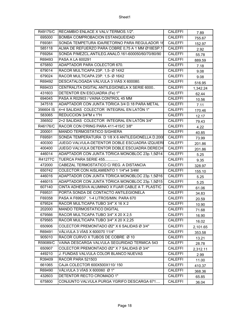| R49175/C  | RECAMBIO ENLACE X VALV.TERMOS.1/2".                | <b>CALEFFI</b> | 7.89     |
|-----------|----------------------------------------------------|----------------|----------|
| 695000    | BOMBA COMPROBACION ESTANQUEIDAD                    | <b>CALEFFI</b> | 755.67   |
| F69381    | SONDA TEMPETURA IDA/RETORNO PARA REGULADOR 16      | <b>CALEFFI</b> | 152.97   |
| 585118    | ALMA DE REFUERZO PARA COBRE 0,75 A 1 MM Ø18ESP.1   | <b>CALEFFI</b> | 2.92     |
| F69264    | SONDA P/MEZCL.ANTILEG.ANALÓ.161-600050/60/70/80/90 | <b>CALEFFI</b> | 55.78    |
| R69493    | PASA A LA 600291                                   | <b>CALEFFI</b> | 889.59   |
| 675850    | ADAPTADOR PARA COLECTOR 670.                       | <b>CALEFFI</b> | 7.18     |
| 679014    | RACOR MULTICAPA 23P. 1,5- Ø 14X2                   | <b>CALEFFI</b> | 9.08     |
| 679024    | RACOR MULTICAPA 23P. 1,5- Ø 16X2                   | <b>CALEFFI</b> | 9.08     |
| R69492    | DESCATALOGADA VÁLVULA 3 VIÁS X 600080.             | <b>CALEFFI</b> | 516.95   |
| R69433    | CENTRALITA DIGITAL ANTILEGIONELA X SERIE 6000      | <b>CALEFFI</b> | 1,342.24 |
| 431603    | DETENTOR EN ESCUADRA (Fe) 1"                       | <b>CALEFFI</b> | 62.44    |
| 694045    | PASA A R02903 / VAINA CONTROL 45 MM                | <b>CALEFFI</b> | 10.56    |
| 347518    | ADAPTADOR CON JUNTA TÓRICA 3/4 D.18 PARA METAL     | <b>CALEFFI</b> | 7.11     |
| 356604 IS | 4+4 SALIDAS COLECTOR INTEGRAL EN LATÓN 1"          | <b>CALEFFI</b> | 170.46   |
| 583065    | REDUCCION 3/4"M x 1"H                              | <b>CALEFFI</b> | 12.17    |
| 356502    | 2+2 SALIDAS COLECTOR INTEGRAL EN LATÓN 3/4"        | <b>CALEFFI</b> | 79.43    |
| R46176/C  | RACOR CON O'RING PARA 411-415/C 3/8"               | <b>CALEFFI</b> | 4.22     |
| 200001    | MANDO TERMOSTÁTICO S/GHIERA                        | <b>CALEFFI</b> | 40.85    |
| F69591    | SONDA TEMPERATURA D 1/8 X 6 ANTILEGIONELLA D.2008  | <b>CALEFFI</b> | 73.99    |
| 400300    | JUEGO VALVULA-DETENTOR DOBLE ESCUADRA IZQUIERI     | <b>CALEFFI</b> | 201.86   |
| 400400    | JUEGO VALVULA DETENTOR DOBLE ESCUADRA DERECH       | <b>CALEFFI</b> | 201.86   |
| 446014    | ADAPTADOR CON JUNTA TÓRICA MONOBLOC 23p.1,5Ø14     | CALEFFI        | 5.25     |
| R41277C   | TUERCA PARA SERIE 455                              | <b>CALEFFI</b> | 9.35     |
| 472000    | CABEZAL TERMOSTATICO C/ REG. A DISTANCIA           | <b>CALEFFI</b> | 328.97   |
| 650742    | COLECTOR CON AISLAMIENTO 1 1/4"x4 3/4M             | <b>CALEFFI</b> | 155.10   |
| 446016    | ADAPTADOR CON JUNTA TÓRICA MONOBLOC 23p.1,5Ø16     | CALEFFI        | 5.25     |
| 446015    | ADAPTADOR CON JUNTA TÓRICA MONOBLOC 23p.1,5Ø15     | <b>CALEFFI</b> | 5.25     |
| 607140    | CINTA ADHESIVA ALUMINIO X FIJAR CABLE A T. PLASTIC | <b>CALEFFI</b> | 61.06    |
| F69531    | PORTA SONDA DE CONTACTO ANTILEGIONELA              | <b>CALEFFI</b> | 34.83    |
| F69358    | PASA A F69937 . 1-4 LITROS/MIN. PARA 670           | <b>CALEFFI</b> | 20.59    |
| 679524    | RACOR MULTICAPA TUBO 3/4" X 16 X 2                 | <b>CALEFFI</b> | 10.90    |
| 202000    | MANDO TERMOSTATICO DIGITAL                         | <b>CALEFFI</b> | 71.68    |
| 679566    | RACOR MULTICAPA TUBO 3/4" X 20 X 2,5               | <b>CALEFFI</b> | 16.90    |
| 679565    | RACOR MULTICAPA TUBO 3/4" X 20 X 2,25              | <b>CALEFFI</b> | 16.02    |
| 650906    | COLECTOR PREMONTADO Ø2" X 6 SALIDAS Ø 3/4"         | <b>CALEFFI</b> | 2,101.65 |
| R69491    | VÁLVULA 3 VÍAS X 600070 11/4"                      | <b>CALEFFI</b> | 353.58   |
| 905010    | RACOR CURVO X TUBOS DE COBRE Ø 10                  | <b>CALEFFI</b> | 13.21    |
| R59089/C  | VAINA DESCARGA VALVULA SEGURIDAD TERMICA 543       | <b>CALEFFI</b> | 28.78    |
| 650907    | COLECTOR PREMONTADO Ø2" X 7 SALIDAS Ø 3/4"         | <b>CALEFFI</b> | 2,312.11 |
| 449210    | J. FUNDAS VALVULA COLOR BLANCO NUEVAS              | <b>CALEFFI</b> | 2.99     |
| R39409    | RACOR PARA 521503                                  | <b>CALEFFI</b> | 11.00    |
| 661065    | CAJA COLECTOR 600X500X110/150                      | <b>CALEFFI</b> | 410.37   |
| R69490    | VÁLVULA 3 VÍAS X 600060 Ø 1"                       | <b>CALEFFI</b> | 368.36   |
| 432603    | DETENTOR RECTO CROMADO 1"                          | CALEFFI        | 65.85    |
| 675800    | CONJUNTO VALVULA PURGA YGRIFO DESCARGA 671         | CALEFFI        | 36.04    |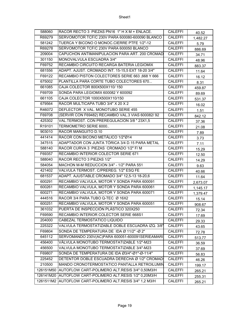| 588060    | RACOR RECTO 3 PIEZAS PN16 1" H X M + ENLACE.             | <b>CALEFFI</b> | 40.52    |
|-----------|----------------------------------------------------------|----------------|----------|
| R69279    | SERVOMOTOR TCF/C 230V PARA 600080-600090 BLANCO          | <b>CALEFFI</b> | 1,482.27 |
| 581242    | TUERCA Y BICONO O MONOC.CIERRE PTFE 1/2"-12              | <b>CALEFFI</b> | 5.79     |
| R69278    | SERVOMOTOR TCF/C 230V PARA 600050 BLANCO                 | <b>CALEFFI</b> | 886.69   |
| 209004    | CAPUCHON ANTIMANIPULACION PARA ART. 200 CROMAD           | <b>CALEFFI</b> | 34.71    |
| 301150    | MONOVALVULA ESCUADRA 3/4"                                | <b>CALEFFI</b> | 48.96    |
| F69752    | RECAMBIO CIRCUITO RECARGA BATERIA LEGIOMIX               | <b>CALEFFI</b> | 883.37   |
| 681556    | ADAPT. AJUST. CROMADO INT. 15-15,5 EXT 18-20 3/4"        | <b>CALEFFI</b> | 11.64    |
| F69122    | RECAMBIO PISTON COLECTORES SERIE 663 ,668 Y 666          | <b>CALEFFI</b> | 16.12    |
| 675002    | PLANTILLA PARA CORTE TUBO COLECTORES 670                 | <b>CALEFFI</b> | 8.31     |
| 661085    | CAJA COLECTOR 800X500X110/150                            | <b>CALEFFI</b> | 459.87   |
| F69709    | SONDA PARA LEGIOMIX 600082 Y 600092                      | <b>CALEFFI</b> | 89.69    |
| 661105    | CAJA COLECTOR 1000X500X110/150                           | <b>CALEFFI</b> | 531.37   |
| 679564    | RACOR MULTICAPA TUBO 3/4" X 20 X 2                       | <b>CALEFFI</b> | 16.02    |
| R46072    | DEFLECTOR X VAL. MONOTUBO SERIE 455                      | CALEFFI        | 1.51     |
| F69708    | (SERVIR CON F69482) RECAMBIO VAL.3 VIAS 600082/ 92       | <b>CALEFFI</b> | 842.12   |
| 425302    | VAL.TERMOST. CON PREREGULACION 3/8" 23X1,5               | <b>CALEFFI</b> | 37.36    |
| R19101    | TERMOMETRO SERIE 6000                                    | <b>CALEFFI</b> | 21.08    |
| 903010    | RACOR MANGUITO D.10                                      | <b>CALEFFI</b> | 7.89     |
| 441414    | RACOR CON BICONO METÁLICO 1/2"Ø14                        | <b>CALEFFI</b> | 3.73     |
| 347515    | ADAPTADOR CON JUNTA TÓRICA 3/4 D.15 PARA METAL           | <b>CALEFFI</b> | 7.11     |
| 588140    | RACOR CURVA 3 PIEZAS CROMADO 1/2" F/ M                   | <b>CALEFFI</b> | 15.29    |
| F69357    | RECAMBIO INTERIOR COLECTOR SERIE 671                     | <b>CALEFFI</b> | 12.50    |
| 588040    | RACOR RECTO 3 PIEZAS 1/2"                                | <b>CALEFFI</b> | 14.29    |
| 584054    | MACHON M-M REDUCCION 3/4" - 1/2" PARA 551                | <b>CALEFFI</b> | 9.63     |
| 421402    | VALVULA TERMOST. C/PREREG. 1/2" ESQ FE                   | CALEFFI        | 40.66    |
| 681537    | ADAPT. AJUSTABLE CROMADO 3/4" 12,5-13 18-20,6            | <b>CALEFFI</b> | 11.64    |
| 600291    | RECAMBIO VALVULA, MOTOR Y SONDA PARA 600091              | <b>CALEFFI</b> | 2,673.07 |
| 600261    | RECAMBIO VALVULA, MOTOR Y SONDA PARA 600061              | <b>CALEFFI</b> | 1,145.17 |
| 600271    | RECAMBIO VALVULA, MOTOR Y SONDA PARA 600071              | <b>CALEFFI</b> | 1,379.47 |
| 444516    | RACOR 3/4 PARA TUBO Q-TEC Ø 16X2                         | <b>CALEFFI</b> | 15.14    |
| 600251    | RECAMBIO VALVULA, MOTOR Y SONDA PARA 600051              | <b>CALEFFI</b> | 908.67   |
| 361032    | PUERTA DE INSPECCIÓN PLÁSTICO 320X250                    | <b>CALEFFI</b> | 72.34    |
| F69590    | RECAMBIO INTERIOR COLECTOR SERIE 668S1                   | <b>CALEFFI</b> | 17.69    |
| 204000    | CABEZAL TERMOSTATICO LIQUIDO                             | <b>CALEFFI</b> | 29.33    |
| 225322    | VALVULA TERMOSTATIZABLE DOBLE ESCUADRA IZQ. 3/8"         | <b>CALEFFI</b> | 43.65    |
| F69804    | SONDA DE TEMPERATURA DE IDA Ø 11/2" -Ø 2"                | <b>CALEFFI</b> | 72.78    |
| 645112    | SERVOMANDO 230V(AC)PARA 600051-600091SERIEAMARI          | CALEFFI        | 513.77   |
| 456400    | VÁLVULA MONOTUBO TERMOSTATIZABLE 1/2"-M23                | <b>CALEFFI</b> | 36.59    |
| 456500    | VALVULA MONOTUBO TERMOSTATIZABLE 3/4"-M23                | CALEFFI        | 37.69    |
| F69807    | SONDA DE TEMPERATURA DE IDA Ø3/4"-Ø1"-Ø-11/4"            | <b>CALEFFI</b> | 56.83    |
| 225452    | DETENTOR DOBLE ESCUADRA DERECHA Ø 1/2" CROMAD            | <b>CALEFFI</b> | 46.26    |
| 210500    | MANDO CRONOTERMOSTATICO PANTALLA RETROILUMIN             | <b>CALEFFI</b> | 199.17   |
| 126151M50 | AUTOFLOW CART-POLIMERO ALT.RESIS 3/4" 0,50M3/H           | CALEFFI        | 265.21   |
|           | 126141M20 AUTOFLOW CART-POLIMERO ALT.RESIS 1/2" 0,20M3/H | <b>CALEFFI</b> | 255.31   |
| 1261511M2 | AUTOFLOW CART-POLIMERO ALT.RESIS 3/4" 1,2 M3/H           | <b>CALEFFI</b> | 265.21   |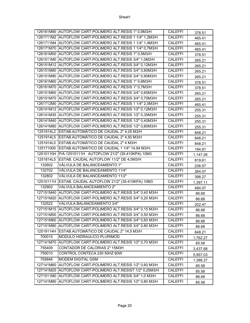|           | 126161M90 AUTOFLOW CART-POLIMERO ALT.RESIS 1" 0,9M3/H     | <b>CALEFFI</b> | 378.51   |
|-----------|-----------------------------------------------------------|----------------|----------|
|           | 1261711M2 AUTOFLOW CART-POLIMERO ALT.RESIS 1 1/4" 1,2M3/H | <b>CALEFFI</b> | 465.41   |
|           | 1261711M4 AUTOFLOW CART-POLIMERO ALT.RESIS 1 1/4" 1,4M3/H | <b>CALEFFI</b> | 465.41   |
|           | 126171M70 AUTOFLOW CART-POLIMERO ALT.RESIS 1 1/4" 0,7M3/H | <b>CALEFFI</b> | 465.41   |
|           | 126161M50 AUTOFLOW CART-POLIMERO ALT.RESIS 1" 0,5M3/H     | <b>CALEFFI</b> | 378.51   |
|           | 1261511M0 AUTOFLOW CART-POLIMERO ALT.RESIS 3/4" 1,0M3/H   | <b>CALEFFI</b> | 265.21   |
|           | 126151M12 AUTOFLOW CART-POLIMERO ALT.RESIS 3/4" 0,12M3/H  | <b>CALEFFI</b> | 265.21   |
|           | 126151M80 AUTOFLOW CART-POLIMERO ALT.RESIS 3/4" 0,80M3/H  | <b>CALEFFI</b> | 265.21   |
|           | 126151M90 AUTOFLOW CART-POLIMERO ALT.RESIS 3/4" 0,90M3/H  | <b>CALEFFI</b> | 265.21   |
|           | 126161M60 AUTOFLOW CART-POLIMERO ALT.RESIS 1" 0,6M3/H     | <b>CALEFFI</b> | 378.51   |
|           | 126161M70 AUTOFLOW CART-POLIMERO ALT.RESIS 1" 0,7M3/H     | <b>CALEFFI</b> | 378.51   |
|           | 126151M60 AUTOFLOW CART-POLIMERO ALT.RESIS 3/4" 0,60M3/H  | <b>CALEFFI</b> | 265.21   |
|           | 126151M70 AUTOFLOW CART-POLIMERO ALT.RESIS 3/4" 0,70M3/H  | <b>CALEFFI</b> | 265.21   |
|           | 1261712M0 AUTOFLOW CART-POLIMERO ALT.RESIS 1 1/4" 2,0M3/H | <b>CALEFFI</b> | 465.41   |
|           | 126141M12 AUTOFLOW CART-POLIMERO ALT.RESIS 1/2" 0,12M3/H  | <b>CALEFFI</b> | 255.31   |
|           | 126141M35 AUTOFLOW CART-POLIMERO ALT.RESIS 1/2" 0,35M3/H  | <b>CALEFFI</b> | 255.31   |
|           | 126141M40 AUTOFLOW CART-POLIMERO ALT.RESIS 1/2" 0,40M3/H  | <b>CALEFFI</b> | 255.31   |
|           | 126141M80 AUTOFLOW CART-POLIMERO ALT.RESIS 1/2" 0,80M3/H  | <b>CALEFFI</b> | 255.31   |
|           | 1251914L2 ESTAB.AUTOMÁTICO DE CAUDAL 2" 4,25 M3/H         | <b>CALEFFI</b> | 848.21   |
|           | 1251914L5 ESTAB.AUTOMÁTICO DE CAUDAL 2" 4,50 M3/H         | <b>CALEFFI</b> | 848.21   |
|           | 1251914L0 ESTAB.AUTOMÁTICO DE CAUDAL 2" 4 M3/H            | <b>CALEFFI</b> | 848.21   |
| 125171000 | ESTAB.AUTOMÁTICO DE CAUDAL 1 1/4" 14,94 M3/H.             | <b>CALEFFI</b> | 194.81   |
|           | 12510110H P/A 12510111H AUTOFLOW 21/2" (35-410KPA) 10M3   | <b>CALEFFI</b> | 1,147.26 |
| 1251814L5 | ESTAB. CAUDAL AUTOFLOW 11/2" DE 4,5M3/H                   | <b>CALEFFI</b> | 819.61   |
| 132602    | VÁLVULA DE BALANCEAMIENTO 1"                              | <b>CALEFFI</b> | 236.57   |
| 132702    | VÁLVULA DE BALANCEAMIENTO 11/4"                           | <b>CALEFFI</b> | 264.07   |
| 132802    | VÁLVULA DE BALANCEAMIENTO 11/2"                           | <b>CALEFFI</b> | 398.27   |
|           | 12510111H ESTAB. CAUDAL AUTOFLOW 21/2" (35-410KPA) 10M3   | <b>CALEFFI</b> | 1,397.11 |
| 132902    | VALVULA BALANCEAMIENTO 2"                                 | <b>CALEFFI</b> | 484.07   |
|           | 127151M40 AUTOFLOW CART-POLIMERO ALT.RESIS 3/4" 0,40 M3/H | <b>CALEFFI</b> | 86.68    |
|           | 127151M20 AUTOFLOW CART-POLIMERO ALT.RESIS 3/4" 0,20 M3/H | <b>CALEFFI</b> | 86.68    |
| 132522    | VALVULA BALANCEAMIENTO 3/4"                               | <b>CALEFFI</b> | 202.47   |
|           | 127151M15 AUTOFLOW CART-POLIMERO ALT.RESIS 3/4" 0,15 M3/H | <b>CALEFFI</b> | 86.68    |
|           | 127151M50 AUTOFLOW CART-POLIMERO ALT.RESIS 3/4" 0,50 M3/H | CALEFFI        | 86.68    |
|           | 127151M60 AUTOFLOW CART-POLIMERO ALT.RESIS 3/4" 0,60 M3/H | <b>CALEFFI</b> | 86.68    |
|           | 127151M80 AUTOFLOW CART-POLIMERO ALT.RESIS 3/4" 0,80 M3/H | CALEFFI        | 86.68    |
|           | 12519114H ESTAB.AUTOMÁTICO DE CAUDAL 2" 14,5 M3/H         | CALEFFI        | 848.21   |
| 700015    | MODULO HIDRAULICO PLURIMOD                                | <b>CALEFFI</b> | 1,762.27 |
| 127141M70 | AUTOFLOW CART-POLIMERO ALT.RESIS 1/2" 0,70 M3/H           | <b>CALEFFI</b> | 85.58    |
| 755409    | CONTADOR DE CALORIAS 2" 15M3H                             | <b>CALEFFI</b> | 3,437.68 |
| 755010    | CONTROL CONTECA 230 50HZ 60W                              | <b>CALEFFI</b> | 5,957.03 |
| 755846    | MODEM DIGITAL GSM                                         | <b>CALEFFI</b> | 1,388.27 |
| 127141M60 | AUTOFLOW CART-POLIMERO ALT.RESIS 1/2" 0,60 M3/H           | <b>CALEFFI</b> | 85.58    |
|           | 127141M25 AUTOFLOW CART-POLIMERO ALT.RESIST.1/2" 0,25M3/H | <b>CALEFFI</b> | 85.58    |
|           | 1271511M0 AUTOFLOW CART-POLIMERO ALT.RESIS 3/4" 1,0 M3/H  | <b>CALEFFI</b> | 86.68    |
| 127141M80 | AUTOFLOW CART-POLIMERO ALT.RESIS 1/2" 0,80 M3/H           | <b>CALEFFI</b> | 85.58    |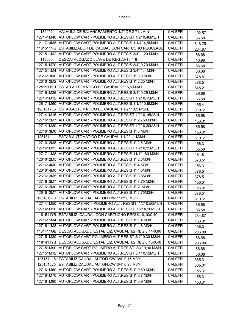| 132402    | VALVULA DE BALANCEAMIENTO 1/2" DE 2-7 L./MIN                  | <b>CALEFFI</b> | 192.57 |
|-----------|---------------------------------------------------------------|----------------|--------|
|           | 127141M40 AUTOFLOW CART-POLIMERO ALT.RESIST.1/2" 0,40M3/H     | <b>CALEFFI</b> | 85.58  |
|           | 1211714M5 AUTOFLOW CART-POLIMERO ALT.RESIS 1 1/4" 4,5M3/H     | <b>CALEFFI</b> | 616.75 |
|           | 1181511YG ESTABILIZADOR DE CAUDAL CON CARTUCHO REGULABL       | <b>CALEFFI</b> | 234.87 |
|           | 1271511M2 AUTOFLOW CART-POLIMERO ALT.RESIS 3/4" 1,20 M3/H     | <b>CALEFFI</b> | 86.68  |
| 118000    | DESCATALOGADO LLAVE DE REG.ART. 118                           | <b>CALEFFI</b> | 10.98  |
|           | 127151M70 AUTOFLOW CART-POLIMERO ALT.RESIS 3/4" 0,70 M3/H     | <b>CALEFFI</b> | 86.68  |
|           | 1271511M4 AUTOFLOW CART-POLIMERO ALT.RESIS 3/4" 1,4 M3/H      | <b>CALEFFI</b> | 86.68  |
|           | 1261613M0 AUTOFLOW CART-POLIMERO ALT.RESIS 1" 3,0 M3/H        | <b>CALEFFI</b> | 378.51 |
|           | 1261612M2 AUTOFLOW CART-POLIMERO ALT.RESIS 1" 2,25 M3/H       | <b>CALEFFI</b> | 378.51 |
|           | 12519115H ESTAB.AUTOMÁTICO DE CAUDAL 2" 15,5 M3/H             | <b>CALEFFI</b> | 848.21 |
|           | 127151M25 AUTOFLOW CART-POLIMERO ALT.RESIS 3/4" 0,25 M3/H     | <b>CALEFFI</b> | 86.68  |
|           | 127141M12 AUTOFLOW CART-POLIMERO ALT.RESIST.1/2" 0,12M3/H     | <b>CALEFFI</b> | 85.58  |
|           | 126171M60 AUTOFLOW CART-POLIMERO ALT.RESIS 1 1/4" 0,6M3/H     | <b>CALEFFI</b> | 465.41 |
|           | 1251817L5 ESTAB.AUTOMÁTICO DE CAUDAL 1 1/2" 13,5 M3/H.        | <b>CALEFFI</b> | 819.61 |
|           | 127141M15 AUTOFLOW CART-POLIMERO ALT.RESIST.1/2" 0,15M3/H     | <b>CALEFFI</b> | 85.58  |
|           | 1271612M7 AUTOFLOW CART-POLIMERO ALT.RESIS 1" 2,750 M3/H      | <b>CALEFFI</b> | 156.31 |
|           | 127141M30 AUTOFLOW CART-POLIMERO ALT.RESIST.1/2" 0,30M3/H     | <b>CALEFFI</b> | 85.58  |
|           | 1271613M0 AUTOFLOW CART-POLIMERO ALT.RESIS 1" 3 M3/H          | <b>CALEFFI</b> | 156.31 |
|           | 12518111L ESTAB.AUTOMÁTICO DE CAUDAL 1 1/2" 11 M3/H.          | <b>CALEFFI</b> | 819.61 |
|           | 1271612M5 AUTOFLOW CART-POLIMERO ALT.RESIS 1" 2,5 M3/H        | <b>CALEFFI</b> | 156.31 |
|           | 127141M35 AUTOFLOW CART-POLIMERO ALT.RESIST.1/2" 0,35M3/H     | <b>CALEFFI</b> | 85.58  |
|           | 1271711M8 AUTOFLOW CART-POLIMERO ALT.RESIS 11/4"1,80 M3/H     | <b>CALEFFI</b> | 161.81 |
|           | 1261612M5 AUTOFLOW CART-POLIMERO ALT.RESIS 1" 2,5M3/H         | <b>CALEFFI</b> | 378.51 |
|           | 1271614M0 AUTOFLOW CART-POLIMERO ALT.RESIS 1" 4 M3/H          | <b>CALEFFI</b> | 156.31 |
|           | 1261614M0 AUTOFLOW CART-POLIMERO ALT.RESIS 1" 4,0M3/H         | <b>CALEFFI</b> | 378.51 |
|           | 1261613M5 AUTOFLOW CART-POLIMERO ALT.RESIS 1"3,5M3/H          | <b>CALEFFI</b> | 378.51 |
|           | 1271613M7 AUTOFLOW CART-POLIMERO ALT.RESIS 1" 3,75 M3/H       | <b>CALEFFI</b> | 156.31 |
|           | 1271612M0 AUTOFLOW CART-POLIMERO ALT.RESIS 1" 2, M3/H         | <b>CALEFFI</b> | 156.31 |
|           | 1261612M7 AUTOFLOW CART-POLIMERO ALT.RESIS 1" 2,75M3/H        | <b>CALEFFI</b> | 378.51 |
|           | 1251816L0 ESTABILIZ.CAUDAL AUTOFLOW 11/2" 6 M3/H              | <b>CALEFFI</b> | 819.61 |
|           | 127141M50 AUTOFLOW CART.-POLIMERO ALT. RESIST. 1/2" 0,50M3/H  | <b>CALEFFI</b> | 85.58  |
|           | 127141M20 AUTOFLOW CART-POLIMERO ALT.RESIST. 1/2" 0,20M3/H    | <b>CALEFFI</b> | 85.58  |
|           | 1181511YB ESTABILIZ. CAUDAL CON CARTUCHO REGUL. 0,10/0,40     | <b>CALEFFI</b> | 234.87 |
|           | 1271611M4 AUTOFLOW CART-POLIMERO ALT.RESIS 1" 1,4 M3/H        | <b>CALEFFI</b> | 156.31 |
|           | 1271611M8 AUTOFLOW CART-POLIMERO ALT.RESIS 1" 1,8 M3/H        | <b>CALEFFI</b> | 156.31 |
|           | 1181411GB DESCATALOGADO ESTABILIZ. CAUDAL 1/2 REG.0,14-0,60   | <b>CALEFFI</b> | 206.80 |
|           | 127151M30 AUTOFLOW CART.POLIMERO ALT RESIST 3/4" 0,30 M3/H    | CALEFFI        | 86.68  |
|           | 1181411YB   DESCATALOGADO ESTABILIZ. CAUDAL 1/2 REG.0,10-0,40 | <b>CALEFFI</b> | 206.80 |
| 127151M90 | AUTOFLOW CART.POLIMERO ALT RESIST. 3/4" 0,90 M3/H             | <b>CALEFFI</b> | 86.68  |
| 127151M12 | AUTOFLOW CART-POLIMERO ALT.RESIST.3/4" 0,12M3/H               | <b>CALEFFI</b> | 86.68  |
| 125151L15 | ESTABILIZ.CAUDAL AUTOFLOW 3/4" 0,15 M3/H                      | <b>CALEFFI</b> | 365.31 |
| 125151L25 | ESTABILIZ.CAUDAL AUTOFLOW 3/4" 0,25 M3/H                      | <b>CALEFFI</b> | 365.31 |
|           | 127161M60 AUTOFLOW CART-POLIMERO ALT.RESIS 1" 0,60 M3/H       | <b>CALEFFI</b> | 156.31 |
|           | 127161M70 AUTOFLOW CART-POLIMERO ALT.RESIS 1" 0,7 M3/H        | <b>CALEFFI</b> | 156.31 |
| 127161M90 | AUTOFLOW CART-POLIMERO ALT.RESIS 1" 0,9 M3/H                  | <b>CALEFFI</b> | 156.31 |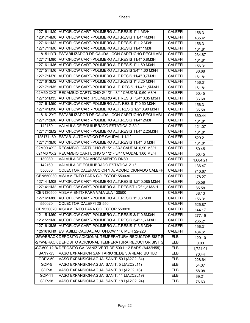|               | 1271611M0 AUTOFLOW CART-POLIMERO ALT.RESIS 1" 1 M3/H          | <b>CALEFFI</b> | 156.31   |
|---------------|---------------------------------------------------------------|----------------|----------|
|               | 1261714M0 AUTOFLOW CART-POLIMERO ALT.RESIS 1 1/4" 4M3/H       | <b>CALEFFI</b> | 465.41   |
|               | 1271611M2 AUTOFLOW CART-POLIMERO ALT.RESIS 1" 1,2 M3/H        | <b>CALEFFI</b> | 156.31   |
|               | 1271711M0 AUTOFLOW CART-POLIMERO ALT.RESIS 11/4" 1M3H         | <b>CALEFFI</b> | 161.81   |
|               | 1181511YR ESTABILIZADOR DE CAUDAL CON CARTUCHO REGULABL       | <b>CALEFFI</b> | 234.87   |
|               | 127171M80 AUTOFLOW CART-POLIMERO ALT.RESIS 11/4" 0,8M3H       | <b>CALEFFI</b> | 161.81   |
|               | 1271611M6 AUTOFLOW CART-POLIMERO ALT.RESIS 1" 1,60 M3/H       | <b>CALEFFI</b> | 156.31   |
|               | 1271511M6 AUTOFLOW CART-POLIMERO ALT.RESIS 3/4" 1,60 M3/H     | <b>CALEFFI</b> | 86.68    |
|               | 127171M70 AUTOFLOW CART-POLIMERO ALT.RESIS 11/4" 0,7M3H       | <b>CALEFFI</b> | 161.81   |
|               | 1271613M2 AUTOFLOW CART-POLIMERO ALT.RESIS 1" 3,25 M3/H       | <b>CALEFFI</b> | 156.31   |
|               | 1271712M5 AUTOFLOW CART-POLIMERO ALT. RESIS. 11/4" 1,5M3/H    | <b>CALEFFI</b> | 161.81   |
|               | 02M60 XXG RECAMBIO CARTUCHO Ø 1/2" - 3/4" CAUDAL 0,60 M3/H    | <b>CALEFFI</b> | 50.45    |
|               | 127151M35 AUTOFLOW CART.POLIMERO ALT RESIST 3/4" 0,35 M3/H    | <b>CALEFFI</b> | 86.68    |
|               | 127161M50 AUTOFLOW CART-POLIMERO ALT. RESIS 1" 0,50 M3/H      | <b>CALEFFI</b> | 156.31   |
|               | 127141M90 AUTOFLOW CART-POLIMERO ALT. RESIS 1/2" 0,90 M3/H    | <b>CALEFFI</b> | 85.58    |
|               | 1181612YG ESTABILIZADOR DE CAUDAL CON CARTUCHO REGULABLI      | <b>CALEFFI</b> | 360.44   |
|               | 1271712M0 AUTOFLOW CART-POLIMERO ALT.RESIS 11/4" 2M3H         | <b>CALEFFI</b> | 161.81   |
| 142150        | VALVULA DE EQUILIBRADO ESTATICA Ø 3/4"                        | <b>CALEFFI</b> | 121.07   |
|               | 1271712M2 AUTOFLOW CART-POLIMERO ALT.RESIS 11/4" 2,25M3H      | <b>CALEFFI</b> | 161.81   |
|               | 125171L80 ESTAB. AUTOMATICO DE CAUDAL 1 1/4"                  | <b>CALEFFI</b> | 529.21   |
|               | 1271713M0 AUTOFLOW CART-POLIMERO ALT.RESIS 11/4" 3 M3H        | <b>CALEFFI</b> | 161.81   |
|               | 02M90 XXG RECAMBIO CARTUCHO Ø 1/2" - 3/4" CAUDAL 0,90 M3/H    | <b>CALEFFI</b> | 50.45    |
|               | 021M6 XXG RECAMBIO CARTUCHO Ø 1/2" - 3/4" CAUDAL 1,60 M3/H    | <b>CALEFFI</b> | 50.45    |
| 130080        | VÁLVULA DE BALANCEAMIENTO DN80                                | <b>CALEFFI</b> | 1,684.21 |
| 142160        | VALVULA DE EQUILIBRADO ESTATICA Ø 1"                          | <b>CALEFFI</b> | 136.47   |
| 550030        | COLECTOR CALEFACCION Y A. ACONDICIONADO CALEFF                | <b>CALEFFI</b> | 710.67   |
|               | CBN550030 AISLAMIENTO PARA COLECTOR 550030                    | <b>CALEFFI</b> | 178.27   |
|               | 127141M08 AUTOFLOW CART-POLIMERO ALT.RESIS 1/2" 0,085 M3/H    | <b>CALEFFI</b> | 85.58    |
|               | 1271411M2 AUTOFLOW CART-POLIMERO ALT.RESIST.1/2" 1,2 M3/H     | <b>CALEFFI</b> | 85.58    |
|               | CBN130500 AISLAMIENTO PARA VALVULA 130500                     | <b>CALEFFI</b> | 38.13    |
|               | 127161M80 AUTOFLOW CART-POLIMERO ALT.RESIS 1" 0,8 M3/H        | <b>CALEFFI</b> | 156.31   |
| 550020        | COLECTOR CALEFFI 2S 550                                       | <b>CALEFFI</b> | 525.87   |
|               | CBN550020 AISLAMIENTO PARA COLECTOR 550020                    | <b>CALEFFI</b> | 144.17   |
|               | 121151M60 AUTOFLOW CART-POLIMERO ALT.RESIS 3/4" 0,6M3/H       | <b>CALEFFI</b> | 277.19   |
|               | 1261511M6 AUTOFLOW CART-POLIMERO ALT.RESIS 3/4" 1,6 M3/H      | <b>CALEFFI</b> | 265.21   |
|               | 1271613M5 AUTOFLOW CART-POLIMERO ALT.RESIS 1" 3,5 M3/H        | <b>CALEFFI</b> | 156.31   |
|               | 1251616H0 ESTABILIZ.CAUDAL AUTOFLOW 1" 6 M3/H 22-220          | <b>CALEFFI</b> | 434.61   |
|               | 35W/BRACK DEPOSITO ADICIONAL TEMPERATURA REDUCTOR SIST S      | <b>ELBI</b>    | 120.10   |
|               | -27W/BRACK DEPOSITO ADICIONAL TEMPERATURA REDUCTOR SIST S     | ELBI           | 0.00     |
|               | CZ-500 12 B/DEPOSITO GALVANIZ.VERT.DE 500 L.12 BARS (A432N55) | ELBI           | 1,724.01 |
| SANY-S3       | VASO EXPANSION SANITARIO 3L.DE 3 A 4BAR BUTILO                | <b>ELBI</b>    | 70.44    |
| GDPV-50       | VASO EXPANSION-AGUA SANIT. 50 L(A2C2L34)                      | <b>ELBI</b>    | 228.64   |
| GDP-5         | VASO EXPANSION-AGUA SANIT. 5 L(A2C2L11)                       | ELBI           | 54.37    |
| GDP-8         | VASO EXPANSION-AGUA SANIT. 8 L(A2C2L16)                       | <b>ELBI</b>    | 58.08    |
| <b>GDP-11</b> | VASO EXPANSION-AGUA SANIT. 11 L(A2C2L19)                      | ELBI           | 69.21    |
| GDP-18        | VASO EXPANSION-AGUA SANIT. 18 L(A2C2L24)                      | ELBI           | 76.63    |
|               |                                                               |                |          |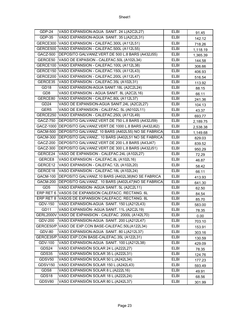| GDP-24           | VASO EXPANSION-AGUA SANIT. 24 L(A2C2L27)                      | <b>ELBI</b> | 91.45    |
|------------------|---------------------------------------------------------------|-------------|----------|
| GDP-35           | VASO EXPANSION-AGUA SANIT. 35 L(A2C2L31)                      | <b>ELBI</b> | 142.12   |
|                  | GERCE300 VASO EXPANSION - CALEFAC.300L (A112L51)              | <b>ELBI</b> | 718.26   |
|                  | GERCE500 VASO EXPANSION - CALEFAC.500L (A112L55)              | <b>ELBI</b> | 1,118.19 |
| GACZ-500         | DEPOSITO GALVANIZ.VERT.DE 500 L.8 BARS (A432J55)              | <b>ELBI</b> | 1,365.39 |
| GERCE50          | VASO DE EXPASION - CALEFAC.50L (A102L34)                      | <b>ELBI</b> | 144.58   |
|                  | GERCE100 VASO EXPANSION - CALEFAC.100L (A112L38)              | <b>ELBI</b> | 306.66   |
|                  | GERCE150 VASO EXPANSION - CALEFAC.150L (A112L43)              | <b>ELBI</b> | 406.93   |
|                  | GERCE200 VASO EXPANSION - CALEFAC.200L (A112L47)              | <b>ELBI</b> | 516.54   |
| GERCE35          | VASO EXPANSION - CALEFAC.35L (A102L31)                        | <b>ELBI</b> | 113.92   |
| GD <sub>18</sub> | VASO EXPANSION-AGUA SANIT.18L (A2C2L24)                       | <b>ELBI</b> | 88.15    |
| GD <sub>8</sub>  | VASO EXPANSION - AGUA SANIT. 8L (A2C2L16)                     | <b>ELBI</b> | 66.11    |
| GERCE80          | VASO EXPANSION - CALEFAC.80L (A112L37)                        | <b>ELBI</b> | 241.36   |
| GD24             | VASO DE EXPANSION-AGUA SANIT.24L (A2C2L27)                    | <b>ELBI</b> | 104.13   |
| GER <sub>5</sub> | VASO DE EXPANSION - CALEFAC. 5L (A0102L11)                    | <b>ELBI</b> | 43.37    |
|                  | GERCE250 VASO EXPANSION - CALEFAC.250L (A112L49)              | <b>ELBI</b> | 693.77   |
| GACZ-750         | DEPOSITO GALVANIZ.VERT.DE 750 L.8 BARS (A432J59)              | <b>ELBI</b> | 2,189.75 |
|                  | GACZ-1000 DEPOSITO GALVANIZ.VERT.DE 1000 L.8 BARS (A432J62)   | <b>ELBI</b> | 2,538.38 |
|                  | GACM-500   DEPOSITO GALVANIZ. 10 BARS (A402L55) NO SE FABRICA | <b>ELBI</b> | 1,149.68 |
|                  | GACM-300 DEPOSITO GALVANIZ 10 BARS (A402L51 NO SE FABRICA     | <b>ELBI</b> | 829.03   |
| GACZ-200         | DEPOSITO GALVANIZ.VERT.DE 200 L.8 BARS (A43J47)               | <b>ELBI</b> | 839.52   |
| <b>GACZ-300</b>  | DEPOSITO GALVANIZ.VERT.DE 300 L.8 BARS (A432J51)              | <b>ELBI</b> | 950.29   |
| GERCE24          | VASO DE EXPANSION - CALEFAC.24L (A102L27)                     | <b>ELBI</b> | 72.29    |
| GERCE8           | VASO EXPANSION - CALEFAC.8L (A102L16)                         | <b>ELBI</b> | 46.87    |
| GERCE12          | VASO EXPANSION - CALEFAC.12L (A102L20)                        | ELBI        | 58.42    |
| GERCE18          | VASO EXPANSION - CALEFAC.18L (A102L24)                        | <b>ELBI</b> | 66.11    |
| <b>GACM-100</b>  | DEPOSITO GALVANIZ.10 BARS (A402L38)NO SE FABRICA              | <b>ELBI</b> | 413.93   |
| <b>GACM-200</b>  | DEPOSITO GALVANIZ 10 BARS (A402L47) NO SE FABRICA             | <b>ELBI</b> | 641.30   |
| GD <sub>5</sub>  | VASO EXPANSION- AGUA SANIT. 5L (A2C2L11)                      | <b>ELBI</b> | 62.50    |
|                  | ERP RET 6 VASOS DE EXPANSION CALEFACC. RECTANG. 6L            | <b>ELBI</b> | 84.54    |
|                  | ERP RET 8 VASOS DE EXPANSION CALEFACC. RECTANG. 8L            | <b>ELBI</b> | 85.70    |
| GDV-150          | VASO EXPANSION-AGUA SANIT. 150 L(A212L43)                     | <b>ELBI</b> | 583.00   |
| GD11             | VASO EXPANSIÓN- AGUA SANIT. 11L (A2C2L19)                     | <b>ELBI</b> | 78.35    |
|                  | GERL2000V VASO DE EXPANSION - CALEFAC. 2000L (A142L70)        | ELBI        | 0.00     |
| GDV-200          | VASO EXPANSION-AGUA SANIT. 200 L(A212L47)                     | <b>ELBI</b> | 703.10   |
|                  | GERCE50/P VASO DE EXP.CON BASE-CALEFAC.50L(A122L34)           | <b>ELBI</b> | 153.91   |
| <b>GDV-80</b>    | VASO EXPANSION-AGUA SANIT. 80 L(A212L37)                      | <b>ELBI</b> | 303.16   |
|                  | GERCE35/P VASO EXP.CON BASE-CALEFAC.35L (A122L31)             | ELBI        | 130.59   |
| GDV-100          | VASO EXPANSION-AGUA SANIT. 100 L(A212L38)                     | <b>ELBI</b> | 429.09   |
| GDS24            | VASO EXPANSIÓN SOLAR 24 L.(A222L27)                           | ELBI        | 78.35    |
| GDS35            | VASO EXPANSIÓN SOLAR 35 L.(A222L31)                           | <b>ELBI</b> | 124.76   |
| GDSV50           | VASO EXPANSIÓN SOLAR 50 L. (A242L34)                          | ELBI        | 177.23   |
| <b>GDSV150</b>   | VASO EXPANSIÓN SOLAR 150 L.(A242L43)                          | <b>ELBI</b> | 593.49   |
| GDS8             | VASO EXPANSION SOLAR 8 L.(A222L16)                            | <b>ELBI</b> | 49.91    |
| GDS18            | VASO EXPANSIÓN SOLAR 18 L. (A222L24)                          | ELBI        | 68.56    |
| GDSV80           | VASO EXPANSIÓN SOLAR 80 L.(A242L37)                           | ELBI        | 301.99   |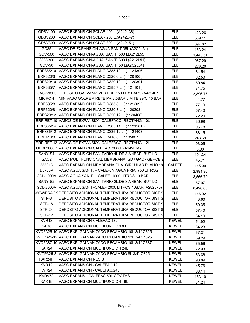| GDSV100           | VASO EXPANSIÓN SOLAR 100 L. (A242L38)                       | <b>ELBI</b>    | 423.26   |
|-------------------|-------------------------------------------------------------|----------------|----------|
| <b>GDSV200</b>    | VASO EXPANSIÓN SOLAR 200 L. (A242L47)                       | <b>ELBI</b>    | 689.11   |
| GDSV300           | VASO EXPANSIÓN SOLAR 300 L. (A242L51)                       | <b>ELBI</b>    | 897.82   |
| <b>GD35</b>       | VASO DE EXPANSION-AGUA SANIT.35L (A2C2L31)                  | <b>ELBI</b>    | 163.24   |
| <b>GDV-500</b>    | VASO EXPANSION-AGUA SANIT. 500 L(A212L55)                   | <b>ELBI</b>    | 1,443.51 |
| <b>GDV-300</b>    | VASO EXPANSION-AGUA SANIT. 300 L(A212L51)                   | <b>ELBI</b>    | 957.29   |
| $GDV-50$          | VASO EXPANSION-AGUA SANIT. 50 L(A2C2L34)                    | <b>ELBI</b>    | 226.20   |
|                   | ERP385/10 VASO EXPANSION PLANO D385 10 L. (1121306)         | <b>ELBI</b>    | 84.54    |
|                   | ERP320/6 VASO EXPANSION PLANO D320 6 L. (1120106)           | <b>ELBI</b>    | 62.50    |
|                   | ERP320/10 VASO EXPANSION PLANO D320 10 L. (1120301)         | <b>ELBI</b>    | 69.84    |
|                   | ERP385/7 VASO EXPANSION PLANO D385 7 L. (1121101)           | <b>ELBI</b>    | 74.75    |
|                   | GACZ-1500 DEPOSITO GALVANIZ.VERT.DE 1500 L.8 BARS (A432J67) | <b>ELBI</b>    | 3,896.77 |
| <b>MICRON</b>     | MINIVASO GOLPE AIRETE PR.3,5BAR LIMITE 99°C 10 BAR          | <b>ELBI</b>    | 44.77    |
| ERP385/8          | VASO EXPANSION PLANO D385 8 L. (1121209)                    | <b>ELBI</b>    | 77.19    |
|                   | ERP320/8 VASO EXPANSION PLANO D320 8 L. (1120203)           | <b>ELBI</b>    | 67.40    |
|                   | ERP320/12 VASO EXPANSION PLANO D320 12 L. (1120408)         | <b>ELBI</b>    | 72.29    |
|                   | ERP RET 10 VASOS DE EXPANSION CALEFACC. RECTANG. 10L        | <b>ELBI</b>    | 86.99    |
|                   | ERP385/14 VASO EXPANSION PLANO D385 14 L. (1121501)         | <b>ELBI</b>    | 96.78    |
|                   | ERP385/12 VASO EXPANSION PLANO D385 12 L. (1121403)         | <b>ELBI</b>    | 88.15    |
| ERP416/8          | VASO EXPANSION PLANO D416 8L. (1135007)                     | <b>ELBI</b>    | 243.69   |
|                   | ERP RET 12 VASOS DE EXPANSION CALEFACC. RECTANG. 12L        | <b>ELBI</b>    | 93.05    |
|                   | GERL3000V VASO EXPANSION CALEFAC. 3000L (A142L74)           | <b>ELBI</b>    | 0.00     |
| SANY-S4           | VASO EXPANSION SANITARIO 4L.DE 3 A 4BAR BUTILO              | <b>ELBI</b>    | 101.34   |
| GAC <sub>2</sub>  | VASO MULTIFUNCIONAL MEMBRANA GD / GAC / GERCE 2             | <b>ELBI</b>    | 45.71    |
| 555818            | VASO EXPANSION MEMBRANA FIJA CIRCULAR PLANO 18              | <b>CALEFFI</b> | 145.09   |
| <b>DL750V</b>     | VASO AGUA SANIT. + CALEF. Y AGUA FRIA 750 LITROS            | <b>ELBI</b>    | 2,991.96 |
|                   | GDL-1000V VASO AGUA SANIT. + CALEF. 1000 LITROS 10 BAR      | <b>ELBI</b>    | 3,566.79 |
| SANY-S2           | VASO EXPANSION SANITARIO 2L.DE 3 A 4BAR BUTILO              | <b>ELBI</b>    | 67.97    |
|                   | GDL-2000V VASO AGUA SANIT+CALEF 2000 LITROS 10BAR (A282L70) | <b>ELBI</b>    | 8,426.68 |
|                   | 50W/BRACK DEPOSITO ADICIONAL TEMPERATURA REDUCTOR SIST S    | <b>ELBI</b>    | 146.92   |
| $STP-8$           | DEPOSITO ADICIONAL TEMPERATURA REDUCTOR SIST S              | <b>ELBI</b>    | 43.60    |
| <b>STP-18</b>     | DEPOSITO ADICIONAL TEMPERATURA REDUCTOR SIST S              | <b>ELBI</b>    | 59.35    |
| $STP-24$          | DEPOSITO ADICIONAL TEMPERATURA REDUCTOR SIST S              | <b>ELBI</b>    | 67.40    |
| <b>STP-12</b>     | DEPOSITO ADICIONAL TEMPERATURA REDUCTOR SIST S              | ELBI           | 54.10    |
| KVR <sub>18</sub> | VASO EXPANSION-CALEFAC.18L                                  | <b>KEWEL</b>   | 51.92    |
| KAR8              | VASO EXPANSION MULTIFUNCION 8 L.                            | <b>KEWEL</b>   | 54.23    |
|                   | KVCP325-10 VASO EXP. GALVANIZADO RECAMBIO 10L 3/4" Ø325     | <b>KEWEL</b>   | 57.31    |
|                   | KVCP325-12 VASO EXP. GALVANIZADO RECAMBIO 12L 3/4" Ø325     | <b>KEWEL</b>   | 59.29    |
|                   | KVCP387-10 VASO EXP. GALVANIZADO RECAMBIO 10L 3/4" Ø387     | <b>KEWEL</b>   | 65.56    |
| KAR24             | VASO EXPANSION MULTIFUNCION 24L                             | <b>KEWEL</b>   | 72.93    |
| KVCP325-8         | VASO EXP. GALVANIZADO RECAMBIO 8L 3/4" Ø325                 | <b>KEWEL</b>   | 53.68    |
| KAR24P            | VASO EXPANSION RESIST.                                      | <b>KEWEL</b>   | 98.89    |
| KVR <sub>12</sub> | VASO EXPANSION - CALEFAC.12L                                | <b>KEWEL</b>   | 45.76    |
| KVR24             | VASO EXPANSION - CALEFAC.24L                                | <b>KEWEL</b>   | 63.14    |
| KVRV50            | VASO EXPANS - CALEFAC.50L C/PATAS                           | <b>KEWEL</b>   | 133.10   |
|                   | VASO EXPANSION MULTIFUNCION 18L                             | <b>KEWEL</b>   |          |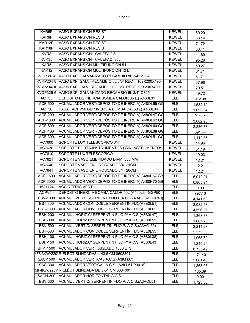| KAR5P                     | VASO EXPANSION RESIST.                                       | <b>KEWEL</b> | 59.29    |
|---------------------------|--------------------------------------------------------------|--------------|----------|
| KAR8P                     | VASO EXPANSION RESIST.                                       | <b>KEWEL</b> | 63.14    |
| KAR12P                    | VASO EXPANSION RESIST.                                       | <b>KEWEL</b> | 71.72    |
| KAR18P                    | VASO EXPANSION RESIST.                                       | <b>KEWEL</b> | 80.41    |
| KVR8                      | VASO EXPANSION - CALEFAC.8L                                  | <b>KEWEL</b> | 41.69    |
| $\overline{\text{KVR}}35$ | VASO EXPANSION - CALEFAC. 35L                                | <b>KEWEL</b> | 95.26    |
| KAR5                      | VASO EXPANSION MULTIFUNCION 5 L                              | <b>KEWEL</b> | 50.27    |
| KAR12                     | VASO EXPANSION MULTIFUNCION 12 L                             | <b>KEWEL</b> | 61.71    |
|                           | KVCP387-8 VASO EXP. GALVANIZADO RECAMBIO 8L 3/4" Ø387        | <b>KEWEL</b> | 61.71    |
|                           | KVRP204-8 VASO EXP. GALV. RECAMBIO 8L 3/8" RECT. 102X200X490 | <b>KEWEL</b> | 67.98    |
|                           | KVRP204-10 VASO EXP.GALV. RECAMBIO 10L 3/8" RECT. 95X200X490 | <b>KEWEL</b> | 70.51    |
|                           | KVCP325-6 VASO EXP. GALVANIZADO RECAMBIO 6L 3/4" Ø325        | <b>KEWEL</b> | 49.72    |
| ACP35                     | DEPOSITO DE INERCIA BOMBA CALOR 35 L.(A460L31)               | <b>ELBI</b>  | 912.98   |
| <b>ACF-500</b>            | ACUMULADOR VERT(DEPÓSITO DE INERCIA) A48OL55 GG              | <b>ELBI</b>  | 1,532.12 |
| ACP50                     | PASA ACPV50 DEP.INERCIA BOMBA CAL50 L(A460L34)               | <b>ELBI</b>  | 1,092.54 |
| <b>ACF-200</b>            | ACUMULADOR VERT(DEPÓSITO DE INERCIA) A48OL47 GG              | <b>ELBI</b>  | 914.14   |
| <b>ACF-1000</b>           | ACUMULADOR VERT(DEPÓSITO DE INERCIA) A48OL62 GG              | <b>ELBI</b>  | 3,082.90 |
| <b>ACF-800</b>            | ACUMULADOR VERT(DEPÓSITO DE INERCIA) A48OL60 GG              | <b>ELBI</b>  | 2,836.88 |
| <b>ACF-100</b>            | ACUMULADOR VERT(DEPÓSITO DE INERCIA) A48OL38 GG              | <b>ELBI</b>  | 691.44   |
| <b>ACF-300</b>            | ACUMULADOR VERT(DEPÓSITO DE INERCIA) A48OL51 GG              | <b>ELBI</b>  | 1,112.36 |
| <b>VC7600</b>             | SOPORTE LUX TELESCOPICO 3/4"                                 | <b>KEWEL</b> | 14.96    |
| VC7630                    | SOPORTE PORTA-INSTRUMENTOS ( SIN INSTRUMENTOS                | <b>KEWEL</b> | 31.19    |
| <b>VC7610</b>             | SOPORTE LUX TELESCOPICO 1"                                   | <b>KEWEL</b> | 19.03    |
| <b>VC7621</b>             | SOPORTE VASO EMBRIDADO DIAM. 380 MM                          | <b>KEWEL</b> | 12.21    |
| VC7640                    | SOPORTE VASO EN L ROSCADO 3/4" 21CM                          | <b>KEWEL</b> | 12.21    |
| VC7641                    | SOPORTE VASO EN L ROSCADO 3/4" 26CM                          | <b>KEWEL</b> | 12.21    |
| <b>ACF-1500</b>           | ACUMULADOR VERT(DEPÓSITO DE INERCIA) A480H67 GB              | <b>ELBI</b>  | 6,042.21 |
| ACF-2000                  | ACUMULADOR VERT(DEPÓSITO DE INERCIA) A480H70 GB              | <b>ELBI</b>  | 6,805.94 |
| 1681124                   | ACC.REFRIG.VERT                                              | <b>ELBI</b>  | 0.00     |
| ACPV50                    | DEPOSITO INERCIA BOMBA CALOR 50L (A460L34 GGP50)             | <b>ELBI</b>  | 797.13   |
| <b>BSV-1000</b>           | ACUMUL.VERT.C/SERPENT.FIJO P/A.C.S.(A3A0L62 PGP40)           | <b>ELBI</b>  | 4,141.63 |
| <b>BST-300</b>            | ACUMULADOR CON DOBLE SERPENTÍN FIJO(A3E0L51)                 | <b>ELBI</b>  | 2,082.48 |
| <b>BST-1000</b>           | ACUMULADOR CON DOBLE SERPENTÍN FIJO(A3E0L62)                 | <b>ELBI</b>  | 4,596.37 |
| <b>BSH-200</b>            | ACUMUL.HORIZ.C/ SERPENTIN FIJO P/ A.C.S.(A3B0L47)            | <b>ELBI</b>  | 1,368.88 |
| <b>BSH-300</b>            | ACUMUL.HORIZ.C/ SERPENTIN FIJO P/ A.C.S.(A3B0L51)            | <b>ELBI</b>  | 1,687.20 |
| <b>BSV-500</b>            | ACUMUL.VERT.C/ SERPENTIN FIJO P/ A.C.S.(A3A0L55)             | ELBI         | 2,214.23 |
| <b>BST-500</b>            | ACUMULADOR CON DOBLE SERPENTÍN FIJO(A3E0L55)                 | <b>ELBI</b>  | 2,573.36 |
| <b>BSH-100</b>            | ACUMUL.HORIZ.C/ SERPENTIN FIJO P/ A.C.S.(A3B0L38)            | ELBI         | 1,065.72 |
| <b>BSH-150</b>            | ACUMUL.HORIZ.C/ SERPENTIN FIJO P/ A.C.S.(A3B0L43)            | <b>ELBI</b>  | 1,245.29 |
| BF-1 1500                 | ACUMULADOR VERT. AISLADO 1500 LTS.                           | <b>ELBI</b>  | 8,755.49 |
| IF3,3KW/220               | R.ELÉCT.BLINDADAS L-43,5 CM 8603301                          | <b>ELBI</b>  | 171.40   |
| <b>SAC-1500</b>           | ACUMULADOR VERTICAL.A.C.S.(A3I0H67)                          | <b>ELBI</b>  | 5,601.46 |
| <b>SAC-300</b>            | ACUMULADOR VERTICAL.A.C.S. (A3I0L51 P9016)                   | ELBI         | 1,363.05 |
|                           | MF4KW/220VR.ELÉCT.BLINDADA DE L-51 CM 8604001                | <b>ELBI</b>  | 185.39   |
| SACH-300                  | ACUMULADOR HORIZONTAL.A.C.S.                                 | ELBI         | 0.00     |
| <b>BSV-300</b>            | ACUMUL.VERT.C/ SERPENTIN FIJO P/ A.C.S.(A3AOL51)             | <b>ELBI</b>  | 1,723.35 |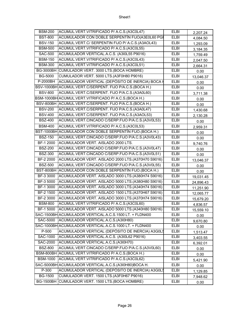| <b>BSM-200</b>   | ACUMUL.VERT.VITRIFICADO P/ A.C.S.(A3C0L47)                  | <b>ELBI</b> | 2,207.24  |
|------------------|-------------------------------------------------------------|-------------|-----------|
| <b>BST-800</b>   | ACUMULADOR CON DOBLE SERPENTÍN FIJO(A3E0L60 PGI             | <b>ELBI</b> | 4,084.50  |
| <b>BSV-150</b>   | ACUMUL.VERT.C/ SERPENTIN FIJO P/ A.C.S.(A3AOL43)            | <b>ELBI</b> | 1,293.09  |
| <b>BSM-500</b>   | ACUMUL.VERT.VITRIFICADO P/ A.C.S.(A3C0L55)                  | <b>ELBI</b> | 3,184.35  |
| <b>SAC-500</b>   | ACUMULADOR VERTICAL.A.C.S. (A3I0L55 P9016)                  | <b>ELBI</b> | 1,759.49  |
| <b>BSM-150</b>   | ACUMUL.VERT.VITRIFICADO P/ A.C.S.(A3C0L43)                  | <b>ELBI</b> | 2,047.50  |
| <b>BSM-300</b>   | ACUMUL.VERT.VITRIFICADO P/ A.C.S.(A3C0L51)                  | <b>ELBI</b> | 2,664.31  |
|                  | BG-3000BH CUMULADOR VERT. 3000 LTS.(BOCA HOMBRE)            | <b>ELBI</b> | 0.00      |
| <b>BG-5000</b>   | CUMULADOR VERT. 5000 LTS.(A3F0H80 P9016)                    | <b>ELBI</b> | 13,046.37 |
| P-2000BH         | ACUMULADOR VERTICAL (DEPÓSITO DE INERCIA) BOCA H            | <b>ELBI</b> | 0.00      |
|                  | BSV-1000BH ACUMUL. VERT. C/SERPENT. FIJO P/A.C.S. (BOCA H.) | <b>ELBI</b> | 0.00      |
| <b>BSV-800</b>   | ACUMUL.VERT.C/SERPENT. FIJO P/A.C.S.(A3A0L60)               | <b>ELBI</b> | 3,711.38  |
|                  | BSM-1000BH ACUMUL.VERT.VITRIFICADO P/ A.C.S. (BOCA H.)      | <b>ELBI</b> | 0.00      |
|                  | BSV-800BH ACUMUL.VERT.C/SERPENT. FIJO P/A.C.S.(BOCA H.)     | <b>ELBI</b> | 0.00      |
| <b>BSV-200</b>   | ACUMUL.VERT.C/SERPENT. FIJO P/A.C.S.(A3A0L47)               | <b>ELBI</b> | 1,430.68  |
| <b>BSV-400</b>   | ACUMUL.VERT.C/SERPENT. FIJO P/A.C.S.(A3AOL53)               | <b>ELBI</b> | 2,130.28  |
| <b>BSZ-400</b>   | ACUMUL.VERT.CINCADO C/SERP.FIJO P/A.C.S.(A3V0L53)           | <b>ELBI</b> | 0.00      |
| <b>BSM-400</b>   | ACUMUL.VERT.VITRIFICADO P/ A.C.S.(A3C0L53)                  | ELBI        | 2,959.31  |
|                  | BST-1000BH ACUMULADOR CON DOBLE SERPENTÍN FIJO. (BOCA H.)   | <b>ELBI</b> | 0.00      |
| <b>BSZ-150</b>   | ACUMUL.VERT.CINCADO C/SERP.FIJO P/A.C.S.(A3V0L43)           | <b>ELBI</b> | 0.00      |
| BF-1 2000        | ACUMULADOR VERT. AISLADO 2000 LTS.                          | <b>ELBI</b> | 9,740.76  |
| <b>BSZ-200</b>   | ACUMUL.VERT.CINCADO C/SERP.FIJO P/A.C.S.(A3V0L47)           | <b>ELBI</b> | 0.00      |
| <b>BSZ-300</b>   | ACUMUL.VERT.CINCADO C/SERP.FIJO P/A.C.S.(A3V0L51)           | <b>ELBI</b> | 0.00      |
| BF-2 2000        | ACUMULADOR VERT. AISLADO 2000 LTS.(A370H70 S9016)           | <b>ELBI</b> | 13,046.37 |
| <b>BSZ-500</b>   | ACUMUL.VERT.CINCADO C/SERP.FIJO P/A.C.S.(A3V0L55)           | <b>ELBI</b> | 0.00      |
|                  | BST-800BH ACUMULADOR CON DOBLE SERPENTÍN FIJO. (BOCA H.)    | <b>ELBI</b> | 0.00      |
| BF-3 3000        | ACUMULADOR VERT. AISLADO 3000 LTS.(A380H74 S9016)           | <b>ELBI</b> | 19,031.45 |
| BF-3 5000        | ACUMULADOR VERT. AISLADO 5000 LTS.(A380H80 S9016)           | <b>ELBI</b> | 24,896.43 |
| BF-1 3000        | ACUMULADOR VERT. AISLADO 3000 LTS.(A340H74 S9016)           | <b>ELBI</b> | 11,251.90 |
| BF-2 1500        | ACUMULADOR VERT. AISLADO 1500 LTS.(A370H67 S9016)           | <b>ELBI</b> | 12,065.77 |
| BF-2 3000        | ACUMULADOR VERT. AISLADO 3000 LTS.(A370H74 S9016)           | <b>ELBI</b> | 15,679.20 |
| <b>BSM-800</b>   | ACUMUL.VERT.VITRIFICADO P/ A.C.S.(A3C0L60)                  | <b>ELBI</b> | 4,836.57  |
| <b>BF-1 5000</b> | ACUMULADOR VERT. AISLADO 5000 LTS.(A340H80 S9016)           | <b>ELBI</b> | 15,559.10 |
|                  | SAC-1500BH ACUMULADOR VERTICAL.A.C.S.1500 LT. + FLDN400     | ELBI        | 0.00      |
| SAC-5000         | ACUMULADOR VERTICAL.A.C.S.(A3I0H80)                         | <b>ELBI</b> | 9,670.80  |
|                  | SAC-1000BH ACUMULADOR VERTICAL.A.C.S.1000 LT. + FLDN400     | ELBI        | 0.00      |
| P-500            | ACUMULADOR VERTICAL (DEPÓSITO DE INERCIA) A3GOL5            | ELBI        | 1,513.47  |
| SAC-1000         | ACUMULADOR VERTICAL.A.C.S. (A3I0L62 P9016)                  | <b>ELBI</b> | 3,403.55  |
| <b>SAC-2000</b>  | ACUMULADOR VERTICAL.A.C.S.(A3I0H70)                         | ELBI        | 6,392.01  |
| <b>BSZ-800</b>   | ACUMUL.VERT.CINCADO C/SERP.FIJO P/A.C.S.(A3V0L60)           | <b>ELBI</b> | 0.00      |
|                  | BSM-800BH ACUMUL.VERT.VITRIFICADO P/ A.C.S. (BOCA H.)       | ELBI        | 0.00      |
| <b>BSM-1000</b>  | ACUMUL.VERT.VITRIFICADO P/ A.C.S.(A3C0L62)                  | <b>ELBI</b> | 5,421.90  |
|                  | SAC-5000BH ACUMULADOR VERTICAL.A.C.S.(A3I0H80)BOCA H.       | <b>ELBI</b> | 0.00      |
| P-300            | ACUMULADOR VERTICAL (DEPÓSITO DE INERCIA) A3GOL5            | <b>ELBI</b> | 1,129.85  |
| <b>BG-1500</b>   | CUMULADOR VERT. 1500 LTS.(A3F0H67 P9016)                    | ELBI        | 7,948.62  |
| BG-1500BH        | CUMULADOR VERT. 1500 LTS. (BOCA HOMBRE)                     | ELBI        | 0.00      |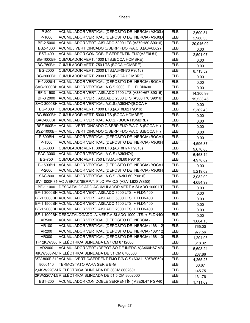| $P-800$          | ACUMULADOR VERTICAL (DEPÓSITO DE INERCIA) A3GOLO              | <b>ELBI</b> | 2,609.51  |
|------------------|---------------------------------------------------------------|-------------|-----------|
| $P-1000$         | ACUMULADOR VERTICAL (DEPÓSITO DE INERCIA) A3G0L6              | <b>ELBI</b> | 2,980.30  |
| BF-2 5000        | ACUMULADOR VERT. AISLADO 5000 LTS.(A370H80 S9016)             | <b>ELBI</b> | 20,946.02 |
| <b>BSZ-1000</b>  | ACUMUL.VERT.CINCADO C/SERP.FIJO P/A.C.S.(A3V0L62)             | <b>ELBI</b> | 0.00      |
| <b>BST-400</b>   | ACUMULADOR CON DOBLE SERPENTÍN FIJO(A3E0L51)                  | <b>ELBI</b> | 2,501.07  |
| <b>BG-1000BH</b> | CUMULADOR VERT. 1000 LTS.(BOCA HOMBRE)                        | <b>ELBI</b> | 0.00      |
| <b>BG-750BH</b>  | CUMULADOR VERT. 750 LTS. (BOCA HOMBRE)                        | <b>ELBI</b> | 0.00      |
| <b>BG-2000</b>   | CUMULADOR VERT. 2000 LTS.(A3F0H70 P9016)                      | <b>ELBI</b> | 8,713.52  |
| <b>BG-2000BH</b> | CUMULADOR VERT. 2000 LTS.(BOCA HOMBRE)                        | <b>ELBI</b> | 0.00      |
| P-1000BH         | ACUMULADOR VERTICAL (DEPÓSITO DE INERCIA) BOCA I              | <b>ELBI</b> | 0.00      |
|                  | SAC-2000BH ACUMULADOR VERTICAL.A.C.S.2000 LT. + FLDN400       | <b>ELBI</b> | 0.00      |
|                  | BF-3 1500 ACUMULADOR VERT. AISLADO 1500 LTS.(A380H67 S9016)   | <b>ELBI</b> | 14,300.99 |
| BF-3 2000        | ACUMULADOR VERT. AISLADO 2000 LTS.(A380H70 S9016)             | <b>ELBI</b> | 15,533.45 |
|                  | SAC-3000BH ACUMULADOR VERTICAL.A.C.S. (A3I0H74)BOCA H.        | <b>ELBI</b> | 0.00      |
| <b>BG-1000</b>   | CUMULADOR VERT. 1000 LTS.(A3F0L62 P9016)                      | <b>ELBI</b> | 5,362.43  |
|                  | BG-5000BH CUMULADOR VERT. 5000 LTS. (BOCA HOMBRE)             | <b>ELBI</b> | 0.00      |
|                  | SAC-800BH ACUMULADOR VERTICAL.A.C.S. (BOCA HOMBRE)            | <b>ELBI</b> | 0.00      |
|                  | BSZ-800BH ACUMUL.VERT.CINCADO C/SERP.FIJO P/A.C.S.(BOCA H.)   | <b>ELBI</b> | 0.00      |
|                  | BSZ-1000BH ACUMUL.VERT.CINCADO C/SERP.FIJO P/A.C.S.(BOCA H.)  | <b>ELBI</b> | 0.00      |
| <b>P-800BH</b>   | ACUMULADOR VERTICAL (DEPÓSITO DE INERCIA) BOCA H              | <b>ELBI</b> | 0.00      |
| P-1500           | ACUMULADOR VERTICAL (DEPÓSITO DE INERCIA) A3G0H               | <b>ELBI</b> | 4,596.37  |
| <b>BG-3000</b>   | CUMULADOR VERT. 3000 LTS.(A3F0H74 P9016)                      | <b>ELBI</b> | 9,670.80  |
| <b>SAC-3000</b>  | ACUMULADOR VERTICAL.A.C.S.(A3I0H74)                           | <b>ELBI</b> | 6,463.14  |
| <b>BG-750</b>    | CUMULADOR VERT. 750 LTS.(A3F0L60 P9016)                       | <b>ELBI</b> | 4,978.82  |
| P-1500BH         | ACUMULADOR VERTICAL (DEPÓSITO DE INERCIA) BOCA H              | <b>ELBI</b> | 0.00      |
| P-2000           | ACUMULADOR VERTICAL (DEPÓSITO DE INERCIA) A3G0H               | <b>ELBI</b> | 5,219.02  |
| <b>SAC-800</b>   | ACUMULADOR VERTICAL.A.C.S. (A3I0L60 P9016)                    | <b>ELBI</b> | 3,082.90  |
|                  | SV-1000FI31 AC .VERT.C/SERP.T. FIJO P/A.C.S.(A3A1L62SWS50)    | <b>ELBI</b> | 4,684.99  |
| BF-1 1000        | DESCATALOGADO ACUMULADOR VERT. AISLADO 1000 LT                | <b>ELBI</b> | 0.00      |
|                  | BF-1 3000BH ACUMULADOR VERT. AISLADO 3000 LTS. + FLDN400      | <b>ELBI</b> | 0.00      |
|                  | BF-1 5000BH ACUMULADOR VERT. AISLADO 5000 LTS. + FLDN400      | <b>ELBI</b> | 0.00      |
|                  | BF-1 1500BH ACUMULADOR VERT. AISLADO 1500 LTS. + FLDN400      | <b>ELBI</b> | 0.00      |
|                  | BF-1 2000BH ACUMULADOR VERT. AISLADO 2000 LTS. + FLDN400      | <b>ELBI</b> | 0.00      |
|                  | BF-1 1000BH DESCATALOGADO A. VERT.AISLADO 1000 LTS. + FLDN400 | <b>ELBI</b> | 0.00      |
| AR500            | ACUMULADOR VERTICAL (DEPÓSITO DE INERCIA)                     | <b>ELBI</b> | 1,604.13  |
| AR100            | ACUMULADOR VERTICAL (DEPÓSITO DE INERCIA) 168112              | ELBI        | 765.00    |
| AR200            | ACUMULADOR VERTICAL (DEPÓSITO DE INERCIA) 168112              | <b>ELBI</b> | 977.56    |
| AR300            | ACUMULADOR VERTICAL (DEPÓSITO DE INERCIA) 168113              | ELBI        | 1,204.95  |
|                  | TF12KW/380 R.ELÉCTRICA BLINDADA L.97 CM 8712000               | <b>ELBI</b> | 318.32    |
| AR2000           | ACUMULADOR VERT.(DEPOTISO DE INERCIA)A460H67 VB               | ELBI        | 5,698.24  |
|                  | 6KW/380V-LIR.ELÉCTRICA BLINDADA DE 51 CM 8706000              | <b>ELBI</b> | 237.86    |
|                  | BSV-800FI310ACUMUL.VERT.C/SERPENT FIJO P/A.C.S.(A3A1L60SWS50) | <b>ELBI</b> | 4,265.23  |
| 8000140          | <b>TERMOSTATO PARA SERIE B-G</b>                              | <b>ELBI</b> | 63.67     |
|                  | 2,6KW/220V-IR.ELÉCTRICA BLINDADA DE 36CM 8602601              | ELBI        | 145.75    |
|                  | 2KW/220V-L5R.ELÉCTRICA BLINDADA DE 51,5 CM 8602000            | <b>ELBI</b> | 131.76    |
| <b>BST-200</b>   | ACUMULADOR CON DOBLE SERPENTÍN (A3E0L47 PGP40                 | <b>ELBI</b> | 1,711.69  |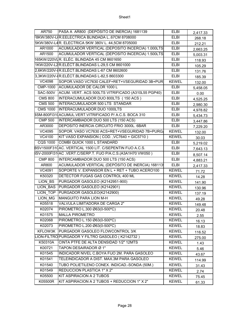| AR750           | PASA A AR800 (DEPÓSITO DE INERCIA) 1681139                     | <b>ELBI</b>  | 2,417.33 |
|-----------------|----------------------------------------------------------------|--------------|----------|
|                 | F8KW/380V-LIR.EELECTRICA BLINDADA L67CM 8708000                | <b>ELBI</b>  | 268.18   |
|                 | 5KW/380V-L4R. ELECTRICA 5KW 380V L. 44,5CM 8705000             | <b>ELBI</b>  | 212.21   |
| AR1000          | ACUMULADOR VERTICAL (DEPOSITO INCERCIA) 1.000LTS               | <b>ELBI</b>  | 2,663.25 |
| AR1500          | ACUMULADOR VERTICAL (DEPOSITO INCERCIA) 1.500LTS               | <b>ELBI</b>  | 5,003.31 |
|                 | 165KW/220VLR. ELÉC. BLINDADA 45 CM 8601650                     | <b>ELBI</b>  | 118.93   |
|                 | 1KW/220V-L2R.ELÉCT.BLINDADAS L-29,5 CM 8601000                 | <b>ELBI</b>  | 105.29   |
|                 | 2,6KW/220V-IR.ELÉCT.BLINDADAS L-67 CM 8602600                  | <b>ELBI</b>  | 131.76   |
|                 | 3,3KW/220V-IR.ELÉCT.BLINDADAS L-82,5 8603300                   | <b>ELBI</b>  | 185.39   |
| <b>VC4098</b>   | SOPOR.VASO VC7630 CALEF+RET+VSEGURIDAD 3B+PUR                  | <b>KEWEL</b> | 132.00   |
| <b>CMP-1000</b> | ACUMULADOR DE CALOR 1000 L                                     | <b>ELBI</b>  | 5,458.05 |
| SAC-500V        | ACUM. VERT. ACS 500LTS VITRIFICADO (A310L55 PGP40)             | <b>ELBI</b>  | 0.00     |
| <b>CMS 800</b>  | INTERACUMULADOR DUO 800LTS (150 ACS)                           | <b>ELBI</b>  | 4,525.25 |
| <b>CMS 500</b>  | INTERACUMULADOR 500 LTS STANDAR                                | <b>ELBI</b>  | 2,980.30 |
| <b>CMS 1000</b> | <b>INTERACUMULADOR DUO 1000LTS</b>                             | <b>ELBI</b>  | 4,978.82 |
|                 | BSM-800FI310ACUMUL.VERT.VITRIFICADO P/ A.C.S. BOCA 310         | <b>ELBI</b>  | 5,434.73 |
| <b>CMP 500</b>  | INTERCAMBIADOR DUO 500 LTS (150 ACS)                           | <b>ELBI</b>  | 3,447.86 |
| AR3000          | DEPOSITO INERCIA CIRCUITO FRIO 3000L. 6BAR                     | <b>ELBI</b>  | 7,229.20 |
| VC4095          | SOPOR. VASO VC7630 ACS+RET+VSEGURIDAD 7B+PURG/                 | <b>KEWEL</b> | 132.00   |
| <b>VC4100</b>   | KIT VASO EXPANSION (COD., VC7640 + GIC5710)                    | <b>KEWEL</b> | 30.03    |
| <b>CQS 1000</b> | COMBI QUICK 1000 L STANDARD                                    | ELBI         | 5,219.02 |
|                 | BSV1500F310AC. VERTICAL 1500 LIT. C/SEPENTIN FIJO A.C.S.       | <b>ELBI</b>  | 7,643.13 |
|                 | 8SV-2000FI31 AC .VERT.C/SERP.T. FIJO P/A.C.S. (A3A1H70 VW050 ) | ELBI         | 8,507.14 |
| <b>CMP 800</b>  | INTERCAMBIADOR DUO 500 LTS (150 ACS)                           | <b>ELBI</b>  | 4,883.21 |
| AR800           | ACUMULADOR VERTICAL (DEPÓSITO DE INERCIA) 168113               | <b>ELBI</b>  | 2,417.33 |
| <b>VC4091</b>   | SOPORTE V. EXPANSOR EN L + RET + TUBO ACERO100                 | <b>KEWEL</b> | 71.72    |
| K50320          | DETECTOR FUGAS GAS CONTROL 400 ML                              | <b>KEWEL</b> | 14.28    |
| LION BS         | PURGADOR GASOLEO (K2142951-900)                                | <b>KEWEL</b> | 141.90   |
| <b>LION BAS</b> | PURGADOR GASOLEO (K2142901)                                    | <b>KEWEL</b> | 130.96   |
| LION TOP        | PURGADOR GASOLEO(K2142900)                                     | <b>KEWEL</b> | 137.19   |
| LION MG         | <b>MANGUITO PARA LION M-H</b>                                  | <b>KEWEL</b> | 49.28    |
| K05518          | VALVULA LIMITADORA DE CARGA 2"                                 | <b>KEWEL</b> | 149.48   |
| K02074          | PIROMETRO L.300 Ø63(0-500°C)                                   | <b>KEWEL</b> | 20.48    |
| K01575          | <b>MALLA PIROMETRO</b>                                         | <b>KEWEL</b> | 2.55     |
| K02068          | PIROMETRO L.150 Ø63(0-500°C)                                   | <b>KEWEL</b> | 16.13    |
| K02073          | PIROMETRO L.200 Ø63(0-500°C)                                   | <b>KEWEL</b> | 18.83    |
| KFLOW3K         | PURGADOR GASOLEO FLOWCONTROL 3/K                               | <b>KEWEL</b> | 116.52   |
|                 | LION-FILTRO PURGADOR Y FILTRO GASOLEO (K2142732)               | <b>KEWEL</b> | 275.00   |
| K50310A         | CINTA PTFE DE ALTA DENSIDAD 1/2" 12MTS                         | <b>KEWEL</b> | 1.43     |
| K00721          | TAPON DESAIRADOR Ø 1"                                          | <b>KEWEL</b> | 5.46     |
| K01545          | INDICADOR NIVEL C.BOYA FIJO 2M. PARA GASOLEO                   | <b>KEWEL</b> | 43.67    |
| K01541          | TELEINDICADOR A DIST. MAX.3M PARA GASOLEO                      | <b>KEWEL</b> | 114.99   |
| K01540          | TUBO POLIETILENO CONEX. INDICAD.-SONDA (50M.)                  | <b>KEWEL</b> | 31.43    |
| K01549          | <b>REDUCCION PLASTICA 1" X 2"</b>                              | <b>KEWEL</b> | 2.74     |
| K05500          | KIT ASPIRACION A 2 TUBOS                                       | <b>KEWEL</b> | 75.45    |
| K05500R         | KIT ASPIRACION A 2 TUBOS + REDUCCION 1" X 2"                   | <b>KEWEL</b> | 61.33    |
|                 |                                                                |              |          |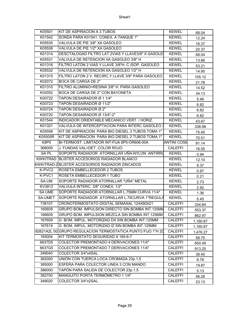| K05501        | KIT DE ASPIRACION A 3 TUBOS                                 | <b>KEWEL</b>       | 68.04    |
|---------------|-------------------------------------------------------------|--------------------|----------|
| K01542        | SONDA PARA K01541. CONEX. A TANQUE 1"                       | <b>KEWEL</b>       | 12.24    |
| K05535        | VALVULA DE PIE 3/8" XA GASOLEO                              | <b>KEWEL</b>       | 16.37    |
| K05536        | VALVULA DE PIE 1/2" XA GASOLEO                              | <b>KEWEL</b>       | 20.37    |
| K01314        | DESCTALOGAD FILTRO LAT 2VIAS Y LLAVE3/8" X GASOLE           | <b>KEWEL</b>       | 68.04    |
| K05531        | VALVULA DE RETENCION XA GASOLEO 3/8" H                      | <b>KEWEL</b>       | 13.66    |
| K01316        | FILTRO LATON 2 VIAS Y LLAVE 3/8"H. C./SOP. GASOLEO          | <b>KEWEL</b>       | 53.21    |
| K05532        | VALVULA DE RETENCION XA GASOLEO 1/2" H                      | <b>KEWEL</b>       | 14.95    |
| K01315        | FILTRO LATON 2 V. RECIRC.Y LLAVE 3/8" PARA GASOLEO          | <b>KEWEL</b>       | 105.12   |
| K02072        | BOCA DE CARGA DE 2"                                         | <b>KEWEL</b>       | 21.78    |
| K01310        | FILTRO ALUMINIO+RESINA 3/8" H. PARA GASOLEO                 | <b>KEWEL</b>       | 14.52    |
| K02052        | BOCA DE CARGA DE 2" CON BAYONETA                            | <b>KEWEL</b>       | 34.13    |
| K00722        | TAPON DESAIRADOR Ø 1 1/4"                                   | <b>KEWEL</b>       | 5.46     |
| K00723        | TAPON DESAIRADOR Ø 11/2"                                    | <b>KEWEL</b>       | 6.82     |
| K00724        | TAPON DESAIRADOR Ø 2"                                       | <b>KEWEL</b>       | 6.82     |
| K00720        | TAPON DESAIRADOR Ø 13/4"-2"                                 | <b>KEWEL</b>       | 6.82     |
| K01544        | INDICADOR ORIENTABLE MECANICO VERT. / HORIZ.                | <b>KEWEL</b>       | 43.67    |
| K01321        | VALVULA DE INTERCEPTACION PARA INTERC GASOLEO 3             | <b>KEWEL</b>       | 338.98   |
| K05506        | KIT DE ASPIRACION PARA BIO DIESEL 3 TUBOS TOMA 1"           | <b>KEWEL</b>       | 75.45    |
| K05505R       | KIT DE ASPIRACION PARA BIO DIESEL 2 TUBOS TOMA 1"           | <b>KEWEL</b>       | 70.51    |
| K8P5          | BI-TERMOST. LIMITADOR INT-FIJA 8P5-OR606-00A                | <b>ANTINI COSN</b> | 81.14    |
| 368009        | J. FUNDAS VAL+DET. COLOR ROJO                               | <b>CALEFFI</b>     | 16.05    |
| SA PL         | SOPORTE RADIADOR ATORNILLAR UÑA-NYLON ANTIRRU               | <b>KEWEL</b>       | 0.94     |
|               | KWKITRAD BLISTER ACCESORIOS RADIADOR BLANCO                 | <b>KEWEL</b>       | 12.10    |
|               | KWKITRAD-ZBLISTER ACCESORIOS RADIADOR ZINCADOS              | <b>KEWEL</b>       | 9.37     |
| K-PVC2        | ROSETA EMBELLECEDOR 2 TUBOS                                 | <b>KEWEL</b>       | 0.97     |
| K-PVC1        | ROSETA EMBELLECEDOR 1 TUBO                                  | <b>KEWEL</b>       | 0.21     |
| SA-UM         | SOPORTE RADIADOR ATORNILLAR "UÑA" METAL                     | <b>KEWEL</b>       | 2.73     |
| KV3812        | VALVULA INTERC. 3/8" CONEX. 1/2"                            | <b>KEWEL</b>       | 2.92     |
| <b>SA UME</b> | SOPORTE RADIADOR ATORNILLAR L.75MM CURVA 11/4"              | <b>KEWEL</b>       | 1.36     |
| SA-UMET       | SOPORTE RADIADOR ATORNILLAR L.75CURVA 1"REGULA              | <b>KEWEL</b>       | 5.45     |
| 738107        | CRONOTERMOSTATO DÍGITAL SEMANAL 124X90X21                   | <b>CALEFFI</b>     | 334.64   |
| 165609        | GRUPO BOM. IMPULSION DIRECTO SIN BOMBA INT.125MM            | <b>CALEFFI</b>     | 553.37   |
| 166609        | GRUPO BOM. IMPULSION MEZCLA SIN BOMBA INT.125MM             | <b>CALEFFI</b>     | 862.97   |
| 167609        | G. BOM. IMPUL. MOTORIZAD DX SIN BOMBA INT.125MM             | <b>CALEFFI</b>     | 1,160.67 |
| 167619        | G. BOM. IMPUL. MOTORIZAD IZ SIN BOMBA INT.125MM             | CALEFFI            | 1,160.67 |
|               | 82621A2L 00 GRUPO REGULACION TERMOSTATICA PUNTO FIJO 1"H 2D | <b>CALEFFI</b>     | 1,476.27 |
| 165004        | KIT TERMOSTATO SEGURIDAD X 165-6-7                          | CALEFFI            | 58.70    |
| 6637D5        | COLECTOR PREMONTADO 4 DERIVACIONES 11/4"                    | <b>CALEFFI</b>     | 650.49   |
| 6637G5        | COLECTOR PREMONTADO 7 DERIVACIONES 11/4"                    | <b>CALEFFI</b>     | 913.25   |
| 349040        | COLECTOR 3/4"x4SAL.                                         | <b>CALEFFI</b>     | 38.40    |
| 382000        | UNIÓN CON TUERCA LOCA CROMADA 23p.1,5                       | <b>CALEFFI</b>     | 8.78     |
| 385000        | ESFERA PARA COLECTOR LINEA 3 CON MANDO                      | CALEFFI            | 19.87    |
| 386000        | TAPÓN PARA SALIDA DE COLECTOR 23p.1,5                       | CALEFFI            | 5.13     |
| 392700        | MANGUITO PORTA TERMÓMETRO 1 1/4"                            | <b>CALEFFI</b>     | 56.28    |
| 349020        | COLECTOR 3/4"x2SAL.                                         | <b>CALEFFI</b>     | 23.13    |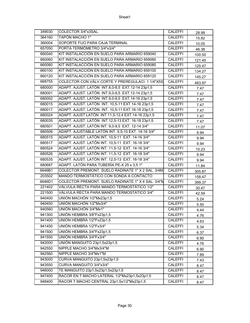| 349030 | COLECTOR 3/4"x3SAL.                                | <b>CALEFFI</b> | 28.99  |
|--------|----------------------------------------------------|----------------|--------|
| 364160 | <b>TAPÓN MACHO 1"</b>                              | <b>CALEFFI</b> | 15.82  |
| 360004 | SOPORTE FIJO PARA CAJA TERMINAL                    | <b>CALEFFI</b> | 10.05  |
| 657050 | PORTA TERMÓMETRO 3/4"x3/4"                         | <b>CALEFFI</b> | 46.38  |
| 660040 | KIT INSTALACCIÓN EN SUELO PARA ARMARIO 659040      | <b>CALEFFI</b> | 100.50 |
| 660060 | KIT INSTALACCIÓN EN SUELO PARA ARMARIO 659060      | <b>CALEFFI</b> | 121.45 |
| 660080 | KIT INSTALACCIÓN EN SUELO PARA ARMARIO 659080      | <b>CALEFFI</b> | 125.47 |
| 660100 | KIT INSTALACCIÓN EN SUELO PARA ARMARIO 659100      | <b>CALEFFI</b> | 134.27 |
| 660120 | KIT INSTALACCIÓN EN SUELO PARA ARMARIO 659120      | <b>CALEFFI</b> | 145.27 |
| 668755 | COLECTOR CON VÁLV.CORTE Y PREREGULACI. 1 1/4"X5S.  | <b>CALEFFI</b> | 483.97 |
| 680000 | ADAPT. AJUST. LATÓN INT.8,0-8,5 EXT.12-14 23p1,5   | <b>CALEFFI</b> | 7.47   |
| 680001 | ADAPT. AJUST. LATÓN INT.9,0-9,5 EXT.12-14 23p1,5   | <b>CALEFFI</b> | 7.47   |
| 680002 | ADAPT. AJUST. LATÓN INT.9,0-9,5 EXT.14-16 23p1,5   | <b>CALEFFI</b> | 7.47   |
| 680015 | ADAPT. AJUST. LATÓN INT. 10,5-11 EXT.14-16 23p1,5  | <b>CALEFFI</b> | 7.47   |
| 680017 | ADAPT. AJUST. LATÓN INT. 10,5-11 EXT.16-18 23p1,5  | <b>CALEFFI</b> | 7.47   |
| 680024 | ADAPT. AJUST.LATÓN INT.11,5-12,4 EXT.14-16 23p1,5  | <b>CALEFFI</b> | 7.47   |
| 680035 | ADAPT. AJUST. LATÓN INT.12,5-13 EXT. 16-18 23p1,5  | <b>CALEFFI</b> | 7.47   |
| 680501 | ADAPT. AJUST. LATÓN INT. 9,0-9,5 EXT. 12-14 3/4"   | <b>CALEFFI</b> | 11.07  |
| 680506 | ADAPT. AJUSTABLE LATÓN INT. 9,5-10 EXT. 14-16 3/4" | <b>CALEFFI</b> | 9.94   |
| 680515 | ADAPT. AJUST. LATÓN INT. 10,5-11 EXT. 14-16 3/4"   | <b>CALEFFI</b> | 9.94   |
| 680517 | ADAPT. AJUST. LATÓN INT. 10,5-11 EXT. 16-18 3/4"   | <b>CALEFFI</b> | 9.94   |
| 680524 | ADAPT. AJUST. LATÓN INT. 11,5-12 EXT. 14-16 3/4"   | <b>CALEFFI</b> | 10.23  |
| 680526 | ADAPT. AJUST. LATÓN INT. 11,5-12 EXT. 16-18 3/4"   | <b>CALEFFI</b> | 9.94   |
| 680535 | ADAPT. AJUST. LATÓN INT. 12,5-13 EXT. 16-18 3/4"   | <b>CALEFFI</b> | 9.94   |
| 680687 | ADAPT. LATÓN PARA TUBERÍA PE-X 25 x 3,5 1"         | <b>CALEFFI</b> | 11.84  |
| 6646B1 | COLECTOR PREMONT. SUELO RADINATE 1" X 2 SAL. 3/4M  | <b>CALEFFI</b> | 305.87 |
| 203502 | MANDO TERMOSTÁTICO CON SONDA A CONTACTO            | <b>CALEFFI</b> | 158.47 |
| 6646D1 | COLECTOR PREMONT. SUELO RADINATE 1" X 4 SAL. 3/4"M | <b>CALEFFI</b> | 399.37 |
| 221402 | VÁLVULA RECTA PARA MANDO TERMOSTÁTICO 1/2"         | <b>CALEFFI</b> | 30.47  |
| 221500 | VÁLVULA RECTA PARA MANDO TERMOSTÁTICO 3/4"         | <b>CALEFFI</b> | 42.59  |
| 940400 | UNIÓN MACHÓN 1/2"Mx23p1.5                          | <b>CALEFFI</b> | 5.24   |
| 940450 | UNIÓN MACHÓN 1/2"Mx3/4"                            | <b>CALEFFI</b> | 5.50   |
| 940560 | UNIÓN MACHÓN 3/4"Mx1"                              | <b>CALEFFI</b> | 4.44   |
| 941300 | UNIÓN HEMBRA 3/8"Fx23p1,5                          | <b>CALEFFI</b> | 4.76   |
| 941400 | UNIÓN HEMBRA 1/2"Fx23p1,5                          | <b>CALEFFI</b> | 4.63   |
| 941450 | UNIÓN HEMBRA 1/2"Fx3/4"                            | <b>CALEFFI</b> | 5.34   |
| 941500 | UNIÓN HEMBRA 3/4"Fx23p1,5                          | <b>CALEFFI</b> | 6.37   |
| 941550 | UNIÓN HEMBRA 3/4"Fx3/4"                            | <b>CALEFFI</b> | 6.90   |
| 942000 | UNIÓN MANGUITO 23p1,5x23p1,5                       | <b>CALEFFI</b> | 4.76   |
| 942550 | NIPPLE MACHO 3/4"Mx3/4"M                           | <b>CALEFFI</b> | 6.90   |
| 942560 | NIPPLE MACHO 3/4"Mx1"M                             | <b>CALEFFI</b> | 7.89   |
| 943000 | CURVA MANGUITO 23p1,5x23p1,5                       | CALEFFI        | 7.43   |
| 943550 | CURVA MANGUITO 3/4"x3/4"                           | CALEFFI        | 8.47   |
| 946000 | TE MANGUITO 23p1,5x23p1,5x23p1,5                   | <b>CALEFFI</b> | 8.47   |
| 947400 | RACOR EN T MACHO LATERAL 1/2"Mx23p1,5x23p1,5       | CALEFFI        | 8.47   |
| 948400 | RACOR T MACHO CENTRAL 23p1,5x1/2"Mx23p1,5          | <b>CALEFFI</b> | 8.47   |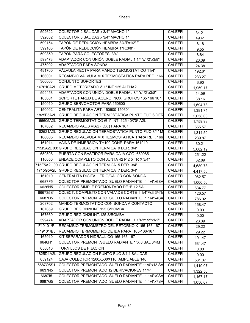| 592622    | COLECTOR 2 SALIDAS x 3/4" MACHO 1"                 | <b>CALEFFI</b> | 34.21    |
|-----------|----------------------------------------------------|----------------|----------|
| 592632    | COLECTOR 3 SALIDAS x 3/4" MACHO 1"                 | <b>CALEFFI</b> | 49.41    |
| 599154    | TAPÓN DE REDUCCIÓN HEMBRA 3/4"Fx1/2"F              | <b>CALEFFI</b> | 8.18     |
| 599163    | TAPÓN DE REDUCCIÓN HEMBRA 1"Fx3/8"F                | <b>CALEFFI</b> | 9.55     |
| 599350    | TAPÓN PARA COLECTORES 3/4"                         | <b>CALEFFI</b> | 8.84     |
| 599473    | ADAPTADOR CON UNIÓN DOBLE RADIAL 1 1/4"x1/2"x3/8"  | <b>CALEFFI</b> | 23.39    |
| 475002    | ADAPTADOR PARA SONDA                               | <b>CALEFFI</b> | 24.38    |
| 481700    | VÁLVULA RECTA PARA MANDO TERMOSTÁTICO 11/4"        | <b>CALEFFI</b> | 192.61   |
| 166001    | RECAMBIO VALVULA MIX TESMOSTATICA PARA REF. 166    | CALEFFI        | 233.27   |
| 360003    | CONJUNTO SOPORTES                                  | <b>CALEFFI</b> | 6.90     |
| 167610A2L | GRUPO MOTORIZADO Ø 1" INT.125 ALPHA2L              | <b>CALEFFI</b> | 1,959.17 |
| 599453    | ADAPTADOR CON UNIÓN DOBLE RADIAL 3/4"x1/2"x3/8"    | <b>CALEFFI</b> | 14.59    |
| 165001    | SOPORTE PARED DE ACERO INOX. GRUPOS 165 166 167    | <b>CALEFFI</b> | 68.16    |
| 150010    | GRUPO SERVOMOTOR PARA 150600                       | <b>CALEFFI</b> | 1,694.78 |
| 150002    | CENTRALITA PARA ART. 150600-150601                 | <b>CALEFFI</b> | 1,381.74 |
| 1825F5A2L | GRUPO REGULACION TERMOSTATICA PUNTO FIJO 6 DER     | <b>CALEFFI</b> | 2,058.03 |
| 166605A2L | GRUPO TERMOSTATICO Ø 1" INT. 125 40/70° A2L        | <b>CALEFFI</b> | 1,759.98 |
| 167032    | RECAMBIO VAL.3 VIAS (DX) PARA 167                  | <b>CALEFFI</b> | 555.57   |
| 182521A2L | GRUPO REGULACION TERMOSTATICA PUNTO FIJO 3/4" M    | <b>CALEFFI</b> | 1,314.50 |
| 166005    | RECAMBIO VALVULA MIX TESMOSTATICA PARA REF. 166    | <b>CALEFFI</b> | 239.87   |
| 161014    | VAINA DE INMERSION TH100 CONF. PARA 161010         | <b>CALEFFI</b> | 30.21    |
|           | 715I5A2L 001GRUPO REGULACION TERMICA 9 DER. 3/4"   | <b>CALEFFI</b> | 5,082.19 |
| 659508    | PUERTA CON BASTIDOR PARA CAJA COD. 659085          | <b>CALEFFI</b> | 251.22   |
| 110050    | ENLACE COMPLETO CON JUNTA 42 P.2,5 TR X 3/4"       | <b>CALEFFI</b> | 32.89    |
|           | 715E5A2L 00 GRUPO REGULACION TERMICA 5 DER. 3/4"   | <b>CALEFFI</b> | 4,689.78 |
| 1715G5A2L | GRUPO REGULACION TERMICA 7 DER. 3/4"               | <b>CALEFFI</b> | 4,417.50 |
| 161010    | CENTRALITA DIGITAL FRIO/CALOR CON SONDA            | <b>CALEFFI</b> | 962.57   |
| 6687F5    | COLECTOR PREMONTADO SUELO RADIANTE 1 1/4"x6SA      | CALEFFI        | 1,000.56 |
| 6626N5    | COLECTOR SIMPLE PREMONTADO DE 1" 12 SAL            | <b>CALEFFI</b> | 634.77   |
| 666735S1  | COLECT. COMPLETO CON VÁLV.DE CORTE 1 1/4"Fx3 3/4"M | <b>CALEFFI</b> | 126.57   |
| 6687D5    | COLECTOR PREMONTADO SUELO RADIANTE 1 1/4"x4SA      | <b>CALEFFI</b> | 786.02   |
| 203702    | MANDO TERMOSTÁTICO CON SONDA A CONTACTO            | <b>CALEFFI</b> | 158.47   |
| 167659    | GRUPO REG.DN20 INT.125 S/BOMBA                     | <b>CALEFFI</b> | 0.00     |
| 167669    | GRUPO REG.DN25 INT.125 S/BOMBA                     | <b>CALEFFI</b> | 0.00     |
| 599474    | ADAPTADOR CON UNIÓN DOBLE RADIAL 1 1/4"x1/2"x1/2"  | <b>CALEFFI</b> | 23.39    |
| F19101/R  | RECAMBIO TERMOMETRO DEL RETORNO X 165-166-167      | <b>CALEFFI</b> | 29.22    |
| F19101/BL | RECAMBIO TERMOMETRO DE IDA PARA 165-166-167        | <b>CALEFFI</b> | 29.22    |
| 165010    | KIT SEPARADOR HIDRAULICO 165-166-167               | <b>CALEFFI</b> | 191.47   |
| 6646H1    | COLECTOR PREMONT.SUELO RADIANTE 1"X 8 SAL 3/4M     | <b>CALEFFI</b> | 631.47   |
| 658010    | TORNILLOS DE FIJACION                              | <b>CALEFFI</b> | 0.00     |
| 1825D1A2L | GRUPO REGULACION PUNTO FIJO 3/4 4 SALIDAS          | <b>CALEFFI</b> | 0.00     |
| 659124    | CAJA COLECTOR 1200X500X110 AMPLIABLE 140           | <b>CALEFFI</b> | 531.37   |
| 6687O5S1  | COLECTOR PREMONTADO SUELO RADIANTE 11/4"x13 SA     | <b>CALEFFI</b> | 1,419.07 |
| 6637N5    | COLECTOR PREMONTADO 12 DERIVACIONES 11/4"          | <b>CALEFFI</b> | 1,322.56 |
| 668715    | COLECTOR PREMONTADO SUELO RADIANTE 1 1/4"x9SA      | <b>CALEFFI</b> | 1,167.17 |
| 6687G5    | COLECTOR PREMONTADO SUELO RADIANTE 1 1/4"x7SA      | <b>CALEFFI</b> | 1,056.07 |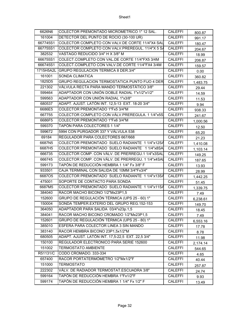| 6626N6    | COLECTOR PREMONTADO MICROMETRICO 1" 12 SAL.       | <b>CALEFFI</b> | 800.87   |
|-----------|---------------------------------------------------|----------------|----------|
| 161004    | DETECTOR DEL PUNTO DE ROCIO (30-100 UR)           | <b>CALEFFI</b> | 991.17   |
| 667745S1  | COLECTOR COMPLETO CON VALV.DE CORTE 11/4"X4 SAL   | <b>CALEFFI</b> | 180.47   |
| 667755S1  | COLECTOR COMPLETO CON VALV.PREREGUL. 11/4"X 5 S/  | <b>CALEFFI</b> | 204.67   |
| 382532    | VASTAGO REDUCIDO 3/4" H X 3/8" M                  | <b>CALEFFI</b> | 18.99    |
| 666755S1  | COLECT.COMPLETO CON VAL.DE CORTE 11/4"FX5 3/4M    | <b>CALEFFI</b> | 206.87   |
| 666745S1  | COLECT.COMPLETO CON VALV.DE CORTE 11/4"FX4 3/4M   | <b>CALEFFI</b> | 159.57   |
| 1715H5A2L | GRUPO REGULACION TERMICA 8 DER.3/4"               | <b>CALEFFI</b> | 0.00     |
| 161001    | SONDA CLIMATICA                                   | <b>CALEFFI</b> | 360.82   |
| 1825D5    | GRUPO REGULACION TERMOSTATICA PUNTO FIJO 4 DER    | <b>CALEFFI</b> | 1,483.75 |
| 221302    | VÁLVULA RECTA PARA MANDO TERMOSTÁTICO 3/8"        | <b>CALEFFI</b> | 29.44    |
| 599464    | ADAPTADOR CON UNIÓN DOBLE RADIAL 1"x1/2"x1/2"     | <b>CALEFFI</b> | 14.59    |
| 599563    | ADAPTADOR CON UNIÓN RADIAL 1"x3/8"                | <b>CALEFFI</b> | 11.53    |
| 680537    | ADAPT. AJUST. LATÓN INT. 12,5-13 EXT. 18-20 3/4"  | <b>CALEFFI</b> | 9.94     |
| 6686E5    | COLECTOR PREMONTADO 1"Fx5 3/4"M                   | <b>CALEFFI</b> | 938.33   |
| 667755    | COLECTOR COMPLETO CON VÁLV.PREREGULA. 1 1/4"x5S   | <b>CALEFFI</b> | 241.67   |
| 6686F5    | COLECTOR PREMONTADO 1"Fx6 3/4"M                   | <b>CALEFFI</b> | 1,000.56 |
| 599370    | TAPÓN PARA COLECTORES 1 1/4"                      | <b>CALEFFI</b> | 12.50    |
| 599672    | 5994 CON PURGADOR 337 Y VÁLVULA 538               | <b>CALEFFI</b> | 65.20    |
| 69184     | REGULADOR PARA COLECTORES 667/668                 | <b>CALEFFI</b> | 21.23    |
| 6687N5    | COLECTOR PREMONTADO SUELO RADIANTE 1 1/4"x12SA    | <b>CALEFFI</b> | 1,410.08 |
| 6687H5    | COLECTOR PREMONTADO SUELO RADIANTE 1 1/4"x8SA     | <b>CALEFFI</b> | 1,103.14 |
| 666735    | COLECTOR COMP. CON VÁLV. DE PRERREGU.1 1/4"x3SAL  | <b>CALEFFI</b> | 149.25   |
| 666745    | COLECTOR COMP. CON VÁLV. DE PRERREGU. 1 1/4"x4SAL | <b>CALEFFI</b> | 187.65   |
| 599173    | TAPÓN DE REDUCCIÓN HEMBRA 1 1/4" Fx 3/8" F        | <b>CALEFFI</b> | 13.93    |
| 933501    | CAJA TERMINAL CON SALIDA DE 10MM 3/4"Fx3/4"       | <b>CALEFFI</b> | 28.99    |
| 668705    | COLECTOR PREMONTADO SUELO RADIANTE 1 1/4"x13SA    | <b>CALEFFI</b> | 1,442.25 |
| 475001    | SOPORTE DE CONTACTO PARA SONDA                    | <b>CALEFFI</b> | 51.45    |
| 6687M5    | COLECTOR PREMONTADO SUELO RADIANTE 1 1/4"x11SA    | <b>CALEFFI</b> | 1,339.75 |
| 384040    | RACOR MACHO BICONO 1/2"Mx23P1,5                   | <b>CALEFFI</b> | 7.49     |
| 152600    | GRUPO DE REGULACIÓN TÉRMICA (UPS 25 - 60) 1"      | <b>CALEFFI</b> | 6,238.61 |
| 150004    | SONDA TEMPER EXTERIO DEL GRUPO REG.152-153        | <b>CALEFFI</b> | 149.70   |
| 364050    | ADAPTADOR PARA SALIDA 03/4"x23p.1,5               | <b>CALEFFI</b> | 18.45    |
| 384041    | RACOR MACHO BICONO CROMADO 1/2"Mx23P1,5           | CALEFFI        | 7.49     |
| 152601    | GRUPO DE REGULACIÓN TÉRMICA (UPS 25 - 80) 1"      | <b>CALEFFI</b> | 6,553.16 |
| 385010    | ESFERA PARA COLECTOR LINEA 3 SIN MANDO            | <b>CALEFFI</b> | 17.78    |
| 383140    | RACOR HEMBRA BICONO 23P1,5x1/2"M                  | <b>CALEFFI</b> | 8.78     |
| 680505    | ADAPT. AJUST. LATÓN INT. 17,5-22,5 EXT. 22,5 3/4" | CALEFFI        | 11.98    |
| 150100    | REGULADOR ELECTRONICO PARA SERIE 152600           | CALEFFI        | 2,174.14 |
| 151002    | <b>TERMOSTATO AMBIENTE</b>                        | <b>CALEFFI</b> | 544.65   |
| R51131/C  | CODO CROMADO. 333-334                             | <b>CALEFFI</b> | 4.65     |
| 657400    | RACOR PORTATERMÓMETRO 1/2"Mx1/2"F                 | <b>CALEFFI</b> | 40.44    |
| 151000    | <b>TERMOSTATO</b>                                 | <b>CALEFFI</b> | 257.87   |
| 222302    | VÁLV. DE RADIADOR TERMOSTAT.ESCUADRA 3/8"         | <b>CALEFFI</b> | 24.74    |
| 599164    | TAPÓN DE REDUCCIÓN HEMBRA 1"Fx1/2"F               | CALEFFI        | 9.93     |
| 599174    | TAPÓN DE REDUCCIÓN HEMBRA 1 1/4" Fx 1/2" F        | <b>CALEFFI</b> | 13.49    |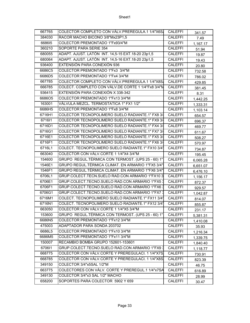| 667765 | COLECTOR COMPLETO CON VÁLV.PREREGULA.1 1/4"X6S.    | <b>CALEFFI</b> | 341.57   |
|--------|----------------------------------------------------|----------------|----------|
| 384030 | RACOR MACHO BICONO 3/8"Mx23P1,5                    | <b>CALEFFI</b> | 7.49     |
| 668615 | COLECTOR PREMONTADO 1"Fx93/4"M                     | <b>CALEFFI</b> | 1,167.17 |
| 360210 | SOPORTE PARA SERIE 354                             | <b>CALEFFI</b> | 51.94    |
| 680055 | ADAPT. AJUST. LATÓN INT. 14,5-15 EXT.18-20 23p1,5  | <b>CALEFFI</b> | 19.87    |
| 680064 | ADAPT. AJUST. LATÓN INT. 14,5-16 EXT.18-20 23p1,5  | <b>CALEFFI</b> | 19.43    |
| 936400 | EXTENSIÓN PARA CONEXIÓN 936                        | <b>CALEFFI</b> | 20.80    |
| 6686C5 | COLECTOR PREMONTADO 1"Fx3 3/4"M                    | <b>CALEFFI</b> | 732.58   |
| 6686D5 | COLECTOR PREMONTADO 1"Fx4 3/4"M                    | <b>CALEFFI</b> | 786.02   |
| 667785 | COLECTOR COMPLETO CON VÁLV.PREREGULA.1 1/4"X8S,    | <b>CALEFFI</b> | 429.85   |
| 666785 | COLECT. COMPLETO CON VÁLV.DE CORTE 1 1/4"Fx8 3/4"M | <b>CALEFFI</b> | 381.45   |
| 936415 | EXTENSIÓN PARA CONEXIÓN X 338-342                  | <b>CALEFFI</b> | 8.31     |
| 6686O5 | COLECTOR PREMONTADO 1"Fx13 3/4"M                   | <b>CALEFFI</b> | 1,442.25 |
| 163001 | VÁLVULA MEZCL. TERMOSTATICA 1" FX1 1/2"            | <b>CALEFFI</b> | 1,333.31 |
| 6686H5 | COLECTOR PREMONTADO 1"Fx8 3/4"M                    | CALEFFI        | 1,103.14 |
| 6716H1 | COLECTOR TECNOPOLIMERO SUELO RADIANTE.1" FX8 3/    | <b>CALEFFI</b> | 654.57   |
| 671611 | COLECTOR TECNOPOLIMERO SUELO RADIANTE.1" FX9 3/    | <b>CALEFFI</b> | 696.37   |
| 6716D1 | COLECTOR TECNOPOLIMERO SUELO RADIANTE.1" FX4 3/    | <b>CALEFFI</b> | 469.77   |
| 6716G1 | COLECTOR TECNOPOLIMERO SUELO RADIANTE.1" FX7 3/    | <b>CALEFFI</b> | 611.67   |
| 6716E1 | COLECTOR TECNOPOLIMERO SUELO RADIANTE.1" FX5 3/    | <b>CALEFFI</b> | 508.27   |
| 6716F1 | COLECTOR TECNOPOLIMERO SUELO RADIANTE.1" FX6 3/    | <b>CALEFFI</b> | 570.97   |
| 6716L1 | COLECT. TECNOPOLIMERO SUELO RADIANTE.1" FX10 3/4"  | <b>CALEFFI</b> | 734.87   |
| 663040 | COLECTOR CON VÁLV.CORTE 1 1/4"X4 3/4"M             | <b>CALEFFI</b> | 195.45   |
| 154600 | GRUPO REGUL.TÉRMICA CON TERMOST. (UPS 25 - 60) 1"  | <b>CALEFFI</b> | 6,065.28 |
| 1546E1 | GRUPO REGUL. TÉRMICA CLIMAT. EN ARMARIO 1"FX5 3/4" | <b>CALEFFI</b> | 6,651.07 |
| 1546F1 | GRUPO REGUL.TÉRMICA CLIMAT. EN ARMARIO 1"FX6 3/4"  | <b>CALEFFI</b> | 6,476.10 |
| 6706L1 | GRUP.COLECT.TECN.SUELO RAD.CON ARMARIO 1"FX10 3    | <b>CALEFFI</b> | 1,156.17 |
| 6706E1 | GRUP.COLECT.TECNO.SUELO RAD.CON ARMARIO 1"FX5 3    | CALEFFI        | 872.37   |
| 6706F1 | GRUP.COLECT.TECNO.SUELO RAD.CON ARMARIO 1"FX6 3    | <b>CALEFFI</b> | 929.57   |
| 6706G1 | GRUP.COLECT.TECNO.SUELO RAD.CON ARMARIO 1"FX7 3    | <b>CALEFFI</b> | 1,042.87 |
| 6716M1 | COLECT. TECNOPOLIMERO SUELO RADIANTE.1" FX11 3/4'  | <b>CALEFFI</b> | 814.07   |
| 6716N1 | COLECT. TECNOPOLIMERO SUELO RADIANTE.1" FX12 3/4'  | <b>CALEFFI</b> | 855.87   |
| 663050 | COLECTOR CON VÁLV.CORTE 1 1/4"X5 3/4"M             | <b>CALEFFI</b> | 231.17   |
| 153600 | GRUPO REGUL.TÉRMICA CON TERMOST. (UPS 25 - 60) 1"  | <b>CALEFFI</b> | 5,381.31 |
| 6686N5 | COLECTOR PREMONTADO 1"Fx12 3/4"M                   | <b>CALEFFI</b> | 1,410.08 |
| 475003 | ADAPTADOR PARA SONDA 203702                        | <b>CALEFFI</b> | 35.93    |
| 6686L5 | COLECTOR PREMONTADO 1"Fx10 3/4"M                   | CALEFFI        | 1,216.34 |
| 6686M5 | COLECTOR PREMONTADO 1"Fx11 3/4"M                   | <b>CALEFFI</b> | 1,339.75 |
| 150007 | RECAMBIO BOMBA GRUPO 152601-153601                 | <b>CALEFFI</b> | 1,840.40 |
| 670611 | GRUP.COLECT.TECNO.SUELO RAD.CON ARMARIO 1"FX9 3    | <b>CALEFFI</b> | 1,118.77 |
| 668775 | COLECTOR CON VÁLV.CORTE Y PREREGULACI. 1 1/4"X7S.  | <b>CALEFFI</b> | 730.91   |
| 668785 | COLECTOR CON VÁLV.CORTE Y PREREGULACI. 1 1/4"X8S   | <b>CALEFFI</b> | 823.39   |
| 349150 | COLECTOR 3/4"x5SAL 1/2"M                           | <b>CALEFFI</b> | 46.75    |
| 663775 | COLECTORES CON VÁLV. CORTE Y PREREGUL.1 1/4"x7SA   | <b>CALEFFI</b> | 616.89   |
| 349130 | COLECTOR 3/4"x3 SAL 1/2" MACHO                     | CALEFFI        | 28.99    |
| 658200 | SOPORTES PARA COLECTOR 5902 Y 659                  | <b>CALEFFI</b> | 30.47    |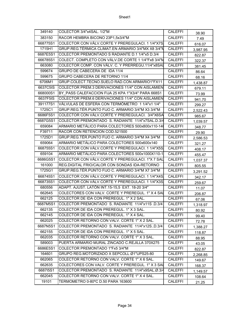| 349140   | COLECTOR 3/4"x4SAL. 1/2"M                          | CALEFFI        | 38.90    |
|----------|----------------------------------------------------|----------------|----------|
| 383150   | RACOR HEMBRA BICONO 23P1,5x3/4"M                   | <b>CALEFFI</b> | 7.49     |
| 668775S1 | COLECTOR CON VÁLV.CORTE Y PREREGULACI. 1 1/4"X7S.  | <b>CALEFFI</b> | 616.07   |
| 1715H1   | GRUP.REG.TÉRMICA CLIMAT.EN ARMARIO 3/4"MX X8 3/4"N | <b>CALEFFI</b> | 3,987.95 |
| 6687E5S1 | COLECTOR PREMONTADO S RADIANTE D.1 1/4"x5 D.3/4    | <b>CALEFFI</b> | 822.87   |
| 666785S1 | COLECT. COMPLETO CON VÁLV.DE CORTE 1 1/4"Fx8 3/4"M | <b>CALEFFI</b> | 322.37   |
| 663080   | COLECTOR COMP. CON VÁLV. C. Y PRERREGU.11/4"x8SAL  | <b>CALEFFI</b> | 381.45   |
| 599674   | GRUPO DE CABECERA DE IDA 11/4                      | <b>CALEFFI</b> | 86.64    |
| 599675   | GRUPO CABECERA DE RETORNO 11/4                     | <b>CALEFFI</b> | 68.16    |
| 6706M1   | GRUP.COLECT.TECNO.SUELO RAD.CON ARMARIO1"FX11      | <b>CALEFFI</b> | 1,438.87 |
| 6637C5IS | COLECTOR PREM.3 DERIVACIONES 11/4" CON AISLAMIEN   | <b>CALEFFI</b> | 679.11   |
| 668000S1 | BY PASS CALEFACCION FIJA 25 KPA 1"X3/4" PARA 668S1 | <b>CALEFFI</b> | 73.99    |
| 6637F5IS | COLECTOR PREM.6 DERIVACIONES 11/4" CON AISLAMIEN   | <b>CALEFFI</b> | 941.70   |
| 391177S1 | VÁLVULAS DE ESFERA CON TERMÓMETRO 1 1/4"x1 1/4"    | <b>CALEFFI</b> | 299.27   |
| 1725C1   | GRUP.REG.TÉR.PUNTO FIJO C. ARMARIO 3/4"M X3 3/4"M  | <b>CALEFFI</b> | 2,522.43 |
| 6686F5S1 | COLECTOR CON VÁLV.CORTE Y PREREGULACI. 3/4"X6SA    | <b>CALEFFI</b> | 985.67   |
| 6687G5S1 | COLECTOR PREMONTADO S. RADIANTE 11/4"x7SAL.D.3/4   | <b>CALEFFI</b> | 1,039.57 |
| 659084   | ARMARIO METÁLICO PARA COLECTORES 500x800x110-140   | <b>CALEFFI</b> | 348.77   |
| F39711   | RACOR CON RETENCION COD.521500                     | <b>CALEFFI</b> | 29.90    |
| 1725D1   | GRUP.REG.TÉR.PUNTO FIJO C. ARMARIO 3/4"M X4 3/4"M  | <b>CALEFFI</b> | 2,586.53 |
| 659064   | ARMARIO METÁLICO PARA COLECTORES 500x600x140       | <b>CALEFFI</b> | 321.27   |
| 668755S1 | COLECTOR CON VÁLV.CORTE Y PREREGULACI. 1 1/4"X5S.  | <b>CALEFFI</b> | 408.17   |
| 659104   | ARMARIO METÁLICO PARA COLECTORES 500x1000X110-1    | <b>CALEFFI</b> | 455.47   |
| 6686G5S1 | COLECTOR CON VÁLV.CORTE Y PREREGULACI. 1"X 7 SAL   | <b>CALEFFI</b> | 1,037.37 |
| 161000   | REG.DIGITAL FRIO/CALOR CON SONDAS IDA-RETORNO      | <b>CALEFFI</b> | 805.55   |
| 1725G1   | GRUP.REG.TÉR.PUNTO FIJO C. ARMARIO 3/4"M X7 3/4"M  | <b>CALEFFI</b> | 3,291.52 |
| 668745S1 | COLECTOR CON VÁLV.CORTE Y PREREGULACI. 1 1/4"X4S.  | <b>CALEFFI</b> | 342.17   |
| 668735S1 | COLECTOR CON VÁLV.CORTE Y PREREGULACI. 1 1/4"X3S   | <b>CALEFFI</b> | 259.67   |
| 680556   | ADAPT. AJUST. LATÓN INT.15-15,5 EXT. 18-20 3/4"    | <b>CALEFFI</b> | 11.07    |
| 662645   | COLECTORES CON VALV. CORTE Y PREREGUL. 1" X 4 SAI  | CALEFFI        | 206.87   |
| 662125   | COLECTOR DE IDA CON PREREGUL. 1" X 2 SAL.          | <b>CALEFFI</b> | 67.06    |
| 6687M5S1 | COLECTOR PREMONTADO S. RADIANTE 11/4"x11S .D.3/4   | <b>CALEFFI</b> | 1,318.97 |
| 662135   | COLECTOR DE IDA CON PREREGUL. 1" X 3 SAL.          | <b>CALEFFI</b> | 80.92    |
| 662145   | COLECTOR DE IDA CON PREREGUL. 1" X 4 SAL.          | CALEFFI        | 99.40    |
| 662025   | COLECTOR RETORNO CON VALV. CORTE 1" X 2 SAL.       | <b>CALEFFI</b> | 72.78    |
| 6687N5S1 | COLECTOR PREMONTADO S. RADIANTE 11/4"x12SD.3/4     | <b>CALEFFI</b> | 1,388.27 |
| 662155   | COLECTOR DE IDA CON PREREGUL. 1" X 5 SAL.          | <b>CALEFFI</b> | 118.87   |
| 662035   | COLECTOR RETORNO CON VALV. CORTE 1" X 3 SAL.       | <b>CALEFFI</b> | 88.95    |
| 589003   | PUERTA ARMARIO MURAL ZINCADO C.REJILLA 370X275     | <b>CALEFFI</b> | 43.05    |
| 6686E5S1 | COLECTOR PREMONTADO 1"Fx5 3/4"M                    | <b>CALEFFI</b> | 822.87   |
| 164601   | GRUPO REG.MOTORIZADO X SEPCOLL Ø1"UPS25-80         | <b>CALEFFI</b> | 2,268.85 |
| 662065   | COLECTOR RETORNO CON VALV. CORTE 1" X 6 SAL.       | <b>CALEFFI</b> | 149.67   |
| 662635   | COLECTORES CON VALV. CORTE Y PREREGUL. 1" X 3 SAI  | <b>CALEFFI</b> | 168.37   |
| 6687I5S1 | COLECTOR PREMONTADO S. RADIANTE 11/4"x9SAL.Ø.3/4   | <b>CALEFFI</b> | 1,149.57 |
| 662045   | COLECTOR RETORNO CON VALV. CORTE 1" X 4 SAL.       | CALEFFI        | 108.64   |
| 19101    | TERMOMETRO 0-80°C D.50 PARA 163600                 | <b>CALEFFI</b> | 21.25    |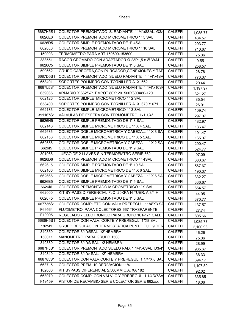| 6687H5S1 | COLECTOR PREMONTADO S. RADIANTE 11/4"x8SAL. Ø3/4  | <b>CALEFFI</b> | 1,085.77 |
|----------|---------------------------------------------------|----------------|----------|
| 6626E6   | COLECTOR PREMONTADO MICROMETRICO 1" 5 SAL         | <b>CALEFFI</b> | 434.57   |
| 6626D5   | COLECTOR SIMPLE PREMONTADO DE 1" 4SAL             | <b>CALEFFI</b> | 293.77   |
| 6626L6   | COLECTOR PREMONTADO MICROMETRICO 1" 10 SAL        | <b>CALEFFI</b> | 710.67   |
| 150003   | TERMOMETRO PARA ART.150600-153600                 | <b>CALEFFI</b> | 75.36    |
| 383551   | RACOR CROMADO CON ADAPTADOR Ø 23P1,5 x Ø 3/4M     | <b>CALEFFI</b> | 9.55     |
| 6626C5   | COLECTOR SIMPLE PREMONTADO DE 1"3 SAL             | <b>CALEFFI</b> | 258.57   |
| 599662   | GRUPO CABECERA, CON PURGADOR, CONEXIONES Y TAP    | <b>CALEFFI</b> | 28.78    |
| 6687D5S1 | COLECTOR PREMONTADO SUELO RADIANTE 1 1/4"x4SA     | <b>CALEFFI</b> | 773.37   |
| 658401   | SOPORTES POLIMERO CON TORNILLERIA X 662           | <b>CALEFFI</b> | 29.44    |
| 6687L5S1 | COLECTOR PREMONTADO SUELO RADIANTE 1 1/4"x10SA    | <b>CALEFFI</b> | 1,197.97 |
| 659065   | ARMARIO X 662/671 EMPOT.80X120 500X600X80-120     | <b>CALEFFI</b> | 321.27   |
| 662126   | COLECTOR SIMPLE MICROMETRICO 1" 2 SAL             | <b>CALEFFI</b> | 85.54    |
| 658400   | SOPORTES POLIMERO CON TORNILLERIA X 670 Y 671     | <b>CALEFFI</b> | 26.91    |
| 662136   | COLECTOR SIMPLE MICROMETRICO 1" 3 SAL             | <b>CALEFFI</b> | 109.74   |
| 391167S1 | VÁLVULAS DE ESFERA CON TERMÓMETRO 1x1 1/4"        | CALEFFI        | 297.07   |
| 6626H5   | COLECTOR SIMPLE PREMONTADO DE 1" 8 SAL            | <b>CALEFFI</b> | 482.97   |
| 662146   | COLECTOR SIMPLE MICROMETRICO DE 1" X 4 SAL.       | <b>CALEFFI</b> | 136.47   |
| 662636   | COLECTOR DOBLE MICROMETRICA Y CABEZAL. 1" X 3 SAI | CALEFFI        | 191.47   |
| 662156   | COLECTOR SIMPLE MICROMETRICO DE 1" X 5 SAL.       | <b>CALEFFI</b> | 165.07   |
| 662656   | COLECTOR DOBLE MICROMETRICA Y CABEZAL. 1" X 2 SAI | CALEFFI        | 290.47   |
| 662615   | COLECTOR SIMPLE PREMONTADO DE 1" 9 SAL            | <b>CALEFFI</b> | 524.77   |
| 391066   | JUEGO DE 2 LLAVES SIN TERMOEMTRO SERIE 662        | <b>CALEFFI</b> | 97.09    |
| 6626D6   | COLECTOR PREMONTADO MICROMETRICO 1" 4SAL          | <b>CALEFFI</b> | 380.67   |
| 6626L5   | COLECTOR SIMPLE PREMONTADO DE 1" 10 SAL           | <b>CALEFFI</b> | 567.67   |
| 662166   | COLECTOR SIMPLE MICROMETRICO DE 1" X 6 SAL.       | <b>CALEFFI</b> | 190.37   |
| 662666   | COLECTOR DOBLE MICROMETRICA Y CABEZAL. 1" X 6 SAI | <b>CALEFFI</b> | 332.27   |
| 6626E5   | COLECTOR SIMPLE PREMONTADO DE 1" 5 SAL            | <b>CALEFFI</b> | 336.67   |
| 662616   | COLECTOR PREMONTADO MICROMETRICO 1" 9 SAL         | <b>CALEFFI</b> | 654.57   |
| 662000   | KIT BY-PASS DIFERENCIAL FJO 20KPA H TUER. A 3/4 H | <b>CALEFFI</b> | 44.95    |
| 6626F5   | COLECTOR SIMPLE PREMONTADO DE 1" 6 SAL            | <b>CALEFFI</b> | 370.77   |
| 667735S1 | COLECTOR COMPLETO CON VALV.PREREGUL. 11/4"X3 SA   | <b>CALEFFI</b> | 137.57   |
| F69564   | FLUXIMETRO PARA COLECTORES 667 TRASPARENTE        | <b>CALEFFI</b> | 27.74    |
| F19095   | REGULADOR ELECTRONICO PARA GRUPO 161-171 CALER    | <b>CALEFFI</b> | 805.66   |
| 6686H5S1 | COLECTOR CON VALV. CORTE Y PREREGUL. 1"X8 SAL     | CALEFFI        | 1,085.77 |
| 182511   | GRUPO REGULACION TERMOSTATICA PUNTO FIJO 9 DER    | <b>CALEFFI</b> | 2,100.93 |
| 349350   | COLECTOR 3/4"x5SAL 1/2"HEMBRA                     | CALEFFI        | 46.26    |
| 150011   | MANOMETRO PARA GRUPO 1506                         | <b>CALEFFI</b> | 75.36    |
| 349330   | COLECTOR 3/4"x3 SAL 1/2 HEMBRA                    | <b>CALEFFI</b> | 28.99    |
| 6687F5S1 | COLECTOR PREMONTADO SUELO RAD. 1 1/4"x6SAL. D3/4" | <b>CALEFFI</b> | 985.67   |
| 349340   | COLECTOR 3/4"x4SAL. 1/2" HEMBRA                   | <b>CALEFFI</b> | 36.33    |
| 668785S1 | COLECTOR CON VALV.CORTE Y PREREGUL. 1 1/4"X 8 SAL | <b>CALEFFI</b> | 694.17   |
| 6637L5   | COLECTOR PREM. 10 DERIVACION 11/4"                | <b>CALEFFI</b> | 1,107.59 |
| 182000   | KIT BYPASS DIFERENCIAL 2.500MM C.A. XA 182        | <b>CALEFFI</b> | 92.02    |
| 663070   | COLECTOR COMP. CON VALV. C Y PREREGUL. 1 1/4"X7SA | <b>CALEFFI</b> | 335.85   |
| F19159   | PISTON DE RECAMBIO SERIE COLECTOR SERIE 662xxx    | <b>CALEFFI</b> | 18.06    |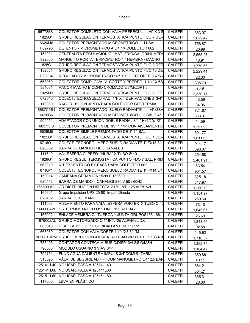| 667785S1   | COLECTOR COMPLETO CON VALV PREREGUL 1 1/4" X 3 S           | <b>CALEFFI</b> | 363.07   |
|------------|------------------------------------------------------------|----------------|----------|
| 1825G1     | <b>GRUPO REGULACION TERMOSTATICA PUNTO FIJO 7 DER</b>      | <b>CALEFFI</b> | 2,022.42 |
| 6626M6     | COLECTOR PREMONTADO MICROMETRICO 1" 11 SAL.                | <b>CALEFFI</b> | 756.87   |
| F69793     | DETENTOR MICROMETRICO A 3/4 " X COLECTOR 662               | <b>CALEFFI</b> | 26.99    |
| 152021     | CENTRALITA REGULACION CLIMAT. FRIO/CALOR/HUMEDA            | <b>CALEFFI</b> | 2,565.27 |
| 392600     | MANGUITO PORTA TERMÓMETRO 1 " HEMBRA / MACHO               | <b>CALEFFI</b> | 48.91    |
| 1825C1     | GRUPO REGULACION TERMOSTATICA PUNTO FIJO 3 DER             | <b>CALEFFI</b> | 1,770.66 |
| 1825L1     | GRUPO REGULACION TERMOSTATICA PUNTO FIJO 10 DE             | <b>CALEFFI</b> | 2,229.41 |
| F69184     | REGULADOR MICROMETRICO 1/2" X COLECTORES 667/66            | <b>CALEFFI</b> | 22.30    |
| 663060     | COLECTOR COMP. C/VALV. CORTE Y PREREG. 1 1/4" X 6S         | <b>CALEFFI</b> | 305.79   |
| 384031     | RACOR MACHO BICONO CROMADO 3/8"Mx23P1,5                    | <b>CALEFFI</b> | 7.49     |
| 1825M1     | GRUPO REGULACION TERMOSTATICA PUNTO FIJO 11 DE             | <b>CALEFFI</b> | 2,330.11 |
| 672540     | COLECT.TECNO.SUELO RAD. 1"F X 4 DERIVACIONES 3/4"          | <b>CALEFFI</b> | 43.56    |
| 110060     | RACOR 1" CON JUNTA PARA COLECTOR GEOTERMIA                 | <b>CALEFFI</b> | 34.96    |
| 6687C5S1   | COLECTOR PREMONTADO SUELO RADIANTE 11/4"x3SA               | <b>CALEFFI</b> | 721.67   |
| 6626C6     | COLECTOR PREMONTADO MICROMETRICO 1" 3 SAL 3/4"             | <b>CALEFFI</b> | 333.37   |
| 599454     | ADAPTADOR CON UNIÓN DOBLE RADIAL 3/4 " Hx1/2"x1/2"         | <b>CALEFFI</b> | 14.59    |
| 6637151S   | COLCETOR PREMONT. 9 DERIV. 1 1/4" CON AISLAMIENTO          | <b>CALEFFI</b> | 1,297.93 |
| 6626M5     | COLECTOR SIMPLE PREMONTADO DE 1"11 SAL                     | <b>CALEFFI</b> | 601.77   |
| 1825D1     | GRUPO REGULACION TERMOSTATICA PUNTO FIJO 4 DER             | <b>CALEFFI</b> | 1,811.65 |
| 6716O1     | COLECT. TECNOPOLIMERO SUELO RADIANTE 1" FX13 3/4"          | <b>CALEFFI</b> | 914.17   |
| 620582     | BARRA DE MANDOS DE 8 CANALES                               | <b>CALEFFI</b> | 396.07   |
| 111640     | VAL.ESFERA C/ PRED. "HUBA" X TUBO Ø 40                     | <b>CALEFFI</b> | 254.58   |
| 1826G1     | GRUPO REGUL. TERMOSTATICA PUNTO FIJO 7 SAL. PRIM           | <b>CALEFFI</b> | 2,401.91 |
| 662010     | KIT EXCENTRICO BY-PASS PARA COLECTOR 662                   | <b>CALEFFI</b> | 63.54    |
| 6716P1     | COLECT. TECNOPOLIMERO SUELO RADIANTE 1" FX14 3/4"          | <b>CALEFFI</b> | 951.57   |
| 150014     | CAMPANA CERAMICA 152600 153600                             | <b>CALEFFI</b> | 325.18   |
| 620542     | BARRA DE MANDO 4 CANALES 230 V 50 / 60HZ                   | CALEFFI        | 317.97   |
| 165600 A2L | GR.DISTRIBUCION DIRECTA Ø1"H INT. 125 ALPHA2L              | <b>CALEFFI</b> | 1,286.79 |
| 165601     | Grupo Impulsion UPS 25-80 Impul. Directa                   | <b>CALEFFI</b> | 1,154.97 |
| 620452     | <b>BARRA DE COMANDO</b>                                    | <b>CALEFFI</b> | 259.60   |
| 111003     | AISLAMIENTO PARA VALV. ESFERA VORTEX X TUBO Ø 40           | <b>CALEFFI</b> | 73.10    |
| 166600A2L  | GR.TERMOSTATICO Ø1"H INT. 125 ALPHA2L                      | <b>CALEFFI</b> | 1,645.67 |
| 165002     | ENLACE HEMBRA C/ TUERCA Y JUNTA GRUPOS165,166,1            | <b>CALEFFI</b> | 26.69    |
| 1676002AL  | GRUPO MOTORIZADO Ø 1" INT.125 ALPHA2L DX                   | <b>CALEFFI</b> | 1,843.46 |
| 603040     | DISPOSITIVO DE SEGURIDAD ANTIHIELO 1/2"                    | <b>CALEFFI</b> | 92.58    |
| 663030     | COLECTOR CON VÁLV.CORTE 1 1/4"X3 3/4"M                     | CALEFFI        | 145.62   |
|            | 165601UPM GRUPO IMPULSION -DESCATALOGAD -165601 + CF105079 | <b>CALEFFI</b> | 1,710.57 |
| 755405     | CONTADOR CONTECA M-BUS C/DISP. 3/4 2.5 Q/M3H               | <b>CALEFFI</b> | 1,352.75 |
| 796560     | MODULO USUARIO 3 VÍAS 3/4"                                 | <b>CALEFFI</b> | 1,184.47 |
| 794151     | FUNC.AGUA CALIENTE + IMPULS.3/4"COMUNITARIA                | CALEFFI        | 359.88   |
| 313525     | VÁLV. DE SEGURIDAD H-H CON MANOMETRO 3/4" 2,5 BAR          | CALEFFI        | 40.11    |
|            | 125141 L40   NO USAR. PASA A 125141L40                     | <b>CALEFFI</b> | 364.21   |
| 125141 L60 | NO USAR. PASA A 125141L60                                  | <b>CALEFFI</b> | 364.21   |
|            | 125151 L60 NO USAR. PASA A 125151L60                       | CALEFFI        | 365.31   |
| 117000     | LEVA EN PLÁSTICO                                           | <b>CALEFFI</b> | 20.00    |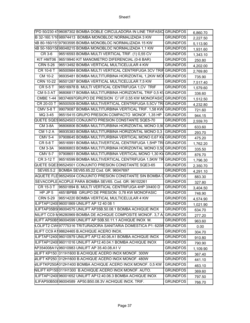|                        | FPD 50/230 4196087302 BOMBA DOBLE CIRCULADORA IN LINE TRIFASIC GRUNDFOS |                 | 6,860.70 |
|------------------------|-------------------------------------------------------------------------|-----------------|----------|
|                        | B 32-160.1/1098974413 BOMBA MONOBLOC NORMALIZADA 3 KW                   | <b>GRUNDFOS</b> | 2,227.50 |
|                        | NB 80-160/15197903595 BOMBA MONOBLOC NORMALIZADA 15 KW                  | <b>GRUNDFOS</b> | 5,113.90 |
|                        | NB 50-160/15898048215 BOMBA MONOBLOC NORMALIZADA 1,1 KW                 | <b>GRUNDFOS</b> | 1,931.60 |
| CR 3-6                 | 96516593 BOMBA MULTI VERTICAL TRIF. (1) 0,55 CV                         | <b>GRUNDFOS</b> | 1,343.10 |
|                        | KIT HMT06 96519940 KIT MANOMETRO DIFERENCIAL (0-6 BAR)                  | <b>GRUNDFOS</b> | 250.80   |
| <b>CRN 5-26</b>        | 96513492 BOMBA VERTICAL MULTICELULAR 4 KW                               | <b>GRUNDFOS</b> | 4,202.00 |
| CR 10-6 T              | 96500984 BOMBA MULTI VERTICAL CENTRIFUGA 3CV TRIH GRUNDFOS              |                 | 2,769.80 |
| CM 10-2                | 96935481 BOMBA MULTITURBINA HORIZONTAL 1,2KW MOI GRUNDFOS               |                 | 735.90   |
| CRN 10-22              | 96501287 BOMBA VERTICAL MULTICELULAR 7,5 KW                             | <b>GRUNDFOS</b> | 7,517.40 |
| <b>CR 5-5 T</b>        | 96516978 B. MULTI VERTICAL CENTRIFUGA 1,CV TRIF                         | <b>GRUNDFOS</b> | 1,579.60 |
| <b>CM 5-3 AT</b>       | 96806817 BOMBA MULTITURBINA HORIZONTAL TRIF 0,5 KV GRUNDFOS             |                 | 336.60   |
| <b>CMBE 1-44</b>       | 98374697GRUPO DE PRESION C/VF.0,55 KW MONOFASIC                         | <b>GRUNDFOS</b> | 1,512.50 |
| CR 20-03 T             | 96500509 BOMBA MULTIVERTICAL CENTRIFUGA 5,5CV TRI GRUNDFOS              |                 | 4,232.80 |
| $\overline{CMV}$ 5-8 T | 99079087 BOMBA MULTITURBINA VERTICAL TRIF. 1,58 KW GRUNDFOS             |                 | 721.60   |
| MQ 3-45                | 96515415 GRUPO PRESION COMPACTO MONOF. 1,35 HP                          | <b>GRUNDFOS</b> | 944.15   |
|                        | QUETE SQE596524503 CONJUNTO PRESION CONSTANTE SQE5-70                   | <b>GRUNDFOS</b> | 2,559.70 |
| <b>CM 3-8A</b>         | 96806806 BOMBA MULTITURBINA HORIZONTAL MONO 0,90 GRUNDFOS               |                 | 633.60   |
| <b>CM 1-2 A</b>        | 96935383 BOMBA MULTITURBINA HORIZONTAL MONO 0,3 GRUNDFOS                |                 | 293.70   |
| <b>CMV 5-4</b>         | 97908645 BOMBA MULTITURBINA VERTICAL MONO 0,67 KW GRUNDFOS              |                 | 475.20   |
| <b>CR 5-8 T</b>        | 96516991 BOMBA MULTIVERTICAL CENTRIFUGA 1,5HP TRI GRUNDFOS              |                 | 1,762.20 |
| <b>CM 3-3A</b>         | 96806803 BOMBA MULTITURBINA HORIZONTAL MONO 0,50 GRUNDFOS               |                 | 335.50   |
| <b>CMV 5-7</b>         | 97908651 BOMBA MULTITURBINA VERTICAL MONO 1,30 KV GRUNDFOS              |                 | 876.70   |
| CR 3-12 T              | 96516599 BOMBA MULTIVERTICAL CENTRIFUGA 1,5KW TR GRUNDFOS               |                 | 1,796.30 |
|                        | QUETE SQE396524501 CONJUNTO PRESION CONSTANTE SQE3-65                   | <b>GRUNDFOS</b> | 2,350.70 |
| SEV65.5.2              | BOMBA SEV65.65.22 Cod. GR. 96047697                                     | <b>GRUNDFOS</b> | 4,291.10 |
|                        | AQUETE FLE 96524504 CONJUNTO PRESION CONSTANTE SIN BOMBA (              | <b>GRUNDFOS</b> | 883.30   |
|                        | SEVACOPLE ACOPLE PARA BOMBA SEV65. Cod. GR: 96102261                    | <b>GRUNDFOS</b> | 327.80   |
| CR 15-3 T              | 96501894 B. MULTI VERTICAL CENTRIFUGA 4HP 3X400 D                       | <b>GRUNDFOS</b> | 3,404.50 |
| HP JP5                 | 4651BPBB GRUPO DE PRESION 0,78 KW MONOFASIC                             | <b>GRUNDFOS</b> | 746.90   |
| <b>CRN 5-29</b>        | 96514220 BOMBA VERTICAL MULTICELULAR 4 KW                               | <b>GRUNDFOS</b> | 4,574.90 |
|                        | ILIFTAP1240096001869 UNILIFT AP 12 40 08 1                              | <b>GRUNDFOS</b> | 1,021.90 |
|                        | ILIFTAP35B5(96004575 UNILIFT AP35B.50.08.1 BOMBA ACHIQUE INOX           | <b>GRUNDFOS</b> | 634.70   |
|                        | NILIFT CC9 M96280969 BOMBA DE ACHIQUE COMPOSITE MONOF. 3,7 A GRUNDFOS   |                 | 277.20   |
|                        | IILIFT AP50B596004599 UNILIFT AP 50B.50.11.1 ACHIQUE INOX M.            | <b>GRUNDFOS</b> | 963.60   |
|                        | LOLIFT2 CW(97775316 TRITURADORA SANITARIA DOMESTICA P1: 620W GRUNDFOS   |                 | 0.00     |
|                        | IILIFT CC9 A198624465 B.ACHIQUE ACERO INOX.                             | <b>GRUNDFOS</b> | 304.70   |
|                        | ILIFTAP1240096010979 UNILIFT AP12.40.06.A1 BOMBA ACHIQUE INOX           | <b>GRUNDFOS</b> | 910.80   |
|                        | ILIFTAP1240096011016 UNILIFT AP12.40.04.1 BOMBA ACHIQUE INOX            | <b>GRUNDFOS</b> | 790.90   |
|                        | AP354008A1V96010983 UNILIFT AP 35.40.08.A1 V                            | <b>GRUNDFOS</b> | 1,109.90 |
|                        | <b>WILIFT KP150 011H1600 B.ACHIQUE ACERO INOX MONOF. 300W</b>           | <b>GRUNDFOS</b> | 367.40   |
|                        | ILIFT KP250 012H1600 B.ACHIQUE ACERO INOX MONOF. 480W                   | <b>GRUNDFOS</b> | 441.10   |
|                        | NILIFTKP250A012H1400 BOMBA ACHIQUE ACERO INOX MONOF. 0,5 KW             | <b>GRUNDFOS</b> | 463.10   |
|                        | NILIFT KP150011H1300 B.ACHIQUE ACERO INOX MONOF. AUTO.                  | <b>GRUNDFOS</b> | 369.60   |
|                        | ILIFTAP1240096001652 UNILIFT AP12.40.06.3 BOMBA ACHIQUE INOX            | <b>GRUNDFOS</b> | 797.50   |
|                        | ILIFAP50B50896004589 AP50.B50.08.3V ACHIQUE INOX. TRIF.                 | <b>GRUNDFOS</b> | 766.70   |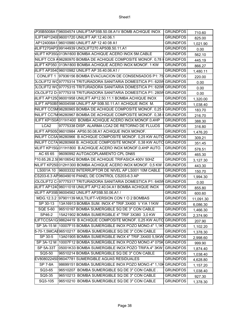|                  | P35B5008A1196004574 UNILIFTAP35B.50.08.A1V BOMB ACHIQUE INOX GRUNDFOS          |                 | 710.60    |
|------------------|--------------------------------------------------------------------------------|-----------------|-----------|
|                  | ILIFTAP1240096001720 UNILIFT AP.12.40.06.1                                     | <b>GRUNDFOS</b> | 825.00    |
|                  | AP124008A1 96010980 UNILIFT AP 12 40 08 A1                                     | <b>GRUNDFOS</b> | 1,021.90  |
|                  | ILIFT270AP399144939 UNOLIFT270 AP50B.50.11.A1                                  | <b>GRUNDFOS</b> | 0.00      |
|                  | VILIFT KP350/013N1600 BOMBA ACHIQUE ACERO INOX 5M.CABLE                        | <b>GRUNDFOS</b> | 562.10    |
|                  | NILIFT CC9 A96280970 BOMBA DE ACHIQUE COMPOSITE MONOF. 0,78 K                  | <b>GRUNDFOS</b> | 445.19    |
|                  | ILIFT KP350 013N1800 BOMBA ACHIQUE ACERO INOX MONOF. 1 KW                      | <b>GRUNDFOS</b> | 866.27    |
|                  | ILIFT AP354096010982 UNILIFT AP 35.40.06.A1 /                                  | <b>GRUNDFOS</b> | 1,480.11  |
| <b>CONLIFT 1</b> | 97936156 BOMBA EVACUACION DE CONSENSADOS P1: 75 GRUNDFOS                       |                 | 220.00    |
|                  | DLOLIFT2 WQ97775314 TRITURADORA SANITARIA DOMESTICA P1: 620W GRUNDFOS          |                 | 0.00      |
|                  | DLOLIFT2 WQ97775315 TRITURADORA SANITARIA DOMESTICA P1: 620W GRUNDFOS          |                 | 0.00      |
|                  | OLOLIFT2 D- 97775318 TRITURADORA SANITARIA DOMESTICA P1: 280W GRUNDFOS         |                 | 0.00      |
|                  | IILIFT AP125096001958 UNILIFT AP12.50.11.1 BOMBA ACHIQUE INOX                  | <b>GRUNDFOS</b> | 1,320.00  |
|                  | ILIFT AP50B596004598 UNILIFT AP 50B.50.11.A1 ACHIQUE INOX M.                   | <b>GRUNDFOS</b> | 1,038.40  |
|                  | INILIFT CC5M96280965 BOMBA DE ACHIQUE COMPOSITE MONOF. 0,25 H                  | <b>GRUNDFOS</b> | 183.70    |
|                  | NILIFT CC7M96280967 BOMBA DE ACHIQUE COMPOSITE MONOF. 0,38 K                   | <b>GRUNDFOS</b> | 216.70    |
|                  | ILIFT KP150A011H1400_BOMBA ACHIQUE ACERO INOX MONOF.0,4HP                      | <b>GRUNDFOS</b> | 388.30    |
| LCA <sub>2</sub> | 97775338 DISP. ALARMA LCA2 DE RETORNO DE FLUJOS                                | <b>GRUNDFOS</b> | 316.80    |
|                  | IILIFT AP505096010984 AP50.50.08.A1 ACHIQUE INOX MONOF.                        | <b>GRUNDFOS</b> | 1,476.20  |
|                  | INILIFT CC5A 96280966_B ACHIQUE COMPOSITE MONOF. 0,25 KW AUTO                  | <b>GRUNDFOS</b> | 309.21    |
|                  | INILIFT CC7A 96280968 B. ACHIQUE COMPOSITE MONOF. 0,38 KW AUTO GRUNDFOS        |                 | 351.45    |
|                  | NILIFT KP150/011H1800 B.ACHIQUE ACERO INOX MONOF.0,4HP AUTO.                   | <b>GRUNDFOS</b> | 578.51    |
| AC 65 65         | 96090992 AUTOACOPLAMIENTO CPL DN65                                             | <b>GRUNDFOS</b> | 465.30    |
|                  | P10.65.26.2.5096106542 BOMBA DE ACHIQUE TRIFASICA 400V 50HZ                    | <b>GRUNDFOS</b> | 3,127.30  |
|                  | NILIFT KP250 012H1300 BOMBA ACHIQUE ACERO INOX MONOF. 0,5 KW                   | <b>GRUNDFOS</b> | 443.30    |
| LS001A 10        | 96003332 INTERRUPTOR DE NIVEL AP LS001 10M CABLE                               | <b>GRUNDFOS</b> | 150.70    |
|                  | CS203-6.3 AP 96049016 PANEL DE CONTROL CS203-6.3 AP                            | <b>GRUNDFOS</b> | 1,994.30  |
|                  | :OLOLIFT2        C- 97775317 TRITURADORA SANITARIA DOMESTICA P1: 640W GRUNDFOS |                 | 0.00      |
|                  | IILIFT AP124096011018 UNILIFT AP12.40.04.A1 BOMBA ACHIQUE INOX                 | <b>GRUNDFOS</b> | 855.80    |
|                  | NILIFT AP35B 96004562 UNILIFT AP35B.50.06.A1 /                                 | <b>GRUNDFOS</b> | 600.60    |
|                  | MDG.12.3.2 97901139 MULTILIFT-VERSION CON 1 O 2 BOMBAS                         | <b>GRUNDFOS</b> | 11,091.30 |
| SP 30-13         | 13A16913 BOMBA SUM. INOX 4" TRIF.3X400 V Y/A 11KW                              | <b>GRUNDFOS</b> | 6,086.30  |
| <b>SQE 5-60</b>  | 96510167 BOMBA SUMERGIBLE SQ DE 3" CON CABLE                                   | <b>GRUNDFOS</b> | 1,466.30  |
| SP46-2           | 15A21902 BOMBA SUMERGIBLE 4" TRIF 3X380 3,0 KW                                 | <b>GRUNDFOS</b> | 2,374.90  |
|                  | LIFTCC5A1G98624419 B ACHIQUE COMPOSITE MONOF. 0,25 KW AUTO GRUNDFOS            |                 | 207.90    |
|                  | SP 3A-15 M 10007F15 BOMBA SUMERGIBLE INOX POZO MONO.4" 1,1K                    | <b>GRUNDFOS</b> | 1,102.20  |
|                  | 5-70-1,5MCAI96510217 BOMBA SUMERGIBLE SQ DE 3" CON CABLE                       | <b>GRUNDFOS</b> | 1,378.30  |
| SP 30-5          | 13A01905 BOMBA SUMERGIBLE INOX 4" TRIF.3X400 5,5KW                             | <b>GRUNDFOS</b> | 2,998.60  |
| SP 3A-12 M       | 10007F12 BOMBA SUMERGIBLE INOX POZO MONO.4" 075K                               | <b>GRUNDFOS</b> | 999.90    |
| <b>SP 5A-33T</b> | 05001K33 BOMBA SUMERGIBLE INOX POZO TRIFA.4" 3KW                               | <b>GRUNDFOS</b> | 1,874.40  |
| SQ5-50           | 96510214 BOMBA SUMERGIBLE SQ DE 3" CON CABLE                                   | <b>GRUNDFOS</b> | 1,038.40  |
|                  | EV80802245096047781 SUMERGIBLE AGUAS RESIDUALES                                | <b>GRUNDFOS</b> | 4,628.80  |
| <b>SP 7-8A</b>   | 98699151 BOMBA SUMERGIBLE INOX POZO MONO.4" 1,10H GRUNDFOS                     |                 | 1,157.20  |
| SQ3-65           | 96510207 BOMBA SUMERGIBLE SQ DE 3" CON CABLE.                                  | <b>GRUNDFOS</b> | 1,038.40  |
| SQ5-35           | 96510213 BOMBA SUMERGIBLE SQ DE 3" CON CABLE                                   | <b>GRUNDFOS</b> | 927.30    |
| SQ3-105          | 96510210 BOMBA SUMERGIBLE SQ DE 3" CON CABLE                                   | <b>GRUNDFOS</b> | 1,378.30  |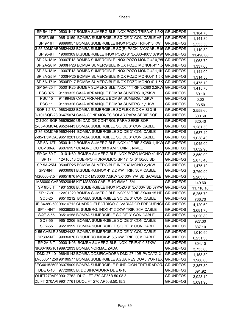|                  | SP 5A-17 T   05001K17 BOMBA SUMERGIBLE INOX POZO TRIFA.4" 1,5KV GRUNDFOS |                 | 1,184.70  |
|------------------|--------------------------------------------------------------------------|-----------------|-----------|
| SQE3-65          | 96510159 BOMBA SUMERGIBLE SQ DE 3" CON CABLE VF.                         | <b>GRUNDFOS</b> | 1,141.80  |
| SP 9-16T         | 98699057 BOMBA SUMERGIBLE INOX POZO TRIF.4" 3 KW                         | <b>GRUNDFOS</b> | 2,535.50  |
|                  | 3-55-30MCAE 96524438 BOMBA SUMERGIBLE SQ(E) PACK 3"C/CABLE15 GRUNDFOS    |                 | 1,119.80  |
| SP 95-9T         | 19060309 B.SUMERGIBLE INOX POZO 8" 3X380-400V 37KW GRUNDFOS              |                 | 11,490.60 |
|                  | SP 2A-18 M 09007F18 BOMBA SUMERGIBLE INOX POZO MONO.4" 0,75H GRUNDFOS    |                 | 1,063.70  |
| SP 2A-28 M       | 0900FP28 BOMBA SUMERGIBLE INOX POZO MONOF.4" 1,5 GRUNDFOS                |                 | 1,337.60  |
|                  | SP 3A-18 M 10007F18 BOMBA SUMERGIBLE INOX POZO MONO.4" 1,1K GRUNDFOS     |                 | 1,144.00  |
|                  | SP 3A-25 M 1000FP25 BOMBA SUMERGIBLE INOX POZO MONO.4" 1,5K GRUNDFOS     |                 | 1,314.50  |
| SP 5A-17 M       | 0500FP17 BOMBA SUMERGIBLE INOX POZO MONO.4" 1,5K GRUNDFOS                |                 | 1,475.10  |
| SP 5A-25 T       | 05001K25 BOMBA SUMERGIBLE INOX 4" TRIF.3X380 2,2KW GRUNDFOS              |                 | 1,415.70  |
| <b>PSC 075</b>   | 91199325 CAJA ARRANQUE BOMBA SUMERG. 0,75KW                              | <b>GRUNDFOS</b> | 89.10     |
| <b>PSC 15</b>    | 91199459 CAJA ARRANQUE BOMBA SUMERG. 1,5KW                               | <b>GRUNDFOS</b> | 0.00      |
| <b>PSC 11</b>    | 91199326 CAJA ARRANQUE BOMBA SUMERG. 1,1 KW                              | <b>GRUNDFOS</b> | 93.50     |
|                  | SQF 1,2-3N 96834838 BOMBA SUMERGIBLE SQFLEX INOX AISI 316                | <b>GRUNDFOS</b> | 2,558.60  |
|                  | D-101SQF-23 96475074 CAJA CONEXIONES SOLAR PARA SERIE SQF                | <b>GRUNDFOS</b> | 600.60    |
|                  | CU-200-SQF 96625360 UNIDAD DE CONTROL PARA SERIE SQF                     | <b>GRUNDFOS</b> | 620.40    |
|                  | 2-85-40MCAE96524443 BOMBA SUMERGIBLE SQ DE 3" CON CABLE                  | <b>GRUNDFOS</b> | 1,281.50  |
|                  | 2-85-80MCAE96524444 BOMBA SUMERGIBLE SQ DE 3" CON CABLE                  | <b>GRUNDFOS</b> | 1,687.40  |
|                  | 2-85-1,5MCAE96510201 BOMBA SUMERGIBLE SQ DE 3" CON CABLE                 | <b>GRUNDFOS</b> | 1,038.40  |
|                  | SP 5A-12T 05001K12 BOMBA SUMERGIBLE INOX 4" TRIF.3X380 1,1KW GRUNDFOS    |                 | 1,045.00  |
| <b>CU-100-A</b>  | 96076197 CUADRO CU 100 9 AMP. C/INT. NIVEL                               | <b>GRUNDFOS</b> | 1,032.90  |
| SP 3A-60 T       | 10101K60 BOMBA SUMERGIBLE INOX POZO MONO.4" 4KW                          | <b>GRUNDFOS</b> | 3,859.90  |
| SP 17            | 12A10013 CUERPO HIDRAULICO SP 17 Ø 6" 50/60 SD                           | <b>GRUNDFOS</b> | 2,875.40  |
| SP 5A-25M        | 0500FP25 BOMBA SUMERGIBLE INOX 4" MONO 2,2KW                             | <b>GRUNDFOS</b> | 1,475.10  |
| SP7-8NT          | 99036081 B.SUMERG.INOX 4" 2,2 KW TRIF. 30M CABLE                         | <b>GRUNDFOS</b> | 3,760.90  |
|                  | MS6000-7,5 T96651876 MOTOR MS6000 7,5KW 3X400V Y/A SD S/CABLE            | <b>GRUNDFOS</b> | 2,203.30  |
|                  | MS6000 CAE95920945 KIT MS6000 CABLE 4G 6MM2, 5M                          | <b>GRUNDFOS</b> | 149.60    |
| SP 95-8 T        | 19015308 B. SUMERGIBLE INOX POZO 8" 3X400V SD 37KW                       | <b>GRUNDFOS</b> | 11,716.10 |
| SP 17-20         | 12A01920 BOMBA SUMERGIBLE INOX 6" TRIF.3X400 15 HP                       | <b>GRUNDFOS</b> | 6,255.70  |
| SQ5-25           | 96510212 BOMBA SUMERGIBLE SQ DE 3" CON CABLE                             | <b>GRUNDFOS</b> | 766.70    |
|                  | JE 3X380-50099616712 CUADRO ELECTRICO C. VARIADOR FRECUENCI.             | <b>GRUNDFOS</b> | 4,120.60  |
| SP14-4NT         | 99036083 B. SUMERG. INOX 4" 2,2KW TRIF. 30M CABLE                        | <b>GRUNDFOS</b> | 3,681.70  |
| SQE 3-55         | 96510158 BOMBA SUMERGIBLE SQ DE 3" CON CABLE                             | <b>GRUNDFOS</b> | 1,020.80  |
| SQ3-55           | 96510206 BOMBA SUMERGIBLE SQ DE 3" CON CABLE                             | <b>GRUNDFOS</b> | 927.30    |
| SQ2-55           | 96510199 BOMBA SUMERGIBLE SQ DE 3" CON CABLE                             | <b>GRUNDFOS</b> | 837.10    |
|                  | 2-55 CABLE 396524432 BOMBA SUMERGIBLE SQ DE 3" CON CABLE                 | <b>GRUNDFOS</b> | 1,010.90  |
| SP30-5NT         | 99036076 B.SUMERG.INOX 4" 5,5 KW TRIF. 30M CABLE                         | <b>GRUNDFOS</b> | 6,251.30  |
| <b>SP 2A-6 T</b> | 09001K06 BOMBA SUMERGIBLE INOX TRIF.4" 0,37KW                            | <b>GRUNDFOS</b> | 804.10    |
|                  | NK80-160/16198972033 BOMBA NORMALIZADA                                   | <b>GRUNDFOS</b> | 3,735.60  |
| DMX 27-10        | 96648142 BOMBA DOSIFICADORA DMX 27-10B-PVC/V/G-X-I GRUNDFOS              |                 | 1,158.30  |
|                  | LV656511250 96106577 BOMBA SUMERGIBLE AGUA RESIDUAL VORTEX               | <b>GRUNDFOS</b> | 1,986.60  |
|                  | SEG4015250E96075909 BOMBA SUMERGIBLE FUNDICION TRITURADORA               | <b>GRUNDFOS</b> | 2,357.30  |
| <b>DDE 6-10</b>  | 97720905 B. DOSIFICADORA DDE 6-10                                        | <b>GRUNDFOS</b> | 691.92    |
|                  | OLIFT270AP399017762 DUOLIFT 270 AP35B.50.08.3                            | <b>GRUNDFOS</b> | 3,928.10  |
|                  | OLIFT 270AP: 99017761 DUOLIFT 270 AP50B.50.15.3                          | <b>GRUNDFOS</b> | 5,091.90  |
|                  |                                                                          |                 |           |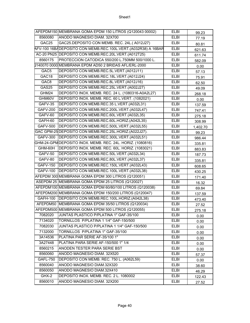|                   | AFEPDM150 MEMBRANA GOMA EPDM 150 LITROS (Q120043 00002)       | <b>ELBI</b> | 99.23    |
|-------------------|---------------------------------------------------------------|-------------|----------|
| 8560080           | ANODO MAGNESIO DIAM. 32X700                                   | <b>ELBI</b> | 77.19    |
| GAC25             | GAC25.DEPOSITO CON MEMB. REC. 24L.(A012J27)                   | <b>ELBI</b> | 80.81    |
|                   | AFV-100 16BADEPOSITO CON MEMB.REC.100L.VERT.(A032R38) A 16BAR | <b>ELBI</b> | 621.63   |
|                   | AC-20 PN25 DEPOSITO CON MEMB.REC.20L.VERT.(A012T25)           | <b>ELBI</b> | 611.74   |
| 8560175           | PROTECCION CATODICA 550/200 L.750MM 500/1000 L.               | <b>ELBI</b> | 582.09   |
|                   | 0140070 0000 MEMBRANA EPDM AD50 2 BRIDAS AFL/ERL-2000         | <b>ELBI</b> | 0.00     |
| GAC <sub>5</sub>  | DEPOSITO CON MEMB.REC.5L.VERT.(A012J11)                       | <b>ELBI</b> | 57.13    |
| GAC <sub>18</sub> | DEPOSITO CON MEMB.REC.18L.VERT.(A012J24)                      | <b>ELBI</b> | 75.91    |
| GAC <sub>8</sub>  | DEPOSITO CON MEMB.REC.8L.VERT.(A012J16)                       | <b>ELBI</b> | 62.50    |
| GAS25             | DEPOSITO CON MEMB.REC.25L.VERT.(A002J27)                      | <b>ELBI</b> | 49.09    |
| GHM24             | DEPOSITO INOX. MEMB. REC. 24 L. (1080316-A0A2L27)             | <b>ELBI</b> | 268.18   |
| GHM60V            | DEPOSITO INOX. MEMB. REC. 60 L.VERT. (1082021)                | <b>ELBI</b> | 0.00     |
| GAFV-35           | DEPOSITO CON MEMB.REC.35 L.VERT.(A032L31)                     | <b>ELBI</b> | 137.59   |
| <b>GAFV-200</b>   | DEPOSITO CON MEMB.REC.200L.VERT.(A032L47)                     | ELBI        | 747.41   |
| GAFV-60           | DEPOSITO CON MEMB.REC.60L.VERT.(A032L35)                      | <b>ELBI</b> | 275.18   |
| GAFH-60           | DEPOSITO CON MEMB.REC.60L.HORIZ.(A042L35)                     | <b>ELBI</b> | 308.99   |
| <b>GAFV-500</b>   | DEPOSITO CON MEMB.REC.500L.VERT.(A032L55)                     | <b>ELBI</b> | 1,402.70 |
|                   | GAC GPM-25 DEPOSITO CON MEMB.REC.25L.HORIZ.(A022J27).         | <b>ELBI</b> | 99.23    |
| <b>GAFV-300</b>   | DEPOSITO CON MEMB.REC.300L.VERT.(A032L51)                     | <b>ELBI</b> | 986.44   |
|                   | GHM-24-GPM DEPOSITO INOX. MEMB. REC. 24L. HORIZ. (1080816)    | ELBI        | 335.81   |
| GHM-60H           | DEPOSITO INOX. MEMB. REC. 60L. HORIZ. (1083021)               | <b>ELBI</b> | 883.83   |
| GAFV-50           | DEPOSITO CON MEMB.REC.50L.VERT.(A032L34)                      | <b>ELBI</b> | 187.73   |
| GAFV-80           | DEPOSITO CON MEMB.REC.80L.VERT.(A032L37)                      | <b>ELBI</b> | 335.81   |
| <b>GAFV-150</b>   | DEPOSITO CON MEMB.REC.150L.VERT.(A032L43)                     | <b>ELBI</b> | 608.65   |
| <b>GAFV-100</b>   | DEPOSITO CON MEMB.REC.100L.VERT.(A032L38)                     | <b>ELBI</b> | 430.25   |
|                   | AFEPDM 300 MEMBRANA GOMA EPDM 300 LITROS (Q120051)            | <b>ELBI</b> | 171.40   |
|                   | ASEPDM 25 MEMBRANA GOMA EPDM 25 LITROS (Q120027)              | <b>ELBI</b> | 16.32    |
|                   | AFEPDM100 MEMBRANA GOMA EPDM 60/80/100 LITROS (Q120038)       | <b>ELBI</b> | 69.84    |
|                   | AFEPDM200 MEMBRANA GOMA EPDM 150/200 LITROS (Q120047)         | <b>ELBI</b> | 137.59   |
|                   | GAFH-100 DEPOSITO CON MEMB.REC.100L.HORIZ.(A042L38)           | <b>ELBI</b> | 473.40   |
|                   | AFEPDM50 MEMBRANA GOMA EPDM 35/50 LITROS (Q120034)            | <b>ELBI</b> | 27.52    |
|                   | AFEPDM500 MEMBRANA GOMA EPDM 500 LITROS (Q120055)             | <b>ELBI</b> | 275.18   |
| 7082020           | JUNTAS PLASTICO P/PLATINA 1" GAF-35/100                       | ELBI        | 0.00     |
| 7134020           | TORNILLOS P/PLATINA 1 1/4" GAF-150/500                        | ELBI        | 0.00     |
| 7082030           | JUNTAS PLASTICO P/PLATINA 1 1/4" GAF-150/500                  | ELBI        | 0.00     |
| 7132000           | TORNILLOS P/PLATINA 1" GAF-35/100                             | ELBI        | 0.00     |
| 3A14536           | PLATINA PAR SERIE AF-35/100 1"                                | <b>ELBI</b> | 0.00     |
| 3A27448           | PLATINA PARA SERIE AF-150/500 1" 1/4                          | <b>ELBI</b> | 0.00     |
| 8560215           | ANODEN TESTER PARA SERIE BST                                  | ELBI        | 0.00     |
| 8560060           | ANODO MAGNESIO DIAM. 32X520                                   | ELBI        | 57.37    |
| <b>GAFL-750</b>   | DEPOSITO CON MEMB. REC. 750 L. (A062L59)                      | <b>ELBI</b> | 0.00     |
| 8560040           | ANODO MAGNESIO DIAM.32X320                                    | ELBI        | 38.60    |
| 8560050           | ANODO MAGNESIO DIAM.32X410                                    | ELBI        | 46.29    |
| GHX-2             | DEPOSITO INOX. MEMB. REC. 2 L. 1080002                        | ELBI        | 122.43   |
| 8560010           | ANODO MAGNESIO DIAM. 32X200                                   | ELBI        | 27.52    |
|                   |                                                               |             |          |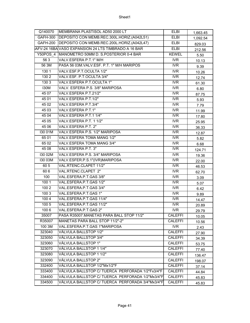| Q140070          | MEMBRANA PLASTISOL AD50 2000 LT                     | <b>ELBI</b>             | 1,663.45 |
|------------------|-----------------------------------------------------|-------------------------|----------|
|                  | GAFH-300 DEPOSITO CON MEMB.REC.300L.HORIZ.(A042L51) | <b>ELBI</b>             | 1,092.54 |
|                  | GAFH-200 DEPOSITO CON MEMB.REC.200L.HORIZ.(A042L47) | <b>ELBI</b>             | 829.03   |
|                  | AFV-24 16BA VASO EXPANSION 24 LTS TIMBRADO A 16 BAR | <b>ELBI</b>             | 212.56   |
|                  | Y50POS 4 MANOMETRO 50MM D. S.POSTERIOR 0-4 BAR      | <b>KEWEL</b>            | 5.50     |
| 563              | VALV. ESFERA P.T.1" M/H                             | <b>IVR</b>              | 10.13    |
| 56 3M            | PASA 56 03M.VALV.ESF. P.T. 1" M/H MARIPOS           | <b>IVR</b>              | 9.39     |
| 130 1            | VALV.ESF.P.T.OCULTA 1/2"                            | <b>IVR</b>              | 10.26    |
| 1302             | VALV.ESF. P.T.OCULTA 3/4"                           | $\overline{\text{IVR}}$ | 12.74    |
| 1303             | VALV.ESFERA P.T.OCULTA 1"                           | <b>IVR</b>              | 61.30    |
| <b>I30M</b>      | VALV. ESFERA P.S. 3/8" MARIPOSA                     | <b>IVR</b>              | 6.80     |
| 45 07            | VALV.ESFERA P.T.21/2"                               | <b>IVR</b>              | 87.75    |
| 45 01            | VALV.ESFERA P.T.1/2"                                | $\overline{\text{IVR}}$ | 5.93     |
| 45 02            | VALV.ESFERA P.T.3/4"                                | <b>IVR</b>              | 7.79     |
| 45 03            | VALV.ESFERA P.T.1"                                  | <b>IVR</b>              | 11.99    |
| 45 04            | VALV.ESFERA P.T.1 1/4"                              | <b>IVR</b>              | 17.80    |
| 45 05            | VALV. ESFERA P.T. 11/2"                             | $\overline{\text{IVR}}$ | 25.95    |
| 45 06            | VALV.ESFERA P.T. 2"                                 | <b>IVR</b>              | 36.33    |
| I30 01M          | VALV.ESFERA P.S. 1/2" MARIPOSA                      | <b>IVR</b>              | 12.87    |
| 6501             | VALV.ESFERA TOMA MANG 1/2"                          | <b>IVR</b>              | 5.82     |
| 65 02            | VALV.ESFERA TOMA MANG 3/4"                          | $\overline{\text{IVR}}$ | 6.68     |
| $\frac{4508}{3}$ | VALV.ESFERA P.T. 3"                                 | IVR                     | 124.71   |
| I30 02M          | VALV.ESFERA P.S. 3/4" MARIPOSA                      | <b>IVR</b>              | 19.36    |
| I30 03M          | VALV.ESFER.P.S.1"(IVR)MARIPOSA                      | $\overline{\text{IVR}}$ | 22.00    |
| 605              | VAL.RTENC.CLAPET 11/2"                              | <b>IVR</b>              | 46.53    |
| 606              | VAL.RTENC.CLAPET 2"                                 | <b>IVR</b>              | 62.70    |
| 100              | VAL.ESFERA.P.T.GAS 3/8"                             | <b>IVR</b>              | 3.09     |
| 1001             | VAL.ESFERA.P.T.GAS 1/2"                             | $\overline{\text{IVR}}$ | 5.07     |
| 1002             | VAL.ESFERA.P.T.GAS 3/4"                             | <b>IVR</b>              | 6.42     |
| 1003             | VAL.ESFERA.P.T.GAS 1"                               | <b>IVR</b>              | 9.89     |
| 1004             | VAL.ESFERA.P.T.GAS 11/4"                            | <b>IVR</b>              | 14.47    |
| 1005             | VAL.ESFERA.P.T.GAS 11/2"                            | $\overline{\text{IVR}}$ | 20.89    |
| 1006             | VAL.ESFERA.P.T.GAS 2"                               | <b>IVR</b>              | 29.79    |
| 35007            | PASA R35007.MANETAS PARA BALL STOP 11/2"            | <b>CALEFFI</b>          | 10.05    |
| R35007           | MANETAS PARA BALL STOP 11/2"-2"                     | <b>CALEFFI</b>          | 10.56    |
| 100 3M           | VAL.ESFERA.P.T.GAS 1"MARIPOSA                       | <b>IVR</b>              | 2.43     |
| 323040           | VÁLVULA BALLSTOP 1/2"                               | <b>CALEFFI</b>          | 27.90    |
| 323050           | VÁLVULA BALLSTOP 3/4"                               | <b>CALEFFI</b>          | 34.39    |
| 323060           | VÁLVULA BALLSTOP 1"                                 | <b>CALEFFI</b>          | 53.75    |
| 323070           | VÁLVULA BALLSTOP 1 1/4"                             | <b>CALEFFI</b>          | 77.40    |
| 323080           | VÁLVULA BALLSTOP 1 1/2"                             | <b>CALEFFI</b>          | 136.47   |
| 323090           | VÁLVULA BALLSTOP 2"                                 | <b>CALEFFI</b>          | 198.07   |
| 332400           | VÁLVULA BALLSTOP 1/2"Mx1/2"F                        | <b>CALEFFI</b>          | 37.14    |
| 333400           | VÁLVULA BALLSTOP C/ TUERCA PERFORADA 1/2"Fx3/4"F    | <b>CALEFFI</b>          | 44.84    |
| 334400           | VÁLVULA BALLSTOP C/ TUERCA PERFORADA 1/2"Mx3/4"F    | <b>CALEFFI</b>          | 45.83    |
| 334500           | VÁLVULA BALLSTOP C/ TUERCA PERFORADA 3/4"Mx3/4"F    | <b>CALEFFI</b>          | 45.83    |

Page 41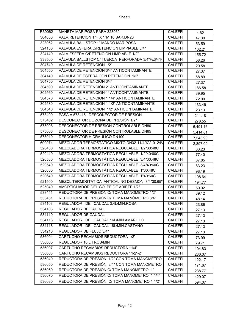| R39062 | MANETA MARIPOSA PARA 323060                      | <b>CALEFFI</b> | 4.62     |
|--------|--------------------------------------------------|----------------|----------|
| 304650 | VALV.RETENCION 1"H X 1"M 10 BAR.DN20             | <b>CALEFFI</b> | 47.30    |
| 323062 | VALVULA BALLSTOP 1" MANDO MARIPOSA               | <b>CALEFFI</b> | 53.59    |
| 324150 | VALVULA ESFERA C/RETENCION LIMPIABLE 3/4"        | <b>CALEFFI</b> | 162.21   |
| 324140 | VALV.ESFERA C/RETENCION LIMPIABLE 1/2"           | <b>CALEFFI</b> | 155.72   |
| 333500 | VÁLVULA BALLSTOP C/ TUERCA PERFORADA 3/4"Fx3/4"F | <b>CALEFFI</b> | 58.26    |
| 304740 | VÁLVULA DE RETENCIÓN 1/2"                        | <b>CALEFFI</b> | 20.58    |
| 304550 | VÁLVULA DE RETENCIÓN 3/4" ANTICONTAMINANTE       | <b>CALEFFI</b> | 27.37    |
| 304140 | VÁLVULA DE ESFERA CON RETENCIÓN 1/2"             | <b>CALEFFI</b> | 68.89    |
| 304750 | VÁLVULA DE RETENCIÓN 3/4"                        | <b>CALEFFI</b> | 27.37    |
| 304590 | VÁLVULA DE RETENCIÓN 2" ANTICONTAMINANTE         | <b>CALEFFI</b> | 186.58   |
| 304560 | VALVULA DE RETENCION 1" ANTICONTAMINANTE         | <b>CALEFFI</b> | 39.95    |
| 304570 | VALVULA DE RETENCION 1 1/4" ANTICONTAMINANTE     | <b>CALEFFI</b> | 72.00    |
| 304580 | VALVULA DE RETENCION 1 1/2" ANTICONTAMINANTE     | <b>CALEFFI</b> | 133.46   |
| 304540 | VALVULA DE RETENCION 1/2" ANTICONTAMINANTE       | <b>CALEFFI</b> | 23.13    |
| 573400 | PASA A 573415 DESCONECTOR DE PRESIÓN             | CALEFFI        | 211.18   |
| 573402 | DESCONECTOR DE ZONA DE PRESIÓN 1/2"              | <b>CALEFFI</b> | 278.55   |
| 575008 | DESCONECTOR DE PRESIÓN CONTROLABLE DN80          | <b>CALEFFI</b> | 6,491.16 |
| 575006 | DESCONECTOR DE PRESIÓN CONTROLABLE DN65          | <b>CALEFFI</b> | 5,414.81 |
| 575010 | DESCONECTOR HIDRAULICO DN100                     | <b>CALEFFI</b> | 7,543.90 |
| 600074 | MEZCLADOR TERMOSTATICO MIXTO DN32-11/4"KV10 24V  | <b>CALEFFI</b> | 2,897.09 |
| 520430 | MEZCLADORA TERMOSTÁTICA REGULABLE 1/2"30:48C     | <b>CALEFFI</b> | 83.23    |
| 520440 | MEZCLADORA TERMOSTÁTICA REGULABLE 1/2"40:60C     | <b>CALEFFI</b> | 77.40    |
| 520530 | MEZCLADORA TERMOSTÁTICA REGULABLE 3/4"30:48C     | <b>CALEFFI</b> | 87.85    |
| 520540 | MEZCLADORA TERMOSTÁTICA REGULABLE 3/4"40:60C     | <b>CALEFFI</b> | 83.23    |
| 520630 | MEZCLADORA TERMOSTÁTICA REGULABLE 1"30:48C       | <b>CALEFFI</b> | 98.19    |
| 520640 | MEZCLADORA TERMOSTÁTICA REGULABLE 1"40:60C       | <b>CALEFFI</b> | 108.64   |
| 521500 | MEZCL.TERMOSTÁTICA ANTICAL NO DESMON 3/4"30:65°  | <b>CALEFFI</b> | 194.77   |
| 525040 | AMORTIGUADOR DEL GOLPE DE ARIETE 1/2"            | <b>CALEFFI</b> | 59.92    |
| 533441 | REDUCTORA DE PRESIÓN C/ TOMA MANÓMETRO 1/2"      | <b>CALEFFI</b> | 39.12    |
| 533451 | REDUCTORA DE PRESIÓN C/ TOMA MANÓMETRO 3/4"      | <b>CALEFFI</b> | 48.14    |
| 534103 | REGULADOR DE CAUDAL 3,4L/MIN.ROSA                | <b>CALEFFI</b> | 23.86    |
| 534108 | REGULADOR DE CAUDAL                              | <b>CALEFFI</b> | 27.13    |
| 534110 | REGULADOR DE CAUDAL                              | <b>CALEFFI</b> | 27.13    |
| 534116 | REGULADOR DE CAUDAL 16L/MIN.AMARILLO             | <b>CALEFFI</b> | 27.13    |
| 534118 | REGULADOR DE CAUDAL 18L/MIN.CASTAÑO              | <b>CALEFFI</b> | 27.13    |
| 534216 | REGULADOR DE FLUJO 3/4"                          | <b>CALEFFI</b> | 27.13    |
| 536004 | CARTUCHO RECAMBIOS REDUCTORA 1/2"                | <b>CALEFFI</b> | 73.99    |
| 536005 | REGULADOR 16 LITROS/MIN                          | <b>CALEFFI</b> | 79.71    |
| 536007 | CARTUCHO RECAMBIOS REDUCTORA 11/4"               | <b>CALEFFI</b> | 104.83   |
| 536008 | CARTUCHO RECAMBIOS REDUCTORA 11/2"-2"            | <b>CALEFFI</b> | 286.07   |
| 536040 | REDUCTORA DE PRESIÓN 1/2" CON TOMA MANÓMETRO     | <b>CALEFFI</b> | 122.17   |
| 536050 | REDUCTORA DE PRESIÓN 3/4" CON TOMA MANÓMETRO     | <b>CALEFFI</b> | 171.67   |
| 536060 | REDUCTORA DE PRESIÓN C/ TOMA MANÓMETRO 1"        | <b>CALEFFI</b> | 238.77   |
| 536070 | REDUCTORA DE PRESIÓN C/ TOMA MANÓMETRO 11/4"     | <b>CALEFFI</b> | 429.07   |
| 536080 | REDUCTORA DE PRESIÓN C/TOMA MANÓMETRO 1 1/2"     | <b>CALEFFI</b> | 594.07   |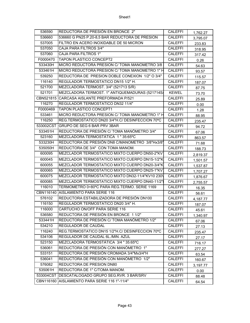| 536590    | REDUCTORA DE PRESIÓN EN BRONCE 2"                | CALEFFI        | 1,762.27 |
|-----------|--------------------------------------------------|----------------|----------|
| 536660    | 536660 G PN25 P.20-8,5 BAR REDUCTORA DE PRESION  | <b>CALEFFI</b> | 3,795.07 |
| 537005    | FILTRO EN ACERO INOXIDABLE DE 50 MICRON          | <b>CALEFFI</b> | 233.83   |
| 537050    | <b>CAJA PARA FILTROS 3/4"</b>                    | <b>CALEFFI</b> | 318.95   |
| 537060    | CAJA PARA FILTROS 1"                             | <b>CALEFFI</b> | 317.42   |
| F0000470  | <b>TAPON PLASTICO CONCEPT2</b>                   | <b>CALEFFI</b> | 0.26     |
| 533430H   | MICRO REDUCTORA PRESION C/ TOMA MANOMETRO 3/8    | <b>CALEFFI</b> | 54.63    |
| 533461H   | MICRO REDUCTORA PRESION C/ TOMA MANOMETRO 1" H   | <b>CALEFFI</b> | 93.57    |
| 539250    | REDUCTORA DE PRESION DOBLE CONEXION 1/2" O 3/4"  | <b>CALEFFI</b> | 115.57   |
| 116140    | REGULADOR TERMOSTATICO DN15 1/2" H.              | <b>CALEFFI</b> | 187.07   |
| 521700    | MEZCLADORA TERMOST. 3/4" (521713 S/R)            | <b>CALEFFI</b> | 87.75    |
| 521701    | MEZCLADORA TERMOST. 1" ANTIQUEMADURAS (521714S/  | <b>KEWEL</b>   | 73.70    |
|           | CBN521815 CARCASA AISLANTE PREFORMADA P/521      | <b>CALEFFI</b> | 25.89    |
| 116270    | REGULADOR TERMOSTATICO DN32 11/4"                | <b>CALEFFI</b> | 0.00     |
| F0000469  | <b>TAPON PLASTICO CONCEPT1</b>                   | <b>CALEFFI</b> | 1.28     |
| 533461    | MICRO REDUCTORA PRESION C/ TOMA MANOMETRO 1" H   | <b>CALEFFI</b> | 88.95    |
| 116250    | REG.TERMOSTATICO DN20 3/4"H.C/ DESINFECCION 70°C | <b>CALEFFI</b> | 235.47   |
| 533002CST | GRUPO DE SEG 6 BAR PRV 3BAR                      | <b>CALEFFI</b> | 94.72    |
| 533451H   | REDUCTORA DE PRESIÓN C/ TOMA MANÓMETRO 3/4"      | <b>CALEFFI</b> | 67.06    |
| 523160    | MEZCLADORA TERMOSTÁTICA 1 "35:65°C               | <b>CALEFFI</b> | 863.57   |
| 533230H   | REDUCTORA DE PRESIÓN DN8 C/MANOMETRO 3/8"Hx3/8"  | <b>CALEFFI</b> | 71.68    |
| 535050H   | REDUCTORA DE 3/4" CON TOMA MANOM.                | <b>CALEFFI</b> | 188.73   |
| 600095    | MEZCLADOR TERMOSTATICO MIXTO CUERPO DN50-2"KV    | <b>CALEFFI</b> | 2,819.37 |
| 600045    | MEZCLADOR TERMOSTATICO MIXTO CUERPO DN15-1/2"K   | <b>CALEFFI</b> | 1,501.57 |
| 600055    | MEZCLADOR TERMOSTATICO MIXTO CUERPO DN20-3/4"K   | <b>CALEFFI</b> | 1,537.87 |
| 600065    | MEZCLADOR TERMOSTATICO MIXTO CUERPO DN25-1"KV    | <b>CALEFFI</b> | 1,707.27 |
| 600075    | MEZCLADOR TERMOSTATICO MIXTO DN32-11/4"KV10 230\ | <b>CALEFFI</b> | 1,876.67 |
| 600085    | MEZCLADOR TERMOSTATICO MIXTO CUERPO DN40-11/2"   | <b>CALEFFI</b> | 2,755.57 |
| 116010    | TERMOMETRO 0÷80°C PARA REG.TERMO. SERIE 1169     | <b>CALEFFI</b> | 16.35    |
|           | CBN116140 AISLAMIENTO PARA SERIE 116             | <b>CALEFFI</b> | 56.61    |
| 576102    | REDUCTORA ESTABILIZADORA DE PRESIÓN DN100        | CALEFFI        | 4,187.77 |
| 116150    | REGULADOR TERMOSTATICO DN20 3/4" H.              | CALEFFI        | 187.07   |
| 116000    | CARTUCHO ON/OFF PARA SERIE 116                   | <b>CALEFFI</b> | 45.61    |
| 536580    | REDUCTORA DE PRESIÓN EN BRONCE 11/2"             | <b>CALEFFI</b> | 1,340.97 |
| 533441H   | REDUCTORA DE PRESIÓN C/ TOMA MANÓMETRO 1/2"      | <b>CALEFFI</b> | 67.06    |
| 534210    | REGULADOR DE CAUDAL                              | <b>CALEFFI</b> | 27.13    |
| 116240    | REG.TERMOSTATICO DN15 1/2"H.C/ DESINFECCION 70°C | <b>CALEFFI</b> | 235.47   |
| 534106    | REGULADOR DE CAUDAL 6L./MIN. AZUL                | <b>CALEFFI</b> | 27.17    |
| 523150    | MEZCLADORA TERMOSTÁTICA 3/4 "35:65°C             | <b>CALEFFI</b> | 716.17   |
| 536061    | REDUCTORA DE PRESIÓN CON MANÓMETRO 1"            | <b>CALEFFI</b> | 277.27   |
| 533151    | REDUCTORA DE PRESIÓN CROMADA 3/4"Mx3/4"H         | <b>CALEFFI</b> | 63.54    |
| 536041    | REDUCTORA DE PRESIÓN CON MANÓMETRO 1/2"          | <b>CALEFFI</b> | 160.67   |
| 576082    | REDUCTORA DE PRESION DN80                        | <b>CALEFFI</b> | 3,197.77 |
| 535061H   | REDUCTORA DE 1" C/TOMA MANOM.                    | <b>CALEFFI</b> | 0.00     |
|           | 533004CST DESCATALOGADO GRUPO SEG.RVR. 3 BAR/SRV | <b>CALEFFI</b> | 88.48    |
|           | CBN116160 AISLAMIENTO PARA SERIE 116 1"-11/4"    | <b>CALEFFI</b> | 64.54    |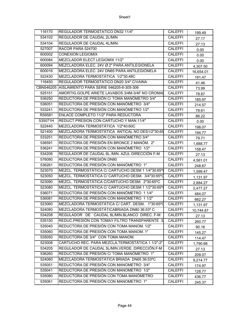| 116170  | REGULADOR TERMOSTATICO DN32 11/4"                 | <b>CALEFFI</b> | 199.49    |
|---------|---------------------------------------------------|----------------|-----------|
| 534102  | REGULADOR DE CAUDAL 2L/MIN                        | <b>CALEFFI</b> | 27.17     |
| 534104  | REGULADOR DE CAUDAL 4L/MIN.                       | <b>CALEFFI</b> | 27.13     |
| 527007  | RACOR PARA 524700                                 | <b>CALEFFI</b> | 0.00      |
| 600002  | <b>CONEXION LEGIOMIX</b>                          | <b>CALEFFI</b> | 0.00      |
| 600084  | MEZCLADOR ELECT.LEGIOMIX 11/2"                    | <b>CALEFFI</b> | 0.00      |
| 600094  | MEZCLADORA ELEC. 24V Ø 2" PARA ANTILEGIONELA      | <b>CALEFFI</b> | 4,307.50  |
| 600016  | MEZCLADORA ELEC. 24V DN65 PARA ANTILEGIONELA      | <b>CALEFFI</b> | 16,654.01 |
| 522430  | MEZCLADORA TERMOSTÁTICA 1/2"30:48C                | <b>CALEFFI</b> | 191.47    |
| 116450  | REGULADOR TERMOSTATICO DN20 3/4" C/VAINA          | <b>CALEFFI</b> | 41.46     |
|         | CBN546205 AISLAMIENTO PARA SERIE 546205-6-305-306 | <b>CALEFFI</b> | 73.99     |
| 525151  | AMORTIG.GOLPE ARIETE LAVABOS 3/4M-3/4F NO CROMAI  | <b>CALEFFI</b> | 78.87     |
| 536250  | REDUCTORA DE PRESIÓN C/ TOMA MANÓMETRO 3/4"       | <b>CALEFFI</b> | 185.97    |
| 536051  | REDUCTORA DE PRESIÓN CON MANÓMETRO 3/4"           | <b>CALEFFI</b> | 214.57    |
| 533241  | REDUCTORA DE PRESIÓN CON MANÓMETRO 1/2"           | <b>CALEFFI</b> | 78.61     |
| R59581  | ENLACE COMPLETO 11/2" PARA REDUCTORA              | <b>CALEFFI</b> | 86.22     |
| 535071H | REDUCT.PRESION CON CARTUCHO Y MAN.11/4"           | <b>CALEFFI</b> | 0.00      |
| 522440  | MEZCLADORA TERMOSTÁTICA 1/2"40:60C                | <b>CALEFFI</b> | 198.07    |
| 521400  | MEZCLADORA TERMOSTÁTICA ANTICAL NO DES1/2"30:65   | <b>CALEFFI</b> | 194.77    |
| 533251  | REDUCTORA DE PRESIÓN CON MANÓMETRO 3/4"           | <b>CALEFFI</b> | 79.71     |
| 536591  | REDUCTORA DE PRESIÓN EN BRONCE 2 MANÓM. 2"        | <b>CALEFFI</b> | 1,888.77  |
| 536241  | REDUCTORA DE PRESIÓN CON MANÓMETRO 1/2"           | <b>CALEFFI</b> | 158.47    |
| 534206  | REGULADOR DE CAUDAL 6L./MIN. AZUL DIRECCIÓN F-M   | CALEFFI        | 27.13     |
| 576080  | REDUCTORA DE PRESIÓN DN80                         | <b>CALEFFI</b> | 4,561.01  |
| 536261  | REDUCTORA DE PRESIÓN CON MANÓMETRO 1"             | <b>CALEFFI</b> | 248.67    |
| 523070  | MEZCL. TERMOSTÁTICA C/ CARTUCHO DESM 1 1/4"30:65° | <b>CALEFFI</b> | 1,599.47  |
| 523050  | MEZCL. TERMOSTÁTICA C/ CARTUCHO DESM. 3/4"30:65°C | CALEFFI        | 1,131.97  |
| 523090  | MEZCL. TERMOSTÁTICA C/CARTUCHO DESM. 2"30:65°C    | <b>CALEFFI</b> | 2,884.27  |
| 523080  | MEZCL. TERMOSTÁTICA C/ CARTUCHO DESM 1 1/2"30:65° | <b>CALEFFI</b> | 2,477.27  |
| 536071  | REDUCTORA DE PRESIÓN CON MANÓMETRO 11/4"          | <b>CALEFFI</b> | 484.07    |
| 536081  | REDUCTORA DE PRESIÓN CON MANÓMETRO 11/2"          | <b>CALEFFI</b> | 662.27    |
| 523060  | MEZCLADORA TERMOSTÁTICA C/ CART. DESM. 1"30:65°C  | <b>CALEFFI</b> | 1,131.97  |
| 524080  | MEZCLADORA TERMOSTÁTICABRIADA DN80 36:53° C       | <b>CALEFFI</b> | 10,744.87 |
| 534208  | REGULADOR DE CAUDAL 8L/MIN.BLANCO DIREC. F-M      | CALEFFI        | 27.13     |
| 535150  | REDUC.PRESIÓN CON TOMAY FILTRO TRANSPARENTE 3     | <b>CALEFFI</b> | 260.77    |
| 535040  | REDUCTORA DE PRESIÓN CON TOMA MANOM. 1/2"         | <b>CALEFFI</b> | 90.16     |
| 535060  | REDUCTORA DE PRESIÓN CON TOMA MANOM. 1"           | <b>CALEFFI</b> | 145.27    |
| 535050  | REDUCTORA DE 3/4" CON TOMA MANOM.                 | CALEFFI        | 114.47    |
| 523008  | CARTUCHO REC. PARA MEZCLA.TERMOSTÁTICA 1 1/2"-2"  | <b>CALEFFI</b> | 1,790.68  |
| 534205  | REGULADOR DE CAUDAL 5L/MIN.VERDE. DIRECCIÓN.F-M   | <b>CALEFFI</b> | 27.13     |
| 536260  | REDUCTORA DE PRESIÓN C/ TOMA MANÓMETRO 1"         | <b>CALEFFI</b> | 209.07    |
| 524060  | MEZCLADORA TERMOSTÁTICA BRIADA DN65 36:53°C       | <b>CALEFFI</b> | 9,214.77  |
| 535051  | REDUCTORA DE PRESIÓN CON MANOMETRO 3/4"           | <b>CALEFFI</b> | 174.97    |
| 535041  | REDUCTORA DE PRESIÓN CON MANOMETRO 1/2"           | <b>CALEFFI</b> | 128.77    |
| 535080  | REDUCTORA DE PRESIÓN CON TOMA MANÓMETRO           | CALEFFI        | 436.77    |
| 535061  | REDUCTORA DE PRESIÓN CON MANOMETRO 1"             | <b>CALEFFI</b> | 245.37    |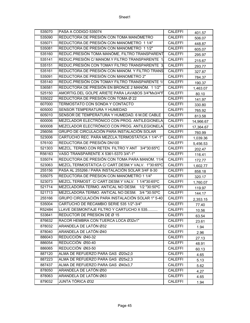| 535070 | PASA A CODIGO 535074                              | <b>CALEFFI</b> | 401.57    |
|--------|---------------------------------------------------|----------------|-----------|
| 535090 | REDUCTORA DE PRESIÓN CON TOMA MANÓMETRO           | <b>CALEFFI</b> | 506.07    |
| 535071 | REDUCTORA DE PRESIÓN CON MANOMETRO 11/4"          | <b>CALEFFI</b> | 448.87    |
| 535081 | REDUCTORA DE PRESIÓN CON MANOMETRO 11/2"          | <b>CALEFFI</b> | 605.07    |
| 535160 | REDUC.PRESIÓN TOMA MANÓME, FILTRO TRANSPARENT     | <b>CALEFFI</b> | 295.97    |
| 535141 | REDUC.PRESIÓN C/ MANOM.Y FILTRO TRANSPARENTE 1    | <b>CALEFFI</b> | 215.67    |
| 535151 | REDUC.PRESIÓN CON TOMAY FILTRO TRANSPARENTE 3     | <b>CALEFFI</b> | 293.77    |
| 535161 | REDUCTORA DE PRESIÓN CON MANOM. Y FILTRO TRANS    | CALEFFI        | 327.87    |
| 535091 | REDUCTORA DE PRESIÓN CON MANOMETRO 2"             | CALEFFI        | 784.37    |
| 535140 | REDUC.PRESIÓN CON TOMAY FILTRO TRANSPARENTE 1/    | <b>CALEFFI</b> | 190.37    |
| 536581 | REDUCTORA DE PRESIÓN EN BRONCE 2 MANÓM. 1 1/2"    | <b>CALEFFI</b> | 1,463.07  |
| 525150 | AMORTIG.DEL GOLPE ARIETE PARA LAVABOS 3/4"Mx3/4"F | <b>CALEFFI</b> | 80.10     |
| 535022 | REDUCTORA DE PRESIÓN CON TOMA Ø 22                | <b>CALEFFI</b> | 141.97    |
| 607000 | TERMOSTATO CON SONDA Y CONTACTO                   | <b>CALEFFI</b> | 330.80    |
| 605000 | SENSOR TEMPERATURA Y HUMEDAD                      | <b>CALEFFI</b> | 765.92    |
| 605010 | SENSOR DE TEMPERATURA Y HUMEDAD. 6 M.DE CABLE     | CALEFFI        | 813.58    |
| 600006 | MEZCLADOR ELECTRÓNICO CON PROG. ANTILEGIONELA     | <b>CALEFFI</b> | 14,966.67 |
| 600008 | MEZCLADOR ELECTRÓNICO CON PROG. ANTILEGIONELA     | <b>CALEFFI</b> | 17,364.67 |
| 256056 | GRUPO DE CIRCULACIÓN PARA INSTALACIÓN SOLAR       | <b>CALEFFI</b> | 760.99    |
| 523006 | CARTUCHO REC. PARA MEZCLA.TERMOSTÁTICA 1 1/4"-1"  | <b>CALEFFI</b> | 1,039.36  |
| 576100 | REDUCTORA DE PRESIÓN DN100                        | <b>CALEFFI</b> | 5,456.53  |
| 521303 | MEZCL. TERMO.CON RETEN. FILTRO Y ANT 3/4"30:65°C  | <b>CALEFFI</b> | 202.47    |
| R56163 | VASO TRANSPARENTE X 5361-5370 3/4"-1"             | <b>CALEFFI</b> | 116.41    |
| 535074 | REDUCTORA DE PRESIÓN CON TOMA PARA MANOM. 11/4    | <b>CALEFFI</b> | 172.77    |
| 523063 | MEZCL.TERMOSTÁTICA C/ CART.DESM.Y VALV. 1"30:65°C | <b>CALEFFI</b> | 1,602.77  |
| 255156 | PASA AL 255266 / PARA INSTALACIÓN SOLAR 3/4F 8-30 | <b>CALEFFI</b> | 858.18    |
| 535075 | REDUCTORA DE PRESION CON MANOMETRO 1 1/4"         | <b>CALEFFI</b> | 320.17    |
| 523073 | MEZCL.TERMOST. C/ CART.DESM.Y VALV. 1 1/4"30:65°C | <b>CALEFFI</b> | 1,760.07  |
| 521714 | MEZCLADORA TERMO. ANTICAL NO DESM. 1/2 "30:50°C   | <b>CALEFFI</b> | 119.97    |
| 521713 | MEZCLADORA TERMO. ANTICAL NO DESM. 3/4 "30:50°C   | <b>CALEFFI</b> | 144.17    |
| 255166 | GRUPO CIRCULACIÓN PARA INSTALACIÓN SOLAR 1" 5-40  | <b>CALEFFI</b> | 2,353.15  |
| 535004 | CARTUCHO DE RECAMBIO SERIE 535 1/2"-3/4"          | <b>CALEFFI</b> | 77.40     |
| R52484 | LLAVE DESMONTAJE FILTRO Y CARTUCHO X 535          | <b>CALEFFI</b> | 10.56     |
| 533641 | REDUCTOR DE PRESION DE Ø 15                       | <b>CALEFFI</b> | 63.54     |
| 876632 | RACOR HEMBRA CON TUERCA LOCA Ø32x1"               | <b>CALEFFI</b> | 23.61     |
| 878032 | ARANDELA DE LATÓN Ø32                             | <b>CALEFFI</b> | 1.94      |
| 878040 | ARANDELA DE LATÓN Ø40                             | <b>CALEFFI</b> | 2.96      |
| 886043 | REDUCCIÓN Ø40-32                                  | CALEFFI        | 27.13     |
| 886054 | REDUCCIÓN Ø50-40                                  | <b>CALEFFI</b> | 48.91     |
| 886065 | REDUCCIÓN Ø63-50                                  | <b>CALEFFI</b> | 60.13     |
| 887120 | ALMA DE REFUERZO PARA GAS Ø20x2,0                 | <b>CALEFFI</b> | 4.65      |
| 887223 | ALMA DE REFUERZO PARA GAS Ø25x2,3                 | <b>CALEFFI</b> | 5.13      |
| 887437 | ALMA DE REFUERZO PARA GAS Ø40x3,7                 | CALEFFI        | 5.62      |
| 878050 | ARANDELA DE LATÓN Ø50                             | <b>CALEFFI</b> | 4.27      |
| 878063 | ARANDELA DE LATÓN Ø63                             | <b>CALEFFI</b> | 4.65      |
| 879032 | JUNTA TÓRICA Ø32                                  | <b>CALEFFI</b> | 1.94      |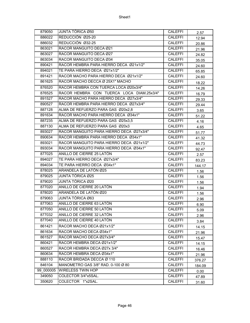| 879050    | JUNTA TÓRICA Ø50                          | <b>CALEFFI</b> | 2.57   |
|-----------|-------------------------------------------|----------------|--------|
| 886022    | REDUCCIÓN Ø25-20                          | <b>CALEFFI</b> | 12.94  |
| 886032    | REDUCCIÓN Ø32-25                          | <b>CALEFFI</b> | 20.86  |
| 863021    | RACOR MANGUITO DECA Ø21                   | <b>CALEFFI</b> | 21.96  |
| 863027    | RACOR MANGUITO DECA Ø27                   | <b>CALEFFI</b> | 24.82  |
| 863034    | RACOR MANGUITO DECA Ø34                   | <b>CALEFFI</b> | 35.05  |
| 890421    | RACOR HEMBRA PARA HIERRO DECA Ø21x1/2"    | <b>CALEFFI</b> | 24.60  |
| 894021    | TE PARA HIERRO DECA Ø21x1/2"              | <b>CALEFFI</b> | 65.85  |
| 891421    | RACOR MACHO PARA HIERRO DECA Ø21x1/2"     | <b>CALEFFI</b> | 24.60  |
| 861625    | RACOR MACHO DECCA Ø 25X1" MACHO           | <b>CALEFFI</b> | 18.22  |
| 876520    | RACOR HEMBRA CON TUERCA LOCA Ø20x3/4"     | <b>CALEFFI</b> | 14.26  |
| 876525    | RACOR HEMBRA CON TUERCA LOCA DIAM.25x3/4" | <b>CALEFFI</b> | 16.79  |
| 891527    | RACOR MACHO PARA HIERRO DECA Ø27x3/4"     | <b>CALEFFI</b> | 29.33  |
| 890527    | RACOR HEMBRA PARA HIERRO DECA Ø27x3/4"    | <b>CALEFFI</b> | 29.44  |
| 887128    | ALMA DE REFUERZO PARA GAS Ø20x2,8         | <b>CALEFFI</b> | 3.65   |
| 891634    | RACOR MACHO PARA HIERRO DECA Ø34x1"       | <b>CALEFFI</b> | 51.22  |
| 887235    | ALMA DE REFUERZO PARA GAS Ø25x3,5         | <b>CALEFFI</b> | 4.16   |
| 887130    | ALMA DE REFUERZO PARA GAS Ø20x3           | <b>CALEFFI</b> | 4.65   |
| 893027    | RACOR MANGUITO PARA HIERRO DECA Ø27x3/4"  | <b>CALEFFI</b> | 51.77  |
| 890634    | RACOR HEMBRA PARA HIERRO DECA Ø34x1"      | <b>CALEFFI</b> | 41.32  |
| 893021    | RACOR MANGUITO PARA HIERRO DECA Ø21x1/2"  | <b>CALEFFI</b> | 44.73  |
| 893034    | RACOR MANGUITO PARA HIERRO DECA Ø34x1"    | <b>CALEFFI</b> | 92.47  |
| 877025    | ANILLO DE CIERRE 25 LATÓN                 | <b>CALEFFI</b> | 2.57   |
| 894027    | TE PARA HIERRO DECA Ø27x3/4"              | <b>CALEFFI</b> | 83.23  |
| 894034    | TE PARA HIERRO DECA Ø34x1"                | <b>CALEFFI</b> | 144.17 |
| 878025    | ARANDELA DE LATÓN Ø25                     | <b>CALEFFI</b> | 1.56   |
| 879025    | JUNTA TÓRICA Ø25                          | <b>CALEFFI</b> | 1.56   |
| 879020    | JUNTA TÓRICA Ø20                          | <b>CALEFFI</b> | 1.56   |
| 877020    | ANILLO DE CIERRE 20 LATÓN                 | <b>CALEFFI</b> | 1.94   |
| 878020    | ARANDELA DE LATÓN Ø20                     | <b>CALEFFI</b> | 1.56   |
| 879063    | JUNTA TÓRICA Ø63                          | <b>CALEFFI</b> | 2.96   |
| 877063    | ANILLO DE CIERRE 63 LATÓN                 | <b>CALEFFI</b> | 6.90   |
| 877050    | ANILLO DE CIERRE 50 LATÓN                 | <b>CALEFFI</b> | 5.09   |
| 877032    | ANILLO DE CIERRE 32 LATÓN                 | <b>CALEFFI</b> | 2.96   |
| 877040    | ANILLO DE CIERRE 40 LATÓN                 | <b>CALEFFI</b> | 3.84   |
| 861421    | RACOR MACHO DECA Ø21x1/2"                 | <b>CALEFFI</b> | 14.15  |
| 861634    | RACOR MACHO DECA Ø34x1"                   | <b>CALEFFI</b> | 21.96  |
| 861527    | RACOR MACHO DECA Ø27x3/4"                 | <b>CALEFFI</b> | 15.47  |
| 860421    | RACOR HEMBRA DECA Ø21x1/2"                | <b>CALEFFI</b> | 14.15  |
| 860527    | RACOR HEMBRA DECA Ø27x 3/4"               | <b>CALEFFI</b> | 16.46  |
| 860634    | RACOR HEMBRA DECA Ø34x1"                  | <b>CALEFFI</b> | 21.96  |
| 888110    | RACOR BRIDADA DECCA Ø 110                 | <b>CALEFFI</b> | 376.27 |
| 846104    | MANOMETRO GAS 3/8" RAD. 0-100 Ø 80        | <b>CALEFFI</b> | 184.09 |
| 99 000005 | WIRELESS TWIN HOP                         | <b>CALEFFI</b> | 0.00   |
| 349050    | COLECTOR 3/4"x5SAL.                       | <b>CALEFFI</b> | 47.89  |
| 350620    | COLECTOR 1"x2SAL.                         | <b>CALEFFI</b> | 31.60  |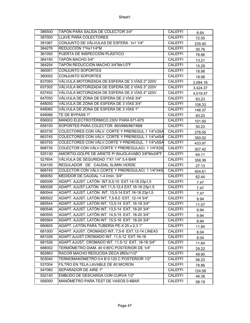| 386500 | TAPÓN PARA SALIDA DE COLECTOR 3/4"                | <b>CALEFFI</b> | 6.64     |
|--------|---------------------------------------------------|----------------|----------|
| 387000 | LLAVE PARA COLECTORES                             | <b>CALEFFI</b> | 72.55    |
| 391067 | CONJUNTO DE VÁLVULAS DE ESFERA 1x1 1/4"           | <b>CALEFFI</b> | 235.40   |
| 364276 | REDUCCIÓN 1"Hx11/4"M                              | <b>CALEFFI</b> | 30.76    |
| 361050 | PUERTA DE INSPECCIÓN PLÁSTICO                     | <b>CALEFFI</b> | 76.86    |
| 364150 | TAPÓN MACHO 3/4"                                  | <b>CALEFFI</b> | 13.21    |
| 364254 | TAPÓN REDUCCIÓN MACHO 3/4"Mx1/2"F                 | <b>CALEFFI</b> | 15.29    |
| 360001 | CONJUNTO SOPORTES                                 | <b>CALEFFI</b> | 18.98    |
| 360002 | <b>CONJUNTO SOPORTES</b>                          | <b>CALEFFI</b> | 18.98    |
| 637093 | VÁLVULA MOTORIZADA DE ESFERA DE 3 VÍAS 2" 220V    | <b>CALEFFI</b> | 2,084.16 |
| 637302 | VÁLVULA MOTORIZADA DE ESFERA DE 2 VÍAS 3" 220V    | <b>CALEFFI</b> | 3,424.37 |
| 637402 | VÁLVULA MOTORIZADA DE ESFERA DE 2 VÍAS 4" 220V    | <b>CALEFFI</b> | 4,019.47 |
| 647050 | VÁLVULA DE ZONA DE ESFERA DE 2 VÍAS 3/4"          | <b>CALEFFI</b> | 83.23    |
| 648050 | VÁLVULA DE ZONA DE ESFERA DE 3 VÍAS 3/4"          | <b>CALEFFI</b> | 106.33   |
| 648060 | VÁLVULA DE ZONA DE ESFERA DE 3 VÍAS 1"            | <b>CALEFFI</b> | 146.37   |
| 649066 | TE DE BYPASS 1"                                   | CALEFFI        | 83.23    |
| 656002 | MANDO ELECTROTÉRMICO 230V PARA 671-675            | <b>CALEFFI</b> | 101.50   |
| 658100 | SOPORTES PARA COLECTOR 663/666/667/668            | <b>CALEFFI</b> | 50.23    |
| 663735 | COLECTORES CON VÁLV. CORTE Y PREREGUL.1 1/4"x3SA  | <b>CALEFFI</b> | 278.55   |
| 663745 | COLECTORES CON VÁLV. CORTE Y PREREGUL.1 1/4"x4SA  | <b>CALEFFI</b> | 350.02   |
| 663755 | COLECTORES CON VÁLV.CORTE Y PREREGUL. 1 1/4"x5SA  | <b>CALEFFI</b> | 433.97   |
| 668735 | COLECTOR CON VÁLV.CORTE Y PREREGULACI. 1 1/4"X3S  | <b>CALEFFI</b> | 307.42   |
| 525130 | AMORTIG.GOLPE DE ARIETE P/ BAJOLAVABO 3/8"Mx3/8"F | <b>CALEFFI</b> | 64.11    |
| 527654 | VÁLVULA DE SEGURIDAD 1"X1 1/4" 5,4 BAR            | <b>CALEFFI</b> | 358.36   |
| 534105 | REGULADOR DE CAUDAL 5L/MIN.VERDE                  | <b>CALEFFI</b> | 27.13    |
| 668745 | COLECTOR CON VÁLV.CORTE Y PREREGULACI. 1 1/4"X4S  | <b>CALEFFI</b> | 404.61   |
| 669050 | MEDIDOR DE CAUDAL 1-4 I/min. 3/4"                 | <b>CALEFFI</b> | 62.44    |
| 680006 | ADAPT. AJUST. LATÓN INT.9,5-10 EXT.14-16 23p1,5   | <b>CALEFFI</b> | 7.47     |
| 680026 | ADAPT. AJUST.LATÓN INT.11,5-12,4 EXT.16-18 23p1,5 | <b>CALEFFI</b> | 7.47     |
| 680044 | ADAPT. AJUST. LATÓN INT. 13,5-14 EXT.16-18 23p1,5 | <b>CALEFFI</b> | 7.47     |
| 680502 | ADAPT. AJUST. LATÓN INT. 7,5-8,0 EXT. 12-14 3/4"  | CALEFFI        | 9.94     |
| 680544 | ADAPT. AJUST. LATÓN INT. 13,5-14 EXT. 16-18 3/4"  | <b>CALEFFI</b> | 11.07    |
| 680546 | ADAPT. AJUST. LATÓN INT. 13,5-14 EXT. 18-20 3/4"  | <b>CALEFFI</b> | 9.94     |
| 680555 | ADAPT. AJUST. LATÓN INT. 14,5-15 EXT. 18-20 3/4"  | <b>CALEFFI</b> | 9.94     |
| 680564 | ADAPT. AJUST. LATÓN INT. 15,5-16 EXT. 18-20 3/4"  | <b>CALEFFI</b> | 9.94     |
| 680605 | ADAPT. LATÓN PARA TUBERÍA PE-X 25 x 2,31"         | <b>CALEFFI</b> | 11.84    |
| 681000 | ADAPT. AJUST. CROMADO INT. 7,5-8 EXT.12-14 LINEA3 | CALEFFI        | 8.04     |
| 681026 | ADAPT.AJUST.CROMADO INT. 11,5-12 EXT.16-18        | CALEFFI        | 8.04     |
| 681526 | ADAPT.AJUST. CROMADO INT. 11,5-12 EXT. 16-18 3/4" | CALEFFI        | 11.64    |
| 688002 | TERMÓMETRO DIAM. 40 0:80'C POSTERIOR DE 1/4"      | <b>CALEFFI</b> | 29.22    |
| 862863 | RACOR MACHO REDUCIDA DECA Ø63x11/2"               | <b>CALEFFI</b> | 48.80    |
| 503040 | TERMOMANÓMETRO 0:4 B 0:120 C POSTERIOR 1/2"       | CALEFFI        | 56.23    |
| 537004 | FILTRO EN TELA LAVABLE DE 60 MICRON               | <b>CALEFFI</b> | 78.86    |
| 547060 | SEPARADOR DE AIRE 1"                              | <b>CALEFFI</b> | 124.58   |
| 552140 | EMBUDO DE DESCARGA CON CURVA 1/2"                 | <b>CALEFFI</b> | 46.38    |
| 556000 | MANÓMETRO PARA TEST DE VASOS 0:4BAR               | CALEFFI        | 98.19    |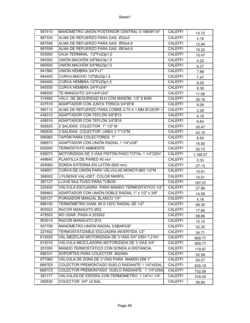| 557410 | MANÓMETRO UNIÓN POSTERIOR CENTRAL 0:10BAR1/4"     | <b>CALEFFI</b> | 14.72    |
|--------|---------------------------------------------------|----------------|----------|
| 887330 | ALMA DE REFUERZO PARA GAS Ø32x3                   | <b>CALEFFI</b> | 4.16     |
| 887546 | ALMA DE REFUERZO PARA GAS Ø50x4,6                 | <b>CALEFFI</b> | 12.94    |
| 887658 | ALMA DE REFUERZO PARA GAS Ø63x5,8                 | <b>CALEFFI</b> | 19.32    |
| 933000 | CAJA TERMINAL 1/2"Fx23p1,5                        | <b>CALEFFI</b> | 10.47    |
| 940300 | UNIÓN MACHÓN 3/8"Mx23p1,5                         | <b>CALEFFI</b> | 4.22     |
| 940500 | UNIÓN MACHÓN 3/4"Mx23p1,5                         | <b>CALEFFI</b> | 6.37     |
| 941560 | UNIÓN HEMBRA 3/4"Fx1"                             | <b>CALEFFI</b> | 7.89     |
| 944400 | CURVA MACHO 1/2"Mx23p1,5                          | <b>CALEFFI</b> | 7.47     |
| 945400 | CURVA HEMBRA 1/2"Fx23p1,5                         | <b>CALEFFI</b> | 8.05     |
| 945550 | CURVA HEMBRA 3/4"Fx3/4"                           | <b>CALEFFI</b> | 9.38     |
| 946500 | TE MANGUITO 3/4"x3/4"x3/4"                        | <b>CALEFFI</b> | 11.59    |
| 314460 | VÁLV. DE SEGURIDAD M-H CON MANÓM. 1/2" 6 BAR      | <b>CALEFFI</b> | 35.16    |
| 437518 | ADAPTADOR CON JUNTA TÓRICA 3/4"Ø18                | <b>CALEFFI</b> | 9.08     |
| 585112 | ALMA DE REFUERZO PARA COBRE 0,75 A 1 MM Ø12ESP.1  | <b>CALEFFI</b> | 2.29     |
| 438312 | ADAPTADOR CON TEFLÓN 3/8"Ø12                      | <b>CALEFFI</b> | 4.16     |
| 438516 | ADAPTADOR CON TEFLÓN 3/4"Ø16                      | <b>CALEFFI</b> | 6.64     |
| 592625 | 2 SALIDAS COLECTOR 1" 1/2" M                      | <b>CALEFFI</b> | 30.47    |
| 592635 | 3 SALIDAS COLECTOR LINEA 3 1"1/2"M                | <b>CALEFFI</b> | 43.15    |
| 599360 | TAPÓN PARA COLECTORES 1"                          | <b>CALEFFI</b> | 8.54     |
| 599573 | ADAPTADOR CON UNIÓN RADIAL 1 1/4"x3/8"            | <b>CALEFFI</b> | 16.90    |
| 620000 | <b>TERMÓSTATO AMBIENTE</b>                        | <b>CALEFFI</b> | 55.73    |
| 636073 | MOTORIZADA DE 3 VÍAS PISTÓN PASO TOTAL 1 1/4"220V | <b>CALEFFI</b> | 1,188.07 |
| 449640 | PLANTILLA DE PARED 40 mm                          | <b>CALEFFI</b> | 3.33     |
| 454060 | SONDA EXTERNA EN LATÓN (600 mm)                   | <b>CALEFFI</b> | 27.13    |
| 459001 | CURVA DE UNIÓN PARA VÁLVULAS MONOTUBO 1/2"M       | <b>CALEFFI</b> | 15.91    |
| 368002 | J.FUNDAS VAL+DET. COLOR MARFIL                    | <b>CALEFFI</b> | 14.01    |
| 387127 | LLAVE MULTIUSO PARA TUBOS                         | <b>CALEFFI</b> | 187.07   |
| 220402 | VÁLVULA ESCUADRA PARA MANDO TERMOSTÁTICO 1/2"     | <b>CALEFFI</b> | 27.86    |
| 599463 | ADAPTADOR CON UNIÓN DOBLE RADIAL 1" x 1/2" x 3/8" | <b>CALEFFI</b> | 14.59    |
| 505121 | PURGADOR MANUAL BLANCO 1/4"                       | <b>CALEFFI</b> | 4.16     |
| 688100 | TERMÓMETRO DIAM. 80 0:120°C RADIAL DE 1/2"        | <b>CALEFFI</b> | 68.30    |
| 903022 | RACOR MANGUITO Ø22                                | <b>CALEFFI</b> | 17.85    |
| 475502 | NO USAR. PASA A 203502                            | <b>CALEFFI</b> | 99.86    |
| 903015 | RACOR MANGUITO Ø15                                | <b>CALEFFI</b> | 12.12    |
| 557706 | MANÓMETRO UNIÓN RADIAL 0:6BAR3/8"                 | <b>CALEFFI</b> | 32.35    |
| 227402 | TERMOSTATIZABLE ESCUADRA INVERTIDA 1/2"           | <b>CALEFFI</b> | 34.71    |
| 612025 | VÁL.MEZCLAD MOTORIZADA DE 3 VÍAS 3/4" 230V 7,2 KV | <b>CALEFFI</b> | 909.77   |
| 612015 | VÁLVULA MEZCLADORA MOTORIZADA DE 3 VÍAS 3/4"      | <b>CALEFFI</b> | 909.77   |
| 201000 | MANDO TERMOSTÁTICO CON SONDA A DISTANCIA          | <b>CALEFFI</b> | 119.97   |
| 658101 | SOPORTES PARA COLECTOR 662/664                    | <b>CALEFFI</b> | 52.58    |
| 677060 | VÁLVULA DE ZONA DE 3 VÍAS PARA MANDO 656 1"       | CALEFFI        | 93.57    |
| 6687E5 | COLECTOR PREMONTADO SUELO RADIANTE 1 1/4"x5SAL.   | <b>CALEFFI</b> | 835.19   |
| 6687C5 | COLECTOR PREMONTADO SUELO RADIANTE 1 1/4"x3SA     | <b>CALEFFI</b> | 732.58   |
| 391177 | VÁLVULAS DE ESFERA CON TERMÓMETRO 11/4"x11/4"     | <b>CALEFFI</b> | 318.45   |
| 350530 | COLECTOR 3/4" x3 SAL.                             | <b>CALEFFI</b> | 36.80    |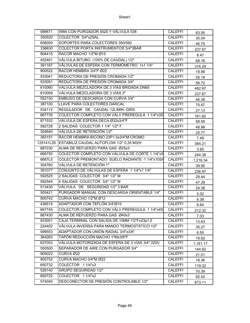| 599671 | 5994 CON PURGADOR 5020 Y VÁLVULA 538               | <b>CALEFFI</b> | 83.55    |
|--------|----------------------------------------------------|----------------|----------|
| 350520 | COLECTOR 3/4"x2SAL.                                | <b>CALEFFI</b> | 30.04    |
| 658000 | SOPORTES PARA COLECTORES 350/592                   | <b>CALEFFI</b> | 46.75    |
| 336630 | COLECTOR PORTA INSTRUMENTOS 3/4"3BAR               | <b>CALEFFI</b> | 237.67   |
| 904415 | RACOR MACHO 1/2"M Ø15                              | <b>CALEFFI</b> | 8.47     |
| 452401 | VÁLVULA BITUBO (100% DE CAUDAL) 1/2"               | <b>CALEFFI</b> | 68.16    |
| 391167 | VÁLVULAS DE ESFERA CON TERMÓMETRO 1x1 1/4"         | <b>CALEFFI</b> | 316.29   |
| 900522 | RACOR HEMBRA 3/4"F Ø22                             | <b>CALEFFI</b> | 19.98    |
| 533041 | REDUCTORA DE PRESIÓN CROMADA 1/2"                  | <b>CALEFFI</b> | 55.18    |
| 533051 | REDUCTORA DE PRESIÓN CROMADA 3/4"                  | <b>CALEFFI</b> | 56.72    |
| 610060 | VÁLVULA MEZCLADORA DE 3 VÍAS BRIDADA DN65          | <b>CALEFFI</b> | 482.97   |
| 610009 | VÁLVULA MEZCLADORA DE 3 VÍAS 2"                    | <b>CALEFFI</b> | 237.67   |
| 552150 | EMBUDO DE DESCARGA CON CURVA 3/4"                  | <b>CALEFFI</b> | 46.38    |
| 387100 | LLAVE PARA COLECTORES DARCAL                       | <b>CALEFFI</b> | 70.47    |
| 534112 | REGULADOR DE CAUDAL 12L/MIN. GRIS                  | <b>CALEFFI</b> | 27.13    |
| 667735 | COLECTOR COMPLETO CON VÁLV.PREREGULA. 1 1/4"x3S    | <b>CALEFFI</b> | 161.82   |
| 871532 | VÁLVULA DE ESFERA DECA Ø32x3/4"F                   | <b>CALEFFI</b> | 58.59    |
| 592728 | 2 SALIDAS COLECTOR 1 1/4" 1/2" F                   | <b>CALEFFI</b> | 48.96    |
| 304640 | VÁLVULA DE RETENCIÓN 1/2"                          | <b>CALEFFI</b> | 25.77    |
| 383151 | RACOR HEMBRA BICONO 23P1,5x3/4"M CROMO             | <b>CALEFFI</b> | 7.49     |
|        | 125141L35 ESTABILIZ.CAUDAL AUTOFLOW 1/2" 0,35 M3/H | <b>CALEFFI</b> | 364.21   |
| 887230 | ALMA DE REFUERZO PARA GAS Ø25x3                    | <b>CALEFFI</b> | 3.65     |
| 666755 | COLECTOR COMPLETO CON VÁLVULA DE CORTE 1 1/4"x5    | CALEFFI        | 244.38   |
| 6687L5 | COLECTOR PREMONTADO SUELO RADIANTE 1 1/4"x10SA     | <b>CALEFFI</b> | 1,216.34 |
| 304760 | VÁLVULA DE RETENCIÓN 1"                            | <b>CALEFFI</b> | 39.95    |
| 391077 | CONJUNTO DE VÁLVULAS DE ESFERA 11/4"x11/4"         | <b>CALEFFI</b> | 236.97   |
| 592525 | 2 SALIDAS COLECTOR 3/4" 1/2" M                     | <b>CALEFFI</b> | 29.44    |
| 592545 | 4 SALIDAS COLECTOR 3/4" 1/2" M                     | <b>CALEFFI</b> | 47.39    |
| 513430 | VÁLVULA DE SEGURIDAD 1/2" 3 BAR                    | <b>CALEFFI</b> | 24.38    |
| 505421 | PURGADOR MANUAL CON DESCARGA ORIENTABLE 1/4"       | <b>CALEFFI</b> | 5.02     |
| 905742 | CURVA MACHO 1/2"M Ø12                              | <b>CALEFFI</b> | 9.38     |
| 438515 | ADAPTADOR CON TEFLÓN 3/4"Ø15                       | <b>CALEFFI</b> | 6.64     |
| 667745 | COLECTOR COMPLETO CON VÁLV.PREREGULA. 1 1/4"x4S    | <b>CALEFFI</b> | 212.32   |
| 887430 | ALMA DE REFUERZO PARA GAS Ø40x3                    | <b>CALEFFI</b> | 7.03     |
| 933001 | CAJA TERMINAL CON SALIDA DE 10MM 1/2"Fx23p1,5      | <b>CALEFFI</b> | 13.63    |
| 224402 | VÁLVULA INVERSA PARA MANDO TERMOSTÁTICO 1/2"       | <b>CALEFFI</b> | 35.27    |
| 599553 | ADAPTADOR CON UNIÓN RADIAL 3/4"x3/8"               | <b>CALEFFI</b> | 9.55     |
| 364263 | TAPÓN REDUCCIÓN MACHO 1"Mx3/8"F                    | <b>CALEFFI</b> | 16.82    |
| 637053 | VÁLVULA MOTORIZADA DE ESFERA DE 3 VÍAS 3/4" 220V   | <b>CALEFFI</b> | 1,181.17 |
| 550500 | SEPARADOR DE AIRE CON PURGADOR 3/4"                | <b>CALEFFI</b> | 144.62   |
| 905022 | CURVA Ø22                                          | <b>CALEFFI</b> | 21.01    |
| 905752 |                                                    |                |          |
|        | CURVA MACHO 3/4"M Ø22                              | <b>CALEFFI</b> | 16.36    |
| 650732 | COLECTOR 1 1/4"x3                                  | <b>CALEFFI</b> | 119.32   |
| 526140 | <b>GRUPO SEGURIDAD 1/2"</b>                        | <b>CALEFFI</b> | 70.39    |
| 650722 | COLECTOR 11/4"x2                                   | <b>CALEFFI</b> | 92.52    |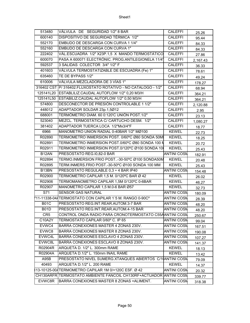| 513480          | VÁLVULA DE SEGURIDAD 1/2" 8 BAR                                    | <b>CALEFFI</b>     | 25.26    |
|-----------------|--------------------------------------------------------------------|--------------------|----------|
| 600140          | DISPOSITIVO DE SEGURIDAD TÉRMICA 1/2"                              | <b>CALEFFI</b>     | 95.44    |
| 552170          | EMBUDO DE DESCARGA CON CURVA 1 1/4"                                | <b>CALEFFI</b>     | 84.33    |
| 552160          | EMBUDO DE DESCARGA CON CURVA 1"                                    | <b>CALEFFI</b>     | 84.33    |
| 222402          | VÁL.ESCUADRA 1/2" X23P.1,5 X MANDO TERMOSTÁTICO                    | <b>CALEFFI</b>     | 27.86    |
| 600070          | PASA A 600071 ELECTRÓNIC. PROG. ANTILEGIONELA 11/4'                | <b>CALEFFI</b>     | 2,167.43 |
| 592537          | 3 SALIDAS COLECTOR 3/4" 1/2" F                                     | <b>CALEFFI</b>     | 36.33    |
| 401603          | VÁLVULA TERMOSTATIZABLE DE ESCUADRA (Fe) 1"                        | <b>CALEFFI</b>     | 78.61    |
| 635460          | TE DE BYPASS 1/2"                                                  | <b>CALEFFI</b>     | 49.24    |
| 610006          | VÁLVULA MEZCLADORA DE 3 VÍAS 1"                                    | <b>CALEFFI</b>     | 178.27   |
|                 | 316402 CST P/ 316402. FLUXOSTATO ROTATIVO - NO CATALOGO - 1/2"     | <b>CALEFFI</b>     | 68.94    |
|                 | 125141L20 ESTABLILIZ.CAUDAL AUTOFLOW 1/2" 0,20 M3/H                | <b>CALEFFI</b>     | 364.21   |
| 125141L50       | ESTABILIZ.CAUDAL AUTOFLOW 1/2" 0,50 M3/H                           | <b>CALEFFI</b>     | 364.21   |
| 574800          | DESCONECTOR DE PRESIÓN CONTROLABLE 1 1/2"                          | <b>CALEFFI</b>     | 2,120.88 |
| 448012          | ADAPTADOR SOLDAR 23p.1,5Ø12                                        | <b>CALEFFI</b>     | 2.95     |
| 688001          | TERMÓMETRO DIAM, 60 0:120'C UNIÓN POST.1/2"                        | <b>CALEFFI</b>     | 23.13    |
| 523040          | MEZCL. TERMOSTÁTICA C/ CARTUCHO DESM. 1/2"                         | <b>CALEFFI</b>     | 1,080.27 |
| 381402          | ADAPTADOR TUERCA LOCA 1/2"Mx3/4"F                                  | <b>CALEFFI</b>     | 18.77    |
| 6966            | MANOMETRO UNION RADIAL 0-40BAR 1/2" MØ100                          | <b>KEWEL</b>       | 22.73    |
| R02890          | TERMOMETRO INMERSION POST. 0/60°C Ø80 SONDA 50MI                   | <b>KEWEL</b>       | 18.25    |
| R02891          | TERMOMETRO INMERSION POST.0/60°C Ø80 SONDA 100 N                   | <b>KEWEL</b>       | 20.72    |
| R02911          | TERMOMETRO INMERSION POST.0/120°C Ø100 SONDA 10                    | <b>KEWEL</b>       | 25.43    |
| B12AN           | PRESOSTATO REG.10,82-0 BAR                                         | <b>ANTINI COSM</b> | 182.91   |
| R02894          | TERMO.INMERSION FRIO POST-30-50°C Ø100 SONDA50M                    | <b>KEWEL</b>       | 20.48    |
| R02895          | TERM.INMERS.FRIO POST.-30-50°C Ø100 SONDA 100 MM                   | <b>KEWEL</b>       | 25.43    |
| B13BN           | PRESOSTATO REGULABLE 0,3 ÷ 4 BAR IP40                              | <b>ANTINI COSM</b> | 154.48   |
| R02900          | TERMOMETRO CAPILAR 1,5 M. 0/120°C BAR Ø 42                         | <b>KEWEL</b>       | 26.02    |
| R02906          | TERMOMANOMETRO CAPILAR 1,5M 0/120°C 0-6BAR                         | <b>KEWEL</b>       | 46.27    |
| R02907          | MANOMETRO CAPILAR 1,5 M.0-6 BAR Ø57                                | <b>KEWEL</b>       | 32.73    |
| S71             | <b>SENSOR GAS NATURAL</b>                                          | <b>ANTINI COSN</b> | 180.09   |
|                 | 711-11338-044 TERMOSTATO CON CAPILAR 1'5 M. RANGO 0-90C°           | <b>ANTINI COSN</b> | 28.39    |
| <b>B01C</b>     | PRESOSTATO REG.INT.REAR.AUTOM.3-7 BAR                              | <b>ANTINI COSN</b> | 48.20    |
| <b>B01D</b>     | PRESOSTATO REG.INT.REAR.AUTOM.4-15 BAR                             | <b>ANTINI COSN</b> | 48.20    |
| CR <sub>5</sub> | CONTROL ONDA RADIO PARA CRONOTERMOSTATO C55AANTINI COSN            |                    | 250.67   |
| C10A2Y          | TERMOSTATO CAPILAR 0/60° C. IP 65                                  | <b>ANTINI COSN</b> | 99.04    |
| EVWC4           | BARRA CONEXIONES MASTER 4 ZONAS 230V.                              | <b>ANTINI COSN</b> | 167.51   |
| EVWC8           | BARRA CONEXIONES MASTER 8 ZONAS 230V.                              | <b>ANTINI COSN</b> | 190.08   |
| EVWC4L          | BARRA CONEXIONES ESCLAVO 4 ZONAS 230V.                             | <b>ANTINI COSN</b> | 107.27   |
| EVWC8L          | BARRA CONEXIONES ESCLAVO 8 ZONAS 230V.                             | <b>ANTINI COSN</b> | 141.37   |
| R02904R         | ARQUETA D. 1/2" L. 300mm RAME                                      | <b>KEWEL</b>       | 18.13    |
| R02904A         | ARQUETA D.1/2" L. 150mm INAIL RAME                                 | <b>KEWEL</b>       | 13.42    |
| A95B            | PRESOSTATO NIVEL SUMERG.XTANQUES ABIERTOS C/1(ANTINI COSN          |                    | 79.09    |
| 40493           | ARQUETA D.1/2" L. 200 RAME                                         | <b>KEWEL</b>       | 14.37    |
|                 |                                                                    | <b>ANTINI COSN</b> | 20.32    |
|                 | CH130ARFR TERMOSTATO AMBIENTE FANCOIL CH130RF+ACTUADOR ANTINI COSN |                    | 339.77   |
| EVWC8R          | BARRA CONEXIONES MASTER 8 ZONAS +ALIMENT.                          | <b>ANTINI COSN</b> |          |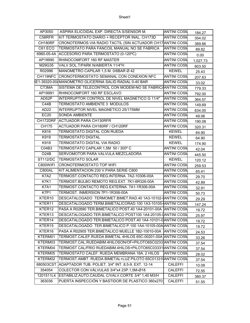| AP3050             | ASPIRA ELICOIDAL EXP. DIRECTA S/SENSOR M.                       | <b>ANTINI COSN</b> | 184.27   |
|--------------------|-----------------------------------------------------------------|--------------------|----------|
| C58RFR             | KIT TERMOSTATO DIARIO + RECEPTOR INAL. CH173D                   | <b>ANTINI COSN</b> | 354.02   |
| CH180RF            | CRONOTERMOS. VIA RADIO TACTIL (SIN ACTUADOR CH17 ANTINI COSN    |                    | 389.66   |
| C61 ECO            | TERMOSTATO PARA FANCOIL MANUAL NO SE FABRICA                    | <b>ANTINI COSN</b> | 89.82    |
|                    | 6960-05-4A ACCESORIO PARA TERMOSTATO (0-120°C)                  | <b>ANTINI COSN</b> | 0.00     |
| AP19990            | RHINOCOMFORT 160 RF MASTER                                      | <b>ANTINI COSN</b> | 1,027.73 |
| M29G35             | VALV.SOL.T/PARK N/ABIERTA 11/4"H                                | <b>ANTINI COSN</b> | 603.50   |
| R02996             | MANOMETRO CAPILAR 1,5 M. 0/6BAR Ø 42                            | <b>KEWEL</b>       | 25.43    |
|                    | CH119NFC CRONOTERMOSTATO SEMANAL CON CONEXION NFC               | <b>ANTINI COSN</b> | 207.63   |
|                    | <b>8E1-39320-00/MANOMETRO GLICERINA SALID.RADIAL 0-40 BAR</b>   | <b>ANTINI COSM</b> | 33.02    |
| CT3MA              | SISTEMA DE TELECONTROL CON MODEM-NO SE FABRICAANTINI COSN       |                    | 779.33   |
| AP19991            | RHINOCOMFORT 160 RF ESCLAVO                                     | <b>ANTINI COSN</b> | 792.00   |
| AD52P              | INTERRUPTOR CONTROL DE NIVEL MAGNETICO G 11/4"                  | <b>ANTINI COSM</b> | 364.57   |
| C44B               | TERMOSTATO AMBIENTE 3 MODULOS                                   | <b>ANTINI COSN</b> | 149.69   |
| AD <sub>22</sub>   | INTERRUPTOR NIVEL MAGNETICO 25/175MM                            | <b>ANTINI COSM</b> | 634.00   |
| <b>EC20</b>        | <b>SONDA AMBIENTE</b>                                           | <b>ANTINI COSM</b> | 49.06    |
|                    | CH172DRF ACTUADOR PARA CH130RFR                                 | <b>ANTINI COSN</b> | 190.08   |
| <b>CH175</b>       | ACTUADOR PARA CH180RF / CH120RF                                 | <b>ANTINI COSN</b> | 320.31   |
| K816               | <b>TERMOSTATO DIGITAL CON RUEDA</b>                             | <b>KEWEL</b>       | 64.90    |
| K919               | <b>TERMOSTATO DIGITAL</b>                                       | <b>KEWEL</b>       | 64.90    |
| K918               | <b>TERMOSTATO DIGITAL VIA RADIO</b>                             | <b>KEWEL</b>       | 174.90   |
| C04B3              | TERMOSTATO CAPILAR 1,5M 50 / 300°C                              | <b>ANTINI COSN</b> | 42.04    |
| O <sub>24</sub> B  | SERVOMOTOR PARA VALVULA MEZCLADORA                              | <b>ANTINI COSN</b> | 445.50   |
| <b>ST112/DC</b>    | <b>TERMOSTATO SOLAR</b>                                         | <b>KEWEL</b>       | 120.12   |
| C800WIFI           | <b>CRONOTERMOSTATO TOP WIFI</b>                                 | <b>ANTINI COSN</b> | 259.53   |
| C800AL             | KIT ALIMENTACION 230 V.PARA SERIE C800                          | <b>ANTINI COSN</b> | 65.41    |
| <b>K7A2</b>        | TERMOST.CONTACTO REG.INTERNA. 7A2-10306-00A                     | <b>ANTINI COSN</b> | 29.70    |
| <b>K7K1</b>        | TERMOST.BULBO REMOTO REG.EXT. 7K1-6R326-00A                     | <b>ANTINI COSN</b> | 42.89    |
| <b>K7A1</b>        | TERMOST.CONTACTO REG.EXTERNA. 7A1-1R306-00A                     | <b>ANTINI COSN</b> | 32.91    |
| K7P1               | TERMOST. INMERSION 7P1-1R306-00A                                | <b>ANTINI COSN</b> | 50.73    |
| KTER <sub>10</sub> | DESCATALOGADO TERMOMET.BIMET.RAD.40 1A3-10102-(ANTINI COSN      |                    | 29.29    |
| KTER11             | DESCATALOGADO TERM.BIMETALICORAD.100 1A3-10105- ANTINI COSN     |                    | 147.24   |
| KTER <sub>12</sub> | PASA A R02890 TER. BIMETALICO POST.40 1A4-20101-00A ANTINI COSN |                    | 19.72    |
| KTER <sub>13</sub> | DESCATALOGADO.TER.BIMETALICO POST100 1A4-20105-(ANTINI COSN     |                    | 25.97    |
| KTER14             | DESCATALOGADO TER.BIMETALICO POST.40 1A4-10101-0 ANTINI COSN    |                    | 19.72    |
| KTER <sub>15</sub> | DESCATALOGADO TER.BIMETALICO P.100 1A4-10105-00A ANTINI COSN    |                    | 19.72    |
| KTER <sub>16</sub> | PASA A R02905 TER. BIMETALICO MUELLE 1B2-10010-00A ANTINI COSN  |                    | 24.53    |
| KTERM01            | TERMOST.CALEF.RUEDA BIMETAL 4HILOS 65C-00201-00A ANTINI COSN    |                    | 33.26    |
| KTERM03            | TERMOST.CAL.RUEDABIM.4HILOSON/OF+PILOTO65C0233 ANTINI COSN      |                    | 37.54    |
| KTERM04            | TERMOST CAL/FRIO RUEDABIM.4HILOS+PILOTO65C03331 ANTINI COSN     |                    | 37.54    |
| KTERM05            | TERMOSTATO CALEF. RUEDA MEMBRANA 16A. 2 HILOS                   | <b>ANTINI COSN</b> | 28.02    |
| KTERM02            | TERMOST.AMBT. RUEDA BIMETAL+LUZ PILOTO 65C01331(ANTINI COSN     |                    | 37.54    |
| 680503CST          | ADAPTADOR TUB. POLIET. 3/4" INT. 8,5-9, EXT. 12-14              | <b>CALEFFI</b>     | 10.09    |
| 354054             | COLECTOR CON VÁLVULAS 3/4"x4 23P.1,5M-Ø18                       | <b>CALEFFI</b>     | 72.55    |
| 1201511L4          | ESTABILIZ.AUTO.CAUDAL C/VALV.CORTE 3/4" 1,40 M3/H               | <b>CALEFFI</b>     | 380.37   |
| 363036             | PUERTA INSPECCIÓN Y BASTIDOR DE PLASTICO 360x270                | <b>CALEFFI</b>     | 51.55    |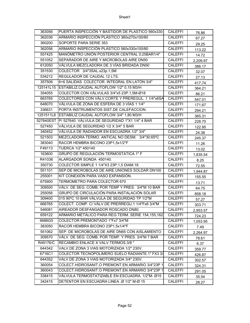| 363056    | PUERTA INSPECCIÓN Y BASTIDOR DE PLASTICO 560x330            | <b>CALEFFI</b> | 76.86    |
|-----------|-------------------------------------------------------------|----------------|----------|
| 362036    | ARMARIO INSPECCIÓN PLÁSTICO 360x270x100/80                  | <b>CALEFFI</b> | 67.27    |
| 360200    | SOPORTE PARA SERIE 353                                      | <b>CALEFFI</b> | 29.25    |
| 362056    | ARMARIO INSPECCIÓN PLÁSTICO 560x330x100/80                  | <b>CALEFFI</b> | 113.22   |
| 557425    | MANÓMETRO UNIÓN POSTERIOR CENTRAL 0:25BAR1/4"               | <b>CALEFFI</b> | 14.72    |
| 551052    | SEPARADOR DE AIRE Y MICROBOLAS AIRE DN50                    | <b>CALEFFI</b> | 2,209.97 |
| 612050    | VÁLVULA MEZCLADORA DE 3 VÍAS BRIDADA DN50                   | <b>CALEFFI</b> | 386.17   |
| 351530    | COLECTOR 3/4"3SAL.x23p.1,5M                                 | <b>CALEFFI</b> | 32.07    |
| 534212    | REGULADOR DE CAUDAL 12 LTS.                                 | <b>CALEFFI</b> | 27.13    |
| 357506    | 6+6 SALIDAS COLECTOR INTEGRAL EN LATÓN 3/4"                 | <b>CALEFFI</b> | 417.74   |
| 125141L15 | ESTABILIZ.CAUDAL AUTOFLOW 1/2" 0,15 M3/H                    | <b>CALEFFI</b> | 364.21   |
| 354055    | COLECTOR CON VÁLVULAS 3/4"x5 23P.1,5M-Ø18                   | <b>CALEFFI</b> | 86.21    |
| 663765    | COLECTORES CON VÁLV.CORTE Y PREREGUL. 1 1/4"x6SA            | <b>CALEFFI</b> | 547.01   |
| 648070    | VÁLVULA DE ZONA DE ESFERA DE 3 VÍAS 1 1/4"                  | <b>CALEFFI</b> | 171.67   |
| 336631    | PORTA INSTRUMENTOS SIST.DE CALEFACCION.                     | <b>CALEFFI</b> | 294.21   |
| 1251511L8 | ESTABILIZ.CAUDAL AUTOFLOW 3/4" 1,80 M3/H                    | <b>CALEFFI</b> | 365.31   |
|           | 527640EST   P/ 527640. VÁLVULA DE SEGURIDAD 1"X1 1/4" 4 BAR | <b>CALEFFI</b> | 228.70   |
| 527450    | VÁLVULA DE SEGURIDAD 1/2 X 3/4" 5 BAR                       | <b>CALEFFI</b> | 122.95   |
| 340452    | VÁLVULA DE RADIADOR EN ESCUADRA 1/2" 3/4"                   | <b>CALEFFI</b> | 24.38    |
| 521503    | MEZCLADORA TERMO. ANTICAL NO DESM. 3/4"30:65°C              | <b>CALEFFI</b> | 245.37   |
| 383040    | RACOR HEMBRA BICONO 23P1,5x1/2"F                            | <b>CALEFFI</b> | 11.26    |
| F49113    | TUERCA 1/2" 450140                                          | <b>CALEFFI</b> | 13.02    |
| 163600    | <b>GRUPO DE REGULACIÓN TERMOSTATICA 1" F</b>                | <b>CALEFFI</b> | 1,835.54 |
| R41036    | ALARGADOR SONDA 450140.                                     | <b>CALEFFI</b> | 8.25     |
| 350730    | COLECTOR SIMPLE 1 1/4"X3 23P.1,5 DIAM.18                    | <b>CALEFFI</b> | 72.55    |
| 551101    | SEP.DE MICROBOLAS DE AIRE.UNIONES SOLDAR DN100              | <b>CALEFFI</b> | 1,944.87 |
| 255001    | KIT CONEXIÓN PARA VASO EXPANSIÓN.                           | <b>CALEFFI</b> | 155.55   |
| 675900    | TERMOMETRO PARA COLECTOR 670                                | <b>CALEFFI</b> | 13.71    |
| 309500    | VÁLV. DE SEG. COMB. POR TEMP Y PRES. 3/4"M 10 BAR           | <b>CALEFFI</b> | 64.75    |
| 255056    | GRUPO DE CIRCULACIÓN PARA INSTALACIÓN SOLAR                 | <b>CALEFFI</b> | 858.18   |
| 309400    | 015 90°C 10 BAR VÁLVULA DE SEGURIDAD TP 1/2"M               | <b>CALEFFI</b> | 57.27    |
| 666765    | COLECT. COMP. C/ VÁLV.DE PRERREGU.1 1/4"Fx6 3/4"M           | <b>CALEFFI</b> | 303.71   |
| 546081    | AIREADOR DESFANGADOR ROSCADO DN80.                          | <b>CALEFFI</b> | 2,953.57 |
| 659122    | ARMARIO METÁLICO PARA REG.TERM. SERIE 154,155,162           | <b>CALEFFI</b> | 724.23   |
| 6686G5    | COLECTOR PREMONTADO 1"Fx7 3/4"M                             | <b>CALEFFI</b> | 1,053.95 |
| 383050    | RACOR HEMBRA BICONO 23P1,5x1/4"F                            | CALEFFI        | 7.49     |
| 551062    | SEP. DE MICROBOLAS DE AIRE DN65 CON AISLAMIENTO             | CALEFFI        | 2,264.97 |
| 309570    | VÁLV. DE SEG. COMB. POR TEMP. Y PRES. 3/4"M 7 BAR           | <b>CALEFFI</b> | 78.61    |
| R49176/C  | RECAMBIO ENLACE X VALV.TERMOS.3/8 "                         | CALEFFI        | 6.37     |
| 644342    | VALV.DE ZONA 3 VIAS MOTORIZADA 1/2" 230V.                   | CALEFFI        | 359.77   |
| 6716C1    | COLECTOR TECNOPOLIMERO SUELO RADIANTE.1" FX3 3/             | <b>CALEFFI</b> | 426.87   |
| 644352    | VALV.DE ZONA 3 VIAS MOTORIZADA 3/4" 230V.                   | CALEFFI        | 302.57   |
| 360054    | COLECT.HIDROSANIT.O PREMONT.EN ARMARIO 3/4"23P 1            | CALEFFI        | 324.31   |
| 360043    | COLECT.HIDROSANIT.O PREMONT.EN ARMARIO 3/4"23P 1            | <b>CALEFFI</b> | 291.05   |
| 338415    | VÁLVULA TERMOSTATIZABLE EN ESCUADRA. 1/2"M- Ø15             | CALEFFI        | 35.54    |
| 342415    | DETENTOR EN ESCUADRA LINEA .Ø 1/2" M-Ø 15                   | <b>CALEFFI</b> | 28.27    |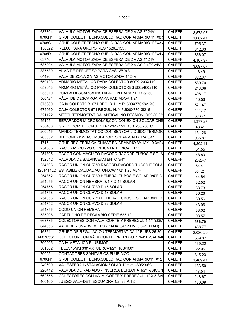| 637304   | VÁLVULA MOTORIZADA DE ESFERA DE 2 VÍAS 3" 24V        | <b>CALEFFI</b> | 3,573.97 |
|----------|------------------------------------------------------|----------------|----------|
| 6706H1   | GRUP.COLECT.TECNO.SUELO RAD.CON ARMARIO 1"FX8 3      | <b>CALEFFI</b> | 1,082.47 |
| 6706C1   | GRUP.COLECT.TECNO.SUELO RAD.CON ARMARIO 1"FX3 3      | <b>CALEFFI</b> | 795.37   |
| 150022   | RELOJ PARA GRUPO REG.1526155                         | CALEFFI        | 342.33   |
| 6706D1   | GRUP.COLECT.TECNO.SUELO RAD.CON ARMARIO 1"FX4 3      | <b>CALEFFI</b> | 836.07   |
| 637404   | VÁLVULA MOTORIZADA DE ESFERA DE 2 VÍAS 4"24V         | <b>CALEFFI</b> | 4,167.97 |
| 637204   | VÁLVULA MOTORIZADA DE ESFERA DE 2 VÍAS 2 1/2" 24V    | <b>CALEFFI</b> | 3,097.67 |
| 887530   | ALMA DE REFUERZO PARA GAS Ø50x3                      | <b>CALEFFI</b> | 13.49    |
| 644264   | VALV.DE ZONA 2 VIAS MOTORIZADA 1" 24V.               | <b>CALEFFI</b> | 322.37   |
| 659123   | ARMARIO METÁLICO PARA COLECTOR 500X1200X110          | <b>CALEFFI</b> | 539.70   |
| 659043   | ARMARIO METÁLICO PARA COLECTORES 500x400x110         | CALEFFI        | 243.06   |
| 255010   | BOMBA DESCARGA INSTALACION PARA KIT 255/256          | <b>CALEFFI</b> | 408.17   |
| 560421   | VÁLV. DE DESCARGA PARA RADIADOR 1/2"                 | <b>CALEFFI</b> | 10.56    |
| 675080   | CAJA COLECTOR 671 REGLB. H. Y P. 800X770X82 X6       | <b>CALEFFI</b> | 521.47   |
| 675060   | CAJA COLECTOR 671 REGUL. H. Y P.600X770X82 6         | <b>CALEFFI</b> | 441.17   |
| 521122   | MEZCL.TERMOSTÁTICA ANTICAL NO DESMON D22 30:65       | <b>CALEFFI</b> | 303.71   |
| 551051   | SEPARADOR MICROBOLAS, CON CONEXION SOLDAR DN5        | <b>CALEFFI</b> | 1,377.27 |
| 250400   | GRIFO CORTE CON JUNTA 1/2MX1/2H 10B. -30/200°C       | <b>CALEFFI</b> | 43.41    |
| 200015   | MANDO TERMOSTÁTICO CON SENSOR LÍQUIDO TERMOR         | <b>CALEFFI</b> | 151.28   |
| 265352   | KIT CONEXION ACUMULADOR SOLAR-CALDERA 3/4"           | <b>CALEFFI</b> | 965.87   |
| 1715L1   | GRUP.REG.TÉRMICA CLIMAT.EN ARMARIO 3/4"MX 10 3/4"M   | <b>CALEFFI</b> | 4,202.11 |
| 254505   | RACOR M. CURVO CON JUNTA TORICA D.15                 | <b>CALEFFI</b> | 51.55    |
| 254305   | RACOR CON MAGUITO-RACORD-RACORD.TUBOS E.SOLA         | <b>CALEFFI</b> | 48.80    |
| 132512   | VALVULA DE BALANCEAMIENTO 3/4"                       | <b>CALEFFI</b> | 202.47   |
| 254508   | RACOR UNION CURVO RACORD-RACORD. TUBOS E.SOLAI       | <b>CALEFFI</b> | 54.41    |
|          | 1251411L2   ESTABILIZ.CAUDAL AUTOFLOW 1/2" 1,20 M3/H | CALEFFI        | 364.21   |
| 254852   | RACOR UNION CURVO HEMBRA .TUBOS E.SOLAR 3/4"F D.     | CALEFFI        | 44.84    |
| 254055   | RACOR UNION HEMBRA 3/4 F D.15 SOLAR                  | <b>CALEFFI</b> | 32.52    |
| 254755   | RACOR UNION CURVO D.15 SOLAR                         | <b>CALEFFI</b> | 33.73    |
| 254758   | RACOR UNION CURVO D.18 SOLAR                         | <b>CALEFFI</b> | 36.26    |
| 254858   | RACOR UNION CURVO HEMBRA TUBOS E.SOLAR 3/4"F D.      | <b>CALEFFI</b> | 39.56    |
| 254752   | RACOR UNION CURVO D.22 SOLAR                         | <b>CALEFFI</b> | 43.96    |
| 254855   | <b>CODO UNION HEMBRA</b>                             | <b>CALEFFI</b> | 38.02    |
| 535006   | CARTUCHO DE RECAMBIO SERIE 535 1"                    | <b>CALEFFI</b> | 93.57    |
| 663785   | COLECTORES CON VÁLV. CORTE Y PREREGUL.1 1/4"x8SA     | <b>CALEFFI</b> | 686.79   |
| 644353   | VALV.DE ZONA 3V. MOTORIZADA 3/4" 230V. 8,6KV(M3/H)   | CALEFFI        | 458.77   |
| 163611   | GRUPO DE REGULACIÓN TERMOSTATICA 1" F UPS 25-80      | <b>CALEFFI</b> | 2,080.29 |
| 668765S1 | COLECTOR CON VÁLV.CORTE PREREGU. 1 1/4"X6SAL3/4M     | <b>CALEFFI</b> | 539.07   |
| 700005   | CAJA METALICA PLURIMOD                               | <b>CALEFFI</b> | 459.22   |
| 381302   | TELES15MM 3/8"MXTUERCA1/2"H10B/100°                  | <b>CALEFFI</b> | 22.95    |
| 700051   | CONTADORES SANITARIOS PLURIMOD                       | <b>CALEFFI</b> | 315.23   |
| 6706N1   | GRUP.COLECT.TECNO.SUELO RAD.CON ARMARIO1"FX12        | <b>CALEFFI</b> | 1,489.47 |
| 240600   | VAL.ESFERA INSTALACION SOLAR 1" H-H. -30/200°C       | <b>CALEFFI</b> | 133.50   |
| 226412   | VALVULA DE RADIADOR INVERSA DERECHA 1/2" R/BICON     | <b>CALEFFI</b> | 47.54    |
| 662655   | COLECTORES CON VALV. CORTE Y PREREGUL. 1" X 5 SAI    | CALEFFI        | 248.67   |
| 400100   | JUEGO VAL+-DET. ESCUADRA 1/2 23 P.1,5                | <b>CALEFFI</b> | 180.09   |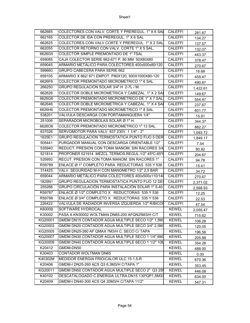| 662665  | COLECTORES CON VALV, CORTE Y PREREGUL, 1" X 6 SAI     | <b>CALEFFI</b> | 281.67   |
|---------|-------------------------------------------------------|----------------|----------|
| 662165  | COLECTOR DE IDA CON PREREGUL. 1" X 6 SAL              | <b>CALEFFI</b> | 134.27   |
| 662625  | COLECTORES CON VALV.CORTE Y PREREGUL. 1" X 2 SAL      | <b>CALEFFI</b> | 137.57   |
| 662055  | COLECTOR RETORNO CON VALV. CORTE 1" X 5 SAL.          | <b>CALEFFI</b> | 132.07   |
| 6626G5  | COLECTOR SIMPLE PREMONTADO DE 1" 7SAL                 | <b>CALEFFI</b> | 443.37   |
| 659085  | CAJA COLECTOR SERIE 662-671 P. 80 MM 50X80X80         | <b>CALEFFI</b> | 378.47   |
| 659045  | ARMARIO METÁLICO PARA COLECTORES 400x500x80/120       | <b>CALEFFI</b> | 270.67   |
| 599660  | <b>GRUPO CABECERA PARA SERIE 662</b>                  | <b>CALEFFI</b> | 16.68    |
| 659105  | ARMARIO X 662/ 671 EMPOT. P80X120, 500X1000X80-120    | <b>CALEFFI</b> | 455.47   |
| 6626F6  | COLECTOR PREMONTADO MICROMETRICO 1" 6 SAL             | <b>CALEFFI</b> | 490.67   |
| 266250  | GRUPO REGULACION SOLAR 3/4" H 2-7L / M.               | <b>CALEFFI</b> | 1,422.61 |
| 662626  | COLECTOR DOBLE MICROMETRICA Y CABEZAL. 1" X 2 SAI     | <b>CALEFFI</b> | 149.67   |
| 6626G6  | COLECTOR PREMONTADO MICROMETRICO DE 1" X 7 SAL        | <b>CALEFFI</b> | 554.47   |
| 662646  | COLECTOR DOBLE MICROMETRICA Y CABEZAL. 1" X 4 SAI     | <b>CALEFFI</b> | 237.67   |
| 6626H6  | COLECTOR PREMONTADO MICROMETRICO 1" 8 SAL             | <b>CALEFFI</b> | 601.77   |
| 538201  | VALVULA DESCARGA CON PORTAMANGUERA 1/4"               | <b>CALEFFI</b> | 15.91    |
| 251006  | SEPARADOR MICROBOLAS SOLAR Ø 1"H.                     | <b>CALEFFI</b> | 344.37   |
| 662606  | COLECTOR PREMONTADO MICROMETRICO 1" 13 SAL.           | <b>CALEFFI</b> | 882.27   |
| 637026  | SERVOMOTOR PARA VALV. 637 230V. 1 1/4" - 2"           | <b>CALEFFI</b> | 1,093.72 |
| 1825E1  | <b>GRUPO REGULACION TERMOSTATICA PUNTO FIJO 5 DER</b> | <b>CALEFFI</b> | 1.849.17 |
| 505441  | PURGADOR MANUAL CON DESCARGA ORIENTABLE 1/2"          | <b>CALEFFI</b> | 7.54     |
| 535940  | REDUCT. PRESION CON TOMA MANOM. SIN RACORES 3/4       | CALEFFI        | 80.92    |
| 521814  | PROPONER 521914 MEZCL.TERMOS.REGUL.1/2" 45°C-65°      | <b>CALEFFI</b> | 204.67   |
| 535950  | RECUT. PRESION CON TOMA MANOM. SIN RACORES 1"         | <b>CALEFFI</b> | 94.78    |
| R59789  | ENLACE Ø 1" COMPLETO PARA REDUCTORAS 535 Y 536        | <b>CALEFFI</b> | 15.41    |
| 314425  | VALV. SEGURIDAD M-H CON MANOMETRO 1/2" 2,5 BAR        | CALEFFI        | 34.72    |
| 659044  | ARMARIO METÁLICO PARA COLECTORES 400x500x110/140      | <b>CALEFFI</b> | 270.67   |
| 1825N1  | GRUPO REGULACION TERMOSTATICA PUNTO FIJO 12 DE        | <b>CALEFFI</b> | 2,371.02 |
| 255266  | GRUPO CIRCULACIÓN PARA INSTALACIÓN SOLAR 1" 5-40      | <b>CALEFFI</b> | 2,568.93 |
| R59787  | ENLACE Ø 1/2" COMPLETO X REDUCTORAS 535 Y 536         | <b>CALEFFI</b> | 12.25    |
| R59788  | ENLACE Ø 3/4" COMPLETO X REDUCTORAS 535 Y 536         | <b>CALEFFI</b> | 22.53    |
| 226422  | VALVULA DE RADIADOR INVERSA IZQUIERDA 1/2" R/BICOI    | <b>CALEFFI</b> | 47.54    |
| K60009  | SOFTWARE HYDROCAL                                     | <b>KEWEL</b>   | 2,055.47 |
| K30002  | PASA A KN30002 WOLTMAN DN65-200 AFQN25M3/H C/T        | <b>KEWEL</b>   | 715.62   |
| KG20001 | GMDM DN15 CONTADOR AGUA MULTIPLE SECO 1/2" 1,5M       | <b>KEWEL</b>   | 106.28   |
| KG20003 | GMDM DN20 CONTADOR AGUA MULTIPLE SECO 3/4" 2,5M       | <b>KEWEL</b>   | 120.05   |
| KG20005 | GMDM DN25-260 AF QMAX 7M3/H C. SECO C/ TAPA           | <b>KEWEL</b>   | 196.56   |
| KG20007 | GMDM DN30 CONTADOR AGUA MULTIPLE SECO 1 1/4" 6M       | <b>KEWEL</b>   | 205.98   |
| KG20009 | GMDM DN40 CONTADOR AGUA MULTIPLE SECO 1 1/2" 10N      | <b>KEWEL</b>   | 354.28   |
| K20412  | GMDM-DN50                                             | <b>KEWEL</b>   | 488.00   |
| K30403  | CONTADOR WOLTMAN DN65                                 | <b>KEWEL</b>   | 0.00     |
| K40302M | MEDIDOR ENERGIA FRIO/CALOR ULC.15-1,5-R               | <b>KEWEL</b>   | 670.36   |
| K20406  | GMDM-I DN25-260 ACS Q3 6,3M3/H C/TAPA 1"              | <b>KEWEL</b>   | 353.45   |
| KG20011 | GMDM DN50 CONTADOR AGUA MULTIPLE SECO 2" Q3 25"       | <b>KEWEL</b>   | 446.08   |
| K40102  | DESCATALOGADO C.ENERGIA ULTRA.DN15 130°QP1,5M3/       | <b>KEWEL</b>   | 634.00   |
| K20409  | GMDM-I DN40-300 ACS Q4 20M3/H C/TAPA 11/2"            | <b>KEWEL</b>   | 547.31   |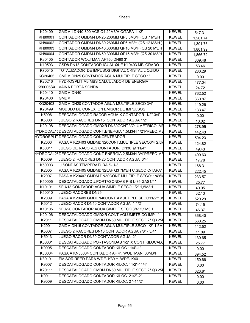| K20409   | GMDM-I DN40-300 ACS Q4 20M3/H C/TAPA 11/2"                | <b>KEWEL</b> | 547.31   |
|----------|-----------------------------------------------------------|--------------|----------|
| KH80001  | CONTADOR GMDM-I DN25.260MM QP3,5M3/H (QS 7 M3/H)          | <b>KEWEL</b> | 1,261.74 |
| KH80002  | CONTADOR GMDM-I DN30.260MM QP6 M3/H (QS 12 M3/H)          | <b>KEWEL</b> | 1,301.76 |
| KH80003  | CONTADOR GMDM-I DN40.300MM QP10 M3/H (QS 20 M3/H          | <b>KEWEL</b> | 1,801.99 |
| KH80004  | CONTADOR GMDM-I DN50.300MM QP15 M3/H (QS 30 M3/H          | <b>KEWEL</b> | 1,866.72 |
| K30405   | <b>CONTADOR WOLTMAN AFT50 DN80 3"</b>                     | <b>KEWEL</b> | 809.48   |
| K10503   | GSD8 DN13 CONTADOR IGUAL QUE K10403 MEJORADO              | <b>KEWEL</b> | 53.46    |
| K70545   | TOTALIZADOR DE IMPUSOS DIGITAL CRISTAL LIQUIDO            | <b>KEWEL</b> | 280.29   |
| KG20405  | GMDM DN25 CONTADOR AGUA MULTIPLE SECO 1"                  | <b>KEWEL</b> | 0.00     |
| K20216   | HYDROSPLIT M3 MBS CALCULADOR DE ENERGIA                   | <b>KEWEL</b> | 477.04   |
| K50005SX | VAINA PORTA SONDA                                         | <b>KEWEL</b> | 24.72    |
| K20410   | GMDM-DN40                                                 | <b>KEWEL</b> | 762.52   |
| K20408   | <b>GMDM</b>                                               | <b>KEWEL</b> | 360.87   |
| KG20403  | GMDM DN20 CONTADOR AGUA MULTIPLE SECO 3/4"                | <b>KEWEL</b> | 119.26   |
| K20499   | MODULO DE CONEXIION EMISOR DE IMPULSOS                    | <b>KEWEL</b> | 133.47   |
| K5006    | DESCATALOGADO RACOR AGUA X CONTADOR 1/2"-3/4"             | <b>KEWEL</b> | 0.00     |
| K5008    | JUEGO 2 RACORES DN15 CONTADOR AGUA 1/2"                   | <b>KEWEL</b> | 10.02    |
| K20108   | DESCATALOGADO GMDXR DN30CONT.VOLUMETRICO IMP              | <b>KEWEL</b> | 278.95   |
|          | HYDROCAL1{DESCATALOGADO CONT.ENERGIA 1,5M3/H 1/2"PREEQ.MB | <b>KEWEL</b> | 442.43   |
|          | HYDROSPLIT DESCATALOGADO CONCENTRADOR                     | <b>KEWEL</b> | 504.23   |
| K2003    | PASA A K20403 GMDMDN20CONT.MULTIPLE SECO3/4"2,5M          | <b>KEWEL</b> | 124.82   |
| K50011   | JUEGO DE RACORES CONTADOR DN30 Ø 11/4"                    | <b>KEWEL</b> | 49.43    |
|          | HYDROCAL25DESCATALOGADO CONT.ENERGIA 2,5M3/H 3/4"PREEQ.MB | <b>KEWEL</b> | 490.63   |
| K5009    | JUEGO 2 RACORES DN20 CONTADOR AGUA 3/4"                   | <b>KEWEL</b> | 17.78    |
| K50003   | <b>J.SONDAS TEMPERATURA S-U-3</b>                         | <b>KEWEL</b> | 168.31   |
| K2005    | PASA A K20405 GMDMDN25AF Q3 7M3/H C.SECO C/TAPA1          | <b>KEWEL</b> | 222.45   |
| K2007    | PASA A K20407 GMDM DN30CONT.MULTIPLE SECO11/4"6M          | <b>KEWEL</b> | 233.57   |
| K50005   | DESCATALOGADO J.PORTASONDAS P-S L-35 GAS1/4"              | <b>KEWEL</b> | 25.77    |
| K10101   | SFU/13 CONTADOR AGUA SIMPLE SECO 1/2" 1,5M3H              | <b>KEWEL</b> | 40.95    |
| K50010   | <b>JUEGO RACORES DN25</b>                                 | <b>KEWEL</b> | 32.13    |
| K2009    | PASA A K20409 GMDDN40CONT.AMULTIPLE SECO11/2"10N          | <b>KEWEL</b> | 520.29   |
| K5012    | JUEGO RACOR DN40 CONTADOR AGUA 1 1/2"                     | <b>KEWEL</b> | 74.15    |
| K10105   | SFU/20 CONTADOR AGUA SIMPLE SECO 3/4" 2,5M3H              | <b>KEWEL</b> | 46.37    |
| K20106   | DESCATALOGADO GMDXR CONT.VOLUMETRICO IMP.1"               | <b>KEWEL</b> | 368.40   |
| K2011    | DESCATALOGADO GMDM DN50 MULTIPLE SECO 2" Q3 25N           | <b>KEWEL</b> | 560.25   |
| K2001    | GMDM DN15 CONTADOR AGUA MULTIPLE SECO 1/2" 1,5M3          | <b>KEWEL</b> | 112.52   |
| K5007    | JUEGO 2 RACORES DN13 CONTADOR AGUA 7/8" - 3/4"            | <b>KEWEL</b> | 11.09    |
| K5013    | JUEGO RACOR DN50 CONTADOR AGUA 2"                         | <b>KEWEL</b> | 130.65   |
| K50001   | DESCATALOGADO PORTASONDAS 1/2" X CONT.KILOCALO            | <b>KEWEL</b> | 25.77    |
| K9005    | DESCATALOGADO CONTADOR KILOC.11/4"-1"                     | <b>KEWEL</b> | 0.00     |
| K30004   | PASA A KN30004 CONTADOR AF 4". WOLTMAN 60M3/H             | <b>KEWEL</b> | 894.52   |
| K30101   | EMISOR REED PARA WDE-K30 Y WDE-K40                        | <b>KEWEL</b> | 150.66   |
| K9007    | DESCATALOGADO CONTADOR KILOC. 11/2"-11/4"                 | <b>KEWEL</b> | 0.00     |
| K20111   | DESCATALOGADO GMDM DN50 MULTIPLE SECO 2" Q3 25N           | <b>KEWEL</b> | 623.81   |
| K9011    | DESCATALOGADO CONTADOR KILOC. 21/2"-2"                    | <b>KEWEL</b> | 0.00     |
| K9009    | DESCATALOGADO CONTADOR KILOC. 2 "-11/2"                   | <b>KEWEL</b> | 0.00     |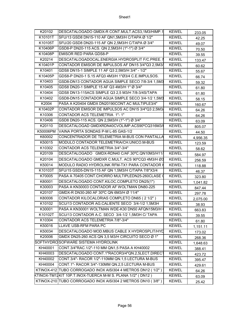| K20102   | DESCATALOGADO GMDX-R CONT.MULT.ACS3,1M3/HIMP.1              | <b>KEWEL</b> | 233.05   |
|----------|-------------------------------------------------------------|--------------|----------|
| K10101T  | SFU/13 GSD8 DN15-110 AF QN1,5M3/H C/TAPA Ø 1/2"             | <b>KEWEL</b> | 42.25    |
| K10105T  | SFU/20 GSD8 DN20-115 AF QN 2,5M3/H C/TAPA Ø 3/4"            | <b>KEWEL</b> | 49.07    |
| K10406P  | GSD8-P DN20-115 ACS. QN 2,5M3/H (1"-1") Ø 3/4"              | <b>KEWEL</b> | 70.50    |
| K10408P  | <b>EMISOR RED PARA GDS8-P</b>                               | <b>KEWEL</b> | 39.55    |
| K20214   | DESCATALOGADOCAL.ENERGIA HYDROSPLIT F/C.PREE. I             | <b>KEWEL</b> | 133.47   |
| K10401P  | CONTADOR EMISOR DE IMPULSOS AF DN15 3/4"Q3 2,5M3/           | <b>KEWEL</b> | 60.62    |
| K10401   | GDS8 DN15-1 SIMPLE 11 AF Q3 2,5M3/H 3/4" - 1/2"             | <b>KEWEL</b> | 55.67    |
| K10405P  | GDS8-P DN20-1 S.15 AFQ3 4M3/H 1"Ø3/4 C.E.IMPULSOS.          | <b>KEWEL</b> | 66.74    |
| K10403   | GSD8-DN13 CONTADOR AGUA SIMPLE SECO 7/8-3/4 1,5M3           | <b>KEWEL</b> | 59.32    |
| K10405   | GDS8 DN20-1 SIMPLE 15 AF Q3 4M3/H 1" Ø 3/4"                 | <b>KEWEL</b> | 61.80    |
| K10404   | GDS8 DN13-115ACS SIMPLE Q3 2,5 M3/H 7/8-3/4S/TAPA           | <b>KEWEL</b> | 61.80    |
| K10402   | GSD8-DN15 CONTADOR AGUA SIMPLE SECO 3/4-1/2 1,5M3           | <b>KEWEL</b> | 58.15    |
| K2004    | PASA A K20404 GMDX DN20190CONT.AC MULTIPLE3/4"              | <b>KEWEL</b> | 160.67   |
| K10402P  | CONTADOR EMISOR DE IMPULSOS AC DN15 3/4"Q3 2,5M3/           | <b>KEWEL</b> | 64.26    |
| K10306   | CONTADOR ACS TELEMETRIA 1"-1"                               | <b>KEWEL</b> | 64.26    |
| K10406   | GSD8 DN20-115 ACS. QN 2,5M3/H (1"-1") Ø 3/4"                | <b>KEWEL</b> | 63.09    |
| K20110   | DESCATALOGAD GMDXRDN40CVOLIMP.ACS90°CQ316M3/I               | <b>KEWEL</b> | 805.07   |
| K50006PM | VAINA PORTA SONDAS P-M L-85 GAS-1/2                         | <b>KEWEL</b> | 44.50    |
| K60002   | CONCENTRADOR DE TELEMETRIA M-BUS CON PANTALLA               | <b>KEWEL</b> | 4,956.35 |
| K50015   | MODULO CONTADOR TELEMETRIA/CH.UNICO.M-BUS                   | <b>KEWEL</b> | 123.59   |
| K10302   | CONTADOR ACS TELEMETRIA 3/4"-3/4"                           | <b>KEWEL</b> | 58.62    |
| K20109   | DESCATALOGADO GMDX-RDN40 C/AF.30°C.QN10M3/H11/              | <b>KEWEL</b> | 584.97   |
| K20104   | DESCATALOGADO GMDXR C.MULT. ACS 90°CQ3 4M3/H Ø3             | <b>KEWEL</b> | 256.59   |
| K50014   | MODULO RADIO HYDROLINK RFM-TX1 PARA CONTADOR K              | <b>KEWEL</b> | 118.88   |
| K10103T  | SFU/15 GSD5-DN15-115 AF QN 1,5M3/H C/TAPA 7/8"X3/4          | <b>KEWEL</b> | 46.37    |
| K70005   | PASA A 70405 CONT.CHORRO MULTIPLEDN25-260CLASE (            | <b>KEWEL</b> | 323.80   |
| K80001   | DESCATALOGADO CONT.KILOC.COMPLETO DN25(1")                  | <b>KEWEL</b> | 1,041.82 |
| K30003   | PASA A KN30003 CONTADOR AF WOLTMAN DN80-225                 | <b>KEWEL</b> | 847.44   |
| K20107   | GMDX-R DN30-260 AF 30°C QN 6M3/H Ø 11/4"                    | <b>KEWEL</b> | 297.78   |
| K80006   | CONTADOR KILOCALORIAS COMPLETO DN65 (2 1/2")                | <b>KEWEL</b> | 2,075.00 |
| K10102   | SCU/13 CONTADOR AG.CALIENTE SECO 3/4-1/2 1,5M3H             | <b>KEWEL</b> | 38.93    |
| K30001   | PASA A KN30001 WOLTMAN WDE-K30 DN50 AFQN15M3/H              | <b>KEWEL</b> | 663.83   |
| K10102T  | SCU/13 CONTADOR A.C. SECO 3/4-1/2 1,5M3H C/ TAPA            | <b>KEWEL</b> | 39.55    |
| K10304   | CONTADOR ACS TELEMETRIA 7/8"-3/4"                           | <b>KEWEL</b> | 61.80    |
| K50016   | LLAVE USB-RFM PARA PC                                       | <b>KEWEL</b> | 1,151.11 |
| K50034   | DESCATALOGADO MOD.MBUS CABLE X HYDROSPLIT/HYD               | <b>KEWEL</b> | 173.02   |
| K20006   | GMDX DN25-260 ACS QN 3,5 M3/H CIRCUITO SECO Ø 1"            | <b>KEWEL</b> | 268.36   |
|          | SOFTHYDROSOFWARE SISTEMA HYDROLINK                          | <b>KEWEL</b> | 1,648.63 |
| KH40001  | CONT.3/4"RAC.1/2"-110 MM QN1,5 PASA A KH40002               | <b>KEWEL</b> | 388.41   |
| KH40003  | DESCATALOGADO CONT.1"RACOR3/4"QN.2,5LECT.DIRECT             | <b>KEWEL</b> | 423.72   |
| KH40002  | CONT.3/4"- RACOR 1/2"-110MM QN.1,5 LECTURA M-BUS            | <b>KEWEL</b> | 395.47   |
| KH40004  | CONT.1"- RACOR 3/4"-130MM QN.2,5 LECTURA M-BUS              | <b>KEWEL</b> | 429.61   |
|          | KTINOX-412 TUBO CORROGADO INOX AISI304 4 METROS DN12 (1/2") | <b>KEWEL</b> | 64.26    |
|          | KTINOX-TM12KIT 10P.T.INOX-TUERCA M-M S. PLANA 1//2" (DN12 ) | <b>KEWEL</b> | 63.09    |
|          | KTINOX-210 TUBO CORROGADO INOX AISI304 2 METROS DN10 (3/8") | <b>KEWEL</b> | 25.42    |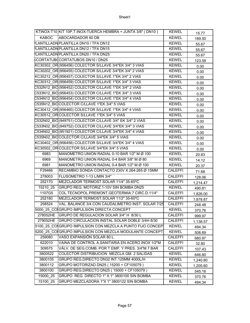|              | KTINOX-T10 KIT 10P.T.INOX-TUERCA HEMBRA + JUNTA 3/8" (DN10) | <b>KEWEL</b>   | 15.77    |
|--------------|-------------------------------------------------------------|----------------|----------|
| <b>KABOC</b> | ABOCARDADOR 60 DB                                           | <b>KEWEL</b>   | 189.50   |
|              | <b>PLANTILLADN PLANTILLA DN10 / TFA DN12</b>                | <b>KEWEL</b>   | 55.67    |
|              | PLANTILLADN PLANTILLA DN12 / TFA DN15                       | <b>KEWEL</b>   | 55.67    |
|              | LANTILLADN PLANTILLA DN20 / TFA DN25                        | <b>KEWEL</b>   | 55.67    |
|              | <b>KCORTATUB CORTATUBOS DN10 / DN25</b>                     | <b>KEWEL</b>   | 123.59   |
|              | KC30302 OR (956456) COLECTOR S/LLAVE 3/4"EK 3/4" 3 VIAS     | <b>KEWEL</b>   | 0.00     |
|              | KC30202 OR (956455) COLECTOR S/LLAVE 3/4"EK 3/4" 2 VIAS     | <b>KEWEL</b>   | 0.00     |
|              | KC30212 OR (956457) COLECTOR S/LLAVE 1"EK 3/4" 2 VIAS       | <b>KEWEL</b>   | 0.00     |
|              | KC30312 OR (956459) COLECTOR S/LLAVE 1"EK 3/4" 3 VIAS       | <b>KEWEL</b>   | 0.00     |
|              | C532N12 BIO(956452) COLECTOR C/LLAVE 1"EK 3/4" 2 VIAS       | <b>KEWEL</b>   | 0.00     |
|              | C533N12 BIO(956453) COLECTOR C/LLAVE 1"EK 3/4" 3 VIAS       | <b>KEWEL</b>   | 0.00     |
|              | C534N12_BIO(956454) COLECTOR C/LLAVE 1"EK 3/4" 4 VIAS       | <b>KEWEL</b>   | 0.00     |
|              | C535N12 BIOCOLECTOR C/LLAVE 1"EK 3/4" 5 VIAS                | <b>KEWEL</b>   | 0.00     |
|              | KC30412 OR (956460) COLECTOR S/LLAVE 1"EK 3/4" 4 VIAS       | <b>KEWEL</b>   | 0.00     |
|              | KC30512 OR COLECTOR S/LLAVE 1"EK 3/4" 5 VIAS                | <b>KEWEL</b>   | 0.00     |
|              | C532N02 BIO(949751) COLECTOR C/LLAVE 3/4" EK 3/4" 2 VIAS    | <b>KEWEL</b>   | 0.00     |
|              | C533N02 BIO(949752) COLECTOR C/LLAVE 3/4"EK 3/4" 3 VIAS     | <b>KEWEL</b>   | 0.00     |
|              | C534N02 BIO(951921) COLECTOR C/LLAVE 3/4"EK 3/4" 4 VIAS     | <b>KEWEL</b>   | 0.00     |
|              | C535N02 BIOCOLECTOR C/LLAVE 3/4"EK 3/4" 5 VIAS              | <b>KEWEL</b>   | 0.00     |
|              | KC30402 OR (956456) COLECTOR S/LLAVE 3/4"EK 3/4" 4 VIAS     | <b>KEWEL</b>   | 0.00     |
|              | KC30502 OR COLECTOR S/LLAVE 3/4"EK 3/4" 5 VIAS              | <b>KEWEL</b>   | 0.00     |
| 6983         | MANOMETRO UNION RADIAL 0-10 BAR 1/2" M Ø 100                | <b>KEWEL</b>   | 20.83    |
| 6969         | MANOMETRO UNION RADIAL 0-4 BAR 3/8" M Ø 80                  | <b>KEWEL</b>   | 14.12    |
| 6981         | MANOMETRO UNION RADIAL 0-4 BAR 1/2" M Ø 100                 | <b>KEWEL</b>   | 20.37    |
| F29466       | RECAMBIO SONDA CONTACTO 230V X 264-265 Ø 15MM               | <b>CALEFFI</b> | 71.68    |
| 278003       | FLUSOMETRO 1-13 L/MIN 3/4"                                  | <b>CALEFFI</b> | 128.06   |
| 252170       | MEZCLADOR TERMOST.SOLAR 11/4" 35-65°C                       | <b>CALEFFI</b> | 1,214.47 |
| 15210 25     | GRUPO REG. MOTORIZ.1-10V SIN BOMBA DN25                     | <b>KEWEL</b>   | 490.81   |
| 1107G5       | COL.TECNOPOL.PREMONT.GEOTERMIA 7 CIRC.D.11/4"               | <b>CALEFFI</b> | 1,826.00 |
| 252180       | MEZCLADOR TERMOST.SOLAR 11/2" 35-65°C                       | <b>CALEFFI</b> | 1,878.87 |
| 258524       | VAL. BALANCE 3/4 CON CAUDALIMETRO INST. SOLAR 7/25          | <b>CALEFFI</b> | 248.48   |
|              | 5000 25 COIGRUPO IMPULSION DIRECTA CONCEPT                  | <b>KEWEL</b>   | 370.76   |
| 278052HE     | GRUPO DE REGULACION SOLAR 3/4" H 8/30 L                     | CALEFFI        | 999.97   |
| 279052HE     | GRUPO CIRCULACION INSTAL SOLAR DOBLE 3/4H 8/30              | <b>CALEFFI</b> | 1,138.57 |
|              | 5100 25 COIGRUPO IMPULSION CON MEZCLA A PUNTO FIJO CONCEP   | <b>KEWEL</b>   | 494.34   |
|              | 5200 25 COIGRUPO IMPULSION CON MEZCLA MODULANTE CONCEPT     | <b>KEWEL</b>   | 506.69   |
| 259080       | VASO EXPANSIÓN SOLAR 80 L.                                  | <b>CALEFFI</b> | 680.97   |
| 622010       | VAINA DE CONTROL A.SANITARIA EN ACERO INOX 1/2"M            | <b>CALEFFI</b> | 32.80    |
| 309575       | VÁLV. DE SEG.COMB. POR T EMP. Y PRES. 3/4"M 7 BAR           | <b>CALEFFI</b> | 107.43   |
| 3800522      | COLECTOR DISTRIBUCION MEZCLA GM. 2 SALIDAS                  | <b>KEWEL</b>   | 646.80   |
| 3800105      | GRUPO REG.DIRECTO DN32 INT.125MM 4000L/H                    | <b>KEWEL</b>   | 1,240.80 |
| 3800112      | GRUPO MOTORIZAD DN25 (15200 + CF105079)                     | <b>KEWEL</b>   | 1,205.60 |
| 3800100      | GRUPO REG.DIRECTO DN25 (15000 + CF105079)                   | <b>KEWEL</b>   | 545.16   |
| 15000 25     | GRUPO REG. DIRECTO 1" X 1" 3800100 SIN BOMBA                | <b>KEWEL</b>   | 370.76   |
| 15100 25     | GRUPO MEZCLADORA 1"X 1" 3800122 SIN BOMBA                   | <b>KEWEL</b>   | 494.34   |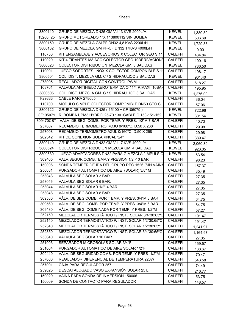| Sheet1 |
|--------|
|--------|

| 3800110   | GRUPO DE MEZCLA DN25 GM VJ 13 KVS 2000L/H.         | <b>KEWEL</b>   | 1,380.50 |
|-----------|----------------------------------------------------|----------------|----------|
| 15200 25  | GRUPO MOTORIZADO 1"X 1" 3800112 SIN BOMBA          | <b>KEWEL</b>   | 506.69   |
| 3800150   | GRUPO DE MEZCLA GM PF DN32 4,8 KVS 2200L/H         | <b>KEWEL</b>   | 1,729.38 |
| 3800132   | GRUPO DE MEZCLA GM PF-CF DN32 17KVS 4000L/H        | <b>KEWEL</b>   | 0.00     |
| 110750    | KIT ENSAMBLAJE Y ACCESORIOS X COLECTOR GEO S.11    | <b>CALEFFI</b> | 434.84   |
| 110020    | KIT 4 TIRANTES M8 ACC.COLECTOR GEO 10DERIVACIONE   | <b>CALEFFI</b> | 100.16   |
| 3800523   | COLECTOR DISTRIBUCION MEZCLA GM. 3 SALIDAS         | <b>KEWEL</b>   | 786.50   |
| 110001    | JUEGO SOPORTES INOX X COLECTOR COMPONIBLE S.11     | <b>CALEFFI</b> | 198.17   |
| 3800504   | COL. DIST. MEZCLA GM. C / S.HIDRAULICO 2 SALIDAS   | <b>KEWEL</b>   | 961.40   |
| 278005    | REGULADOR DIGITAL CON CONTROL PWM                  | <b>CALEFFI</b> | 618.27   |
| 108701    | VALVULA ANTIHIELO AEROTERMICA Ø 11/4 P.MAXI. 10BAR | <b>CALEFFI</b> | 195.95   |
| 3800505   | COL. DIST. MEZCLA GM. C / S.HIDRAULICO 3 SALIDAS   | <b>KEWEL</b>   | 1,276.00 |
| F29883    | CABLE PARA 278005                                  | <b>CALEFFI</b> | 36.04    |
| 110700    | MODULO SIMPLE COLECTOR COMPONIBLE DN50 GEO S.      | <b>CALEFFI</b> | 57.06    |
| 3800122   | GRUPO DE MEZCLA DN25 (15100 + CF105079)            | <b>KEWEL</b>   | 722.96   |
| CF105079  | R. BOMBA UPM3 HYBRID 25-70 130+CABLE G.150-151-152 | <b>KEWEL</b>   | 301.54   |
| 309470CST | VÁLV. DE SEG. COMB. POR TEMP. Y PRES. 1/2"M 7 BAR  | <b>CALEFFI</b> | 40.73    |
| 257007    | RECAMBIO TERMOMETRO ROJO 0/160°C. D.50 X 268       | <b>CALEFFI</b> | 29.98    |
| 257008    | RECAMBIO TERMOMETRO AZUL 0/160°C. D.50 X 268       | CALEFFI        | 29.98    |
| 262342    | KIT DE CONEXION SOLARINCAL 3/4"                    | <b>CALEFFI</b> | 389.47   |
| 3800140   | GRUPO DE MEZCLA DN32 GM VJ 17 KVS 4000L/H.         | <b>KEWEL</b>   | 2,060.30 |
| 3800524   | COLECTOR DISTRIBUCION MEZCLA GM. 4 SALIDAS         | <b>KEWEL</b>   | 926.05   |
| 3800530   | JUEGO ADAPTADORES DN32 PARA G.MEZCLA / IMPULSIO    | <b>KEWEL</b>   | 63.54    |
| 309405    | VALV.SEGUR.COMB.TEMP.Y PRESION 1/2 -10 BAR         | <b>CALEFFI</b> | 98.23    |
| 150006    | SONDA TEMPER.DE IDA DEL GRUPO REG.1526. (SIN VAINA | <b>CALEFFI</b> | 157.37   |
| 250031    | PURGADOR AUTOMÁTICO DE AIRE (SOLAR) 3/8" M         | <b>CALEFFI</b> | 35.49    |
| 253043    | VALVULA SEG.SOLAR 3 BAR.                           | <b>CALEFFI</b> | 27.35    |
| 253046    | VALVULA SEG.SOLAR 6 BAR.                           | <b>CALEFFI</b> | 27.35    |
| 253044    | VALVULA SEG.SOLAR 1/2" 4 BAR.                      | <b>CALEFFI</b> | 27.35    |
| 253048    | VALVULA SEG.SOLAR 8 BAR.                           | <b>CALEFFI</b> | 27.35    |
| 309530    | VÁLV. DE SEG.COMB. POR T EMP. Y PRES. 3/4"M 3 BAR  | <b>CALEFFI</b> | 64.75    |
| 309560    | VÁLV. DE SEG. COMB. POR TEMP. Y PRES. 3/4"M 6 BAR  | <b>CALEFFI</b> | 64.75    |
| 309430    | VÁLV. DE SEG. COMBINADA POR TEMP. Y PRES. 1/2"M    | <b>CALEFFI</b> | 57.27    |
| 252150    | MEZCLADOR TERMOSTÁTICO P/ INST. SOLAR 3/4"30:65°C  | <b>CALEFFI</b> | 191.47   |
| 252140    | MEZCLADOR TERMOSTÁTICO P/ INST. SOLAR 1/2"30:65°C  | <b>CALEFFI</b> | 191.47   |
| 252340    | MEZCLADOR TERMOSTÁTICO P/ INST. SOLAR 1/2"30:65°C  | <b>CALEFFI</b> | 1,241.97 |
| 252350    | MEZCLADOR TERMOSTÁTICO P/ INST. SOLAR 3/4"30:65°C  | <b>CALEFFI</b> | 1,164.97 |
| 253040    | VALVULA SEG.SOLAR 10 BAR                           | <b>CALEFFI</b> | 27.35    |
| 251003    | SEPARADOR MICROBOLAS SOLAR 3/4"F                   | <b>CALEFFI</b> | 159.57   |
| 251004    | PURGADOR AUTOMÁTICO DE AIRE SOLAR 1/2"F            | <b>CALEFFI</b> | 138.67   |
| 309440    | VÁLV. DE SEGURIDAD COMB. POR TEMP. Y PRES 1/2"M    | <b>CALEFFI</b> | 70.47    |
| 257000    | REGULADOR DIFERENCIAL DE TEMPERATURA 220W          | <b>CALEFFI</b> | 543.58   |
| 257001    | CAJA PARA REGULADOR 257                            | <b>CALEFFI</b> | 74.49    |
| 259025    | DESCATALOGADO VASO EXPANSIÓN SOLAR 25 L.           | <b>CALEFFI</b> | 216.77   |
| 150029    | VAINA PARA SONDA DE INMERSIÓN 150006               | CALEFFI        | 53.75    |
| 150009    | SONDA DE CONTACTO PARA REGULADOR                   | <b>CALEFFI</b> | 148.57   |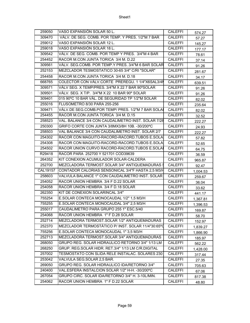| 259050   | VASO EXPANSIÓN SOLAR 50 L.                         | <b>CALEFFI</b> | 574.27   |
|----------|----------------------------------------------------|----------------|----------|
| 309470   | VÁLV. DE SEG. COMB. POR TEMP. Y PRES. 1/2"M 7 BAR  | <b>CALEFFI</b> | 57.27    |
| 259012   | VASO EXPANSIÓN SOLAR 12 L.                         | <b>CALEFFI</b> | 145.27   |
| 259018   | VASO EXPANSIÓN SOLAR 18 L.                         | <b>CALEFFI</b> | 177.17   |
| 309542   | VÁLV. DE SEG. COMB. POR TEMP Y PRES. 3/4"M 4 BAR   | <b>CALEFFI</b> | 78.61    |
| 254452   | RACOR M.CON JUNTA TORICA 3/4 M. D.22               | <b>CALEFFI</b> | 37.14    |
| 309561   | VÁLV. SEG.COMB. POR TEMP.Y PRES. 3/4"M 6 BAR SOLAR | <b>CALEFFI</b> | 91.26    |
| 252153   | MEZCLADOR TESMOSTATICO 30-65 3/4" C/RI "SOLAR"     | <b>CALEFFI</b> | 281.67   |
| 254458   | RACOR M.CON JUNTA TORICA 3/4 M. D.18               | <b>CALEFFI</b> | 34.17    |
| 668765   | COLECTOR CON VÁLV.CORTE PREREGU. 1 1/4"X6SAL3/4M   | <b>CALEFFI</b> | 639.51   |
| 309571   | VÁLV SEG. X TEMP/PRES. 3/4"M X 22 7 BAR 90°SOLAR   | <b>CALEFFI</b> | 91.26    |
| 309501   | VÁLV. SEG. X T/P. 3/4"M X 22 10 BAR 90° SOLAR      | <b>CALEFFI</b> | 91.26    |
| 309401   | 015 90°C 10 BAR VÁL. DE SEGURIDAD TP 1/2"M SOLAR   | <b>CALEFFI</b> | 82.02    |
| 255016   | FLUSOMETRO 8/30 PARA 255-256                       | <b>CALEFFI</b> | 235.64   |
| 309471   | VÁLV.DE SEG.COMB.POR TEMP/ PRES. 1/2"M 7 BAR SOLAI | <b>CALEFFI</b> | 82.02    |
| 254455   | RACOR M.CON JUNTA TORICA 3/4 M. D.15               | <b>CALEFFI</b> | 32.52    |
| 258523   | VAL. BALANCE 3/4 CON CAUDALIMETRO INST. SOLAR 7/28 | <b>CALEFFI</b> | 222.27   |
| 250300   | GRIFO CORTE CON JUNTA 3/8MX3/8H 10B. -30/200°C     | <b>CALEFFI</b> | 24.93    |
| 258503   | VAL BALANCE 3/4 CON CAUDALIMETRO INST. SOLAR 2/7   | CALEFFI        | 222.27   |
| 254302   | RACOR CON MAGUITO-RACORD-RACORD.TUBOS E.SOLA       | <b>CALEFFI</b> | 57.82    |
| 254308   | RACOR CON MAGUITO-RACORD-RACORD.TUBOS E.SOLA       | CALEFFI        | 52.65    |
| 254502   | RACOR UNION CURVO RACORD-RACORD. TUBOS E.SOLAI     | <b>CALEFFI</b> | 64.75    |
| R29418   | RACOR PARA 252700 Y 521701 COD39639                | <b>CALEFFI</b> | 36.59    |
| 264352   | KIT CONEXION ACUMULADOR SOLAR-CALDERA              | <b>CALEFFI</b> | 965.87   |
| 252700   | MEZCLADORA TERMOST.SOLAR 3/4" ANTIQUEMADURAS \$    | <b>CALEFFI</b> | 92.47    |
| CAL19157 | CONTADOR CALORIAS SENSONICAL 3/4"F HASTA 2,5 M3/H  | <b>CALEFFI</b> | 1,004.53 |
| 258603   | VALVULA BALANCE 1" CON CAUDALIMETRO INST. SOLAR    | <b>CALEFFI</b> | 259.67   |
| 254052   | RACOR UNION HEMBRA 3/4 F D.22 SOLAR                | <b>CALEFFI</b> | 36.04    |
| 254058   | RACOR UNION HEMBRA 3/4 F D.18 SOLAR                | <b>CALEFFI</b> | 33.62    |
| 262350   | KIT DE CONEXION SOLARINCAL 3/4"                    | <b>CALEFFI</b> | 441.17   |
| 755254   | E.SOLAR CONTECA MONOCAUDAL 1/2" 1.5 M3/H           | <b>CALEFFI</b> | 1,367.81 |
| 755255   | E.SOLAR CONTECA MONOCAUDAL 3/4" 2,5 M3/H           | <b>CALEFFI</b> | 1,396.53 |
| 255017   | CAUDALIMETRO PARA GRUPO 255 1" ESC.5/40            | <b>CALEFFI</b> | 169.87   |
| 254068   | RACOR UNION HEMBRA 1" F D.28 SOLAR                 | <b>CALEFFI</b> | 58.70    |
| 252714   | MEZCLADORA TERMOST.SOLAR 1/2" ANTIQUEMADURAS       | <b>CALEFFI</b> | 152.97   |
| 252370   | MEZCLADOR TERMOSTÁTICO P/INST. SOLAR 11/4"30:65°C  | <b>CALEFFI</b> | 1,839.27 |
| 755256   | E.SOLAR CONTECA MONOCAUDAL 1" 3,5 M3/H             | CALEFFI        | 1,866.90 |
| 252713   | MEZCLADORA TERMOST.SOLAR 3/4" ANTIQUEMADURAS       | <b>CALEFFI</b> | 185.97   |
| 268050   | GRUPO REG. SOLAR HIDRAULICO RETORNO 3/4" 1/13 LM   | <b>CALEFFI</b> | 562.22   |
| 268250   | GRUP. REG.SOLAR HIDR. RET.3/4" 1/13 LM C/R.DIGITAL | <b>CALEFFI</b> | 1,428.00 |
| 257002   | TESMOSTATO CON SLIDA RELE INSTALAC. SOLARES 230    | <b>CALEFFI</b> | 317.44   |
| 253042   | VALVULA SEG.SOLAR 2,5 BAR.                         | <b>CALEFFI</b> | 27.35    |
| 269050   | GRUPO REG. SOLAR HIDRAULICO IDA/RETORNO 3/4"       | <b>CALEFFI</b> | 705.63   |
| 240400   | VAL.ESFERA INSTALCION SOLAR 1/2" H-H. -30/200°C    | <b>CALEFFI</b> | 67.06    |
| 267054   | GRUPO CIRC. SOLAR IDA/RETORNO 3/4" H. 3-10L/MIN.   | <b>CALEFFI</b> | 817.38   |
| 254062   | RACOR UNION HEMBRA 1" F D.22 SOLAR                 | <b>CALEFFI</b> | 48.80    |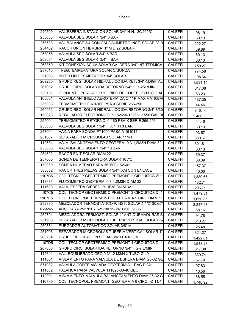| 240500 | VAL.ESFERA INSTALCION SOLAR 3/4" H-H. -30/200°C    | CALEFFI        | 98.19    |
|--------|----------------------------------------------------|----------------|----------|
| 253053 | VALVULA SEG.SOLAR 3/4" 3 BAR.                      | <b>CALEFFI</b> | 60.13    |
| 258533 | VAL BALANCE 3/4 CON CAUDALIMETRO INST. SOLAR 3/10  | <b>CALEFFI</b> | 222.27   |
| 254462 | RACOR UNION HEMBRA 1" M D.22 SOLAR                 | CALEFFI        | 39.89    |
| 253056 | VALVULA SEG.SOLAR 3/4" 6 BAR.                      | <b>CALEFFI</b> | 60.13    |
| 253054 | VALVULA SEG.SOLAR 3/4" 4 BAR.                      | <b>CALEFFI</b> | 60.13    |
| 263350 | KIT CONEXION ACUM.SOLAR-CALDERA 3/4" INT.TERMICA   | <b>CALEFFI</b> | 750.27   |
| 257010 | REG.TEMPERATURA SOLAR C/SONDA                      | <b>CALEFFI</b> | 774.58   |
| 251093 | BOTELLIN DESAIREADOR 3/4" SOLAR                    | CALEFFI        | 108.64   |
| 269250 | GRUPO REG. SOLAR HIDRAULICO IDA/RET. 3/4"R.DIGITAL | <b>CALEFFI</b> | 1,534.14 |
| 267052 | GRUPO CIRC. SOLAR IDA/RETORNO 3/4" H. 7-25L/MIN.   | <b>CALEFFI</b> | 817.38   |
| 250131 | CONJUNTO PURGADOR Y GRIFO DE CORTE 3/8"M SOLAR     | <b>CALEFFI</b> | 83.23    |
| 108601 | VALVULA ANTIHIELO AEROTERMICA Ø 1" P.MAXIMA 10BAR  | <b>CALEFFI</b> | 187.35   |
| 255003 | TERMOMETRO IDA 0-160 PSA X SERIE 255-256           | <b>CALEFFI</b> | 44.46    |
| 269052 | GRUPO REG. SOLAR HIDRAULICO IDA/RETORNO 3/4" 8/30  | <b>CALEFFI</b> | 846.14   |
| 150023 | REGULADOR ELECTRONICO X 152650-152651-1556 CAL/RE  | CALEFFI        | 2,480.56 |
| 255004 | TERMOMETRO RETORNO 0-160 PSA X SERIE 255-256       | <b>CALEFFI</b> | 44.46    |
| 253058 | VALVULA SEG.SOLAR 3/4" H X 1" H 8 BAR.             | <b>CALEFFI</b> | 60.13    |
| 257004 | VAINA PARA SONDA PT1000 PASA A 161014              | <b>CALEFFI</b> | 93.57    |
| 251007 | SEPARADOR MICROBOLAS SOLAR 11/4 H.                 | <b>CALEFFI</b> | 380.67   |
| 112631 | VALV. BALANCEAMIENTO GEOTERM. 0,3-1,2M3H DIAM 32   | <b>CALEFFI</b> | 301.81   |
| 253050 | VALVULA SEG.SOLAR 3/4" 10 BAR.                     | <b>CALEFFI</b> | 60.13    |
| 254602 | RACOR EN T SOLAR DIAM.22                           | <b>CALEFFI</b> | 69.37    |
| 257005 | SONDA DE TEMPERATURA SOLAR 105°C                   | <b>CALEFFI</b> | 68.39    |
| 150050 | SONDA HUMEDAD PARA 152600-152601                   | <b>CALEFFI</b> | 157.37   |
| 588052 | RACOR TRES PIEZAS SOLAR 3/4"HXM CON ENLACE         | <b>CALEFFI</b> | 40.00    |
| 1107B5 | COL. TECNOP GEOTERMICO PREMONT 2 CIRCUITOS Ø 11    | CALEFFI        | 1,389.66 |
| 113631 | FLUXOMETRO GEOTERM. 0,3-1,2M3H DIAM 32             | <b>CALEFFI</b> | 182.71   |
| 111630 | VALV. ESFERA C/PRED. "HUBA" DIAM 32                | <b>CALEFFI</b> | 206.71   |
| 1107C5 | COL. TECNOP GEOTERMICO PREMONT 3 CIRCUITOS D. 1    | <b>CALEFFI</b> | 1,479.31 |
| 1107E5 | COL. TECNOPOL. PREMONT. GEOTERMIA 5 CIRC DIAM 11   | <b>CALEFFI</b> | 1,650.85 |
| 252380 | MEZCLADOR TERMOSTATICO P/INST. SOLAR 1 1/2" 30:65° | CALEFFI        | 2,847.97 |
| R29245 | ACC. PARA 252701 Y 521700 1"-3/4" COD39565         | <b>CALEFFI</b> | 68.16    |
| 252701 | MEZCLADORA TERMOST. SOLAR 1" ANTIQUEMADURAS S/     | <b>CALEFFI</b> | 94.78    |
| 251905 | SEPARADOR MICROBOLAS TUBERIA VERTICAL SOLAR 3/4    | <b>CALEFFI</b> | 310.27   |
| 250831 | PURGADOR AUTOMATICO SOLAR 3/8" M                   | CALEFFI        | 25.48    |
| 251906 | SEPARADOR MICROBOLAS TUBERIA VERTICAL SOLAR 1"     | CALEFFI        | 321.27   |
| 266254 | GRUPO REGULACION SOLAR 3/4" H 3-10 L/M             | <b>CALEFFI</b> | 1,422.61 |
| 1107D5 | COL. TECNOP GEOTERMICO PREMONT 4 CIRCUITOS D. 1    | <b>CALEFFI</b> | 1,548.28 |
| 267050 | GRUPO CIRC. SOLAR IDA/RETORNO 3/4" H 2-7 L/MIN     | <b>CALEFFI</b> | 817.38   |
| 112641 | VAL. EQUILIBRADO GEO 0,3/1,2 M3/H X TUBO Ø 40      | CALEFFI        | 330.74   |
| 111001 | AISLAMIENTO PARA VALVULA DE ESFERA DIAM. 25-32 GE  | CALEFFI        | 57.79    |
| 871032 | VALVULA CORTE AISLADA GEOTERMIA + RAC D.32         | CALEFFI        | 97.83    |
| 111002 | PALANCA PARA VALVULA 111620-30-40 GEO              | <b>CALEFFI</b> | 10.56    |
| 112001 | AISLAMIENTO VALVULA BALANCEAMIENTO DIAM.25-32 GI   | CALEFFI        | 68.55    |
| 1107F5 | COL. TECNOPOL. PREMONT. GEOTERMIA 6 CIRC. Ø 11/4   | <b>CALEFFI</b> | 1,740.92 |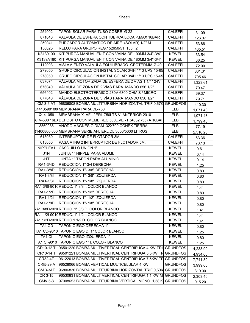| 254002             | TAPON SOLAR PARA TUBO COBRE Ø 22                              | <b>CALEFFI</b>  | 31.09    |
|--------------------|---------------------------------------------------------------|-----------------|----------|
| 871040             | VALVULA DE ESFERA CON TUERCA LOCA P.MAX 16BAR                 | <b>CALEFFI</b>  | 126.07   |
| 250041             | PURGADOR AUTOMÁTICO DE AIRE (SOLAR) 1/2" M                    | <b>CALEFFI</b>  | 53.86    |
| 150025             | RELOJ PARA GRUPO REG.152650/51 1552                           | <b>CALEFFI</b>  | 435.51   |
| K3139100           | KIT PURGA MANUAL EN T CON VAINA DE 100MM 3/4"-3/4"            | <b>KEWEL</b>    | 33.54    |
| K3139A180          | KIT PURGA MANUAL EN T CON VAINA DE 180MM 3/4"-3/4"            | <b>KEWEL</b>    | 36.25    |
| 112003             | AISLAMIENTO VALVULA EQUILIBRADO GEOTERMIA Ø 40                | <b>CALEFFI</b>  | 72.00    |
| 279050             | GRUPO CIRCULACION INSTAL SOLAR 3/4H 1/13 UPS 15-65            | <b>CALEFFI</b>  | 831.31   |
| 278050             | GRUPO CIRCULACION INSTAL.SOLAR 3/4H 1/13 UPS 15-65            | <b>CALEFFI</b>  | 705.46   |
| 637074             | VÁLVULA MOTORIZADA DE ESFERA DE 2 VÍAS 1 1/4" 24V             | <b>CALEFFI</b>  | 1,323.61 |
| 676040             | VÁLVULA DE ZONA DE 2 VÍAS PARA MANDO 656 1/2"                 | <b>CALEFFI</b>  | 70.47    |
| 656402             | MANDO ELECTROTÉRMICO 230V-6300 OHM S / MICRO                  | <b>CALEFFI</b>  | 69.37    |
| 677040             | VÁLVULA DE ZONA DE 3 VÍAS PARA MANDO 656 1/2"                 | <b>CALEFFI</b>  | 79.71    |
| <b>CM 3-6 AT</b>   | 96806808 BOMBA MULTITURBINA HORIZONTAL TRIF 0,67K             | <b>GRUNDFOS</b> | 410.30   |
|                    | 014105901000MEMBRANA PARA DL-750                              | <b>ELBI</b>     | 1,071.48 |
| Q141059            | MEMBRANA X AFL / ERL 750LTS V. ANTERIOR 2010                  | <b>ELBI</b>     | 1,071.48 |
|                    | AFV-500 16BADEPOSITO CON MEMB.REC.500L.VERT.(A032R55) A 16BAR | <b>ELBI</b>     | 1,799.40 |
| 8560086            | ANODO MAGNESIO DIAM. 32X700 CONEX TIERRA                      | <b>ELBI</b>     | 77.19    |
|                    | 01400800 000 MEMBRANA SERIE AFL, ERL, DL 3000/5000 LITROS     | <b>ELBI</b>     | 2,516.20 |
| 613030             | INTERRUPTOR DE FLOTADOR 3M.                                   | <b>CALEFFI</b>  | 63.36    |
| 613050             | PASA A ING 2 INTERRUPTOR DE FLOTADOR 5M.                      | <b>CALEFFI</b>  | 73.13    |
| NIPPLEA1           | <b>CASQUILLO UNION 1"</b>                                     | <b>KEWEL</b>    | 0.61     |
| J1N                | JUNTA 1" NIPPLE PARA ALUMI.                                   | <b>KEWEL</b>    | 0.14     |
| J1T                | <b>JUNTA 1" TAPÓN PARA ALUMINIO</b>                           | <b>KEWEL</b>    | 0.14     |
| RA1-3/4D           | REDUCCION 1"-3/4 DERECHA                                      | <b>KEWEL</b>    | 1.25     |
| RA1-3/8D           | REDUCCION 1"-3/8" DERECHA                                     | <b>KEWEL</b>    | 0.80     |
| RA1-3/8I           | REDUCCION 1"- 3/8" IZQUIERDA                                  | <b>KEWEL</b>    | 0.80     |
| RA1-1/8I           | REDUCCION 1"- 1/8" IZQUIERDA                                  | <b>KEWEL</b>    | 0.80     |
|                    | RA1 3/8I-9010 REDUC. 1" 3/8 I. COLOR BLANCO                   | <b>KEWEL</b>    | 1.41     |
| RA1-1/2D           | REDUCCION 1"- 1/2" DERECHA                                    | <b>KEWEL</b>    | 0.80     |
| RA1-1/2I           | REDUCCION 1"- 1/2" IZQUIERDA                                  | <b>KEWEL</b>    | 0.80     |
| RA1-1/8D           | REDUCCION 1"- 1/8" DERECHA                                    | <b>KEWEL</b>    | 0.80     |
|                    | RA1 3/8D-901 REDUC. 1" 3/8 D. COLOR BLANCO                    | <b>KEWEL</b>    | 1.41     |
|                    | RA1 1/2I-9010 REDUC. 1" 1/2 I. COLOR BLANCO                   | <b>KEWEL</b>    | 1.41     |
|                    | RA1 1/2D-901(REDUC.1 1/2 D. COLOR BLANCO                      | <b>KEWEL</b>    | 1.41     |
| TA1 CD             | <b>TAPON CIEGO DERECHA 1"</b>                                 | <b>KEWEL</b>    | 0.80     |
|                    | TA1 CD-9010 TAPON CIEGO D. 1" COLOR BLANCO                    | <b>KEWEL</b>    | 1.25     |
| TA <sub>1</sub> CI | TAPON CIEGO IZQUIERDA 1"                                      | <b>KEWEL</b>    | 0.80     |
|                    | TA1 CI-9010 TAPON CIEGO 1" I. COLOR BLANCO                    | <b>KEWEL</b>    | 1.25     |
| CR10-12 T          | 96501220 BOMBA MULTIVERTICAL CENTRIFUGA 4 KW TRI              | <b>GRUNDFOS</b> | 4,233.90 |
| <b>CR10-14 T</b>   | 96501221 BOMBA MULTIVERTICAL CENTRIFUGA 5,5KW TR              | <b>GRUNDFOS</b> | 4,934.60 |
| CR32-4T            | 96122013 BOMBA MULTIVERTICAL CENTRIFUGA 7,5KW TR              | <b>GRUNDFOS</b> | 7,741.80 |
| <b>CRI5-29 A</b>   | 96528066 BOMBA VERTICAL MULTICELULAR 4 KW                     | <b>GRUNDFOS</b> | 3,999.60 |
| CM 3-3AT           | 96806830 BOMBA MULTITURBINA HORIZONTAL TRIF 0,50K             | <b>GRUNDFOS</b> | 319.00   |
| CR 3-15            | 96530831 BOMBA MULT VERTICAL CENTRIFUGA 1,1 KW M              | <b>GRUNDFOS</b> | 2,303.40 |
| <b>CMV 5-8</b>     | 97908653 BOMBA MULTITURBINA VERTICAL MONO. 1,58 K             | <b>GRUNDFOS</b> | 915.20   |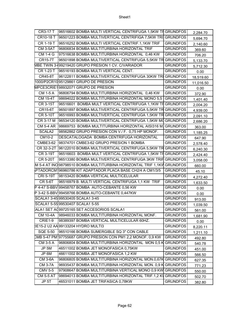| CR3-17 T           | 96516602 BOMBA MULTI VERTICAL CENTRIFUGA 1,5KW TH GRUNDFOS              |                 | 2,284.70  |
|--------------------|-------------------------------------------------------------------------|-----------------|-----------|
| <b>CR10-18 T</b>   | 96501223 BOMBA MULTIVERTICAL CENTRIFIGA 7,5KW TRI GRUNDFOS              |                 | 5,694.70  |
| CR 1-19 T          | 96516252 BOMBA MULTI VERTICAL CENTRIF.1,1KW TRIF                        | <b>GRUNDFOS</b> | 2,140.60  |
| <b>CM 3-5AT</b>    | 96806834 BOMBA MULTITURBINA HORIZONTAL TRIF                             | <b>GRUNDFOS</b> | 369.60    |
| <b>CM 1-4 G</b>    | 97516638 BOMBA MULTITURBINA HORIZONTAL 0,46 KW                          | <b>GRUNDFOS</b> | 706.20    |
| <b>CR15-7T</b>     | 96501898 BOMBA MULTIVERTICAL CENTRIFUGA 5,5KW TR GRUNDFOS               |                 | 5,133.70  |
|                    | MBE TWIN 3-199219420 GRUPO PRESION 1 CV. C/VARIADOR                     | <b>GRUNDFOS</b> | 5,712.30  |
| CR 1-23 T          | 96516193 BOMBA MULTI VERTICAL CENT.                                     | <b>GRUNDFOS</b> | 0.00      |
| CR45-8T            | 96122811 BOMBA MULTIVERTICAL CENTRIFUGA 30KW TRI GRUNDFOS               |                 | 18,519.60 |
|                    | 1000/P2CR10 95129861 GRUPO DE PRESION                                   | <b>GRUNDFOS</b> | 11,016.50 |
|                    | MPCE3CRIE198932071 GRUPO DE PRESION                                     | <b>GRUNDFOS</b> | 0.00      |
| CM 1-5 A           | 96806794 BOMBA MULTITURBINA HORIZONTAL 0,46 KW                          | <b>GRUNDFOS</b> | 372.90    |
| <b>CM 15-4T</b>    | 98694022 BOMBA MULTITURBINA HORIZONTAL MONO 5,5                         | <b>GRUNDFOS</b> | 1,401.40  |
| <b>CR 3-15T</b>    | 96516601 BOMBA MULT VERTICAL CENTRIFUGA 1,1KW TH GRUNDFOS               |                 | 2,004.20  |
| CR15-6T            | 96501897 BOMBA MULTIVERTICAL CENTRIFUGA 5,5KW TR GRUNDFOS               |                 | 4,939.00  |
| <b>CR 5-10T</b>    | 96516993 BOMBA MULTIVERTICAL CENTRIFUGA 1,5KW TR GRUNDFOS               |                 | 2,091.10  |
| CR 3-17 M          | 96534120 BOMBA MULTIVERTICAL CENTRIFUGA 1,5KW MQ GRUNDFOS               |                 | 2,686.20  |
|                    | CM 5-4 AR 98669753 BOMBA MULTITURBINA HORIZONTAL AISI316 M. GRUNDFOS    |                 | 363.00    |
| SCALA <sub>2</sub> | 98562862 GRUPO PRESION CON V./ F. 0,75 HP MONOF.                        | <b>GRUNDFOS</b> | 1,185.25  |
| CM10-2             | DESCATALOGADA BOMBA CENTRIFUGA HORIZONTAL                               | <b>GRUNDFOS</b> | 647.90    |
| <b>CMBE3-62</b>    | 98374701 CMBE3-62 GRUPO PRESION 1 BOMBA                                 | <b>GRUNDFOS</b> | 2,578.40  |
|                    | CR 32-3-2T 96122010 BOMBA MULTIVERTICAL CENTRIFUGA 5,5KW TR GRUNDFOS    |                 | 6,240.30  |
| CR 3-19T           | 96516603 BOMBA MULT VERTICAL CENTRIFUGA 1,5KW TH GRUNDFOS               |                 | 2,424.40  |
| <b>CR 5-20T</b>    | 96513380 BOMBA MULTIVERTICAL CENTRIFUGA 3KW TRIF GRUNDFOS               |                 | 3,058.00  |
|                    | M 5-4 AT INO 98798510 BOMBA MULTITURBINA HORIZONTAL TRIF 1,1KV GRUNDFOS |                 | 660.00    |
|                    | PTADORCM196960786 KIT ADAPTADOR PLACA BASE CH2/4 A CM1/3/5              | <b>GRUNDFOS</b> | 45.10     |
|                    | CRI 5-19T 98153420 BOMBA VERTICAL MULTICELULAR                          | <b>GRUNDFOS</b> | 4,272.40  |
| <b>CR 5-6T</b>     | 96516979 B. MULTI VERTICAL CENTRIFUGA 1,1 KW TRIF                       | <b>GRUNDFOS</b> | 1,633.50  |
|                    | P 4-47 S-BBV 99458767 BOMBA AUTO-CEBANTE 0,56 KW                        | <b>GRUNDFOS</b> | 0.00      |
|                    | P 3-42 S-BBV 99458766 BOMBA AUTO-CEBANTE 0,447KW                        | <b>GRUNDFOS</b> | 0.00      |
|                    | SCALA1 3-45 99530405 SCALA1 3-45                                        | <b>GRUNDFOS</b> | 913.00    |
|                    | SCALA1 5-55 99530407 SCALA1 5-55                                        | <b>GRUNDFOS</b> | 1,039.50  |
|                    | ALA1 SET AQ99725165 SET ACCESORIOS SCALA1                               | <b>GRUNDFOS</b> | 561.00    |
| <b>CM 10-4A</b>    | 98946033 BOMBA MULTITURBINA HORIZONTAL MONF.                            | <b>GRUNDFOS</b> | 1,681.90  |
| CRIE1-9            | 98389397 BOMBA VERTICAL MULTICELULAR 60HZ.                              | <b>GRUNDFOS</b> | 0.00      |
|                    | IE15-2 U2 AA 99133204 HYDRO MULTI3                                      | <b>GRUNDFOS</b> | 8,220.11  |
| <b>SQE 5-50</b>    | 96510166 BOMBA SUMERGIBLE SQ 3" CON CABLE                               | <b>GRUNDFOS</b> | 1,211.10  |
|                    | CMB 5-47 PM 97755687 GRUPO PRESION CON PM1 2,2 MONOF. 0,9 KW            | <b>GRUNDFOS</b> | 492.80    |
| CM 3-5 A           | 96806804 BOMBA MULTITURBINA HORIZONTAL MON 0,5 K                        | <b>GRUNDFOS</b> | 540.78    |
| JP 5M              | 46511002 BOMBA JET MONOFASICA 0,75KW                                    | <b>GRUNDFOS</b> | 451.00    |
| JP 6M              | 46611002 BOMBA JET MONOFASICA 1,2 KW                                    | <b>GRUNDFOS</b> | 566.50    |
| <b>CM 3-6A</b>     | 96806805 BOMBA MULTITURBINA HORIZONTAL MON.0,67K GRUNDFOS               |                 | 627.35    |
| <b>CM 3-7A</b>     | 96935437 BOMBA MULTITURBINA HORIZONTAL MON. 0,9 K GRUNDFOS              |                 | 771.23    |
| <b>CMV 5-5</b>     | 97908647 BOMBA MULTITURBINA VERTICAL MONO 0,9 KW GRUNDFOS               |                 | 550.00    |
| <b>CM 5-5 AT</b>   | 98694013 BOMBA MULTITURBINA HORIZONTAL TRIF.1,2 KV                      | <b>GRUNDFOS</b> | 502.70    |
| JP 5T              | 46531011 BOMBA JET TRIFASICA 0,78KW                                     | <b>GRUNDFOS</b> | 382.80    |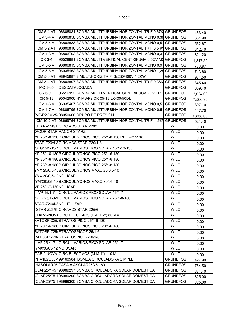|                            | CM 5-4 AT 96806831 BOMBA MULTITURBINA HORIZONTAL TRIF 0,67K GRUNDFOS   |                 | 466.40   |
|----------------------------|------------------------------------------------------------------------|-----------------|----------|
| CM 3-4 A                   | 96806858 BOMBA MULTITURBINA HORIZONTAL MONO 0,36 GRUNDFOS              |                 | 361.90   |
| CM 5-4 A                   | 96806833 BOMBA MULTITURBINA HORIZONTAL MONO 0,5 GRUNDFOS               |                 | 562.67   |
| <b>CM 5-2 AT</b>           | 96806816 BOMBA MULTITURBINA HORIZONTAL TRIF.0,5 KV GRUNDFOS            |                 | 312.40   |
| CM 1-3 A                   | 96806792 BOMBA MULTITURBINA HORIZONTAL MONO 0,3 GRUNDFOS               |                 | 321.20   |
| CR 3-4                     | 96528681 BOMBA MULTI VERTICAL CENTRIFUGA 0,5CV MQ GRUNDFOS             |                 | 1,317.80 |
| <b>CM 5-5 A</b>            | 96806813 BOMBA MULTITURBINA HORIZONTAL MONO 0,9 GRUNDFOS               |                 | 733.87   |
| <b>CM 5-6 A</b>            | 96935462 BOMBA MULTITURBINA HORIZONTAL MONO 1,28 GRUNDFOS              |                 | 743.60   |
| <b>CM 5-6 AT</b>           | 98945987 B MULT.HORIZ TRIF. 3x230/400V 1,2KW                           | <b>GRUNDFOS</b> | 984.50   |
| <b>CM 3-4 AT</b>           | 96806807 BOMBA MULTITURBINA HORIZONTAL TRIF 0,36K GRUNDFOS             |                 | 345.40   |
| MQ 3-35                    | <b>DESCATALOGADA</b>                                                   | <b>GRUNDFOS</b> | 609.40   |
| <b>CR 5-9 T</b>            | 96516992 BOMBA MULTI VERTICAL CENTRIFUGA 2CV TRIF GRUNDFOS             |                 | 2,024.00 |
| CR 5-13                    | 95042006 HYMS/P2 CR 05-13 3X400/50DL                                   | <b>GRUNDFOS</b> | 7,566.90 |
| CM 1-6 A                   | 96935407 BOMBA MULTITURBINA HORIZONTAL MONO 0,5 GRUNDFOS               |                 | 397.10   |
| <b>CM 1-7 A</b>            | 96806796 BOMBA MULTITURBINA HORIZONTAL MONO 0,5                        | <b>GRUNDFOS</b> | 447.70   |
|                            | MS/P2CMV5-98050660 GRUPO DE PRESION                                    | <b>GRUNDFOS</b> | 5,858.60 |
|                            | CM 10-2 AT 98669754 BOMBA MULTITURBINA HORIZONTAL TRIF. 1,5KV GRUNDFOS |                 | 521.40   |
|                            | STAR-Z 20/1 CIRC.ACS STAR Z20/1                                        | <b>WILO</b>     | 0.00     |
|                            | RACOR STARIRACOR STARZ                                                 | <b>WILO</b>     | 0.00     |
|                            | YP 25/1-8 130B.CIRCUL.YONOS PICO 25/1-8 130 REF.4215518                | <b>WILO</b>     | 0.00     |
|                            | STAR Z20/4-3 CIRC.ACS STAR-Z20/4-3                                     | <b>WILO</b>     | 0.00     |
|                            | STG15/1-13-1CIRCUL.VARIOS PICO SOLAR 15/1-13-130                       | <b>WILO</b>     | 0.00     |
|                            | YP 25/1-6 130 B.CIRCUL.YONOS PICO 25/1-6 130                           | <b>WILO</b>     | 0.00     |
|                            | YP 25/1-6 180 B.CIRCUL.YONOS PICO 25/1-6 180                           | <b>WILO</b>     | 0.00     |
|                            | YP 25/1-8 180 B.CIRCUL.YONOS PICO 25/1-8 180                           | <b>WILO</b>     | 0.00     |
|                            | YMX 25/0,5-10B.CIRCUL.YONOS MAXO 25/0,5-10                             | <b>WILO</b>     | 0.00     |
| YMX 30/0,5-10 NO USAR      |                                                                        | <b>WILO</b>     | 0.00     |
|                            | YMX30/05-10 B.CIRCUL.YONOS MAXO 30/05-10                               | <b>WILO</b>     | 0.00     |
| VP 25/1-7-130 NO USAR      |                                                                        | <b>WILO</b>     | 0.00     |
|                            | VP 15/1-7 CIRCUL.VARIOS PICO SOLAR 15/1-7                              | <b>WILO</b>     | 0.00     |
|                            | STG 25/1-8-1 CIRCUL.VARIOS PICO SOLAR 25/1-8-180                       | <b>WILO</b>     | 0.00     |
|                            | STAR-Z20/4-3NO UTILIZAR                                                | <b>WILO</b>     | 0.00     |
|                            | STAR-Z25/6 CIRC.ACS STAR-Z25/6                                         | <b>WILO</b>     | 0.00     |
|                            | STAR-2-NOV4CIRC.ELECT.ACS (H-H 1/2") 80 MM                             | <b>WILO</b>     | 0.00     |
|                            | RATOSPIC25/STRATOS PICO 25/1-6 180                                     | <b>WILO</b>     | 0.00     |
|                            | YP 20/1-6 180 B.CIRCUL.YONOS PICO 20/1-6 180                           | <b>WILO</b>     | 0.00     |
|                            | RATOSPIZ25/STRATOSPICOZ-25/1-6                                         | <b>WILO</b>     | 0.00     |
|                            | RATOSPIZ20/STRATOSPICOZ-20/1-6                                         | <b>WILO</b>     | 0.00     |
| VP 25/1-7                  | <b>CIRCUL VARIOS PICO SOLAR 25/1-7</b>                                 | <b>WILO</b>     | 0.00     |
| <b>YMX30/05-12 NO USAR</b> |                                                                        | <b>WILO</b>     | 0.00     |
|                            | TAR 2 NOVA CIRC ELECT ACS (M-M 1") 110 M                               | <b>WILO</b>     | 0.00     |
|                            | PHA1L25/60-199160584_BOMBA CIRCULADORA SIMPLE                          | <b>GRUNDFOS</b> | 427.90   |
|                            | HASOLAR25 PASA A ASOLAR25/45 180                                       | <b>GRUNDFOS</b> | 764.50   |
|                            | OLAR25/145 198989297 BOMBA CIRCULADORA SOLAR DOMESTICA                 | <b>GRUNDFOS</b> | 884.40   |
|                            | OLAR25/75 1 98989299 BOMBA CIRCULADORA SOLAR DOMESTICA                 | <b>GRUNDFOS</b> | 825.00   |
|                            | OLAR25/75 198989300 BOMBA CIRCULADORA SOLAR DOMESTICA                  | <b>GRUNDFOS</b> | 825.00   |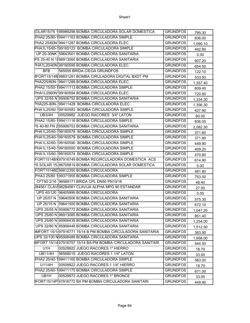|                | \$OLAR15/75 1 98989298 BOMBA CIRCULADORA SOLAR DOMESTICA    | <b>GRUNDFOS</b> | 795.30   |
|----------------|-------------------------------------------------------------|-----------------|----------|
|                | PHA2 25/80-199411163 BOMBA CIRCULADORA SIMPLE!              | <b>GRUNDFOS</b> | 836.00   |
|                | PHA2 25/60N199411287 BOMBA CIRCULADORA ELEC.                | <b>GRUNDFOS</b> | 1,090.10 |
|                | PHA1L15/65-199165123 BOMBA CIRCULADORA SIMPLE               | <b>GRUNDFOS</b> | 492.80   |
|                | UP 20-30NK 59643501 BOMBA CIRCULADORA SANITARIA             | <b>GRUNDFOS</b> | 0.00     |
|                | PS 25-40 N 1896913060 BOMBA CIRCULADORA SANITARIA           | <b>GRUNDFOS</b> | 607.20   |
|                | PHA1L20/40N 99160595 BOMBA CIRCULADORA ELEC.                | <b>GRUNDFOS</b> | 654.50   |
| <b>BFB</b>     | 565055 BRIDA CIEGA GRUNDFOS                                 | <b>GRUNDFOS</b> | 122.10   |
|                | (IFORT15/14B) 99831281 BOMBA CIRULADORA DIGITAL BXDT PM     | <b>GRUNDFOS</b> | 533.50   |
|                | PHA225/80N-199411289 BOMBA CIRCULADORA ELEC.                | <b>GRUNDFOS</b> | 1,357.40 |
|                | PHA2 15/50-199411113 BOMBA CIRCULADORA SIMPLE!              | <b>GRUNDFOS</b> | 609.40   |
|                | PHA1L2560N199160594 BOMBA CIRCULADORA ELEC.                 | <b>GRUNDFOS</b> | 720.50   |
|                | UPS 32/55 N 95906752 BOMBA CIRCULADORA SANITARIA            | <b>GRUNDFOS</b> | 1,334.30 |
|                | PHA225-80N-199411428 BOMBA CIRCULADORA ELEC.                | <b>GRUNDFOS</b> | 1,356.30 |
|                | PHA1L25/60-199160583 BOMBA CIRCULADORA SIMPLE               | <b>GRUNDFOS</b> | 427.90   |
| <b>UB3/4H</b>  | 00529982 JUEGO RACORES 3/4" LATON                           | <b>GRUNDFOS</b> | 60.50    |
|                | PHA2 15/80-199411116 BOMBA CIRCULADORA SIMPLE               | <b>GRUNDFOS</b> | 836.00   |
|                | PS 40-80 FN 2 95906753 BOMBA CIRCULADORA SANITARIA          | <b>GRUNDFOS</b> | 2,082.30 |
|                | PHA1L25/40-199160578 BOMBA CIRCULADORA SIMPLE               | <b>GRUNDFOS</b> | 371.80   |
|                | PHA1L25/40-199160579 BOMBA CIRCULADORA SIMPLE               | <b>GRUNDFOS</b> | 371.80   |
|                | PHA1L32/60-199160590 BOMBA CIRCULADORA SIMPLE               | <b>GRUNDFOS</b> | 449.90   |
|                | PHA1L15/40-199160550 BOMBA CIRCULADORA SIMPLE               | <b>GRUNDFOS</b> | 409.20   |
|                | PHA1L15/60-199160574 BOMBA CIRCULADORA SIMPLE               | <b>GRUNDFOS</b> | 470.80   |
|                | FORT1514BX97916749 BOMBA RECIRCULADORA DOMESTICA ACS        | <b>GRUNDFOS</b> | 614.90   |
|                | PS SOLAR 15-96705819 BOMBA CIRCULADORA SOLAR DOMESTICA      | <b>GRUNDFOS</b> | 0.00     |
|                | FORT1514BD99812350 BOMBA CIRCULADORA                        | <b>GRUNDFOS</b> | 481.80   |
|                | PHA3 25/80 199371955 BOMBA CIRCULADORA SIMPLE!              | <b>GRUNDFOS</b> | 753.50   |
|                | CFT50-2/16 96569171 BRIDA CPL DN50 PN10/16                  | <b>GRUNDFOS</b> | 48.40    |
|                | 284561 CLAVI98284561 CLAVIJA ALPHA MPG 90 ESTANDAR          | <b>GRUNDFOS</b> | 27.50    |
|                | UPS 40/120 96405999 BOMBA CIRCULADORA                       | <b>GRUNDFOS</b> | 0.00     |
|                | UP 20/07 N 59640506 BOMBA CIRCULADORA SANITARIA             | <b>GRUNDFOS</b> | 575.30   |
| UP 20/15 N     | 59641500 BOMBA CIRCULADORA SANITARIA                        | <b>GRUNDFOS</b> | 672.10   |
|                | UPS 25/55 N 95906772 BOMBA CIRCULADORA SANITARIA            | <b>GRUNDFOS</b> | 1,047.20 |
|                | UPS 25/60 N 96913085 BOMBA CIRCULADORA SANITARIA            | <b>GRUNDFOS</b> | 851.40   |
|                | UPS 25/80 N 95906439 BOMBA CIRCULADORA SANITARIA            | <b>GRUNDFOS</b> | 1,254.00 |
|                | UPS 32/80 N 95906448 BOMBA CIRCULADORA SANITARIA            | <b>GRUNDFOS</b> | 1,512.50 |
|                | MFORT 15/1497916771 15/14 B PM BOMBA CIRCULADORA SANITARIA  | <b>GRUNDFOS</b> | 383.90   |
|                | UPS 32/100 N95906489 BOMBA CIRCULADORA SANITARIA            | <b>GRUNDFOS</b> | 1,958.00 |
|                | MFORT 15/14 97916757 15/14 BA-PM BOMBA CIRCULADORA SANITARI | <b>GRUNDFOS</b> | 544.50   |
| U1H            | 00529922 JUEGO RACORES 1" HIERRO                            | <b>GRUNDFOS</b> | 18.70    |
| <b>UB11/4H</b> | 96568019 JUEGO RACORES 1 1/4" LATON                         | <b>GRUNDFOS</b> | 33.00    |
|                | PHA2 25/40-199411165 BOMBA CIRCULADORA SIMPLE!              | <b>GRUNDFOS</b> | 583.00   |
| U11/4H         | 00509922 JUEGO RACORES 1 1/4" HIERRO                        | <b>GRUNDFOS</b> | 18.70    |
|                | PHA2 25/60-199411175 BOMBA CIRCULADORA SIMPLE!              | <b>GRUNDFOS</b> | 671.00   |
| UB1H           | 00529972 JUEGO RACORES 1" BRONCE                            | <b>GRUNDFOS</b> | 33.00    |
|                | IFORT15/14P 97916772 BX PM BOMBA CIRCULADORA SANITARI       | <b>GRUNDFOS</b> | 449.90   |
|                |                                                             |                 |          |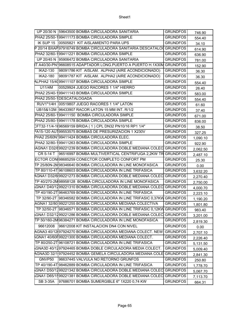|                            | UP 20/30 N 59643500 BOMBA CIRCULADORA SANITARIA                         | <b>GRUNDFOS</b> | 746.90   |
|----------------------------|-------------------------------------------------------------------------|-----------------|----------|
|                            | PHA2 25/50-199411173 BOMBA CIRCULADORA SIMPLE                           | <b>GRUNDFOS</b> | 554.40   |
|                            | IK SUP 15 00505821 KIT AISLAMIENTO PARA UPS                             | <b>GRUNDFOS</b> | 34.10    |
|                            | P 20/14 BXAP 97916749 BOMBA CIRCULADORA SANITARIA DESCATALO GRUNDFOS    |                 | 614.90   |
|                            | PHA2 32/60-199411221 BOMBA CIRCULADORA SIMPLE                           | <b>GRUNDFOS</b> | 636.90   |
|                            | UP 20/45 N 95906472 BOMBA CIRCULADORA SANITARIA                         | <b>GRUNDFOS</b> | 781.00   |
|                            | T A40/30-PN196608515 ADAPTADOR LONG.PUERTO A PUERTO H.1X30M             | <b>GRUNDFOS</b> | 152.90   |
| <b>IKA2-130</b>            | 98091786 KIT AISLAM. ALPHA2 (AIRE ACONDICIONADO)                        | <b>GRUNDFOS</b> | 36.30    |
| <b>IKA2-180</b>            | 98091787 KIT AISLAM. ALPHA2 (AIRE ACONDICIONADO)                        | <b>GRUNDFOS</b> | 36.30    |
|                            | ALPHA2 15/4099411107 BOMBA CIRCULADORA SIMPLE                           | <b>GRUNDFOS</b> | 554.40   |
| U11/4M                     | 00529924 JUEGO RACORES 1 1/4" HIERRO                                    | <b>GRUNDFOS</b> | 26.40    |
|                            | PHA2 25/40-199411143 BOMBA CIRCULADORA SIMPLE                           | <b>GRUNDFOS</b> | 583.00   |
| PHA2 25/50-1 DESCATALOGADA |                                                                         | <b>GRUNDFOS</b> | 554.40   |
|                            | RUV1"1/4H 00519807 JUEGO RACORES 1 1/4" LATON                           | <b>GRUNDFOS</b> | 61.60    |
|                            | UB15&1/2M 96433907 RACOR LATON 15 MM INT. R/1/2                         | <b>GRUNDFOS</b> | 37.40    |
|                            | PHA2 25/60-199411150 BOMBA CIRCULADORA SIMPLE                           | <b>GRUNDFOS</b> | 671.00   |
|                            | PHA2 25/80-199411178 BOMBA CIRCULADORA SIMPLE                           | <b>GRUNDFOS</b> | 836.00   |
|                            | CFT32-11/4-1096569159 BRIDA (1) CPL DN32 PN10/16 RP1 1/4"               | <b>GRUNDFOS</b> | 38.50    |
|                            | PA15-120 AU199553575 BOMBAS DE PRESURIZACION 1 X230V                    | <b>GRUNDFOS</b> | 327.25   |
|                            | PHA2 25/60N199411424 BOMBA CIRCULADORA ELEC.                            | <b>GRUNDFOS</b> | 1,090.10 |
|                            | PHA2 32/80-199411263 BOMBA CIRCULADORA SIMPLE                           | <b>GRUNDFOS</b> | 922.90   |
|                            | AGNA1 D32/099221239 BOMBA CIRCULADORA DOBLE MEDIANA COLEC               | <b>GRUNDFOS</b> | 2,062.50 |
|                            | CR 5-14 T 96516997 BOMBA MULTIVERTICAL CENTRIFUGA 2,2KW TR GRUNDFOS     |                 | 2,487.10 |
|                            | ECTOR CON 98685259 CONECTOR COMPLETO CONFORT PM                         | <b>GRUNDFOS</b> | 25.30    |
|                            | TP 25/80N-2M98346640 BOMBA CIRCULADORA IN LINE MONOFASICA               | <b>GRUNDFOS</b> | 0.00     |
|                            | TP 80/110-4T 96108603 BOMBA CIRCULADORA IN LINE TRIFASICA               | <b>GRUNDFOS</b> | 3,632.20 |
|                            | AGNA1 D32/6 99221273 BOMBA CIRCULADORA DOBLE MEDIANA COLEC GRUNDFOS     |                 | 2,270.40 |
|                            | TP 40/270-2M98958128_BOMBA CIRCULADORA IN LINE MONOFASICA               | <b>GRUNDFOS</b> | 2,750.00 |
|                            | GNA1 D40/1299221310 BOMBA CIRCULADORA DOBLE MEDIANA COLEC               | <b>GRUNDFOS</b> | 4,000.70 |
|                            | TP 40/190-2T 96463769 BOMBA CIRCULADORA IN LINE TRIFASICA               | <b>GRUNDFOS</b> | 2,223.10 |
|                            | TP 32/90-2T 98346582 BOMBA CIRCULADORA IN LINE TRIFASIC 0,37KW GRUNDFOS |                 | 1,190.20 |
|                            | AGNA1 32/80 99221255 BOMBA CIRCULADORA MEDIANA COLECTIVA                | <b>GRUNDFOS</b> | 1,801.80 |
|                            | TP 32/50-2T 98346571 BOMBA CIRCULADORA IN LINE TRIFASIC 0,12KW GRUNDFOS |                 | 983.40   |
|                            | GNA1 D32/1299221286 BOMBA CIRCULADORA DOBLE MEDIANA COLEC GRUNDFOS      |                 | 3,201.00 |
|                            | TP 50/160-2M96384271 BOMBA CIRCULADORA IN LINE MONOFASICA               | <b>GRUNDFOS</b> | 2,819.30 |
| 96612008                   | 96612008 KIT INSTALACION DN4 CON NIVEL                                  | <b>GRUNDFOS</b> | 0.00     |
|                            | AGNA3 40/12097924270 BOMBA CIRCULADORA MEDIANA COLECT. NEW              | <b>GRUNDFOS</b> | 2,707.10 |
|                            | AGNA1 40/60F99221300 BOMBA CIRCULADORA MEDIANA COLECT.                  | <b>GRUNDFOS</b> | 2,226.40 |
|                            | TP 80/250-2T 96108721 BOMBA CIRCULADORA IN LINE TRIFASICA               | <b>GRUNDFOS</b> |          |
|                            | GNA3D 40/1297924465 BOMBA DOBLE CIRCULADORA MEDIA COLECT.               | <b>GRUNDFOS</b> | 5,131.50 |
|                            | AGNA3D 32/1 97924452 BOMBA GEMELA CIRCULADORA MEDIANA COLE              | <b>GRUNDFOS</b> | 5,009.40 |
| GNVP50                     | 96637445 VALVULA NO RETORNO GRUNFOS                                     | <b>GRUNDFOS</b> | 2,841.30 |
|                            | TP 40/190-4T 98462889 BOMBA CIRCULADORA IN LINE TRIFASICA               | <b>GRUNDFOS</b> | 250.80   |
|                            | GNA1 D50/1299221342 BOMBA CIRCULADORA DOBLE MEDIANA COLEC GRUNDFOS      |                 | 1,778.70 |
|                            | GNA1 D65/1599221381 BOMBA CIRCULADORA DOBLE MEDIANA COLEC               | <b>GRUNDFOS</b> | 5,067.70 |
| SB 3-35A                   | 97686701 BOMBA SUMERGIBLE 6" 1X220 0,74 KW                              | <b>GRUNDFOS</b> | 7,113.70 |
|                            |                                                                         |                 | 664.31   |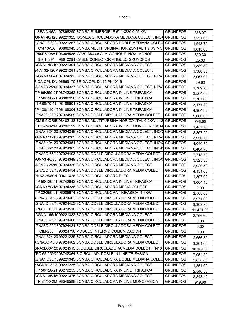|          | SBA 3-45A 97896290 BOMBA SUMERGIBLE 6" 1X220 0,95 KW                  | <b>GRUNDFOS</b> | 868.97    |
|----------|-----------------------------------------------------------------------|-----------------|-----------|
|          | GNA1 40/120 99221325 BOMBA CIRCULADORA MEDIANA COLECT. INOX GRUNDFOS  |                 | 3,251.60  |
|          | AGNA1 D32/4 99221267 BOMBA CIRCULADORA DOBLE MEDIANA COLEC  GRUNDFOS  |                 | 1,943.70  |
| CM 10-3A | 96806943 BOMBA MULTITURBINA HORIZONTAL 1,9KW MOI GRUNDFOS             |                 | 1,018.60  |
|          | P50B5008A1196004586 AP50.B50.08.A1V ACHIQUE INOX. MONOF.              | <b>GRUNDFOS</b> | 850.30    |
| 98610291 | 98610291 CABLE CONECTOR ANGULO GRUNDFOS                               | <b>GRUNDFOS</b> | 25.30     |
|          | AGNA1 40/10 99221304 BOMBA CIRCULADORA MEDIANA COLECT.                | <b>GRUNDFOS</b> | 1,889.80  |
|          | GNA132/120P 99221281 BOMBA CIRCULADORA MEDIANA COLECT.                | <b>GRUNDFOS</b> | 1,380.50  |
|          | AGNA3 50/8097924282 BOMBA CIRCULADORA MEDIANA COLECT. NEW GRUNDFOS    |                 | 3,067.90  |
|          | RIDA CPL DN-96569170 BRIDA CPL DN40 PN10/16                           | <b>GRUNDFOS</b> | 39.60     |
|          | AGNA3 25/6097924337 BOMBA CIRCULADORA MEDIANA COLECT. NEW GRUNDFOS    |                 | 1,789.70  |
|          | TP 65/250-2T 98742352 BOMBA CIRCULADORA IN LINE TRIFASICA             | <b>GRUNDFOS</b> | 3,564.00  |
|          | TP 50/190-2T 96086996 BOMBA CIRCULADORA IN LINE TRIFASICA             | <b>GRUNDFOS</b> | 2,767.60  |
|          | TP 80/70-4T 96108601 BOMBA CIRCULADORA IN LINE TRIFASICA              | <b>GRUNDFOS</b> | 3,171.30  |
|          | TP 100/110-4196109304 BOMBA CIRCULADORA IN LINE TRIFASICA             | <b>GRUNDFOS</b> | 4,964.30  |
|          | GNA3D 80/1297924505 BOMBA DOBLE CIRCULADORA MEDIA COLECT.             | <b>GRUNDFOS</b> | 9,680.00  |
|          | CM 5-5 ORIE 98482188 BOMBA MULTITURBINA HORIZONTAL 0,9KW 1X2 GRUNDFOS |                 | 798.60    |
|          | TP 32/90-2M 98299122 BOMBA CIRCULADORA IN LINE MONOF. ROSCAL GRUNDFOS |                 | 1,432.20  |
|          | GNA3 32/120 97924346 BOMBA CIRCULADORA MEDIANA COLECT. INOX GRUNDFOS  |                 | 3,357.20  |
|          | AGNA3 50/15(97924285 BOMBA CIRCULADORA MEDIANA COLECT. NEW GRUNDFOS   |                 | 3,950.10  |
|          | GNA3 40/120 97924351 BOMBA CIRCULADORA MEDIANA COLECT. INOX           | <b>GRUNDFOS</b> | 4,040.30  |
|          | GNA3 65/120 97924365 BOMBA CIRCULADORA MEDIANA COLECT. INOX GRUNDFOS  |                 | 6,464.70  |
|          | GNA3D 65/1297924493 BOMBA DOBLE CIRCULADORA MEDIA COLECT.             | <b>GRUNDFOS</b> | 7,718.70  |
|          | GNA3 40/80  97924349 BOMBA CIRCULADORA MEDIANA COLECT. INOX           | <b>GRUNDFOS</b> | 3,325.30  |
|          | AGNA3 25/80 97924338 BOMBA CIRCULADORA MEDIANA COLECT.                | <b>GRUNDFOS</b> | 2,029.50  |
|          | GNA3D 32/1297924454 BOMBA DOBLE CIRCULADORA MEDIA COLECT.             | <b>GRUNDFOS</b> | 4,131.60  |
|          | PHA2 25/80N199411428 BOMBA CIRCULADORA ELEC.                          | <b>GRUNDFOS</b> | 1,397.00  |
|          | TP 50/120-4T 98742942 BOMBA CIRCULADORA IN LINE TRIFASICA             | <b>GRUNDFOS</b> | 3,004.10  |
|          | AGNA3 50/18(97924286 BOMBA CIRCULADORA MEDIA COLECT.                  | <b>GRUNDFOS</b> | 0.00      |
|          | TP 32/250-2T 96086674 BOMBA CIRCULADORA TRIFASICA 1,5KW               | <b>GRUNDFOS</b> | 2,508.00  |
|          | AGNA3D 40/8 97924463 BOMBA DOBLE CIRCULADORA MEDIA COLECT.            | <b>GRUNDFOS</b> | 3,971.00  |
|          | GNA3D 32/1097924453 BOMBA DOBLE CIRCULADORA MEDIA COLECT.             | <b>GRUNDFOS</b> | 3,308.80  |
|          | GNA3D 100/1197924510 BOMBA DOBLE CIRCULADORA MEDIA COLECT.            | <b>GRUNDFOS</b> | 11,451.00 |
|          | IAGNA1 65/4099221382 BOMBA CIRCULADORA MEDIANA COLECT.                | <b>GRUNDFOS</b> | 2,756.60  |
|          | GNA3D 40/1597924466 BOMBA DOBLE CIRCULADORA MEDIA COLECT.             | <b>GRUNDFOS</b> | 0.00      |
|          | .GNA3D 50/1897924481 BOMBA DOBLE CIRCULADORA MEDIA COLECT.            | <b>GRUNDFOS</b> | 0.00      |
| CIM-200  | 96824796 MODULO INTERNO COMUNICACION                                  | <b>GRUNDFOS</b> | 0.00      |
|          | GNA1 32/120 99221289 BOMBA CIRCULADORA MEDIANA COLECT.                | <b>GRUNDFOS</b> | 2,656.50  |
|          | AGNA3D 40/6 97924462 BOMBA DOBLE CIRCULADORA MEDIA COLECT.            | <b>GRUNDFOS</b> | 3,201.00  |
|          | GNA3D80/12097924515 B. DOBLE CIRCULADORA MEDIA COLECT. PN10           | <b>GRUNDFOS</b> | 10,164.00 |
|          | FPD 65-250/2198742364 B.CIRCULAD. DOBLE IN LINE TRIFASICA             | <b>GRUNDFOS</b> | 7,054.30  |
|          | GNA1 D50/1599221343 BOMBA CIRCULADORA DOBLE MEDIANA COLEC             | <b>GRUNDFOS</b> | 5,838.80  |
|          | MAGNA1 32/8(99221235 BOMBA CIRCULADORA MEDIANA COLECT.                | <b>GRUNDFOS</b> | 1,351.90  |
|          | TP 50/120-2T 98279255 BOMBA CIRCULADORA IN LINE TRIFASICA             | <b>GRUNDFOS</b> | 2,546.50  |
|          | AGNA1 65/15 99221375 BOMBA CIRCULADORA MEDIANA COLECT.                | <b>GRUNDFOS</b> | 3,843.40  |
|          | TP 25/50-2M 98346588 BOMBA CIRCULADORA IN LINE MONOFASICA             | <b>GRUNDFOS</b> | 919.60    |
|          |                                                                       |                 |           |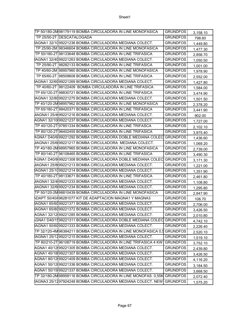| TP 50/180-2M98179119 BOMBA CIRCULADORA IN LINE MONOFASICA                 | <b>GRUNDFOS</b> | 3,158.10 |
|---------------------------------------------------------------------------|-----------------|----------|
| TP 25/50-2T DESCATALOGADA                                                 | <b>GRUNDFOS</b> | 798.60   |
| IAGNA1 32/1099221236 BOMBA CIRCULADORA MEDIANA COLECT.                    | <b>GRUNDFOS</b> | 1,449.80 |
| TP 25/90-2M 98346604 BOMBA CIRCULADORA IN LINE MONOFASICA                 | <b>GRUNDFOS</b> | 1,477.30 |
| TP 50/180-2T 98133648 BOMBA CIRCULADORA IN LINE TRIFASICA                 | <b>GRUNDFOS</b> | 2,856.70 |
| IAGNA1 32/4099221263 BOMBA CIRCULADORA MEDIANA COLECT.                    | <b>GRUNDFOS</b> | 1,050.50 |
| TP 25/90-2T 98282133 BOMBA CIRCULADORA IN LINE TRIFASICA                  | <b>GRUNDFOS</b> | 1,001.00 |
| TP 40/60-2M 98957960 BOMBA CIRCULADORA IN LINE MONOFASICA                 | <b>GRUNDFOS</b> | 1,978.90 |
| TP 65/60-2T 98509608 BOMBA CIRCULADORA IN LINE TRIFASICA                  | <b>GRUNDFOS</b> | 2,552.00 |
| IAGNA1 32/6099221269 BOMBA CIRCULADORA MEDIANA COLECT.                    | <b>GRUNDFOS</b> | 1,427.80 |
| TP 40/60-2T 98122409 BOMBA CIRCULADORA IN LINE TRIFASICA                  | <b>GRUNDFOS</b> | 1,584.00 |
| TP 65/120-2T 98830721 BOMBA CIRCULADORA IN LINE TRIFASICA                 | <b>GRUNDFOS</b> | 3,474.90 |
| IAGNA1 32/8099221275 BOMBA CIRCULADORA MEDIANA COLECT.                    | <b>GRUNDFOS</b> | 1,501.50 |
| TP 40/120-2M98957962 BOMBA CIRCULADORA IN LINE MONOFASICA                 | <b>GRUNDFOS</b> | 2,378.20 |
| TP 65/180-2T 98420371 BOMBA CIRCULADORA IN LINE TRIFASICA                 | <b>GRUNDFOS</b> | 3,441.90 |
| /IAGNA1 25/4(99221216 BOMBA CIRCULADORA MEDIANA COLECT.                   | <b>GRUNDFOS</b> | 902.00   |
| AGNA1 32/10(99221237 BOMBA CIRCULADORA MEDIANA COLECT.                    | <b>GRUNDFOS</b> | 1,727.00 |
| TP 40/120-2T 97851334 BOMBA CIRCULADORA IN LINE TRIFASCA                  | <b>GRUNDFOS</b> | 2,102.10 |
| TP 80/120-2T 96402455 BOMBA CIRCULADORA IN LINE TRIFASICA                 | <b>GRUNDFOS</b> | 3,975.40 |
| AGNA1 D40/6 99221292 BOMBA CIRCULADORA DOBLE MEDIANA COLEC  GRUNDFOS      |                 | 1,436.60 |
| AAGNA1 25/6(99221217 BOMBA CIRCULADORA MEDIANA COLECT.                    | <b>GRUNDFOS</b> | 1,069.20 |
| TP 40/180-2M98957965 BOMBA CIRCULADORA IN LINE MONOFASICA                 | <b>GRUNDFOS</b> | 2,739.00 |
| TP 80/140-2T 96108465 BOMBA CIRCULADORA IN LINE TRIFASICA                 | <b>GRUNDFOS</b> | 3,490.30 |
| AGNA1 D40/8 99221308 BOMBA CIRCULADORA DOBLE MEDIANA COLEC  GRUNDFOS      |                 | 3,171.30 |
| AAGNA1 25/8 99221213 BOMBA CIRCULADORA MEDIANA COLECT.                    | <b>GRUNDFOS</b> | 1,221.00 |
| IAGNA1 25/1099221214 BOMBA CIRCULADORA MEDIANA COLECT.                    | <b>GRUNDFOS</b> | 1,351.90 |
| TP 40/180-2T 98133671 BOMBA CIRCULADORA IN LINE TRIFASICA                 | <b>GRUNDFOS</b> | 2,461.80 |
| AAGNA1 32/4(99221233 BOMBA CIRCULADORA MEDIANA COLECT.                    | <b>GRUNDFOS</b> | 1,108.80 |
| MAGNA1 32/6(99221234 BOMBA CIRCULADORA MEDIANA COLECT.                    | <b>GRUNDFOS</b> | 1,295.80 |
| TP 50/120-2M98810439 BOMBA CIRCULADORA IN LINE MONOFASICA                 | <b>GRUNDFOS</b> | 2,847.90 |
| ADAPT 50/40/(96281077 KIT DE ADAPTACION MAGNA1 Y MAGNA3                   | <b>GRUNDFOS</b> | 106.70   |
| IAGNA1 65/6099221371 BOMBA CIRCULADORA MEDIANA COLECT.                    | <b>GRUNDFOS</b> | 2,706.00 |
| IAGNA1 65/8099221372 BOMBA CIRCULADORA MEDIANA COLECT.                    | <b>GRUNDFOS</b> | 3,426.50 |
| AGNA1 32/12(99221285 BOMBA CIRCULADORA MEDIANA COLECT.                    | <b>GRUNDFOS</b> | 2,010.80 |
| GNA1 D40/1599221311 BOMBA CIRCULADORA DOBLE MEDIANA COLEC                 | <b>GRUNDFOS</b> | 4,742.10 |
| IAGNA1 50/6099221333 BOMBA CIRCULADORA MEDIANA COLECT.                    | <b>GRUNDFOS</b> | 2,226.40 |
| TP 32/120-4M96384211 BOMBA CIRCULADORA IN LINE MONOFASICA 0,5 GRUNDFOS    |                 | 2,520.10 |
| IAGNA1 25/1299221215 BOMBA CIRCULADORA MEDIANA COLECT.                    | <b>GRUNDFOS</b> | 1,519.10 |
| TP 80/210-2T 96108719 BOMBA CIRCULADORA IN LINE TRIFASICA 4 KW            | <b>GRUNDFOS</b> | 3,752.10 |
| AGNA1 40/12(99221305 BOMBA CIRCULADORA MEDIANA COLECT.                    | <b>GRUNDFOS</b> | 2,439.80 |
| AGNA1 40/18(99221307 BOMBA CIRCULADORA MEDIANA COLECT.                    | <b>GRUNDFOS</b> | 3,426.50 |
| AGNA1 80/12(99221409 BOMBA CIRCULADORA MEDIANA COLECT.                    | <b>GRUNDFOS</b> | 4,116.20 |
| AGNA1 50/12(99221336 BOMBA CIRCULADORA MEDIANA COLECT.                    | <b>GRUNDFOS</b> | 3,184.50 |
| AGNA1 50/15 99221337 BOMBA CIRCULADORA MEDIANA COLECT.                    | <b>GRUNDFOS</b> | 3,668.50 |
| TP 32/180-2M98958116  BOMBA CIRCULADORA IN LINE MONOFAS.  0,55K  GRUNDFOS |                 | 2,072.40 |
| IAGNA3 25/1297924248 BOMBA CIRCULADORA MEDIANA COLECT. NEW                | <b>GRUNDFOS</b> | 1,575.20 |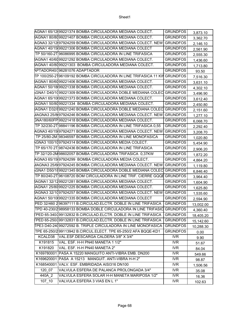| IAGNA1 80/8099221407 BOMBA CIRCULADORA MEDIANA COLECT.<br><b>GRUNDFOS</b><br>3,362.70<br><b>GRUNDFOS</b><br>AGNA3 32/12(97924259 BOMBA CIRCULADORA MEDIANA COLECT. NEW<br>2,146.10<br>AGNA1 40/15(99221306 BOMBA CIRCULADORA MEDIANA COLECT<br><b>GRUNDFOS</b><br>2,561.90<br>TP 50/160-2T 96086995 BOMBA CIRCULADORA IN LINE TRIFASICA<br><b>GRUNDFOS</b><br>2,555.30<br>IAGNA1 40/6099221292 BOMBA CIRCULADORA MEDIANA COLECT.<br><b>GRUNDFOS</b><br>1,436.60<br><b>GRUNDFOS</b><br>IAGNA1 40/8099221303 BOMBA CIRCULADORA MEDIANA COLECT.<br>1,713.80<br>APTADOR40/196281076 ADAPTADOR<br><b>GRUNDFOS</b><br>93.50<br>TP 100/250-2196109192 BOMBA CIRCULADORA IN LINE TRIFASICA 11 KW GRUNDFOS<br>7,516.30<br>AGNA1 80/6099221406 BOMBA CIRCULADORA MEDIANA COLECT.<br><b>GRUNDFOS</b><br>3,631.10<br>AGNA1 50/18 99221338 BOMBA CIRCULADORA MEDIANA COLECT.<br><b>GRUNDFOS</b><br>4,302.10<br><b>GRUNDFOS</b><br>GNA1 D40/1099221309 BOMBA CIRCULADORA DOBLE MEDIANA COLEC<br>3,496.90<br><b>GRUNDFOS</b><br>AGNA1 65/10(99221373 BOMBA CIRCULADORA MEDIANA COLECT.<br>3,612.40<br>AGNA1 50/8099221334 BOMBA CIRCULADORA MEDIANA COLECT.<br><b>GRUNDFOS</b><br>2,450.80<br>AGNA1 D32/899221240 BOMBA CIRCULADORA DOBLE MEDIANA COLEC<br><b>GRUNDFOS</b><br>2,151.60<br>/IAGNA3 25/8(97924246 BOMBA CIRCULADORA MEDIANA COLECT. NEW<br><b>GRUNDFOS</b><br>1,277.10<br>GNA180/60FP 99221418 BOMBA CIRCULADORA MEDIANA COLECT.<br><b>GRUNDFOS</b><br>6,068.70<br>TP 32/230-2T 98841196 BOMBA CIRCULADORA IN LINE TRIFASICA 0,55<br><b>GRUNDFOS</b><br>2,292.40<br>AGNA3 40/15(97924271 BOMBA CIRCULADORA MEDIANA COLECT. NEW<br><b>GRUNDFOS</b><br>3,208.70<br>TP 25/80-2M 98346597 BOMBA CIRCULADORA IN LINE MONOFASICA<br><b>GRUNDFOS</b><br>1,020.80<br>GNA3 100/1097924314 BOMBA CIRCULADORA MEDIA COLECT.<br><b>GRUNDFOS</b><br>5,454.90<br>TP 65/170 2T 98742436 BOMBA CIRCULADORA IN LINE TRIFASICA<br><b>GRUNDFOS</b><br>2,906.20<br>TP 32/120-2M 98602057 BOMBA CIRCULADORA TRIFASICA 0,37KW<br><b>GRUNDFOS</b><br>1,872.20<br>AGNA3 65/15(97924299_BOMBA CIRCULADORA MEDIA COLECT.<br><b>GRUNDFOS</b><br>4,864.20<br>(AAGNA3 25/6(97924245 BOMBA CIRCULADORA MEDIANA COLECT. NEW GRUNDFOS<br>1,119.80<br>GNA1 D50/1899221345 BOMBA CIRCULADORA DOBLE MEDIANA COLEC<br><b>GRUNDFOS</b><br>6,846.40<br>TP 80/240-2T 96108720 BOM CIRCULADORA IN LINE TRIF. CIERRE GQQE GRUNDFOS<br>3,964.40<br>AGNA1 32/1299221281 BOMBA CIRCULADORA MEDIANA COLECT.<br><b>GRUNDFOS</b><br>1,604.90<br>AGNA1 25/8099221225 BOMBA CIRCULADORA MEDIANA COLECT.<br><b>GRUNDFOS</b><br>1,625.80<br>IAGNA3 32/1097924257 BOMBA CIRCULADORA MEDIANA COLECT. NEW<br><b>GRUNDFOS</b><br>1,535.60<br>AGNA1 50/10(99221335 BOMBA CIRCULADORA MEDIANA COLECT<br><b>GRUNDFOS</b><br>2,594.90<br>PED 32/460 296397111 B.CIRCULAD.ELCTR. DOBLE IN LINE TRIFASICA<br><b>GRUNDFOS</b><br>13,002.00<br>TPD 40-230/298958133 BOMBA DOBLE CIRCULADORA IN LINE TRIFASIO<br><b>GRUNDFOS</b><br>4,360.40<br>PED 65-340/199132832 B.CIRCULAD.ELCTR. DOBLE IN LINE TRIFASICA<br><b>GRUNDFOS</b><br>18,405.20<br>PED 65-250/199132831 B.CIRCULAD.ELCTR. DOBLE IN LINE TRIFASICA<br><b>GRUNDFOS</b><br>15,142.60<br>TPE3 D40-24099272592 B. TRIPLE CIRCULADORA IN LINE MONOFASICA<br><b>GRUNDFOS</b><br>10,288.30<br>TPE 65-250/2 99113942 B.CIRCUL.ELECT. TPE 65-250/2 AFA BQQE-KD1<br><b>GRUNDFOS</b><br>0.00<br>VAL.ESF.DESCARGA CALDERA 3/8" X 3/4"<br><b>IVR</b><br>KCALD38<br>9.90<br>K191815<br>VAL. ESF. H-H PN40 MANETA 1 1/2"<br><b>IVR</b><br>51.67<br>K191820<br>VAL. ESF. H-H PN40 MANETA 2"<br><b>IVR</b><br>84.04<br>K169780001 PASA A 15220 MANGUITO ANTI-VIBRA EMB. DN200<br><b>IVR</b><br>549.66<br>K169620001 PASA A 15213 MANGUIT. ANTI-VIBRA H-H 2"<br><b>IVR</b><br>98.87<br>K168540001 VALV. ESF. EMBRIDADA AISI316 DN100<br><b>IVR</b><br>1,506.56<br>120 07<br>VALVULA ESFERA DE PALANCA PROLONGADA 3/4"<br><b>IVR</b><br>35.08<br>440A 2<br>VALVULA ESFERA SOLAR H-H MANETA MARIPOSA 1/2"<br><b>IVR</b><br>16.36<br>$107 - 10$<br>VALVULA ESFERA 3 VIAS EN L 1"<br>IVR. | AGNA1 65/12 99221374 BOMBA CIRCULADORA MEDIANA COLECT. | <b>GRUNDFOS</b> | 3,873.10 |
|------------------------------------------------------------------------------------------------------------------------------------------------------------------------------------------------------------------------------------------------------------------------------------------------------------------------------------------------------------------------------------------------------------------------------------------------------------------------------------------------------------------------------------------------------------------------------------------------------------------------------------------------------------------------------------------------------------------------------------------------------------------------------------------------------------------------------------------------------------------------------------------------------------------------------------------------------------------------------------------------------------------------------------------------------------------------------------------------------------------------------------------------------------------------------------------------------------------------------------------------------------------------------------------------------------------------------------------------------------------------------------------------------------------------------------------------------------------------------------------------------------------------------------------------------------------------------------------------------------------------------------------------------------------------------------------------------------------------------------------------------------------------------------------------------------------------------------------------------------------------------------------------------------------------------------------------------------------------------------------------------------------------------------------------------------------------------------------------------------------------------------------------------------------------------------------------------------------------------------------------------------------------------------------------------------------------------------------------------------------------------------------------------------------------------------------------------------------------------------------------------------------------------------------------------------------------------------------------------------------------------------------------------------------------------------------------------------------------------------------------------------------------------------------------------------------------------------------------------------------------------------------------------------------------------------------------------------------------------------------------------------------------------------------------------------------------------------------------------------------------------------------------------------------------------------------------------------------------------------------------------------------------------------------------------------------------------------------------------------------------------------------------------------------------------------------------------------------------------------------------------------------------------------------------------------------------------------------------------------------------------------------------------------------------------------------------------------------------------------------------------------------------------------------------------------------------------------------------------------------------------------------------------------------------------------------------------------------------------------------------------------------------------------------------------------------|--------------------------------------------------------|-----------------|----------|
|                                                                                                                                                                                                                                                                                                                                                                                                                                                                                                                                                                                                                                                                                                                                                                                                                                                                                                                                                                                                                                                                                                                                                                                                                                                                                                                                                                                                                                                                                                                                                                                                                                                                                                                                                                                                                                                                                                                                                                                                                                                                                                                                                                                                                                                                                                                                                                                                                                                                                                                                                                                                                                                                                                                                                                                                                                                                                                                                                                                                                                                                                                                                                                                                                                                                                                                                                                                                                                                                                                                                                                                                                                                                                                                                                                                                                                                                                                                                                                                                                                                                  |                                                        |                 |          |
|                                                                                                                                                                                                                                                                                                                                                                                                                                                                                                                                                                                                                                                                                                                                                                                                                                                                                                                                                                                                                                                                                                                                                                                                                                                                                                                                                                                                                                                                                                                                                                                                                                                                                                                                                                                                                                                                                                                                                                                                                                                                                                                                                                                                                                                                                                                                                                                                                                                                                                                                                                                                                                                                                                                                                                                                                                                                                                                                                                                                                                                                                                                                                                                                                                                                                                                                                                                                                                                                                                                                                                                                                                                                                                                                                                                                                                                                                                                                                                                                                                                                  |                                                        |                 |          |
|                                                                                                                                                                                                                                                                                                                                                                                                                                                                                                                                                                                                                                                                                                                                                                                                                                                                                                                                                                                                                                                                                                                                                                                                                                                                                                                                                                                                                                                                                                                                                                                                                                                                                                                                                                                                                                                                                                                                                                                                                                                                                                                                                                                                                                                                                                                                                                                                                                                                                                                                                                                                                                                                                                                                                                                                                                                                                                                                                                                                                                                                                                                                                                                                                                                                                                                                                                                                                                                                                                                                                                                                                                                                                                                                                                                                                                                                                                                                                                                                                                                                  |                                                        |                 |          |
|                                                                                                                                                                                                                                                                                                                                                                                                                                                                                                                                                                                                                                                                                                                                                                                                                                                                                                                                                                                                                                                                                                                                                                                                                                                                                                                                                                                                                                                                                                                                                                                                                                                                                                                                                                                                                                                                                                                                                                                                                                                                                                                                                                                                                                                                                                                                                                                                                                                                                                                                                                                                                                                                                                                                                                                                                                                                                                                                                                                                                                                                                                                                                                                                                                                                                                                                                                                                                                                                                                                                                                                                                                                                                                                                                                                                                                                                                                                                                                                                                                                                  |                                                        |                 |          |
|                                                                                                                                                                                                                                                                                                                                                                                                                                                                                                                                                                                                                                                                                                                                                                                                                                                                                                                                                                                                                                                                                                                                                                                                                                                                                                                                                                                                                                                                                                                                                                                                                                                                                                                                                                                                                                                                                                                                                                                                                                                                                                                                                                                                                                                                                                                                                                                                                                                                                                                                                                                                                                                                                                                                                                                                                                                                                                                                                                                                                                                                                                                                                                                                                                                                                                                                                                                                                                                                                                                                                                                                                                                                                                                                                                                                                                                                                                                                                                                                                                                                  |                                                        |                 |          |
|                                                                                                                                                                                                                                                                                                                                                                                                                                                                                                                                                                                                                                                                                                                                                                                                                                                                                                                                                                                                                                                                                                                                                                                                                                                                                                                                                                                                                                                                                                                                                                                                                                                                                                                                                                                                                                                                                                                                                                                                                                                                                                                                                                                                                                                                                                                                                                                                                                                                                                                                                                                                                                                                                                                                                                                                                                                                                                                                                                                                                                                                                                                                                                                                                                                                                                                                                                                                                                                                                                                                                                                                                                                                                                                                                                                                                                                                                                                                                                                                                                                                  |                                                        |                 |          |
|                                                                                                                                                                                                                                                                                                                                                                                                                                                                                                                                                                                                                                                                                                                                                                                                                                                                                                                                                                                                                                                                                                                                                                                                                                                                                                                                                                                                                                                                                                                                                                                                                                                                                                                                                                                                                                                                                                                                                                                                                                                                                                                                                                                                                                                                                                                                                                                                                                                                                                                                                                                                                                                                                                                                                                                                                                                                                                                                                                                                                                                                                                                                                                                                                                                                                                                                                                                                                                                                                                                                                                                                                                                                                                                                                                                                                                                                                                                                                                                                                                                                  |                                                        |                 |          |
|                                                                                                                                                                                                                                                                                                                                                                                                                                                                                                                                                                                                                                                                                                                                                                                                                                                                                                                                                                                                                                                                                                                                                                                                                                                                                                                                                                                                                                                                                                                                                                                                                                                                                                                                                                                                                                                                                                                                                                                                                                                                                                                                                                                                                                                                                                                                                                                                                                                                                                                                                                                                                                                                                                                                                                                                                                                                                                                                                                                                                                                                                                                                                                                                                                                                                                                                                                                                                                                                                                                                                                                                                                                                                                                                                                                                                                                                                                                                                                                                                                                                  |                                                        |                 |          |
|                                                                                                                                                                                                                                                                                                                                                                                                                                                                                                                                                                                                                                                                                                                                                                                                                                                                                                                                                                                                                                                                                                                                                                                                                                                                                                                                                                                                                                                                                                                                                                                                                                                                                                                                                                                                                                                                                                                                                                                                                                                                                                                                                                                                                                                                                                                                                                                                                                                                                                                                                                                                                                                                                                                                                                                                                                                                                                                                                                                                                                                                                                                                                                                                                                                                                                                                                                                                                                                                                                                                                                                                                                                                                                                                                                                                                                                                                                                                                                                                                                                                  |                                                        |                 |          |
|                                                                                                                                                                                                                                                                                                                                                                                                                                                                                                                                                                                                                                                                                                                                                                                                                                                                                                                                                                                                                                                                                                                                                                                                                                                                                                                                                                                                                                                                                                                                                                                                                                                                                                                                                                                                                                                                                                                                                                                                                                                                                                                                                                                                                                                                                                                                                                                                                                                                                                                                                                                                                                                                                                                                                                                                                                                                                                                                                                                                                                                                                                                                                                                                                                                                                                                                                                                                                                                                                                                                                                                                                                                                                                                                                                                                                                                                                                                                                                                                                                                                  |                                                        |                 |          |
|                                                                                                                                                                                                                                                                                                                                                                                                                                                                                                                                                                                                                                                                                                                                                                                                                                                                                                                                                                                                                                                                                                                                                                                                                                                                                                                                                                                                                                                                                                                                                                                                                                                                                                                                                                                                                                                                                                                                                                                                                                                                                                                                                                                                                                                                                                                                                                                                                                                                                                                                                                                                                                                                                                                                                                                                                                                                                                                                                                                                                                                                                                                                                                                                                                                                                                                                                                                                                                                                                                                                                                                                                                                                                                                                                                                                                                                                                                                                                                                                                                                                  |                                                        |                 |          |
|                                                                                                                                                                                                                                                                                                                                                                                                                                                                                                                                                                                                                                                                                                                                                                                                                                                                                                                                                                                                                                                                                                                                                                                                                                                                                                                                                                                                                                                                                                                                                                                                                                                                                                                                                                                                                                                                                                                                                                                                                                                                                                                                                                                                                                                                                                                                                                                                                                                                                                                                                                                                                                                                                                                                                                                                                                                                                                                                                                                                                                                                                                                                                                                                                                                                                                                                                                                                                                                                                                                                                                                                                                                                                                                                                                                                                                                                                                                                                                                                                                                                  |                                                        |                 |          |
|                                                                                                                                                                                                                                                                                                                                                                                                                                                                                                                                                                                                                                                                                                                                                                                                                                                                                                                                                                                                                                                                                                                                                                                                                                                                                                                                                                                                                                                                                                                                                                                                                                                                                                                                                                                                                                                                                                                                                                                                                                                                                                                                                                                                                                                                                                                                                                                                                                                                                                                                                                                                                                                                                                                                                                                                                                                                                                                                                                                                                                                                                                                                                                                                                                                                                                                                                                                                                                                                                                                                                                                                                                                                                                                                                                                                                                                                                                                                                                                                                                                                  |                                                        |                 |          |
|                                                                                                                                                                                                                                                                                                                                                                                                                                                                                                                                                                                                                                                                                                                                                                                                                                                                                                                                                                                                                                                                                                                                                                                                                                                                                                                                                                                                                                                                                                                                                                                                                                                                                                                                                                                                                                                                                                                                                                                                                                                                                                                                                                                                                                                                                                                                                                                                                                                                                                                                                                                                                                                                                                                                                                                                                                                                                                                                                                                                                                                                                                                                                                                                                                                                                                                                                                                                                                                                                                                                                                                                                                                                                                                                                                                                                                                                                                                                                                                                                                                                  |                                                        |                 |          |
|                                                                                                                                                                                                                                                                                                                                                                                                                                                                                                                                                                                                                                                                                                                                                                                                                                                                                                                                                                                                                                                                                                                                                                                                                                                                                                                                                                                                                                                                                                                                                                                                                                                                                                                                                                                                                                                                                                                                                                                                                                                                                                                                                                                                                                                                                                                                                                                                                                                                                                                                                                                                                                                                                                                                                                                                                                                                                                                                                                                                                                                                                                                                                                                                                                                                                                                                                                                                                                                                                                                                                                                                                                                                                                                                                                                                                                                                                                                                                                                                                                                                  |                                                        |                 |          |
|                                                                                                                                                                                                                                                                                                                                                                                                                                                                                                                                                                                                                                                                                                                                                                                                                                                                                                                                                                                                                                                                                                                                                                                                                                                                                                                                                                                                                                                                                                                                                                                                                                                                                                                                                                                                                                                                                                                                                                                                                                                                                                                                                                                                                                                                                                                                                                                                                                                                                                                                                                                                                                                                                                                                                                                                                                                                                                                                                                                                                                                                                                                                                                                                                                                                                                                                                                                                                                                                                                                                                                                                                                                                                                                                                                                                                                                                                                                                                                                                                                                                  |                                                        |                 |          |
|                                                                                                                                                                                                                                                                                                                                                                                                                                                                                                                                                                                                                                                                                                                                                                                                                                                                                                                                                                                                                                                                                                                                                                                                                                                                                                                                                                                                                                                                                                                                                                                                                                                                                                                                                                                                                                                                                                                                                                                                                                                                                                                                                                                                                                                                                                                                                                                                                                                                                                                                                                                                                                                                                                                                                                                                                                                                                                                                                                                                                                                                                                                                                                                                                                                                                                                                                                                                                                                                                                                                                                                                                                                                                                                                                                                                                                                                                                                                                                                                                                                                  |                                                        |                 |          |
|                                                                                                                                                                                                                                                                                                                                                                                                                                                                                                                                                                                                                                                                                                                                                                                                                                                                                                                                                                                                                                                                                                                                                                                                                                                                                                                                                                                                                                                                                                                                                                                                                                                                                                                                                                                                                                                                                                                                                                                                                                                                                                                                                                                                                                                                                                                                                                                                                                                                                                                                                                                                                                                                                                                                                                                                                                                                                                                                                                                                                                                                                                                                                                                                                                                                                                                                                                                                                                                                                                                                                                                                                                                                                                                                                                                                                                                                                                                                                                                                                                                                  |                                                        |                 |          |
|                                                                                                                                                                                                                                                                                                                                                                                                                                                                                                                                                                                                                                                                                                                                                                                                                                                                                                                                                                                                                                                                                                                                                                                                                                                                                                                                                                                                                                                                                                                                                                                                                                                                                                                                                                                                                                                                                                                                                                                                                                                                                                                                                                                                                                                                                                                                                                                                                                                                                                                                                                                                                                                                                                                                                                                                                                                                                                                                                                                                                                                                                                                                                                                                                                                                                                                                                                                                                                                                                                                                                                                                                                                                                                                                                                                                                                                                                                                                                                                                                                                                  |                                                        |                 |          |
|                                                                                                                                                                                                                                                                                                                                                                                                                                                                                                                                                                                                                                                                                                                                                                                                                                                                                                                                                                                                                                                                                                                                                                                                                                                                                                                                                                                                                                                                                                                                                                                                                                                                                                                                                                                                                                                                                                                                                                                                                                                                                                                                                                                                                                                                                                                                                                                                                                                                                                                                                                                                                                                                                                                                                                                                                                                                                                                                                                                                                                                                                                                                                                                                                                                                                                                                                                                                                                                                                                                                                                                                                                                                                                                                                                                                                                                                                                                                                                                                                                                                  |                                                        |                 |          |
|                                                                                                                                                                                                                                                                                                                                                                                                                                                                                                                                                                                                                                                                                                                                                                                                                                                                                                                                                                                                                                                                                                                                                                                                                                                                                                                                                                                                                                                                                                                                                                                                                                                                                                                                                                                                                                                                                                                                                                                                                                                                                                                                                                                                                                                                                                                                                                                                                                                                                                                                                                                                                                                                                                                                                                                                                                                                                                                                                                                                                                                                                                                                                                                                                                                                                                                                                                                                                                                                                                                                                                                                                                                                                                                                                                                                                                                                                                                                                                                                                                                                  |                                                        |                 |          |
|                                                                                                                                                                                                                                                                                                                                                                                                                                                                                                                                                                                                                                                                                                                                                                                                                                                                                                                                                                                                                                                                                                                                                                                                                                                                                                                                                                                                                                                                                                                                                                                                                                                                                                                                                                                                                                                                                                                                                                                                                                                                                                                                                                                                                                                                                                                                                                                                                                                                                                                                                                                                                                                                                                                                                                                                                                                                                                                                                                                                                                                                                                                                                                                                                                                                                                                                                                                                                                                                                                                                                                                                                                                                                                                                                                                                                                                                                                                                                                                                                                                                  |                                                        |                 |          |
|                                                                                                                                                                                                                                                                                                                                                                                                                                                                                                                                                                                                                                                                                                                                                                                                                                                                                                                                                                                                                                                                                                                                                                                                                                                                                                                                                                                                                                                                                                                                                                                                                                                                                                                                                                                                                                                                                                                                                                                                                                                                                                                                                                                                                                                                                                                                                                                                                                                                                                                                                                                                                                                                                                                                                                                                                                                                                                                                                                                                                                                                                                                                                                                                                                                                                                                                                                                                                                                                                                                                                                                                                                                                                                                                                                                                                                                                                                                                                                                                                                                                  |                                                        |                 |          |
|                                                                                                                                                                                                                                                                                                                                                                                                                                                                                                                                                                                                                                                                                                                                                                                                                                                                                                                                                                                                                                                                                                                                                                                                                                                                                                                                                                                                                                                                                                                                                                                                                                                                                                                                                                                                                                                                                                                                                                                                                                                                                                                                                                                                                                                                                                                                                                                                                                                                                                                                                                                                                                                                                                                                                                                                                                                                                                                                                                                                                                                                                                                                                                                                                                                                                                                                                                                                                                                                                                                                                                                                                                                                                                                                                                                                                                                                                                                                                                                                                                                                  |                                                        |                 |          |
|                                                                                                                                                                                                                                                                                                                                                                                                                                                                                                                                                                                                                                                                                                                                                                                                                                                                                                                                                                                                                                                                                                                                                                                                                                                                                                                                                                                                                                                                                                                                                                                                                                                                                                                                                                                                                                                                                                                                                                                                                                                                                                                                                                                                                                                                                                                                                                                                                                                                                                                                                                                                                                                                                                                                                                                                                                                                                                                                                                                                                                                                                                                                                                                                                                                                                                                                                                                                                                                                                                                                                                                                                                                                                                                                                                                                                                                                                                                                                                                                                                                                  |                                                        |                 |          |
|                                                                                                                                                                                                                                                                                                                                                                                                                                                                                                                                                                                                                                                                                                                                                                                                                                                                                                                                                                                                                                                                                                                                                                                                                                                                                                                                                                                                                                                                                                                                                                                                                                                                                                                                                                                                                                                                                                                                                                                                                                                                                                                                                                                                                                                                                                                                                                                                                                                                                                                                                                                                                                                                                                                                                                                                                                                                                                                                                                                                                                                                                                                                                                                                                                                                                                                                                                                                                                                                                                                                                                                                                                                                                                                                                                                                                                                                                                                                                                                                                                                                  |                                                        |                 |          |
|                                                                                                                                                                                                                                                                                                                                                                                                                                                                                                                                                                                                                                                                                                                                                                                                                                                                                                                                                                                                                                                                                                                                                                                                                                                                                                                                                                                                                                                                                                                                                                                                                                                                                                                                                                                                                                                                                                                                                                                                                                                                                                                                                                                                                                                                                                                                                                                                                                                                                                                                                                                                                                                                                                                                                                                                                                                                                                                                                                                                                                                                                                                                                                                                                                                                                                                                                                                                                                                                                                                                                                                                                                                                                                                                                                                                                                                                                                                                                                                                                                                                  |                                                        |                 |          |
|                                                                                                                                                                                                                                                                                                                                                                                                                                                                                                                                                                                                                                                                                                                                                                                                                                                                                                                                                                                                                                                                                                                                                                                                                                                                                                                                                                                                                                                                                                                                                                                                                                                                                                                                                                                                                                                                                                                                                                                                                                                                                                                                                                                                                                                                                                                                                                                                                                                                                                                                                                                                                                                                                                                                                                                                                                                                                                                                                                                                                                                                                                                                                                                                                                                                                                                                                                                                                                                                                                                                                                                                                                                                                                                                                                                                                                                                                                                                                                                                                                                                  |                                                        |                 |          |
|                                                                                                                                                                                                                                                                                                                                                                                                                                                                                                                                                                                                                                                                                                                                                                                                                                                                                                                                                                                                                                                                                                                                                                                                                                                                                                                                                                                                                                                                                                                                                                                                                                                                                                                                                                                                                                                                                                                                                                                                                                                                                                                                                                                                                                                                                                                                                                                                                                                                                                                                                                                                                                                                                                                                                                                                                                                                                                                                                                                                                                                                                                                                                                                                                                                                                                                                                                                                                                                                                                                                                                                                                                                                                                                                                                                                                                                                                                                                                                                                                                                                  |                                                        |                 |          |
|                                                                                                                                                                                                                                                                                                                                                                                                                                                                                                                                                                                                                                                                                                                                                                                                                                                                                                                                                                                                                                                                                                                                                                                                                                                                                                                                                                                                                                                                                                                                                                                                                                                                                                                                                                                                                                                                                                                                                                                                                                                                                                                                                                                                                                                                                                                                                                                                                                                                                                                                                                                                                                                                                                                                                                                                                                                                                                                                                                                                                                                                                                                                                                                                                                                                                                                                                                                                                                                                                                                                                                                                                                                                                                                                                                                                                                                                                                                                                                                                                                                                  |                                                        |                 |          |
|                                                                                                                                                                                                                                                                                                                                                                                                                                                                                                                                                                                                                                                                                                                                                                                                                                                                                                                                                                                                                                                                                                                                                                                                                                                                                                                                                                                                                                                                                                                                                                                                                                                                                                                                                                                                                                                                                                                                                                                                                                                                                                                                                                                                                                                                                                                                                                                                                                                                                                                                                                                                                                                                                                                                                                                                                                                                                                                                                                                                                                                                                                                                                                                                                                                                                                                                                                                                                                                                                                                                                                                                                                                                                                                                                                                                                                                                                                                                                                                                                                                                  |                                                        |                 |          |
|                                                                                                                                                                                                                                                                                                                                                                                                                                                                                                                                                                                                                                                                                                                                                                                                                                                                                                                                                                                                                                                                                                                                                                                                                                                                                                                                                                                                                                                                                                                                                                                                                                                                                                                                                                                                                                                                                                                                                                                                                                                                                                                                                                                                                                                                                                                                                                                                                                                                                                                                                                                                                                                                                                                                                                                                                                                                                                                                                                                                                                                                                                                                                                                                                                                                                                                                                                                                                                                                                                                                                                                                                                                                                                                                                                                                                                                                                                                                                                                                                                                                  |                                                        |                 |          |
|                                                                                                                                                                                                                                                                                                                                                                                                                                                                                                                                                                                                                                                                                                                                                                                                                                                                                                                                                                                                                                                                                                                                                                                                                                                                                                                                                                                                                                                                                                                                                                                                                                                                                                                                                                                                                                                                                                                                                                                                                                                                                                                                                                                                                                                                                                                                                                                                                                                                                                                                                                                                                                                                                                                                                                                                                                                                                                                                                                                                                                                                                                                                                                                                                                                                                                                                                                                                                                                                                                                                                                                                                                                                                                                                                                                                                                                                                                                                                                                                                                                                  |                                                        |                 |          |
|                                                                                                                                                                                                                                                                                                                                                                                                                                                                                                                                                                                                                                                                                                                                                                                                                                                                                                                                                                                                                                                                                                                                                                                                                                                                                                                                                                                                                                                                                                                                                                                                                                                                                                                                                                                                                                                                                                                                                                                                                                                                                                                                                                                                                                                                                                                                                                                                                                                                                                                                                                                                                                                                                                                                                                                                                                                                                                                                                                                                                                                                                                                                                                                                                                                                                                                                                                                                                                                                                                                                                                                                                                                                                                                                                                                                                                                                                                                                                                                                                                                                  |                                                        |                 |          |
|                                                                                                                                                                                                                                                                                                                                                                                                                                                                                                                                                                                                                                                                                                                                                                                                                                                                                                                                                                                                                                                                                                                                                                                                                                                                                                                                                                                                                                                                                                                                                                                                                                                                                                                                                                                                                                                                                                                                                                                                                                                                                                                                                                                                                                                                                                                                                                                                                                                                                                                                                                                                                                                                                                                                                                                                                                                                                                                                                                                                                                                                                                                                                                                                                                                                                                                                                                                                                                                                                                                                                                                                                                                                                                                                                                                                                                                                                                                                                                                                                                                                  |                                                        |                 |          |
|                                                                                                                                                                                                                                                                                                                                                                                                                                                                                                                                                                                                                                                                                                                                                                                                                                                                                                                                                                                                                                                                                                                                                                                                                                                                                                                                                                                                                                                                                                                                                                                                                                                                                                                                                                                                                                                                                                                                                                                                                                                                                                                                                                                                                                                                                                                                                                                                                                                                                                                                                                                                                                                                                                                                                                                                                                                                                                                                                                                                                                                                                                                                                                                                                                                                                                                                                                                                                                                                                                                                                                                                                                                                                                                                                                                                                                                                                                                                                                                                                                                                  |                                                        |                 |          |
|                                                                                                                                                                                                                                                                                                                                                                                                                                                                                                                                                                                                                                                                                                                                                                                                                                                                                                                                                                                                                                                                                                                                                                                                                                                                                                                                                                                                                                                                                                                                                                                                                                                                                                                                                                                                                                                                                                                                                                                                                                                                                                                                                                                                                                                                                                                                                                                                                                                                                                                                                                                                                                                                                                                                                                                                                                                                                                                                                                                                                                                                                                                                                                                                                                                                                                                                                                                                                                                                                                                                                                                                                                                                                                                                                                                                                                                                                                                                                                                                                                                                  |                                                        |                 |          |
|                                                                                                                                                                                                                                                                                                                                                                                                                                                                                                                                                                                                                                                                                                                                                                                                                                                                                                                                                                                                                                                                                                                                                                                                                                                                                                                                                                                                                                                                                                                                                                                                                                                                                                                                                                                                                                                                                                                                                                                                                                                                                                                                                                                                                                                                                                                                                                                                                                                                                                                                                                                                                                                                                                                                                                                                                                                                                                                                                                                                                                                                                                                                                                                                                                                                                                                                                                                                                                                                                                                                                                                                                                                                                                                                                                                                                                                                                                                                                                                                                                                                  |                                                        |                 |          |
|                                                                                                                                                                                                                                                                                                                                                                                                                                                                                                                                                                                                                                                                                                                                                                                                                                                                                                                                                                                                                                                                                                                                                                                                                                                                                                                                                                                                                                                                                                                                                                                                                                                                                                                                                                                                                                                                                                                                                                                                                                                                                                                                                                                                                                                                                                                                                                                                                                                                                                                                                                                                                                                                                                                                                                                                                                                                                                                                                                                                                                                                                                                                                                                                                                                                                                                                                                                                                                                                                                                                                                                                                                                                                                                                                                                                                                                                                                                                                                                                                                                                  |                                                        |                 |          |
|                                                                                                                                                                                                                                                                                                                                                                                                                                                                                                                                                                                                                                                                                                                                                                                                                                                                                                                                                                                                                                                                                                                                                                                                                                                                                                                                                                                                                                                                                                                                                                                                                                                                                                                                                                                                                                                                                                                                                                                                                                                                                                                                                                                                                                                                                                                                                                                                                                                                                                                                                                                                                                                                                                                                                                                                                                                                                                                                                                                                                                                                                                                                                                                                                                                                                                                                                                                                                                                                                                                                                                                                                                                                                                                                                                                                                                                                                                                                                                                                                                                                  |                                                        |                 |          |
|                                                                                                                                                                                                                                                                                                                                                                                                                                                                                                                                                                                                                                                                                                                                                                                                                                                                                                                                                                                                                                                                                                                                                                                                                                                                                                                                                                                                                                                                                                                                                                                                                                                                                                                                                                                                                                                                                                                                                                                                                                                                                                                                                                                                                                                                                                                                                                                                                                                                                                                                                                                                                                                                                                                                                                                                                                                                                                                                                                                                                                                                                                                                                                                                                                                                                                                                                                                                                                                                                                                                                                                                                                                                                                                                                                                                                                                                                                                                                                                                                                                                  |                                                        |                 |          |
|                                                                                                                                                                                                                                                                                                                                                                                                                                                                                                                                                                                                                                                                                                                                                                                                                                                                                                                                                                                                                                                                                                                                                                                                                                                                                                                                                                                                                                                                                                                                                                                                                                                                                                                                                                                                                                                                                                                                                                                                                                                                                                                                                                                                                                                                                                                                                                                                                                                                                                                                                                                                                                                                                                                                                                                                                                                                                                                                                                                                                                                                                                                                                                                                                                                                                                                                                                                                                                                                                                                                                                                                                                                                                                                                                                                                                                                                                                                                                                                                                                                                  |                                                        |                 |          |
|                                                                                                                                                                                                                                                                                                                                                                                                                                                                                                                                                                                                                                                                                                                                                                                                                                                                                                                                                                                                                                                                                                                                                                                                                                                                                                                                                                                                                                                                                                                                                                                                                                                                                                                                                                                                                                                                                                                                                                                                                                                                                                                                                                                                                                                                                                                                                                                                                                                                                                                                                                                                                                                                                                                                                                                                                                                                                                                                                                                                                                                                                                                                                                                                                                                                                                                                                                                                                                                                                                                                                                                                                                                                                                                                                                                                                                                                                                                                                                                                                                                                  |                                                        |                 |          |
|                                                                                                                                                                                                                                                                                                                                                                                                                                                                                                                                                                                                                                                                                                                                                                                                                                                                                                                                                                                                                                                                                                                                                                                                                                                                                                                                                                                                                                                                                                                                                                                                                                                                                                                                                                                                                                                                                                                                                                                                                                                                                                                                                                                                                                                                                                                                                                                                                                                                                                                                                                                                                                                                                                                                                                                                                                                                                                                                                                                                                                                                                                                                                                                                                                                                                                                                                                                                                                                                                                                                                                                                                                                                                                                                                                                                                                                                                                                                                                                                                                                                  |                                                        |                 |          |
|                                                                                                                                                                                                                                                                                                                                                                                                                                                                                                                                                                                                                                                                                                                                                                                                                                                                                                                                                                                                                                                                                                                                                                                                                                                                                                                                                                                                                                                                                                                                                                                                                                                                                                                                                                                                                                                                                                                                                                                                                                                                                                                                                                                                                                                                                                                                                                                                                                                                                                                                                                                                                                                                                                                                                                                                                                                                                                                                                                                                                                                                                                                                                                                                                                                                                                                                                                                                                                                                                                                                                                                                                                                                                                                                                                                                                                                                                                                                                                                                                                                                  |                                                        |                 | 102.63   |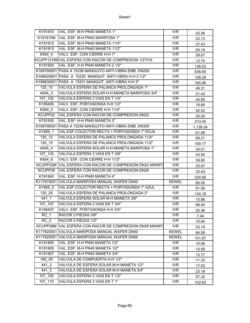| K191910         | VAL. ESF. M-H PN40 MANETA 1"                            | IVR.                    | 22.36    |
|-----------------|---------------------------------------------------------|-------------------------|----------|
| K191910M        | VAL. ESF. M-H PN40 MARIPOSA 1"                          | <b>IVR</b>              | 22.13    |
| K191912         | VAL. ESF. M-H PN40 MANETA 11/4"                         | <b>IVR</b>              | 37.43    |
| K191915         | VAL. ESF. M-H PN40 MANETA 11/2"                         | $\overline{\text{IVR}}$ | 54.14    |
| K954 4          | VALV. ESF. CON CIERRE H-H 1"                            | <b>IVR</b>              | 29.07    |
|                 | KCUPP1216MVAL.ESFERA CON RACOR DE COMPRESION 1/2"X16    | <b>IVR</b>              | 12.74    |
| K191825         | VAL. ESF. H-H PN40 MANETA 2 1/2"                        | $\overline{\text{IVR}}$ | 136.53   |
|                 | K169790001 PASA A 15236 MANGUITO ANTI-VIBRA EMB. DN250  | $\overline{\text{IVR}}$ | 836.85   |
|                 | K169625001 PASA A 15230 MANGUIT. ANTI-VIBRA H-H 2 1/2"  | <b>IVR</b>              | 128.29   |
|                 | K169630001 PASA A 15231 MANGUIT. ANTI-VIBRA H-H 3"      | <b>IVR</b>              | 165.96   |
| $120$ 10        | VALVULA ESFERA DE PALANCA PROLONGADA 1"                 | <b>IVR</b>              | 49.31    |
| 440A 3          | VALVULA ESFERA SOLAR H-H MANETA MARIPOSA 3/4"           | IVR                     | 21.42    |
| 107_102         | VALVULA ESFERA 3 VIAS EN T 1/4"                         | <b>IVR</b>              | 44.85    |
| K195405         | VALV. ESF. PORTASONDA H-H 1/2"                          | IVR                     | 16.60    |
| K954 5          | VALV. ESF. CON CIERRE H-H 11/4"                         | <b>IVR</b>              | 42.02    |
| KCUPP22         | VAL.ESFERA CON RACOR DE COMPRESION DN22                 | <b>IVR</b>              | 24.24    |
| K191830         | VAL. ESF. H-H PN40 MANETA 3"                            | <b>IVR</b>              | 213.04   |
|                 | K169795001 PASA A 15240 MANGUITO ANTI-VIBRA EMB. DN300  | IVR                     | 1,139.34 |
| K1809 1         | VAL.ESF.COLECTOR RECTA + PORTASONDA 1" ROJA             | <b>IVR</b>              | 61.56    |
| 120 12          | VALVULA ESFERA DE PALANCA PROLONGADA 11/4"              | <b>IVR</b>              | 69.21    |
| 120 15          | VALVULA ESFERA DE PALANCA PROLONGADA 11/2"              | <b>IVR</b>              | 100.17   |
| 440A 4          | VALVULA ESFERA SOLAR H-H MANETA MARIPOSA 1"             | <b>IVR</b>              | 34.01    |
| 107 103         | VALVULA ESFERA 3 VIAS EN T 3/8"                         | $\overline{\text{IVR}}$ | 43.55    |
| K954 6          | VALV. ESF. CON CIERRE H-H 11/2"                         | <b>IVR</b>              | 59.80    |
|                 | KCUPP22M VAL.ESFERA CON RACOR DE COMPRESION DN22 MARIPO | <b>IVR</b>              | 23.07    |
| KCUPP28         | VAL.ESFERA CON RACOR DE COMPRESION DN28                 | <b>IVR</b>              | 33.43    |
| K191840         | VAL. ESF. H-H PN40 MANETA 4"                            | <b>IVR</b>              | 324.85   |
|                 | K117615001 VALVULA MARIPOSA MANUAL WAFER DN40           | <b>KEWEL</b>            | 80.00    |
| K1809 2         | VAL.ESF.COLECTOR RECTA + PORTASONDA 1" AZUL             | <b>IVR</b>              | 61.56    |
| 120 20          | VALVULA ESFERA DE PALANCA PROLONGADA 2"                 | $\overline{\text{IVR}}$ | 134.18   |
| 441 1           | VALVULA ESFERA SOLAR M-H MANETA 3/8"                    | <b>IVR</b>              | 10.88    |
| $107 - 107$     | VALVULA ESFERA 3 VIAS EN T 3/4"                         | $\overline{\text{IVR}}$ | 68.04    |
| K195407         | VALV. ESF. PORTASONDA H-H 3/4"                          | <b>IVR</b>              | 20.36    |
| $RC_1$          | RACOR 3 PIEZAS 3/8"                                     | <b>IVR</b>              | 7.44     |
| RC <sub>2</sub> | RACOR 3 PIEZAS 1/2"                                     | <b>IVR</b>              | 10.64    |
|                 | KCUPP28M VAL.ESFERA CON RACOR DE COMPRESION DN28 MARIPO | <b>IVR</b>              | 33.19    |
|                 | K117620001 VALVULA MARIPOSA MANUAL WAFER DN50           | <b>KEWEL</b>            | 84.59    |
|                 | K117625001 VALVULA MARIPOSA MANUAL WAFER DN65           | <b>KEWEL</b>            | 101.07   |
| K191805         | VAL. ESF. H-H PN40 MANETA 1/2"                          | <b>IVR</b>              | 10.08    |
| K191905         | VAL. ESF. M-H PN40 MANETA 1/2"                          | IVR                     | 10.59    |
| K191907         | VAL. ESF. M-H PN40 MANETA 3/4"                          | <b>IVR</b>              | 13.77    |
| 160 05          | VALVULA DE COMPUERTA H-H 1/2"                           | $\overline{\text{IVR}}$ | 11.33    |
| 441 2           | VALVULA DE ESFERA SOLAR M-H MANETA 1/2"                 | <b>IVR</b>              | 17.53    |
| 441 3           | VALVULA DE ESFERA SOLAR M-H MANETA 3/4"                 | IVR                     | 23.19    |
| 107 105         | VALVULA ESFERA 3 VIAS EN T 1/2"                         | <b>IVR</b>              | 57.32    |
| 107 110         | VALVULA ESFERA 3 VIAS EN T 1"                           | <b>IVR</b>              | 102.63   |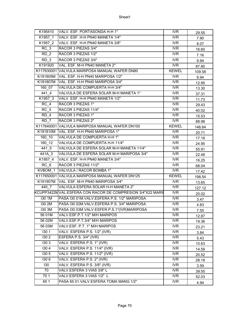| K195410            | VALV. ESF. PORTASONDA H-H 1"                               | <b>IVR</b>              | 29.55  |
|--------------------|------------------------------------------------------------|-------------------------|--------|
| K1957 1            | VALV. ESF. H-H PN40 MANETA 1/4"                            | <b>IVR</b>              | 7.90   |
| K1957 2            | VALV. ESF. H-H PN40 MANETA 3/8"                            | <b>IVR</b>              | 8.07   |
| $\overline{RC}$ _3 | RACOR 3 PIEZAS 3/4"                                        | <b>IVR</b>              | 16.60  |
| RD <sub>2</sub>    | RACOR 3 PIEZAS 1/2"                                        | <b>IVR</b>              | 7.16   |
| RD <sub>3</sub>    | RACOR 3 PIEZAS 3/4"                                        | <b>IVR</b>              | 9.94   |
| K191920            | VAL. ESF. M-H PN40 MANETA 2"                               | <b>IVR</b>              | 87.80  |
|                    | K117630001 VALVULA MARIPOSA MANUAL WAFER DN80              | <b>KEWEL</b>            | 109.58 |
| K191805M           | VAL. ESF. H-H PN40 MARIPOSA 1/2"                           | IVR                     | 9.94   |
| K191807M           | VAL. ESF. H-H PN40 MARIPOSA 3/4"                           | <b>IVR</b>              | 12.95  |
| 160 07             | VALVULA DE COMPUERTA H-H 3/4"                              | <b>IVR</b>              | 13.30  |
| 441 4              | VALVULA DE ESFERA SOLAR M-H MANETA 1"                      | <b>IVR</b>              | 37.31  |
| K1957 3            | VALV. ESF. H-H PN40 MANETA 1/2"                            | <b>IVR</b>              | 11.73  |
| RC 4               | RACOR 3 PIEZAS 1"                                          | <b>IVR</b>              | 29.43  |
| RC 5               | RACOR 3 PIEZAS 11/4"                                       | IVR                     | 40.02  |
| RD <sub>4</sub>    | RACOR 3 PIEZAS 1"                                          | $\overline{\text{IVR}}$ | 15.53  |
| RD 7               | RACOR 3 PIEZAS 2"                                          | <b>IVR</b>              | 88.98  |
|                    | K117640001 VALVULA MARIPOSA MANUAL WAFER DN100             | <b>KEWEL</b>            | 146.64 |
|                    | K191810M VAL. ESF. H-H PN40 MARIPOSA 1"                    | <b>IVR</b>              | 20.71  |
| 160 10             | VALVULA DE COMPUERTA H-H 1"                                | $\overline{\text{IVR}}$ | 17.18  |
| 160 12             | VALVULA DE COMPUERTA H-H 11/4"                             | <b>IVR</b>              | 24.95  |
| 441 5              | VALVULA DE ESFERA SOLAR M-H MANETA 11/4"                   | <b>IVR</b>              | 55.91  |
| 441A 3             | VALVULA DE ESFERA SOLAR M-H MARIPOSA 3/4"                  | <b>IVR</b>              | 22.48  |
| K1957 4            | VALV. ESF. H-H PN40 MANETA 3/4"                            | $\overline{\text{IVR}}$ | 16.25  |
| RC 6               | RACOR 3 PIEZAS 11/2"                                       | <b>IVR</b>              | 68.04  |
| KVBOM 1            | VALVULA / RACOR BOMBA 1"                                   | <b>IVR</b>              | 17.42  |
|                    | K117650001 VALVULA MARIPOSA MANUAL WAFER DN125             | <b>KEWEL</b>            | 198.54 |
| K191907M           | VAL. ESF. M-H PN40 MARIPOSA 3/4"                           | <b>IVR</b>              | 13.65  |
| 440 7              | VALVULA ESFERA SOLAR H-H MANETA 2"                         | <b>IVR</b>              | 127.12 |
|                    | KCUPP3422MVAL.ESFERA CON RACOR DE COMPRESION 3/4"X22 MARII | IVR                     | 20.02  |
| <b>I30 1M</b>      | PASA I30 01M.VALV.ESFERA P.S. 1/2" MARIPOSA                | <b>IVR</b>              | 3.47   |
| <b>I30 2M</b>      | PASA I30 02M.VALV.ESFERA P.S. 3/4" MARIPOSA                | <b>IVR</b>              | 4.83   |
| <b>I30 3M</b>      | PASA I30 03M.VALV.ESFER.P.S.1"(IVR)MARIPOSA                | <b>IVR</b>              | 7.55   |
| 56 01M             | VALV.ESF.P.T.1/2" M/H MARIPOS                              | <b>IVR</b>              | 12.87  |
| 56 02M             | VALV.ESF.P.T.3/4" M/H MARIPOS                              | <b>IVR</b>              | 19.36  |
| 56 03M             | VALV.ESF. P.T. 1" M/H MARIPOS                              | IVR.                    | 23.21  |
| 1301               | VALV. ESFERA P.S. 1/2" (IVR)                               | <b>IVR</b>              | 3.84   |
| 130 2              | ESFERA P.S. 3/4" (IVR)                                     | <b>IVR</b>              | 5.43   |
| 1303               | VALV. ESFERA P.S. 1" (IVR)                                 | <b>IVR</b>              | 10.63  |
| 1304               | VALV. ESFERA P.S. 11/4" (IVR)                              | <b>IVR</b>              | 14.59  |
| 130 5              | VALV. ESFERA P.S. 11/2" (IVR)                              | <b>IVR</b>              | 20.52  |
| 1306               | VALV. ESFERA P.S. 2" (IVR)                                 | <b>IVR</b>              | 28.18  |
| 130                | VALV. ESFERA P.S. 3/8" (IVR)                               | <b>IVR</b>              | 3.59   |
| 70                 | VALV.ESFERA 3 VIAS 3/8" L                                  | <b>IVR</b>              | 39.55  |
| 701                | VALV.ESFERA 3 VIAS 1/2" L                                  | <b>IVR</b>              | 52.03  |
| 65 1               | PASA 65 01. VALV. ESFERA TOMA MANG 1/2"                    | <b>IVR</b>              | 4.94   |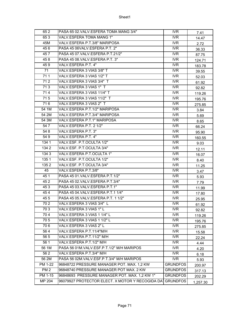| 652             | PASA 65 02. VALV. ESFERA TOMA MANG 3/4"          | <b>IVR</b>              | 7.41     |
|-----------------|--------------------------------------------------|-------------------------|----------|
| 653             | VALV.ESFERA TOMA MANG 1"                         | <b>IVR</b>              | 14.47    |
| 45M             | VALV.ESFERA P.T.3/8" MARIPOSA                    | <b>IVR</b>              | 2.72     |
| 456             | PASA 45 06VALV.ESFERA P.T. 2"                    | <b>IVR</b>              | 36.33    |
| 457             | PASA 45 07. VALV. ESFERA P.T. 21/2"              | <b>IVR</b>              | 87.75    |
| 458             | PASA 45 08. VALV. ESFERA P.T. 3"                 | IVR                     | 124.71   |
| 459             | VALV.ESFERA P.T. 4"                              | <b>IVR</b>              | 183.78   |
| 71              | VALV.ESFERA 3 VIAS 3/8" T                        | <b>IVR</b>              | 39.55    |
| 711             | VALV.ESFERA 3 VIAS 1/2" T                        | $\overline{\text{IVR}}$ | 52.03    |
| 712             | VALV.ESFERA 3 VIAS 3/4" T                        | IVR                     | 61.92    |
| 713             | VALV.ESFERA 3 VIAS 1" T                          | <b>IVR</b>              | 92.82    |
| 714             | VALV.ESFERA 3 VIAS 11/4" T                       | <b>IVR</b>              | 119.26   |
| 715             | VALV.ESFERA 3 VIAS 11/2" T                       | <b>IVR</b>              | 195.76   |
| 716             | VALV.ESFERA 3 VIAS 2" T                          | IVR                     | 275.85   |
| 54 1M           | VALV.ESFERA P.T.1/2" MARIPOSA                    | IVR                     | 3.84     |
| 54 2M           | VALV.ESFERA P.T.3/4" MARIPOSA                    | <b>IVR</b>              | 5.69     |
| 54 3M           | VALV.ESFERA P.T.1" MARIPOSA                      | <b>IVR</b>              | 8.65     |
| 547             | VALV.ESFERA P.T. 2 1/2"                          | IVR                     | 66.24    |
| 548             | VALV.ESFERA P.T. 3"                              | IVR                     | 95.90    |
| 549             | VALV.ESFERA P.T. 4"                              | <b>IVR</b>              | 160.55   |
| 134 1           | VALV.ESF. P.T.OCULTA 1/2"                        | IVR                     | 9.03     |
| 1342            | VALV.ESF. P.T.OCULTA 3/4"                        | IVR                     | 12.11    |
| 1343            | VALV.ESFERA P.T.OCULTA 1"                        | <b>IVR</b>              | 16.07    |
| 1351            | VALV.ESF. P.T.OCULTA 1/2"                        | <b>IVR</b>              | 8.40     |
| 1352            | VALV.ESF. P.T.OCULTA 3/4"                        | IVR                     | 11.25    |
| 45              | VALV.ESFERA P.T.3/8"                             | IVR                     | 3.47     |
| 451             | PASA 45 01. VALV. ESFERA P.T.1/2"                | <b>IVR</b>              | 5.93     |
| 452             | PASA 45 02. VALV. ESFERA P.T.3/4"                | IVR                     | 7.79     |
| 453             | PASA 45 03. VALV. ESFERA P.T.1"                  | <b>IVR</b>              | 11.99    |
| 454             | PASA 45 04. VALV. ESFERA P.T. 1 1/4"             | IVR                     | 17.80    |
| 455             | PASA 45 05. VALV. ESFERA P.T. 1 1/2"             | <b>IVR</b>              | 25.95    |
| 702             | VALV.ESFERA 3 VIAS 3/4" L                        | <b>IVR</b>              | 61.92    |
| 703             | VALV.ESFERA 3 VIAS 1"L                           | <b>IVR</b>              | 92.82    |
| 704             | VALV.ESFERA 3 VIAS 1 1/4" L                      | IVR                     | 119.26   |
| 705             | VALV.ESFERA 3 VIAS 1 1/2" L                      | <b>IVR</b>              | 195.76   |
| 706             | VALV.ESFERA 3 VIAS 2"L                           | <b>IVR</b>              | 275.85   |
| 564             | VALV.ESFERA P.T.11/4"M/H                         | <b>IVR</b>              | 15.58    |
| 565             | VALV.ESFERA P.T.11/2" M/H                        | <b>IVR</b>              | 22.24    |
| 56 1            | VALV.ESFERA P.T.1/2" M/H                         | <b>IVR</b>              | 4.44     |
| 56 1M           | PASA 56 01M.VALV.ESF.P.T.1/2" M/H MARIPOS        | <b>IVR</b>              | 4.20     |
| 562             | VALV.ESFERA P.T.3/4" M/H                         | <b>IVR</b>              | 6.18     |
| 56 2M           | PASA 56 02M.VALV.ESF.P.T.3/4" M/H MARIPOS        | <b>IVR</b>              | 5.93     |
| <b>PM 1-22</b>  | 96848722 PRESSURE MANAGER POT. MAX. 1,2 KW       | <b>GRUNDFOS</b>         | 200.97   |
| PM <sub>2</sub> | 96848740 PRESSURE MANAGER POT MAX. 2 KW          | <b>GRUNDFOS</b>         | 317.13   |
| PM 1-15         | 96848693 PRESSURE MANAGER POT. MAX. 1,2 KW 1"    | <b>GRUNDFOS</b>         | 202.29   |
| MP 204          | 96079927 PROTECTOR ELECT. X MOTOR Y RECOGIDA DAT | <b>GRUNDFOS</b>         | 1,257.30 |
|                 |                                                  |                         |          |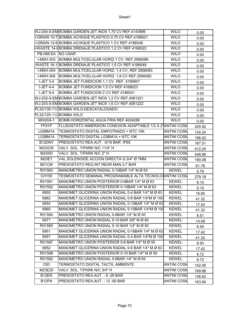|                    | WJ-204-X-EM BOMBA GARDEN-JET INOX 1,75 CV REF.4143999       | <b>WILO</b>        | 0.00   |
|--------------------|-------------------------------------------------------------|--------------------|--------|
|                    | I-DRAIN 10-7 BOMBA ACHIQUE PLASTICO 0.75 CV REF.4168021     | <b>WILO</b>        | 0.00   |
|                    | I-DRAIN 13-9 BOMBA ACHIQUE PLASTICO 1 CV REF.4186548        | <b>WILO</b>        | 0.00   |
|                    | -WASTE 14-9BOMBA DRENAJE PLASTICO 1,2 CV REF.4168022        | <b>WILO</b>        | 0.00   |
| PB-088 EA NO USAR  |                                                             | <b>WILO</b>        | 0.00   |
|                    | I-MSH-303 BOMBA MULTICELULAR HORIZ.1 CV. REF.2956086        | <b>WILO</b>        | 0.00   |
|                    | WASTE 16-1 BOMBA DRENAJE PLASTICO 1,5 CV REF.4186549        | <b>WILO</b>        | 0.00   |
|                    | I-MSH-304 BOMBA MULTICELULAR HORIZ. 1,4 CV. REF.2956083     | <b>WILO</b>        | 0.00   |
|                    | I-MSH-305 BOMBA MULTICELULAR HORIZ. 1,9 CV REF.2956082      | <b>WILO</b>        | 0.00   |
| $I-JET$ 3-4        | BOMBA JET FUNDICION 1,1 CV REF. 4185607                     | <b>WILO</b>        | 0.00   |
| <b>I-JET 4-4</b>   | BOMBA JET FUNDICION 1,5 CV REF.4168023                      | <b>WILO</b>        | 0.00   |
| <b>I-JET 9-4</b>   | BOMBA JET FUNDICION 2 CV REF.4186041                        | <b>WILO</b>        | 0.00   |
|                    | WJ-202-X-EMBOMBA GARDEN-JET INOX 1,2 CV REF.4081221         | <b>WILO</b>        | 0.00   |
|                    | WJ-203-X-EM BOMBA GARDEN-JET INOX 1,6 CV REF.4081222        | <b>WILO</b>        | 0.00   |
|                    | PL32/130-11/1BOMBA WILO-DESCATALOGADO                       | <b>WILO</b>        | 0.00   |
|                    | PL32/125-11/1BOMBA WILO                                     | <b>WILO</b>        | 0.00   |
| MHI204-1           | BOMB.HORIZONTAL AGUA FRIA REF.4024286                       | <b>WILO</b>        | 0.00   |
| FF91P              | FLUSOSTATO INMERSION CONEXION ADAPTABLE 1/2 A 2"ANTINI COSN |                    | 245.92 |
| L02BM1A            | <b>TESMOSTATO DIGITAL EMPOTRADO + NTC 10K</b>               | <b>ANTINI COSN</b> | 134.24 |
| L03BM1A            | TERMOSTATO DIGITAL L03BM1A + NTC 10K                        | <b>ANTINI COSN</b> | 196.02 |
| B12DNY             | PRESOSTATO REA.AUT. - 5/16 BAR IP65                         | <b>ANTINI COSN</b> | 167.51 |
| M23G35             | VALV. SOL. T/PARK N/C 11/4" H                               | <b>ANTINI COSM</b> | 412.24 |
| M23150             | VALV. SOL. T/PARK N/C 2" H                                  | <b>ANTINI COSN</b> | 548.86 |
| M20E7              | VAL.SOLENOIDE ACCION DIRECTA G.3/4" Ø 7MM                   | <b>ANTINI COSN</b> | 190.08 |
| B01CM              | PRESOSTATO REG.INT.REAR.MAN.3-7 BAR                         | <b>ANTINI COSN</b> | 61.78  |
| R01583             | MANOMETRO UNION RADIAL 0-10BAR 1/4" M Ø 63                  | <b>KEWEL</b>       | 8.79   |
| CH150              | TESMOSTATO SEMANAL PROGRAMABLE ALTA TECNOLO(ANTINI COSN     |                    | 279.18 |
| R01591             | MANOMETRO UNION POSTERIOR 0-6BAR 1/4" M Ø 63                | <b>KEWEL</b>       | 9.10   |
| R01592             | MANOMETRO UNION POSTERIOR 0-10BAR 1/4" M Ø 63               | <b>KEWEL</b>       | 9.10   |
| 6950               | MANOMET.GLICERINA UNION RADIAL 0-4 BAR 1/4" M Ø 63          | <b>KEWEL</b>       | 16.60  |
| 6962               | MANOMET.GLICERINA UNION RADIAL 0-6 BAR 1/4"M Ø 100          | <b>KEWEL</b>       | 41.32  |
| 6954               | MANOMET.GLICERINA UNION RADIAL 0-10BAR 1/4" M Ø 63          | <b>KEWEL</b>       | 17.42  |
| 6960               | MANOMET.GLICERINA UNION RADIAL 0-10BAR 1/4"M Ø 100          | <b>KEWEL</b>       | 41.32  |
| R01594             | MANOMETRO UNION RADIAL 0-6BAR 1/4" M Ø 50                   | <b>KEWEL</b>       | 8.51   |
| 6971               | MANOMETRO UNION RADIAL 0-10 BAR 3/8" M Ø 80                 | <b>KEWEL</b>       | 14.49  |
| R01595             | MANOMETRO UNION RADIAL 0-10 BAR 1/4" M Ø 50                 | <b>KEWEL</b>       | 8.40   |
| 6951               | MANOMET.GLICERINA UNION RADIAL 0-16BAR 1/4" M Ø 63          | <b>KEWEL</b>       | 17.42  |
| 6957               | MANOMET.GLICERINA UNION RADIAL 0-4 BAR 1/4"M Ø 100          | <b>KEWEL</b>       | 41.32  |
| R01597             | MANOMETRO UNION POSTERIOR 0-6 BAR 1/4" M Ø 50               | <b>KEWEL</b>       | 8.93   |
| 6952               | MANOMET.GLICERINA UNION RADIAL 0-6 BAR 1/4" M Ø 63          | <b>KEWEL</b>       | 17.42  |
| R01598             | MANOMETRO UNION POSTERIOR 0-10 BAR 1/4" M Ø 50              | <b>KEWEL</b>       | 8.72   |
| R01582             | MANOMETRO UNION RADIAL 0-6BAR 1/4" M Ø 63                   | <b>KEWEL</b>       | 8.72   |
| C83                | TERMOSTATO DIGITAL TACTIL AMBIENTE                          | <b>ANTINI COSN</b> | 152.06 |
| M23E20             | VALV. SOL. T/PARK N/C 3/4" H                                | <b>ANTINI COSN</b> | 169.88 |
| B <sub>12</sub> EN | PRESOSTATO REA.AUT. - 8 -28 BAR                             | <b>ANTINI COSM</b> | 136.62 |
| B12FN              | PRESOSTATO REA.AUT. - 12 -50 BAR                            | <b>ANTINI COSM</b> | 163.94 |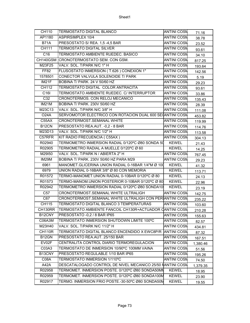| CH110              | <b>TERMOSTATO DIGITAL BLANCO</b>                           | <b>ANTINI COSN</b> | 71.16    |
|--------------------|------------------------------------------------------------|--------------------|----------|
| AP1180             | <b>ASPIRSIMPLEX 10/4</b>                                   | <b>ANTINI COSN</b> | 38.78    |
| <b>B71A</b>        | PRESOSTATO S/ REA. 1,5 -4,5 BAR                            | <b>ANTINI COSN</b> | 23.52    |
| CH111              | <b>TERMOSTATO DIGITAL SILVER</b>                           | <b>ANTINI COSM</b> | 93.61    |
| C <sub>16</sub>    | TERMOSTATO AMBIENTE RUEDEC. BASICO                         | <b>ANTINI COSN</b> | 34.10    |
|                    | CH140GSM CRONOTERMOSTATO SEM. CON GSM.                     | <b>ANTINI COSN</b> | 817.25   |
| M23F25             | VALV. SOL. T/PARK N/C 1" H                                 | <b>ANTINI COSN</b> | 193.64   |
| FF82               | FLUSOSTATO INMERSION (T.626) CONEXION 1"                   | <b>ANTINI COSN</b> | 142.56   |
| 1578501            | CONECTOR VALVULA SOLENOIDE T/ PARK                         | ANTINI COSN        | 5.19     |
| IM21F              | BOBINA T/ PARK. 24 V 50/60 HZ                              | <b>ANTINI COSN</b> | 29.23    |
| CH112              | TERMOSTATO DIGITAL COLOR ANTRACITA                         | <b>ANTINI COSM</b> | 93.61    |
| C <sub>16</sub>    | TERMOSTATO AMBIENTE RUEDEC. C/ INTERRUPTOR                 | <b>ANTINI COSN</b> | 33.86    |
| C32                | CRONOTERMOS. CON RELOJ MECANICO                            | <b>ANTINI COSN</b> | 135.43   |
| IM21M              | BOBINA T/ PARK. 230V 50/60 HZ                              | <b>ANTINI COSN</b> | 28.39    |
| M23C13             | VALV. SOL. T/PARK N/C 3/8" H                               | <b>ANTINI COSM</b> | 111.08   |
| <b>O24A</b>        | SERVOMOTOR ELECTRICO CON ROTACION DUAL 600 SECANTINI COSM  |                    | 453.82   |
| C55AX              | CRONOTERMOST.SEMANAL WHITE                                 | <b>ANTINI COSM</b> | 119.99   |
| B <sub>12</sub> CN | PRESOSTATO REA.AUT. - 0,2 - 8 BAR                          | <b>ANTINI COSN</b> | 114.76   |
| M23D13             | VALV. SOL. T/PARK N/C 1/2" H                               | <b>ANTINI COSM</b> | 113.58   |
| C57RFR             | KIT RADIO FRECUENCIA (C55AX)                               | <b>ANTINI COSM</b> | 304.13   |
| R02940             | TERMOMETRO INMERSION RADIAL 0/120°C Ø80 SONDA 50           | <b>KEWEL</b>       | 21.43    |
| R02905             | TERMOMETRO RADIAL A MUELLE 0/120°C Ø 60                    | <b>KEWEL</b>       | 14.25    |
| M29150             | VALV. SOL. T/PARK N / ABIERTA 2" H                         | <b>ANTINI COSN</b> | 767.45   |
| IM29M              | BOBINA T/ PARK. 230V 50/60 HZ PARA M29                     | <b>ANTINI COSN</b> | 29.23    |
| 6961               | MANOMET.GLICERINA UNION RADIAL 0-16BAR 1/4"M Ø 100         | <b>KEWEL</b>       | 41.32    |
| 6979               | UNION RADIAL 0-16BAR 3/8" Ø 80 CON MEMORIA                 | <b>KEWEL</b>       | 113.71   |
| R01572             | TERMO-MANOMET.UNION RADIAL 0-10BAR 0/120°C Ø 80            | <b>KEWEL</b>       | 24.13    |
| R01573             | TERMO-MANOM.UNION POSTERIOR 0-10BAR 0/120°C Ø 80           | <b>KEWEL</b>       | 22.96    |
| R02942             | TERMOMETRO INMERSION RADIAL 0/120°C Ø80 SONDA10            | <b>KEWEL</b>       | 23.19    |
| C <sub>57</sub>    | CRONOTERMOST.SEMANAL WHITE ULTRALIGH                       | <b>ANTINI COSM</b> | 142.75   |
| C67                | CRONOTERMOST.SEMANAL WHITE ULTRALIGH CON PERIANTINI COSN   |                    | 235.22   |
| CH115              | TERMOSTATO DIGITAL BLANCO 3 TEMPERATURAS                   | <b>ANTINI COSN</b> | 103.60   |
| CH130RR            | TERMOSTATO AMBIENTE FANCOIL CH130R+ACTUADOR CANTINI COSN   |                    | 210.28   |
| B12CNY             | PRESOSTATO -0,2 / 8 BAR IP65                               | <b>ANTINI COSN</b> | 155.63   |
| C06A3M             | TERMOSTATO INMERSION SHUTDOWN LIMITE 100°C                 | <b>ANTINI COSN</b> | 82.57    |
| M23H40             | VALV. SOL. T/PARK N/C 11/2" H                              | <b>ANTINI COSN</b> | 434.81   |
| <b>CH110R</b>      | TERMOSTATO DIGITAL BLANCO ENCENDIDO X EWC8P/R ANTINI COSM  |                    | 87.32    |
| B12GN              | PRESOSTATO REA.AUT. 25/150 BAR                             | <b>ANTINI COSN</b> | 167.51   |
| EV02F              | CENTRALITA CONTROL DIARIO TERMOREGULACION                  | <b>ANTINI COSN</b> | 1,380.46 |
| C03A3              | TERMOSTATO DE INMERSION 10/90°C 100MM VAINA                | ANTINI COSN        | 51.56    |
| B13CNY             | PRESOSTATO REGULABLE 1/10 BAR IP65                         | <b>ANTINI COSN</b> | 195.26   |
| C08A               | TERMOSTATO INMERSION 1/110°C                               | <b>ANTINI COSN</b> | 74.50    |
| A42A               | DESCATALOGADO CONTROL DE NIVEL MECANICO 25/50 NANTINI COSN |                    | 1,379.35 |
| R02958             | TERMOMET. INMERSION POSTE. 0/120°C Ø80 SONDA50MN           | <b>KEWEL</b>       | 18.95    |
| R02959             | TERMOMET. INMERSION POSTE. 0/120°C Ø80 SONDA100M           | <b>KEWEL</b>       | 23.90    |
| R02917             | TERMO. INMERSION FRIO POSTE.-30-50°C Ø80 SONDA50M          | <b>KEWEL</b>       | 19.55    |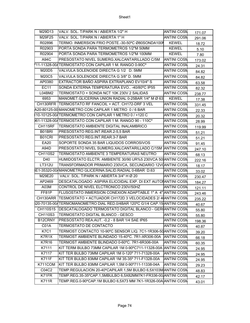| M29D13         | VALV, SOL, T/PARK N / ABIERTA 1/2" H                                          | <b>ANTINI COSN</b> | 171.07 |
|----------------|-------------------------------------------------------------------------------|--------------------|--------|
| M29F25         | VALV. SOL. T/PARK N / ABIERTA 1" H                                            | <b>ANTINI COSN</b> | 291.06 |
| R02896         | TERMO. INMERSION FRIO POSTE.-30-50°C Ø80SONDA100N                             | <b>KEWEL</b>       | 18.72  |
| R02903         | PORTA SONDA PARA TERMOMETROS 1/2"M 50MM                                       | <b>KEWEL</b>       | 5.10   |
| R02904         | PORTA SONDA PARA TERMOMETROS 1/2"M 100MM                                      | <b>KEWEL</b>       | 7.80   |
| A94C           | PRESOSTATO NIVEL SUMERG.XALCANTARILLADO C/5M                                  | <b>ANTINI COSN</b> | 173.02 |
|                | 711-11328-004TERMOSTATO CON CAPILAR 1 M. RANGO 0-90C°                         | <b>ANTINI COSN</b> | 24.31  |
| M20D5          | VALVULA SOLENOIDE DIRECTA G 1/2 D. 5MM                                        | <b>ANTINI COSN</b> | 84.82  |
| M20C5          | VALVULA SOLENOIDE DIRECTA G 3/8" D. 5MM                                       | <b>ANTINI COSN</b> | 84.82  |
| AP0380         | EXTRACTOR BAÑO ASPIRA EXTRAPLANO EV10/4" S                                    | <b>ANTINI COSM</b> | 63.58  |
| <b>EC11</b>    | SONDA EXTERNA TEMPERATURA EVO -40/80°C IP55                                   | <b>ANTINI COSN</b> | 82.32  |
| L04BM2         | TERMOSTATO + SONDA NCT 10K 230V 2 SALIDAS                                     | <b>ANTINI COSN</b> | 238.77 |
| 6953           | MANOMET.GLICERINA UNION RADIAL 0-25BAR 1/4" M Ø 63                            | <b>KEWEL</b>       | 17.38  |
|                | CH130RFR TERMOSTATO RF FANCOIL + ACT. CH172-DRF 3 VEL                         | <b>ANTINI COSN</b> | 331.45 |
|                | A20-80125-00 MANOMETRO CON CAPILAR 1 METRO 0 / 6 BAR                          | <b>ANTINI COSN</b> | 22.33  |
|                | 10-10125-004 TERMOMETRO CON CAPILAR 1 METRO 0 / +120 C                        | <b>ANTINI COSN</b> | 20.32  |
|                | 061-11328-004TERMOSTATO CON CAPILAR 1 M. RANGO 90 - 110C°                     | <b>ANTINI COSN</b> | 28.99  |
| CH115RF        | TERMOSTATO AMBIENTE DIGITAL INALAMBRICO                                       | <b>ANTINI COSN</b> | 119.99 |
| B01BRI         | PRESOSTATO REG.INT.REAR.2-5,5 BAR                                             | <b>ANTINI COSM</b> | 51.21  |
| B01CRI         | PRESOSTATO REG.INT.REAR.3-7 BAR                                               | <b>ANTINI COSN</b> | 51.21  |
| EA20           | SOPORTE SONDA 35 BAR LIQUIDOS CORROSIVOS                                      | <b>ANTINI COSN</b> | 91.45  |
| A94D           | PRESOSTATO NIVEL SUMERG.XALCANTARILLADO C/15M ANTINI COSN                     |                    | 247.10 |
| <b>CH110S2</b> | TERMOSTATO AMBIENTE 3 TEMPERATURAS NEUTRO                                     | <b>ANTINI COSN</b> | 68.13  |
| D40            | HUMIDOSTATO ELCTR. AMBIENTE 30/90 UR%5 230VCA 50 ANTINI COSN                  |                    | 222.16 |
| LT312U         | TRANSFORMADOR PRIMARIO 230VCA, SECUNDARIO 12V (ANTINI COSN                    |                    | 18.17  |
|                | E1-35320-00/MANOMETRO GLICERINA.SALID.RADIAL 0-6BAR_D.63                      | <b>ANTINI COSN</b> | 33.02  |
| M29E20         | VALV. SOL. T/PARK N / ABIERTA 3/4" H Ø 20                                     | <b>ANTINI COSN</b> | 230.47 |
| AP2469         | DESCATALOGADO ASPIRA ELICOIDAL EXP. DI EXT AUTOMANTINI COSN                   |                    | 184.27 |
| A03M           | CONTROL DE NIVEL ELCTRONICO 230V/50HZ                                         | <b>ANTINI COSN</b> | 121.11 |
| FF81P          | FLUSOSTATO INMERSION CONEXION ADAPTABLE 1" A 4" ANTINI COSN                   |                    | 243.46 |
|                | CH130ARR TESMOSTATO + ACTUADOR CH172D 3 VELOCIDADES 2/4 (ANTINI COSN          |                    | 235.22 |
|                | 520-70135-00 $A$ TERMOMANOMETRO DIAL RED.0/4BAR 120ºC G1/4 CAP.15 ANTINI COSN |                    | 40.67  |
|                | CH110S15 DESCATALOGADO TERMOSTATO DIGITAL BLANCO - GER(ANTINI COSN            |                    | 55.80  |
| CH110S3        | TERMOSTATO DIGITAL BLANCO - GESCO                                             | ANTINI COSN        | 55.80  |
| B12CRNY        | PRESOSTATO REA.AUT. - 0,2 - 8 BAR 1/4 SAE IP65                                | <b>ANTINI COSN</b> | 198.36 |
| C01A           | TERMOSTATO DE CONTACTO                                                        | <b>ANTINI COSN</b> | 40.87  |
| <b>K7C1</b>    | TERMOST CONTACTO 10-90°C SENSOR LIQ. 7C1-1R306-50 ANTINI COSN                 |                    | 39.20  |
| K7R1X          | TERMOST AMBIENTE BLINDADO 15-40°C. 7R1-XR306-00A                              | <b>ANTINI COSN</b> | 66.18  |
| <b>K7R16</b>   | TERMOST AMBIENTE BLINDADO 0-60°C. 7R1-6R306-00A                               | <b>ANTINI COSN</b> | 60.35  |
| K7111          | KIT TERM BULBO 73MM CAPILAR 1M 0-90°C711-11328-00A ANTINI COSN                |                    | 24.95  |
| K7117          | KIT TER BULBO 73MM CAPILAR 1M 0-120° 711-71328-00A                            | <b>ANTINI COSN</b> | 24.95  |
| <b>K711F</b>   | KIT TER BULBO 83MM CAPILAR 1M 35-35° 711-F1328-00A                            | <b>ANTINI COSN</b> | 24.95  |
| K711COM        | KIT TER BULBO 83MM CAPILAR 1,5M 0-90°711-11338-04A                            | <b>ANTINI COSN</b> | 29.23  |
| C04C2          | TEMP.REGULACION 20-40°CAPILAR 1,5M BULBO 6,5X103MANTINI COSN                  |                    | 48.83  |
| K71FR          | TEMP.REG.35-35°CAP.1,5MBULBO 6,5X82MM7K1-FR336-00/ANTINI COSN                 |                    | 42.17  |
| <b>K711R</b>   | TEMP.REG.0-90°CAP.1M BULBO 6,5X73 MM 7K1-1R326-00A ANTINI COSN                |                    | 43.01  |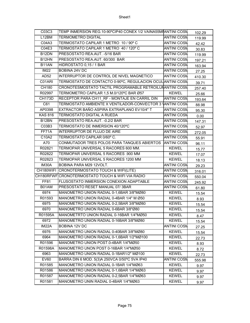| C03C3              | TEMP INMERSION REG.10-90°CIP40 CONEX 1/2 VAINA55MIANTINI COSN |                    | 102.29 |
|--------------------|---------------------------------------------------------------|--------------------|--------|
| L12BM              | <b>TERMOMETRO DIGITAL</b>                                     | <b>ANTINI COSM</b> | 119.99 |
| C04A3              | TERMOSTATO CAPILAR 1 METRO 10 / 90° C                         | <b>ANTINI COSM</b> | 42.42  |
| C04E3              | TERMOSTATO CAPILAR 1 METRO 40 / 120° C                        | <b>ANTINI COSN</b> | 30.83  |
| B <sub>12</sub> DN | PRESOSTATO REA.AUT. - 5/16 BAR                                | <b>ANTINI COSM</b> | 119.99 |
| B12HN              | PRESOSTATO REA.AUT. 60/300 BAR                                | <b>ANTINI COSN</b> | 197.21 |
| B <sub>11</sub> AN | HIDROSTATO 0,15 / 1 BAR                                       | <b>ANTINI COSM</b> | 163.94 |
| <b>IM22</b>        | <b>BOBINA 24V DC</b>                                          | <b>ANTINI COSM</b> | 27.25  |
| AD <sub>52</sub>   | INTERRUPTOR DE CONTROL DE NIVEL MAGNETICO                     | <b>ANTINI COSN</b> | 410.30 |
| C01ARI             | TERMOSTATO DE CONTACTO 0-90°C, REGULACION OCULIANTINI COSN    |                    | 39.71  |
| <b>CH180</b>       | CRONOTESMOSTATO TACTIL PROGRAMABLE RETROILUNANTINI COSN       |                    | 257.40 |
| R02997             | TERMOMETRO CAPILAR 1,5 M.0/120°C BAR Ø57                      | <b>KEWEL</b>       | 25.66  |
| <b>CH173D</b>      | RECEPTOR PARA CH11 RF - MONTAJE EN CARRIL DIN                 | <b>ANTINI COSM</b> | 193.64 |
| $\overline{C61}$   | TERMOSTATO AMBIENTE X VENTILADOR-CONVECTOR 3 VANTINI COSN     |                    | 88.98  |
| AP0398             | EXTRACTOR BAÑO ASPIRA EXTRAPLANO EV10/4" T                    | <b>ANTINI COSN</b> | 95.30  |
| <b>KAS 816</b>     | <b>TERMOSTATO DIGITAL A RUEDA</b>                             | <b>ANTINI COSN</b> | 0.00   |
| B <sub>12</sub> BN | PRESOSTATO REA.AUT. - 0.2/2 BAR                               | <b>ANTINI COSN</b> | 147.31 |
| C03B3              | TERMOSTATO DE INMERSION 40/120°C                              | <b>ANTINI COSM</b> | 52.97  |
| FF71A              | INTERRUPTOR DE FLUJO DE AIRE                                  | <b>ANTINI COSM</b> | 272.05 |
| C10A2              | TERMOSTATO CAPILAR 0/60°C.                                    | <b>ANTINI COSN</b> | 55.91  |
| A70                | CONMUTADOR TRES POLOS PARA TANQUES ABIERTOS                   | <b>ANTINI COSM</b> | 96.11  |
| R02821             | TERMOPAR UNIVERSAL 5 RACORES 600 MM.                          | <b>KEWEL</b>       | 15.77  |
| R02822             | TERMOPAR UNIVERSAL 5 RACORES .900 MM                          | <b>KEWEL</b>       | 17.07  |
| R02823             | TERMOPAR UNIVERSAL 5 RACORES 1200 MM                          | <b>KEWEL</b>       | 18.13  |
| IM30A              | BOBINA PARA M29 12VOLT.                                       | <b>ANTINI COSN</b> | 29.23  |
|                    | CH180WIFI CRONOTERMOSTATO TOUCH & WIFI(LITE)                  | <b>ANTINI COSM</b> | 316.01 |
|                    |                                                               |                    |        |
|                    | CH180RFWF CRONOTERMOSTATO TOUCH & WIFI VIA RADIO              | <b>ANTINI COSN</b> | 550.04 |
| FF81               | FLUSOSTATO INMERSION CONEXION ADAPTABLE                       | <b>ANTINI COSN</b> | 245.92 |
| B01AM              | PRESOSTATO RESET MANUAL 07/3BAR                               | <b>ANTINI COSN</b> | 61.80  |
| 6974               | MANOMETRO UNION RADIAL 0-1,6BAR 3/8"MØ80                      | <b>KEWEL</b>       | 15.54  |
| R01593             | MANOMETRO UNION RADIAL 0-4BAR 1/4" M Ø50                      | <b>KEWEL</b>       | 8.93   |
| 6975               | MANOMETRO UNION RADIAL 0-2,5BAR 3/8"MØ80                      | <b>KEWEL</b>       | 15.54  |
| 6970               | MANOMETRO UNION RADIAL 0-6BAR 3/8"Ø80                         | <b>KEWEL</b>       | 15.54  |
| R01595A            | MANOMETRTO UNION RADIAL 0-16BAR 1/4"MØ50                      | <b>KEWEL</b>       | 8.47   |
| 6972               | MANOMETRO UNION RADIAL 0-16BAR 3/8"MØ80                       | <b>KEWEL</b>       | 15.54  |
| IM22A              | BOBINA 12V DC                                                 | <b>ANTINI COSM</b> | 27.25  |
| 6976               | MANOMETRO UNION RADIAL 0-40BAR 3/8"MØ80                       | <b>KEWEL</b>       | 15.54  |
| 6964               | MANOMETRO UNION RADIAL 0-1,6BAR 1/2"MØ100                     | <b>KEWEL</b>       | 22.73  |
| R01596             | MANOMETRO UNION POST.0-4BAR 1/4"MØ50                          | <b>KEWEL</b>       | 8.93   |
| R01598A            | MANOMETRO UNON POST 0-16BAR 1/4"MØ50                          | <b>KEWEL</b>       | 8.72   |
| 6963               | MANOMETRO UNION RADIAL 0-1BAR1/2" MØ100                       | <b>KEWEL</b>       | 22.73  |
| <b>EV60</b>        | BARRA DIN 6 MOD. 5(3)A 250VCA 0/50°C 5VA IP40                 | <b>ANTINI COSN</b> | 555.98 |
| R01585             | MANOMETRO UNION RADIAL 0-1BAR 1/4"MØ63                        | <b>KEWEL</b>       | 9.97   |
| R01586             | MANOMETRO UNION RADIAL 0-1,6BAR 1/4"MØ63                      | <b>KEWEL</b>       | 9.97   |
| R01587             | MANOMETRO UNION RADIAL 0-2,5BAR 1/4"MØ63                      | <b>KEWEL</b>       | 9.97   |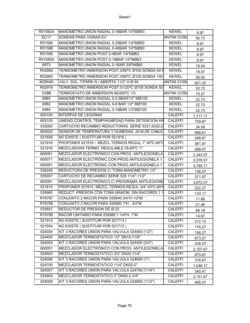| R01583A             | MANOMETRO UNION RADIAL 0-16BAR 1/4"MØ63           | <b>KEWEL</b>       | 9.97     |
|---------------------|---------------------------------------------------|--------------------|----------|
| <b>EC17</b>         | SONDAS PARA VAINAS EV                             | <b>ANTINI COSN</b> | 50.73    |
| R01584              | MANOMETRO UNION RADIAL 0-25BAR 1/4"MØ63           | <b>KEWEL</b>       | 9.97     |
| R01588              | MANOMETRO UNION RADIAL 0-40BAR 1/4"MØ63           | <b>KEWEL</b>       | 9.97     |
| R01590              | MANOMETRO UNION POST.0-4BAR 1/4"MØ63              | <b>KEWEL</b>       | 9.97     |
| R01592A             | MANOMETRO UNION POST.0-16BAR 1/4"MØ63             | <b>KEWEL</b>       | 9.97     |
| 6973                | MANOMETRO UNION RADIAL 0-1BAR 3/8"MØ80            | <b>KEWEL</b>       | 15.54    |
| R02892              | TERMOMETRO INMERSION POST.0/60°C Ø100 SONDA 50 N  | <b>KEWEL</b>       | 19.07    |
| R02893              | TERMOMETRO INMERSION POST.0/60°C Ø100 SONDA 100   | <b>KEWEL</b>       | 26.02    |
| M29H40              | VALV. SOL. T/PARK N / ABIERTA 11/2" H Ø 40        | <b>ANTINI COSM</b> | 621.32   |
| R02916              | TERMOMETRO INMERSION POST.0/120°C Ø100 SONDA 50   | <b>KEWEL</b>       | 20.72    |
| CO8B                | TERMOSTATO DE INMERSION 90/200°C 1/2              | <b>ANTINI COSN</b> | 75.27    |
| 6965                | MANOMETRO UNION RADIAL 0-2,5BAR1/2" MØ100         | <b>KEWEL</b>       | 22.73    |
| 6982                | MANOMETRO UNION RADIAL 0-6 BAR 1/2" MØ100         | <b>KEWEL</b>       | 22.73    |
| 6984                | MANOMETRO UNION RADIAL 0-16BAR 1/2"MØ100          | <b>KEWEL</b>       | 22.73    |
| 600100              | <b>INTERFAZ DE LEGIOMIX</b>                       | <b>CALEFFI</b>     | 1,717.17 |
| 605100              | UNIDAD CONTROL TEMP/HUMEDAD PARA DETENCION HI     | <b>CALEFFI</b>     | 729.87   |
| 533000              | CARTUCHO RECAMBIO REDUCTORAS SERIE 5331,5332,51   | <b>CALEFFI</b>     | 34.06    |
| 605020              | SENSOR DE TEMPERATURA Y HUMEDAD, 20 M.DE CABLE    | <b>CALEFFI</b>     | 999.61   |
| 521936              | NO EXISTE (SUSTITUIR POR 521916)                  | <b>CALEFFI</b>     | 248.67   |
| 521816              | PROPONER 521916 / MEZCL.TERMOS.REGUL.1" 45°C-65°C | <b>CALEFFI</b>     | 361.97   |
| 521916              | MEZCLADORA TERMO. REGULABLE 35-65°C 1"            | <b>CALEFFI</b>     | 268.47   |
| 600061              | MEZCLADOR ELECTRÓNICO CON PROG. ANTILEGIONELA     | <b>CALEFFI</b>     | 2,343.07 |
| 600071              | MEZCLADOR ELECTRÓNIC.CON PROG.ANTILEGIONELA 1     | <b>CALEFFI</b>     | 2,579.57 |
| 600081              | MEZCLADOR ELECTRÓNIC.CON PROG.ANTILEGIONELA 1     | <b>CALEFFI</b>     | 3,785.17 |
| 536240              | REDUCTORA DE PRESION C/ TOMA MANOMETRO 1/2"       | <b>CALEFFI</b>     | 136.47   |
| 535007              | CARTUCHO DE RECAMBIO SERIE 535 11/4"-11/2"        | <b>CALEFFI</b>     | 371.87   |
| 600091              | MEZCLADOR ELECTRÓNICO C/ PROGRAMA ANTILEGIONE     | <b>CALEFFI</b>     | 3,872.07 |
| $\overline{521815}$ | PROPONER 521915 MEZCL.TERMOS.REGUL.3/4" 45°C-65°  | <b>CALEFFI</b>     | 222.27   |
| 535960              | REDUCT. PRESION CON TOMA MANOM. SIN RACORES 11    | <b>CALEFFI</b>     | 133.17   |
| R79787              | CONJUNTO 2 RACOR PARA 535940 3/4"H-1/2"M          | <b>CALEFFI</b>     | 11.66    |
| R79788              | CONJUNTO 2 RACOR PARA 535950 1"H - 3/4"M          | <b>CALEFFI</b>     | 21.46    |
| 533651              | REDUCTOR DE PRESION DE Ø 22                       | <b>CALEFFI</b>     | 68.16    |
| R79789              | RACOR UNITARIO PARA 535960 1 1/4"H- 1"M           | <b>CALEFFI</b>     | 14.67    |
| 521915              | NO EXISTE (SUSTITUIR POR 521713)                  | <b>CALEFFI</b>     | 212.10   |
| 521934              | NO EXISTE (SUSTITUIR POR 521713)                  | CALEFFI            | 178.27   |
| 524004              | KIT 3 RACORES UNION PARA VALVULA 524400 (1/2")    | CALEFFI            | 156.27   |
| 524400              | MEZCLADOR TERMOSTATICO 1/2" DN15-11/8"            | CALEFFI            | 673.27   |
| 524005              | KIT 3 RACORES UNION PARA VALVULA 524500 (3/4")    | <b>CALEFFI</b>     | 236.57   |
| 600051              | MEZCLADOR ELECTRÓNICO CON PROG. ANTILEGIONELA     | <b>CALEFFI</b>     | 2,107.67 |
| 524500              | MEZCLADOR TERMOSTATICO 3/4" DN20-11/4"            | CALEFFI            | 875.67   |
| 524006              | KIT 3 RACORES UNION PARA VALVULA 524600 (1")      | CALEFFI            | 316.87   |
| 524700              | MEZCLADOR TERMOSTATICO 11/4" DN32-2"              | CALEFFI            | 1,046.17 |
| 524007              | KIT 3 RACORES UNION PARA VALVULA 524700 (11/4")   | CALEFFI            | 345.47   |
| 524900              | MEZCLADOR TERMOSTATICO 2" DN50-2 3/4"             | CALEFFI            | 2,151.67 |
| 524008              | KIT 3 RACORES UNION PARA VALVULA 524800 (11/2")   | <b>CALEFFI</b>     | 495.07   |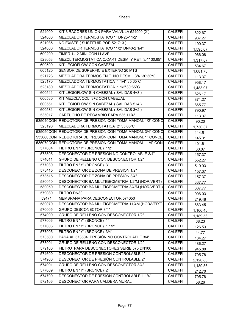| 524009 | KIT 3 RACORES UNION PARA VALVULA 524900 (2")             | <b>CALEFFI</b> | 622.67   |
|--------|----------------------------------------------------------|----------------|----------|
| 524600 | MEZCLADOR TERMOSTATICO 1" DN25-11/2"                     | <b>CALEFFI</b> | 937.27   |
| 521935 | NO EXISTE (SUSTITUIR POR 521713)                         | <b>CALEFFI</b> | 190.37   |
| 524800 | MEZCLADOR TERMOSTATICO 11/2" DN40-2 1/4"                 | <b>CALEFFI</b> | 1,595.07 |
| 600200 | TIMER 1-12 MIN. CON LLAVE                                | <b>CALEFFI</b> | 966.08   |
| 523053 | MEZCL.TERMOSTATICA C/CART DESM. Y RET. 3/4" 30:65°       | <b>CALEFFI</b> | 1,317.87 |
| 600500 | KIT LEGIOFLOW CON CABEZAL                                | <b>CALEFFI</b> | 534.67   |
| 605120 | SENSOR DE SUPERFICIE EXTERNO 20 MTS                      | <b>CALEFFI</b> | 1,081.70 |
| 521723 | MEZCLADORA TERMOS EN T NO DESM. 3/4 "30:50°C             | <b>CALEFFI</b> | 113.37   |
| 523170 | MEZCLADORA TERMOSTÁTICA 11/4" 35:65°C                    | <b>CALEFFI</b> | 958.17   |
| 523180 | MEZCLADORA TERMOSTÁTICA 1 1/2"30:65°C                    | <b>CALEFFI</b> | 1,483.97 |
| 600541 | KIT LEGIOFLOW SIN CABEZAL (SALIDAS 4+3)                  | <b>CALEFFI</b> | 826.17   |
| 600530 | KIT MEZCLA COL. 3+2 CON CABEZAL                          | <b>CALEFFI</b> | 871.27   |
| 600551 | KIT LEGIOFLOW SIN CABEZAL (SALIDAS 5+4)                  | <b>CALEFFI</b> | 865.77   |
| 600531 | KIT LEGIOFLOW SIN CABEZAL (SALIDAS 3+2)                  | <b>CALEFFI</b> | 790.97   |
| 535017 | CARTUCHO DE RECAMBIO PARA 535 11/4"                      | <b>CALEFFI</b> | 113.37   |
|        | 535040CON REDUCTORA DE PRESIÓN CON TOMA MANOM. 1/2" CONC | <b>CALEFFI</b> | 90.20    |
| 523190 | MEZCLADORA TERMOSTÁTICA 2" 35:65°C                       | <b>CALEFFI</b> | 1,730.37 |
|        | 535050CON REDUCTORA DE PRESIÓN CON TOMA MANOM. 3/4" CONC | <b>CALEFFI</b> | 114.51   |
|        | 535060CON REDUCTORA DE PRESIÓN CON TOMA MANOM. 1" CONCE  | <b>CALEFFI</b> | 145.31   |
|        | 535070CON REDUCTORA DE PRESIÓN CON TOMA MANOM. 11/4" CON | <b>CALEFFI</b> | 401.61   |
| 577004 | FILTRO EN "Y" (BRONCE) 1/2"                              | <b>CALEFFI</b> | 30.07    |
| 573505 | DESCONECTOR DE PRESIÓN NO CONTROLABLE 3/4"               | CALEFFI        | 157.37   |
| 574011 | GRUPO DE RELLENO CON DESCONECTOR 1/2"                    | <b>CALEFFI</b> | 552.27   |
| 577030 | FILTRO EN "Y" (BRONCE) 3"                                | <b>CALEFFI</b> | 510.93   |
| 573415 | DESCONECTOR DE ZONA DE PRESION 1/2"                      | <b>CALEFFI</b> | 157.37   |
| 573515 | DESCONECTOR DE ZONA DE PRESION 3/4"                      | <b>CALEFFI</b> | 157.37   |
| 580040 | DESCONECTOR BA MULTIGEOMETRIA 1/2"M (HOR/VERT)           | <b>CALEFFI</b> | 337.77   |
| 580050 | DESCONECTOR BA MULTIGEOMETRIA 3/4"M (HOR/VERT.)          | <b>CALEFFI</b> | 337.77   |
| 579080 | <b>FILTRO DN80</b>                                       | <b>CALEFFI</b> | 906.03   |
| 59471  | MEMBRANA PARA DESCONECTOR 574050                         | <b>CALEFFI</b> | 219.48   |
| 580070 | DESCONECTOR BA MULTIGEOMETRIA 11/4M (HOR/VERT)           | <b>CALEFFI</b> | 663.45   |
| 570005 | GRUPO DESCONECTOR 3/4"                                   | <b>CALEFFI</b> | 1,166.40 |
| 574000 | GRUPO DE RELLENO CON DESCONECTOR 1/2"                    | CALEFFI        | 1,189.56 |
| 577006 | FILTRO EN "Y" (BRONCE) 1"                                | <b>CALEFFI</b> | 68.23    |
| 577008 | FILTRO EN "Y" (BRONCE) 1 1/2"                            | <b>CALEFFI</b> | 126.53   |
| 577005 | FILTRO EN "Y" (BRONCE) 3/4"                              | CALEFFI        | 44.77    |
| 573500 | PASA AL 573504 PRESIÓN NO CONTROLABLE 3/4"               | CALEFFI        | 184.27   |
| 573001 | GRUPO DE RELLENO CON DESCONECTOR 1/2"                    | <b>CALEFFI</b> | 486.27   |
| 579100 | FILTRO PARA DESCONECTORES SERIE 575 DN100                | <b>CALEFFI</b> | 945.80   |
| 574600 | DESCONECTOR DE PRESIÓN CONTROLABLE 1"                    | <b>CALEFFI</b> | 795.78   |
| 574900 | DESCONECTOR DE PRESIÓN CONTROLABLE 2"                    | <b>CALEFFI</b> | 2,120.88 |
| 574001 | GRUPO DE RELLENO CON DESCONECTOR 3/4"                    | <b>CALEFFI</b> | 1,189.56 |
| 577009 | FILTRO EN "Y" (BRONCE) 2"                                | <b>CALEFFI</b> | 212.70   |
| 574700 | DESCONECTOR DE PRESIÓN CONTROLABLE 1 1/4"                | CALEFFI        | 795.78   |
| 572106 | DESCONECTOR PARA CALDERA MURAL                           | <b>CALEFFI</b> | 58.26    |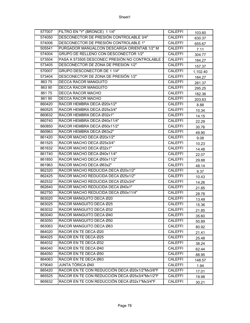| 577007 | FILTRO EN "Y" (BRONCE) 1 1/4"                   | <b>CALEFFI</b> | 103.60   |
|--------|-------------------------------------------------|----------------|----------|
| 574050 | DESCONECTOR DE PRESIÓN CONTROLABLE 3/4"         | <b>CALEFFI</b> | 630.37   |
| 574006 | DESCONECTOR DE PRESIÓN CONTROLABLE 1"           | <b>CALEFFI</b> | 655.67   |
| 505541 | PURGADOR MANUALCON DESCARGA ORIENTAB.1/2" M     | <b>CALEFFI</b> | 7.11     |
| 574004 | GRUPO DE RELLENO CON DESCONECTOR 1/2"           | <b>CALEFFI</b> | 304.77   |
| 573504 | PASA A 573505 DESCONEC PRESIÓN NO CONTROLABLE 3 | <b>CALEFFI</b> | 184.27   |
| 573405 | DESCONECTOR DE ZONA DE PRESION 1/2"             | <b>CALEFFI</b> | 157.37   |
| 570007 | GRUPO DESCONECTOR DE 1 1/4"                     | <b>CALEFFI</b> | 1,102.40 |
| 573404 | DESCONECTOR DE ZONA DE PRESIÓN 1/2"             | <b>CALEFFI</b> | 184.27   |
| 86375  | <b>DECCA RACOR MANGUITO</b>                     | <b>CALEFFI</b> | 281.37   |
| 863 90 | <b>DECCA RACOR MANGUITO</b>                     | <b>CALEFFI</b> | 295.25   |
| 86175  | DECCA RACOR MACHO                               | <b>CALEFFI</b> | 182.36   |
| 86190  | DECCA RACOR MACHO                               | <b>CALEFFI</b> | 203.63   |
| 860420 | RACOR HEMBRA DECA Ø20x1/2"                      | <b>CALEFFI</b> | 8.88     |
| 860525 | RACOR HEMBRA DECA Ø25x3/4"                      | <b>CALEFFI</b> | 10.34    |
| 860632 | RACOR HEMBRA DECA Ø32x1"                        | <b>CALEFFI</b> | 14.15    |
| 860740 | RACOR HEMBRA DECA Ø40x11/4"                     | <b>CALEFFI</b> | 22.29    |
| 860850 | RACOR HEMBRA DECA Ø50x11/2"                     | <b>CALEFFI</b> | 30.76    |
| 860963 | RACOR HEMBRA DECA Ø63x2"                        | CALEFFI        | 49.90    |
| 861420 | RACOR MACHO DECA Ø20x1/2"                       | <b>CALEFFI</b> | 9.08     |
| 861525 | RACOR MACHO DECA Ø25x3/4"                       | <b>CALEFFI</b> | 10.23    |
| 861632 | RACOR MACHO DECA Ø32x1"                         | <b>CALEFFI</b> | 14.48    |
| 861740 | RACOR MACHO DECA Ø40x11/4"                      | <b>CALEFFI</b> | 22.07    |
| 861850 | RACOR MACHO DECA Ø50x11/2"                      | <b>CALEFFI</b> | 29.88    |
| 861963 | RACOR MACHO DECA Ø63x2"                         | <b>CALEFFI</b> | 48.14    |
| 862320 | RACOR MACHO REDUCIDA DECA Ø20x1/2"              | <b>CALEFFI</b> | 9.37     |
| 862425 | RACOR MACHO REDUCIDA DECA Ø25x1/2"              | <b>CALEFFI</b> | 10.43    |
| 862532 | RACOR MACHO REDUCIDA DECA Ø32x3/4"              | <b>CALEFFI</b> | 14.26    |
| 862640 | RACOR MACHO REDUCIDA DECA Ø40x1"                | <b>CALEFFI</b> | 21.85    |
| 862750 | RACOR MACHO REDUCIDA DECA Ø50x11/4"             | <b>CALEFFI</b> | 28.78    |
| 863020 | RACOR MANGUITO DECA Ø20                         | <b>CALEFFI</b> | 13.49    |
| 863025 | RACOR MANGUITO DECA Ø25                         | <b>CALEFFI</b> | 15.36    |
| 863032 | RACOR MANGUITO DECA Ø32                         | <b>CALEFFI</b> | 21.85    |
| 863040 | RACOR MANGUITO DECA Ø40                         | CALEFFI        | 35.60    |
| 863050 | RACOR MANGUITO DECA Ø50                         | <b>CALEFFI</b> | 50.89    |
| 863063 | RACOR MANGUITO DECA Ø63                         | <b>CALEFFI</b> | 80.92    |
| 864020 | RACOR EN TE DECA Ø20                            | <b>CALEFFI</b> | 21.41    |
| 864025 | RACOR EN TE DECA Ø25                            | <b>CALEFFI</b> | 25.48    |
| 864032 | RACOR EN TE DECA Ø32                            | <b>CALEFFI</b> | 38.24    |
| 864040 | RACOR EN TE DECA Ø40                            | <b>CALEFFI</b> | 62.44    |
| 864050 | RACOR EN TE DECA Ø50                            | <b>CALEFFI</b> | 88.95    |
| 864063 | RACOR EN TE DECA Ø63                            | <b>CALEFFI</b> | 148.57   |
| 879040 | JUNTA TÓRICA Ø40                                | <b>CALEFFI</b> | 1.94     |
| 865420 | RACOR EN TE CON REDUCCIÓN DECA Ø20x1/2"Mx3/8"F  | <b>CALEFFI</b> | 17.01    |
| 865525 | RACOR EN TE CON REDUCCIÓN DECA Ø25x3/4"Mx1/2"F  | <b>CALEFFI</b> | 19.98    |
| 865632 | RACOR EN TE CON REDUCCIÓN DECA Ø32x1"Mx3/4"F    | <b>CALEFFI</b> | 30.21    |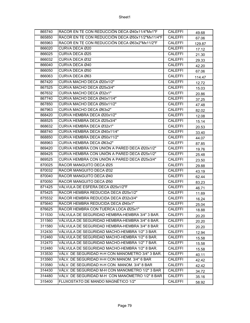| 865740 | RACOR EN TE CON REDUCCIÓN DECA Ø40x11/4"Mx1"F    | <b>CALEFFI</b> | 49.68  |
|--------|--------------------------------------------------|----------------|--------|
| 865850 | RACOR EN TE CON REDUCCIÓN DECA Ø50x11/2"Mx11/4"F | <b>CALEFFI</b> | 67.06  |
| 865963 | RACOR EN TE CON REDUCCIÓN DECA Ø63x2"Mx11/2"F    | <b>CALEFFI</b> | 129.87 |
| 866020 | CURVA DECA Ø20                                   | <b>CALEFFI</b> | 17.12  |
| 866025 | CURVA DECA Ø25                                   | <b>CALEFFI</b> | 21.30  |
| 866032 | CURVA DECA Ø32                                   | <b>CALEFFI</b> | 29.33  |
| 866040 | CURVA DECA Ø40                                   | <b>CALEFFI</b> | 42.20  |
| 866050 | CURVA DECA Ø50                                   | <b>CALEFFI</b> | 67.06  |
| 866063 | CURVA DECA Ø63                                   | CALEFFI        | 114.47 |
| 867420 | CURVA MACHO DECA Ø20x1/2"                        | <b>CALEFFI</b> | 12.72  |
| 867525 | CURVA MACHO DECA Ø25x3/4"                        | <b>CALEFFI</b> | 15.03  |
| 867632 | CURVA MACHO DECA Ø32x1"                          | <b>CALEFFI</b> | 20.86  |
| 867740 | CURVA MACHO DECA Ø40x11/4"                       | <b>CALEFFI</b> | 37.25  |
| 867850 | CURVA MACHO DECA Ø50x11/2"                       | <b>CALEFFI</b> | 47.48  |
| 867963 | CURVA MACHO DECA Ø63x2"                          | <b>CALEFFI</b> | 82.02  |
| 868420 | CURVA HEMBRA DECA Ø20x1/2"                       | <b>CALEFFI</b> | 12.08  |
| 868525 | CURVA HEMBRA DECA Ø25x3/4"                       | <b>CALEFFI</b> | 15.14  |
| 868632 | CURVA HEMBRA DECA Ø32x1"                         | <b>CALEFFI</b> | 20.53  |
| 868740 | CURVA HEMBRA DECA Ø40x11/4"                      | <b>CALEFFI</b> | 33.40  |
| 868850 | CURVA HEMBRA DECA Ø50x11/2"                      | <b>CALEFFI</b> | 44.07  |
| 868963 | CURVA HEMBRA DECA Ø63x2"                         | <b>CALEFFI</b> | 87.85  |
| 869420 | CURVA HEMBRA CON UNIÓN A PARED DECA Ø20x1/2"     | <b>CALEFFI</b> | 19.76  |
| 869425 | CURVA HEMBRA CON UNIÓN A PARED DECA Ø25x1/2"     | <b>CALEFFI</b> | 25.48  |
| 869525 | CURVA HEMBRA CON UNIÓN A PARED DECA Ø25x3/4"     | <b>CALEFFI</b> | 23.50  |
| 870025 | RACOR MANGUITO DECA Ø25                          | <b>CALEFFI</b> | 29.88  |
| 870032 | RACOR MANGUITO DECA Ø32                          | <b>CALEFFI</b> | 43.19  |
| 870040 | RACOR MANGUITO DECA Ø40                          | CALEFFI        | 62.44  |
| 870050 | RACOR MANGUITO DECA Ø50                          | <b>CALEFFI</b> | 83.23  |
| 871425 | VÁLVULA DE ESFERA DECA Ø25x1/2"F                 | <b>CALEFFI</b> | 46.71  |
| 875425 | RACOR HEMBRA REDUCIDA DECA Ø25x1/2"              | <b>CALEFFI</b> | 11.69  |
| 875532 | RACOR HEMBRA REDUCIDA DECA Ø32x3/4"              | <b>CALEFFI</b> | 16.24  |
| 875640 | RACOR HEMBRA REDUCIDA DECA Ø40x1"                | <b>CALEFFI</b> | 25.04  |
| 876625 | RACOR HEMBRA CON TUERCA LOCA Ø25x1"              | <b>CALEFFI</b> | 18.88  |
| 311530 | VÁLVULA DE SEGURIDAD HEMBRA-HEMBRA 3/4" 3 BAR.   | <b>CALEFFI</b> | 20.20  |
| 311560 | VÁLVULA DE SEGURIDAD HEMBRA-HEMBRA 3/4" 6 BAR.   | <b>CALEFFI</b> | 20.20  |
| 311580 | VÁLVULA DE SEGURIDAD HEMBRA-HEMBRA 3/4" 8 BAR    | <b>CALEFFI</b> | 20.20  |
| 312430 | VÁLVULA DE SEGURIDAD MACHO-HEMBRA 1/2" 3 BAR.    | <b>CALEFFI</b> | 12.94  |
| 312460 | VÁLVULA DE SEGURIDAD MACHO-HEMBRA 1/2" 6 BAR.    | CALEFFI        | 15.58  |
| 312470 | VÁLVULA DE SEGURIDAD MACHO-HEMBRA 1/2" 7 BAR.    | <b>CALEFFI</b> | 15.58  |
| 312480 | VÁLVULA DE SEGURIDAD MACHO-HEMBRA 1/2" 8 BAR.    | <b>CALEFFI</b> | 15.58  |
| 313530 | VÁLV. DE SEGURIDAD H-H CON MANOMETRO 3/4" 3 BAR. | <b>CALEFFI</b> | 40.11  |
| 313560 | VÁLV. DE SEGURIDAD H-H CON MANOM. 3/4" 6 BAR     | <b>CALEFFI</b> | 42.42  |
| 313580 | VÁLV. DE SEGURIDAD H-H CON MANOM. 3/4" 8 BAR     | <b>CALEFFI</b> | 42.42  |
| 314430 | VÁLV. DE SEGURIDAD M-H CON MANOMETRO 1/2" 3 BAR  | <b>CALEFFI</b> | 34.72  |
| 314480 | VÁLV. DE SEGURIDAD M-H CON MANÓMETRO 1/2" 8 BAR  | CALEFFI        | 35.16  |
| 315400 | FLUXOSTATO DE MANDO MAGNÉTICO 1/2"               | <b>CALEFFI</b> | 58.92  |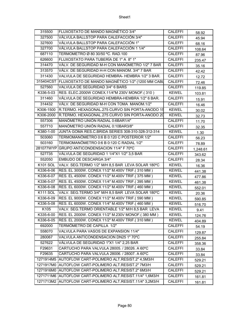| 315500          | FLUXOSTATO DE MANDO MAGNÉTICO 3/4"                         | <b>CALEFFI</b> | 58.92    |
|-----------------|------------------------------------------------------------|----------------|----------|
| 327500          | VÁLVULA BALLSTOP PARA CALEFACCIÓN 3/4"                     | <b>CALEFFI</b> | 45.94    |
| 327600          | VÁLVULA BALLSTOP PARA CALEFACCIÓN 1"                       | <b>CALEFFI</b> | 68.16    |
| 327700          | VÁLVULA BALLSTOP PARA CALEFACCIÓN 1 1/4"                   | <b>CALEFFI</b> | 108.64   |
| 687110          | TERMOMETRO Ø 80 30/50 °C. RAD.100                          | <b>CALEFFI</b> | 87.96    |
| 626600          | FLUXOSTATO PARA TUBERÍA DE 1" A 8" 1"                      | <b>CALEFFI</b> | 235.47   |
| 314470          | VÁLV. DE SEGURIDAD M-H CON MANÓMETRO 1/2" 7 BAR            | <b>CALEFFI</b> | 35.16    |
| 313570          | VÁLV. DE SEGURIDAD H-H CON MANOM. 3/4" 7 BAR               | <b>CALEFFI</b> | 42.42    |
| 311430          | VALVULA DE SEGURIDAD HEMBRA-HEMBRA 1/2" 3 BAR.             | <b>CALEFFI</b> | 12.72    |
|                 | 315404CST FLUXOSTATO DE MANDO MAGNÉTICO 1/2" (1200 MM CABL | <b>CALEFFI</b> | 72.46    |
| 527560          | VALVULA DE SEGURIDAD 3/4" 6 BARS                           | <b>CALEFFI</b> | 119.85   |
| K336-5-03       | RES. ELEC.2000W CONEX.11/4"M 230V MONOF.(310)              | <b>KEWEL</b>   | 103.81   |
| 311460          | VÁLVULA DE SEGURIDAD HEMBRA-HEMBRA 1/2" 6 BAR.             | <b>CALEFFI</b> | 15.91    |
| 314432          | VÁLV. DE SEGURIDAD M-H CON TOMA MANOM.1/2"                 | <b>CALEFFI</b> | 16.46    |
| K306-1500       | R.TERMO. HEXAGONAL.275 CURVO SIN PORTA-ANODO 15            | <b>KEWEL</b>   | 30.02    |
|                 | K306-2000 R.TERMO. HEXAGONAL.275 CURVO SIN PORTA-ANODO 20  | <b>KEWEL</b>   | 32.73    |
| 557306          | MANÓMETRO UNIÓN RADIAL 0:6BAR1/4"                          | <b>CALEFFI</b> | 11.70    |
| 557710          | MANÓMETRO UNIÓN RADIAL 0:10BAR3/8"                         | <b>CALEFFI</b> | 32.35    |
| K380-1-00       | JUNTA GOMA RES.C.BRIDA SERIES 308-310-328-312-314          | <b>KEWEL</b>   | 1.30     |
| 503060          | TERMOMANÓMETRO 0:6 B 0:120 C POSTERIOR 1/2"                | <b>CALEFFI</b> | 56.23    |
| 503160          | TERMOMANÓMETRO 0:6 B 0:120 C RADIAL 1/2"                   | <b>CALEFFI</b> | 78.89    |
| 281077WYP       | GRUPO ANTICONDENSACION 11/4" F 70°C                        | <b>CALEFFI</b> | 1,248.61 |
| 527735          | VÁLVULA DE SEGURIDAD 1 1/4"X1 1/2" 3,5 BAR                 | <b>CALEFFI</b> | 343.62   |
| 552050          | EMBUDO DE DESCARGA 3/4"                                    | <b>CALEFFI</b> | 28.34    |
| <b>K101 SOL</b> | VALV. SEG.TERMO 1/2" M/H 8,5 BAR LEVA SOLAR 180°C          | <b>KEWEL</b>   | 16.36    |
| K336-6-06       | RES. EL 3000W. CONEX 11/2" M.400V TRIF.(310 MM)            | <b>KEWEL</b>   | 441.38   |
| K336-6-07       | RES. EL 4500W. CONEX 11/2" M.400V TRIF.(375 MM)            | <b>KEWEL</b>   | 477.86   |
| K336-5-07       | RES. EL 4500W. CONEX 11/4" M.400V TRIF.(395 MM)            | <b>KEWEL</b>   | 461.38   |
| K336-6-08       | RES. EL 6000W. CONEX 11/2" M.400V TRIF.(460 MM)            | <b>KEWEL</b>   | 552.01   |
| <b>K111 SOL</b> | VALV. SEG.TERMO 3/4" M/H 8,5 BAR LEVA SOLAR 180°C          | <b>KEWEL</b>   | 20.36    |
| K336-6-09       | RES. EL 9000W. CONEX 11/2" M.400V TRIF. (590 MM)           | <b>KEWEL</b>   | 590.85   |
| K336-5-08       | RES. EL 6000W. CONEX 11/4" M.400V TRIF.(460 MM)            | <b>KEWEL</b>   | 516.70   |
| K105            | VALV. SEG.TERMO ORIENTABLE 1/2" M/H 8,5 BAR LEVA           | <b>KEWEL</b>   | 9.41     |
| K335-6-00       | RES. EL 2000W. CONEX 11/2" M.230V MONOF.(380 MM)           | <b>KEWEL</b>   | 124.76   |
| K336-6-05       | RES. EL 2000W. CONEX 11/2" M.400V TRIF.(310 MM)            | <b>KEWEL</b>   | 404.89   |
| 692000          | TERMÓMETRO DE CAPILLA 1/2"                                 | CALEFFI        | 54.19    |
| 558070          | VALVULA PARA VASOS DE EXPANSION 11/4"                      | CALEFFI        | 129.87   |
| 280067          | VALVULA ANTICONDENSACION DN25 1" 70°C                      | <b>CALEFFI</b> | 255.84   |
| 527622          | VÁLVULA DE SEGURIDAD 1"X1 1/4" 2,25 BAR                    | <b>CALEFFI</b> | 358.36   |
| F29631          | CARTUCHO PARA VALVULA 28005. / 28026. A 60°C               | <b>CALEFFI</b> | 33.84    |
| F29635          | CARTUCHO PARA VALVULA 28006. / 28007. A 60°C               | CALEFFI        | 33.84    |
| 1271914M5       | AUTOFLOW CART-POLIMERO ALT.RESIST.2" 4,5M3/H               | <b>CALEFFI</b> | 529.21   |
|                 | 1271917M0 AUTOFLOW CART-POLIMERO ALT.RESIST.2" 7M3/H       | CALEFFI        | 529.21   |
|                 | 1271916M0 AUTOFLOW CART-POLIMERO ALT.RESIST.2" 6M3/H       | <b>CALEFFI</b> | 529.21   |
|                 | 1271711M6 AUTOFLOW CART-POLIMERO ALT.RESIST.11/4" 1,6M3/H  | <b>CALEFFI</b> | 161.81   |
|                 | 1271713M2 AUTOFLOW CART-POLIMERO ALT.RESIST.11/4" 3,2M3/H  | <b>CALEFFI</b> | 161.81   |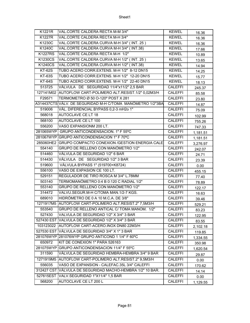| K1221R         | VAL.CORTE CALDERA RECTA M-M 3/4"                           | <b>KEWEL</b>   | 16.36    |
|----------------|------------------------------------------------------------|----------------|----------|
| K1227R         | VAL.CORTE CALDERA RECTA M-H 3/4"                           | <b>KEWEL</b>   | 16.36    |
| K1230C         | VAL.CORTE CALDERA CURVA M-H 3/4" (INT. 25)                 | <b>KEWEL</b>   | 16.36    |
| K1240C         | VAL.CORTE CALDERA CURVA M-H 3/4" (INT.38)                  | <b>KEWEL</b>   | 17.66    |
| <b>K1227RS</b> | VAL.CORTE CALDERA RECTA M-H 1/2"                           | <b>KEWEL</b>   | 10.89    |
| K1230CS        | VAL.CORTE CALDERA CURVA M-H 1/2" (INT. 25)                 | <b>KEWEL</b>   | 13.65    |
| K1240CS        | VAL.CORTE CALDERA CURVA M-H 1/2" (INT.38)                  | <b>KEWEL</b>   | 14.94    |
| <b>KT-62S</b>  | TUBO ACERO CORR.EXTENS. M-H 1/2" 8-12 DN15                 | <b>KEWEL</b>   | 14.25    |
| <b>KT-63S</b>  | TUBO ACERO CORR.EXTENS. M-H 1/2" 12-20 DN15                | <b>KEWEL</b>   | 15.77    |
| <b>KT-64S</b>  | TUBO ACERO CORR.EXTENS. M-H 1/2" 22-40 DN15                | <b>KEWEL</b>   | 18.13    |
| 513725         | VÁLVULA DE SEGURIDAD 11/4"x11/2" 2,5 BAR                   | <b>CALEFFI</b> | 245.37   |
|                | 127141M02 AUTOFLOW CART-POLIMERO ALT.RESIST.1/2" 0,02M3/H  | <b>CALEFFI</b> | 85.58    |
| F29571         | TERMOMETRO Ø 50 O-120° POST X 281                          | <b>CALEFFI</b> | 23.80    |
|                | A314437CTS VÁLV. DE SEGURIDAD M-H C/TOMA MANÓMETRO 1/2"3BA | <b>CALEFFI</b> | 14.87    |
| 519006         | VÁL. DIFERENCIAL BYPASS 0,2-3 mH2o 1"                      | <b>CALEFFI</b> | 75.09    |
| 568018         | <b>AUTOCLAVE CE LT 18</b>                                  | <b>CALEFFI</b> | 102.99   |
| 568100         | AUTOCLAVE CE LT 100                                        | <b>CALEFFI</b> | 755.26   |
| 556200         | VASO EXPANSIONM 200 LT.                                    | <b>CALEFFI</b> | 747.33   |
|                | 281065WYP GRUPO ANTICONDENSACION. 1" F 55°C                | <b>CALEFFI</b> | 1,181.51 |
|                | 281067WYP GRUPO ANTICONDENSACION 1" F 70°C                 | <b>CALEFFI</b> | 1,181.51 |
|                | 285060HE2 GRUPO COMPACTO CONEXION / GESTION ENERGIA CALE   | <b>CALEFFI</b> | 3,276.97 |
| 554140         | GRUPO DE RELLENO CON MANÓMETRO 1/2"                        | <b>CALEFFI</b> | 242.07   |
| 514460         | VÁLVULA DE SEGURIDAD 1/2" 6 BAR                            | <b>CALEFFI</b> | 24.71    |
| 514430         | VÁLVULA DE SEGURIDAD 1/2" 3 BAR                            | <b>CALEFFI</b> | 23.39    |
| 519600         | VÁLVULA BYPASS 1" (519700+K8724)                           | <b>CALEFFI</b> | 0.00     |
| 556100         | VASO DE EXPASION CE 100 LT.                                | <b>CALEFFI</b> | 455.15   |
| 529151         | REGULADOR DE TIRO ROSCA M 3/4" L.78MM                      | CALEFFI        | 77.40    |
| 503140         | TERMOMANÓMETRO 0:4 B 0:120 C RADIAL 1/2"                   | <b>CALEFFI</b> | 78.89    |
| 553140         | GRUPO DE RELLENO CON MANÓMETRO 1/2"                        | <b>CALEFFI</b> | 122.17   |
| 314472         | VALVU.SEGUR.M-H C/TOMA MAN.1/2-7 KGS.                      | <b>CALEFFI</b> | 16.63    |
| 689010         | HIDRÓMETRO DE 0 A 10 M.C.A. DE 3/8"                        | <b>CALEFFI</b> | 39.46    |
|                | 1271917M5 AUTOFLOW CART-POLIMERO ALT.RESIST.2" 7,5M3/H     | <b>CALEFFI</b> | 529.21   |
| 553540         | GRUPO DE RELLENO ANTICAL C/ TOMA MANOM. 1/2"               | <b>CALEFFI</b> | 83.23    |
| 527430         | VALVULA DE SEGURIDAD 1/2" X 3/4" 3 BAR                     | <b>CALEFFI</b> | 122.95   |
|                | 527430 EST VALVULA DE SEGURIDAD 1/2" X 3/4" 3 BAR          | <b>CALEFFI</b> | 83.55    |
|                | 103123022 AUTOFLOW CART-ACERO.INOX DN80 22M3/H             | <b>CALEFFI</b> | 2,102.18 |
|                | 527530 EST VÁLVULA DE SEGURIDAD 3/4" X 1" 3 BAR            | <b>CALEFFI</b> | 119.85   |
|                | 281076WYP 281076WYP GRUPO ANTICOND 1 1/4" F 60°C           | <b>CALEFFI</b> | 1,334.55 |
| 650972         | KIT DE CONEXION 1" PARA 526163                             | <b>CALEFFI</b> | 350.98   |
|                | 281075WYP GRUPO ANTICONDENSACION 11/4" F 55°C              | <b>CALEFFI</b> | 1,620.54 |
| 311590         | VÁLVULA DE SEGURIDAD HEMBRA-HEMBRA 3/4" 9 BAR              | <b>CALEFFI</b> | 29.87    |
|                | 1271919M5 AUTOFLOW CART-POLIMERO ALT.RESIST.2" 9,5M3/H     | <b>CALEFFI</b> | 0.00     |
| 556035         | VASO DE EXPANSION - CALEFAC.35L 3/4" CALEFFI               | <b>CALEFFI</b> | 170.62   |
|                | 312427 CST VÁLVULA DE SEGURIDAD MACHO-HEMBRA 1/2" 10 BAR.  | <b>CALEFFI</b> | 14.14    |
|                | 527615EST VALV.SEGURIDAD 1"X11/4" 1,5 BAR                  | <b>CALEFFI</b> | 0.00     |
| 568200         | AUTOCLAVE CE LT 200 L                                      | <b>CALEFFI</b> | 1,129.55 |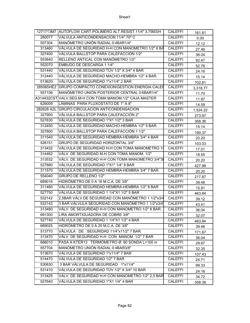|        | 1271713M7 AUTOFLOW CART-POLIMERO ALT.RESIST.11/4" 3,75M3/H | <b>CALEFFI</b> | 161.81   |
|--------|------------------------------------------------------------|----------------|----------|
| 280077 | VALVULA ANTICONDENSACION 11/4" 70° C                       | <b>CALEFFI</b> | 0.00     |
| 557304 | MANÓMETRO UNIÓN RADIAL 0:4BAR1/4"                          | <b>CALEFFI</b> | 12.12    |
| 313460 | VÁLVULA DE SEGURIDAD H-H CON MANOMETRO 1/2" 6 BA           | <b>CALEFFI</b> | 27.46    |
| 327400 | VÁLVULA BALLSTOP PARA CALEFACCIÓN 1/2"                     | <b>CALEFFI</b> | 36.04    |
| 553640 | RELLENO ANTICAL CON MANÓMETRO 1/2"                         | <b>CALEFFI</b> | 92.47    |
| 552070 | EMBUDO DE DESCARGA 1 1/4"                                  | <b>CALEFFI</b> | 52.76    |
| 531440 | VÁLVULA DE SEGURIDAD TÜV 1/2" X 3/4" 4 BAR                 | <b>CALEFFI</b> | 24.16    |
| 312440 | VÁLVULA DE SEGURIDAD MACHO-HEMBRA 1/2" 4 BAR.              | <b>CALEFFI</b> | 15.14    |
| 513620 | VÁLVULA DE SEGURIDAD 1"x11/4" 2 BAR                        | <b>CALEFFI</b> | 102.81   |
|        | 285065HE2 GRUPO COMPACTO CONEXION/GESTION ENERGIA CALER    | <b>CALEFFI</b> | 3,318.77 |
| 557106 | MANÓMETRO UNIÓN POSTERIOR CENTRAL 0:6BAR1/4"               | <b>CALEFFI</b> | 11.70    |
|        | A314432CST VALV.SEG.M-H CON TOMA MANOM.1/2" CAJA MASTER    | <b>CALEFFI</b> | 11.97    |
| 626009 | LÁMINAS PARA FLUXOSTATO DE 1" A 8"                         | <b>CALEFFI</b> | 14.59    |
|        | 282626 A2L GRUPO CIRCULACION ANTICONDENSACION              | <b>CALEFFI</b> | 1,524.22 |
| 327900 | VÁLVULA BALLSTOP PARA CALEFACCIÓN 2"                       | <b>CALEFFI</b> | 273.97   |
| 527630 | VÁLVULA DE SEGURIDAD 1"X1 1/2" 3 BAR                       | <b>CALEFFI</b> | 358.36   |
| 312450 | VÁLVULA DE SEGURIDAD MACHO-HEMBRA 1/2" 5 BAR.              | <b>CALEFFI</b> | 15.14    |
| 327800 | VÁLVULA BALLSTOP PARA CALEFACCIÓN 1 1/2"                   | <b>CALEFFI</b> | 190.37   |
| 311540 | VÁLVULA DE SEGURIDAD HEMBRA-HEMBRA 3/4" 4 BAR              | <b>CALEFFI</b> | 20.20    |
| 526151 | <b>GRUPO DE SEGURIDAD HORIZONTAL 3/4"</b>                  | <b>CALEFFI</b> | 103.03   |
| 313432 | VÁLVULA DE SEGURIDAD H-H CON TOMA MANOMETRO 1/             | <b>CALEFFI</b> | 17.01    |
| 314462 | VÁLV. DE SEGURIDAD M-H CON TOMA MANOM. 1/2"                | <b>CALEFFI</b> | 18.55    |
| 313532 | VÁLV. DE SEGURIDAD H-H CON TOMA MANOMETRO 3/4"3            | <b>CALEFFI</b> | 20.20    |
| 527680 | VÁLVULA DE SEGURIDAD 1"X1" 1/4" 8 BAR                      | <b>CALEFFI</b> | 427.99   |
| 311570 | VÁLVULA DE SEGURIDAD HEMBRA-HEMBRA 3/4" 7 BAR.             | <b>CALEFFI</b> | 20.20    |
| 554040 | <b>GRUPO DE RELLENO 1/2"</b>                               | <b>CALEFFI</b> | 217.87   |
| 689016 | HIDRÓMETRO DE 0 A 16 M.C.A. DE 3/8"                        | <b>CALEFFI</b> | 39.46    |
| 311480 | VÁLVULA DE SEGURIDAD HEMBRA-HEMBRA 1/2" 8 BAR              | <b>CALEFFI</b> | 15.91    |
| 527750 | VÁLVULA DE SEGURIDAD 1 1/4"X1 1/2" 5 BAR                   | <b>CALEFFI</b> | 463.84   |
| 532142 | 2,5BAR VÁLV.DE SEGURIDAD CON MANÓMETRO 1 1/2"x3/4          | <b>CALEFFI</b> | 39.12    |
| 532143 | 3 BAR VÁLVULA SEGURIDAD CON MANÓMETRO 1 1/2"x3/4           | <b>CALEFFI</b> | 43.41    |
| 313480 | VÁLV. DE SEGURIDAD H-H CON MANOMETRO 1/2" 8 BAR.           | <b>CALEFFI</b> | 36.04    |
| 691300 | LIRA AMORTIGUADORA DE COBRE 3/8"                           | <b>CALEFFI</b> | 32.07    |
| 527740 | VÁLVULA DE SEGURIDAD 1 1/4"X1 1/2" 4 BAR                   | <b>CALEFFI</b> | 463.84   |
| 689025 | HIDRÓMETRO DE 0 A 25 M.C.A. DE 3/8"                        | <b>CALEFFI</b> | 39.46    |
| 513770 | VÁLVULA DE SEGURIDAD 11/4"x11/2" 7 BAR                     | <b>CALEFFI</b> | 171.67   |
| 313470 | VÁLV. DE SEGURIDAD H-H CON MANOM. 1/2" 7 BAR               | CALEFFI        | 36.04    |
| 688010 | PASA A KTER13 TERMÓMETRO Ø. 80 SONDA L=100 m               | <b>CALEFFI</b> | 29.87    |
| 557704 | MANÓMETRO UNIÓN RADIAL 0:4BAR3/8"                          | <b>CALEFFI</b> | 32.35    |
| 513670 | VÁLVULA DE SEGURIDAD 1"x11/4" 7 BAR                        | <b>CALEFFI</b> | 107.43   |
| 514470 | VÁLVULA DE SEGURIDAD 1/2" 7 BAR                            | <b>CALEFFI</b> | 24.71    |
| 530630 | 3 BAR VÁLVULA DE SEGURIDAD 1"x11/4"                        | <b>CALEFFI</b> | 99.33    |
| 531410 | VÁLVULA DE SEGURIDAD TÜV 1/2" X 3/4" 10 BAR                | <b>CALEFFI</b> | 24.16    |
| 313425 | VALV. DE SEGURIDAD H-H CON MANOMETRO 1/2" 2,5 BAR          | <b>CALEFFI</b> | 34.72    |
| 527640 | VÁLVULA DE SEGURIDAD 1"X1 1/4" 4 BAR                       | <b>CALEFFI</b> | 358.36   |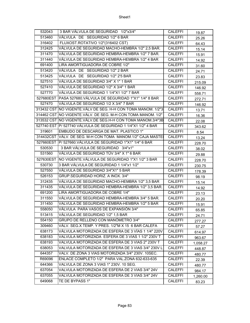| 532043    | 3 BAR VÁLVULA DE SEGURIDAD 1/2"x3/4"                          | CALEFFI        | 19.87    |
|-----------|---------------------------------------------------------------|----------------|----------|
| 513460    | VÁLVULA DE SEGURIDAD 1/2" 6 BAR                               | <b>CALEFFI</b> | 25.26    |
| 316402    | FLUXOST.ROTATIVO 1/2"(316402 CST)                             | <b>CALEFFI</b> | 64.43    |
| 312425    | VÁLVULA DE SEGURIDAD MACHO-HEMBRA 1/2" 2,5 BAR.               | <b>CALEFFI</b> | 15.14    |
| 311470    | VÁLVULA DE SEGURIDAD HEMBRA-HEMBRA 1/2" 7 BAR.                | <b>CALEFFI</b> | 15.91    |
| 311440    | VÁLVULA DE SEGURIDAD HEMBRA-HEMBRA 1/2" 4 BAR                 | <b>CALEFFI</b> | 14.92    |
| 691400    | LIRA AMORTIGUADORA DE COBRE 1/2"                              | <b>CALEFFI</b> | 31.60    |
| 513420    | VÁLVULA DE SEGURIDAD 1/2" 2 BAR                               | CALEFFI        | 24.71    |
| 513425    | VÁLVULA DE SEGURIDAD 1/2" 2'5 BAR                             | <b>CALEFFI</b> | 23.83    |
| 527510    | VÁLVULA DE SEGURIDAD 3/4" X 1" 1 BAR                          | <b>CALEFFI</b> | 215.09   |
| 527410    | VÁLVULA DE SEGURIDAD 1/2" X 3/4" 1 BAR                        | <b>CALEFFI</b> | 146.92   |
| 527770    | VÁLVULA DE SEGURIDAD 1 1/4"X1 1/2" 7 BAR                      | CALEFFI        | 558.71   |
|           | 527680EST PASA 527680.VÁLVULA DE SEGURIDAD 1"X1" 1/4" 8 BAR   | <b>CALEFFI</b> | 272.71   |
| 527470    | VÁLVULA DE SEGURIDAD 1/2 X 3/4" 7 BAR                         | <b>CALEFFI</b> | 146.92   |
|           | 313432 CST NO VIGENTE.VÁLV DE SEG. H-H CON TOMA MANOM. 1/2"3  | <b>CALEFFI</b> | 13.71    |
|           | 314462 CST NO VIGENTE.VÁLV. DE SEG. M-H CON TOMA MANOM. 1/2"  | <b>CALEFFI</b> | 16.36    |
|           | 313532 CST INO VIGENTE.VALV.DE SEG.H-H CON TOMA MANOM.3/4"3B  | <b>CALEFFI</b> | 22.08    |
|           | 527740 EST P/ 527740 VÁLVULA DE SEGURIDAD 1 1/4"X1 1/2" 4 BAR | <b>CALEFFI</b> | 343.62   |
| 319601    | EMBUDO DE DESCARGA DE MAT. PLASTICO 1"                        | <b>CALEFFI</b> | 8.54     |
|           | 314432CST VÁLV. DE SEG. M-H CON TOMA MANOM.1/2" CAJA MASTE    | <b>CALEFFI</b> | 13.24    |
|           | 527660EST   P/ 527660. VÁLVULA DE SEGURIDAD 1"X1" 1/4" 6 BAR  | <b>CALEFFI</b> | 228.70   |
| 530530    | 3 BAR VÁLVULA DE SEGURIDAD 3/4"x1"                            | <b>CALEFFI</b> | 38.02    |
| 531560    | VÁLVULA DE SEGURIDAD TÜV 3/4" X 1" 6 BAR                      | <b>CALEFFI</b> | 29.88    |
| 527630EST | NO VIGENTE.VÁLVULA DE SEGURIDAD 1"X1 1/2" 3 BAR               | <b>CALEFFI</b> | 228.70   |
| 530730    | 3 BAR VÁLVULA DE SEGURIDAD 1 1/4"x1 1/2"                      | <b>CALEFFI</b> | 230.75   |
| 527550    | VÁLVULA DE SEGURIDAD 3/4"X1" 5 BAR                            | <b>CALEFFI</b> | 178.39   |
| 526153    | GRUP.SEGURIDAD HORIZ. A INOX. 3/4"                            | <b>CALEFFI</b> | 98.19    |
| 312435    | VÁLVULA DE SEGURIDAD MACHO-HEMBRA 1/2" 3,5 BAR                | <b>CALEFFI</b> | 15.14    |
| 311435    | VÁLVULA DE SEGURIDAD HEMBRA-HEMBRA 1/2" 3,5 BAR.              | <b>CALEFFI</b> | 14.92    |
| 691200    | LIRA AMORTIGUADORA DE COBRE 1/4"                              | <b>CALEFFI</b> | 23.13    |
| 311550    | VÁLVULA DE SEGURIDAD HEMBRA-HEMBRA 3/4" 5 BAR.                | <b>CALEFFI</b> | 20.20    |
| 311450    | VALVULA DE SEGURIDAD HEMBRA-HEMBRA 1/2" 5 BAR                 | <b>CALEFFI</b> | 15.91    |
| 558050    | VÁLVULA PARA VASOS DE EXPANSIÓN 3/4"                          | <b>CALEFFI</b> | 65.85    |
| 513415    | VÁLVULA DE SEGURIDAD 1/2" 1,5 BAR                             | CALEFFI        | 24.71    |
| 554150    | GRUPO DE RELLENO CON MANÓMETRO 3/4"                           | <b>CALEFFI</b> | 277.27   |
| 309460    | VÁLV. SEG.X TEMP. Y PRES. 1/2"M X 15 6 BAR CALEFA             | <b>CALEFFI</b> | 57.27    |
| 638173    | VÁLVULA MOTORIZADA DE ESFERA DE 3 VÍAS 1 1/4" 220V            | <b>CALEFFI</b> | 614.97   |
| 638183    | VALVULA MOTORIZADA ESFERA DE 3 VIAS 1 1/2" 230V T             | <b>CALEFFI</b> | 963.67   |
| 638193    | VALVULA MOTORIZADA DE ESFERA DE 3 VIAS 2" 230V T              | <b>CALEFFI</b> | 1,058.27 |
| 638053    | VALVULA MOTORIZADA DE ESFERA DE 3 VIAS 3/4" 230V L            | <b>CALEFFI</b> | 448.87   |
| 644357    | VALV. DE ZONA 3 VIAS MOTORIZADA 3/4" 230V. 10SEC.             | <b>CALEFFI</b> | 480.77   |
| R69096    | ENLACE COMPLETO 1/2" PARA VAL.ZONA 632-633-635                | <b>CALEFFI</b> | 22.39    |
| 644366    | VALVULA DE ZONA 3 VIAS 1" 230V. 10 SEG.                       | CALEFFI        | 480.77   |
| 637054    | VALVULA MOTORIZADA DE ESFERA DE 2 VIAS 3/4" 24V               | <b>CALEFFI</b> | 984.17   |
| 637055    | VALVULA MOTORIZADA DE ESFERA DE 3 VIAS 3/4" 24V               | <b>CALEFFI</b> | 1,260.00 |
|           |                                                               |                |          |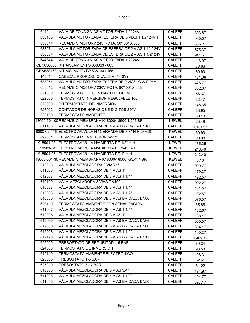| 644244    | VALV.DE ZONA 2 VIAS MOTORIZADA 1/2" 24V.                 | <b>CALEFFI</b> | 393.87   |
|-----------|----------------------------------------------------------|----------------|----------|
| 638185    | VALVULA MOTORIZADA ESFERA DE 3 VIAS 1 1/2" 24V T         | <b>CALEFFI</b> | 990.07   |
| 638014    | RECAMBIO MOTORV 24V ROTA. 90° 50" X 638                  | <b>CALEFFI</b> | 365.27   |
| 638074    | VÁLVULA MOTORIZADA DE ESFERA DE 2 VÍAS 1 1/4" 24V        | <b>CALEFFI</b> | 575.37   |
| 638084    | VALVULA MOTORIZADA DE ESFERA DE 2 VIAS 1 1/2" 24V        | <b>CALEFFI</b> | 941.67   |
| 644344    | VALV.DE ZONA 3 VIAS MOTORIZADA 1/2" 24V                  | <b>CALEFFI</b> | 416.97   |
| CBN638063 | KIT AISLAMIENTO 638063 / 065                             | <b>CALEFFI</b> | 88.66    |
| CBN638163 | KIT AISLAMIENTO 638163 / 165                             | <b>CALEFFI</b> | 89.90    |
| 145014    | CABEZAL PROPORCIONAL 24V (1-10V)                         | <b>CALEFFI</b> | 181.06   |
| 638054    | VALVULA MOTORIZADA ESFERA DE 2 VIAS Ø 3/4" 24V           | <b>CALEFFI</b> | 425.77   |
| 638012    | RECAMBIO MOTORV 230V ROTA. 90° 50" X 638                 | <b>CALEFFI</b> | 352.07   |
| 621000    | TERMÓSTATO DE CONTACTO REGULABLE                         | <b>CALEFFI</b> | 56.67    |
| 622000    | TERMÓSTATO INMERSIÓN REGULABLE 100 mm                    | <b>CALEFFI</b> | 82.47    |
| 623000    | BITERMÓSTATO DE INMERSIÓN                                | <b>CALEFFI</b> | 148.65   |
| 627002    | CONTADOR DE HORAS DE 5 DÍGITOS 220V                      | <b>CALEFFI</b> | 88.95    |
| 620100    | <b>TERMÓSTATO AMBIENTE</b>                               | <b>CALEFFI</b> | 60.13    |
|           | 18000-501-00 RECAMBIO MEMBRANA K18000/18500 1/2" NBR     | <b>KEWEL</b>   | 23.49    |
| 611100    | VALVULA MEZCLADORA DE 4 VIAS BRIDADA DN100               | <b>CALEFFI</b> | 1,131.97 |
|           | 8000-02-115-ELECTROVALVULA N / CERRADA DE 3/8" H-H 24VDC | <b>KEWEL</b>   | 30.90    |
| 622001    | TERMÓSTATO INMERSIÓN 5-55°C                              | <b>CALEFFI</b> | 99.08    |
| K18501-03 | ELECTROVALVULA N/ABIERTA DE 1/2" H-H                     | <b>KEWEL</b>   | 135.25   |
| K18501-04 | ELECTROVALVULA N/ABIERTA DE 3/4" H-H                     | <b>KEWEL</b>   | 213.40   |
| K18501-05 | ELECTROVALVULA N/ABIERTA DE 1" H-H                       | <b>KEWEL</b>   | 213.40   |
|           | 18000-501-30RECAMBIO MEMBRANA K18000/18500 G3/4" NBR     | <b>KEWEL</b>   | 8.18     |
| 612016    | VALVULA MEZCLADORA 3 VIAS 1"                             | <b>CALEFFI</b> | 909.77   |
| 611006    | VÁLVULA MEZCLADORA DE 4 VÍAS 1"                          | <b>CALEFFI</b> | 179.37   |
| 612007    | VÁLVULA MEZCLADORA DE 3 VÍAS 1 1/4"                      | <b>CALEFFI</b> | 192.57   |
| 610100    | VALV.MEZCLADORA 3 VIAS DN100                             | <b>CALEFFI</b> | 992.27   |
| 610007    | VÁLVULA MEZCLADORA DE 3 VÍAS 1 1/4"                      | <b>CALEFFI</b> | 181.57   |
| 610008    | VÁLVULA MEZCLADORA DE 3 VÍAS 1 1/2"                      | <b>CALEFFI</b> | 192.57   |
| 610080    | VÁLVULA MEZCLADORA DE 3 VÍAS BRIDADA DN80                | <b>CALEFFI</b> | 676.57   |
| 620110    | TERMÓSTATO AMBIENTE CON SEÑALIZACIÓN                     | <b>CALEFFI</b> | 65.85    |
| 611007    | VÁLVULA MEZCLADORA DE 4 VÍAS 1 1/4"                      | <b>CALEFFI</b> | 182.67   |
| 612006    | VÁLVULA MEZCLADORA DE 3 VÍAS 1"                          | <b>CALEFFI</b> | 188.17   |
| 612060    | VÁLVULA MEZCLADORA DE 3 VÍAS BRIDADA DN65                | <b>CALEFFI</b> | 500.57   |
| 612080    | VÁLVULA MEZCLADORA DE 3 VÍAS BRIDADA DN80                | <b>CALEFFI</b> | 694.17   |
| 612008    | VÁLVULA MEZCLADORA DE 3 VÍAS 1 1/2"                      | <b>CALEFFI</b> | 190.37   |
| 612120    | VÁLVULA MEZCLADORA DE 3 VÍAS BRIDADA DN125               | <b>CALEFFI</b> | 1,409.17 |
| 625000    | PRESOSTATO DE SEGURIDAD 1-5 BAR                          | <b>CALEFFI</b> | 69.34    |
| 624000    | TERMÓSTATO DE INMERSIÓN                                  | <b>CALEFFI</b> | 93.58    |
| 619110    | TERMÓSTATO AMBIENTE ELECTRÓNICO                          | CALEFFI        | 108.31   |
| 625005    | PRESOSTATO 1-5 BAR                                       | <b>CALEFFI</b> | 52.61    |
| 625010    | PRESOSTATO 3-12 BAR                                      | <b>CALEFFI</b> | 61.22    |
| 610005    | VÁLVULA MEZCLADORA DE 3 VÍAS 3/4"                        | <b>CALEFFI</b> | 174.97   |
| 611008    | VÁLVULA MEZCLADORA DE 4 VÍAS 1 1/2"                      | CALEFFI        | 194.77   |
| 611050    | VÁLVULA MEZCLADORA DE 4 VÍAS BRIDADA DN50                | <b>CALEFFI</b> | 397.17   |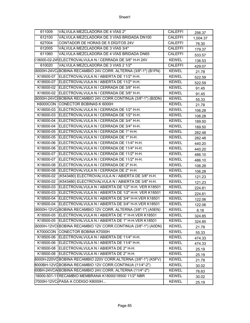| 611009          | VÁLVULA MEZCLADORA DE 4 VÍAS 2"                                | <b>CALEFFI</b> | 256.37   |
|-----------------|----------------------------------------------------------------|----------------|----------|
| 612100          | VÁLVULA MEZCLADORA DE 3 VÍAS BRIDADA DN100                     | <b>CALEFFI</b> | 1,004.37 |
| 627004          | CONTADOR DE HORAS DE 5 DÍGITOS 24V                             | <b>CALEFFI</b> | 76.30    |
| 612005          | VÁLVULA MEZCLADORA DE 3 VÍAS 3/4"                              | <b>CALEFFI</b> | 179.37   |
| 611060          | VÁLVULA MEZCLADORA DE 4 VÍAS BRIDADA DN65                      | <b>CALEFFI</b> | 533.57   |
|                 | (18000-02-24 ELECTROVALVULA N / CERRADA DE 3/8" H-H 24V        | <b>KEWEL</b>   | 136.53   |
| 610020          | VALVULA MEZCLADORA DE 3 VIAS 2 1/2"                            | <b>CALEFFI</b> | 429.07   |
|                 | (6000H-24VC/BOBINA RECAMBIO 24V.CORR. ALTERNA (3/8"-1") (B1FN) | <b>KEWEL</b>   | 21.78    |
| K18500-07       | ELECTROVALVULA N / ABIERTA DE 11/2" H-H.                       | <b>KEWEL</b>   | 522.59   |
| K18500-07       | ELECTROVALVULA N / ABIERTA DE 11/2" H-H.                       | <b>KEWEL</b>   | 522.59   |
|                 | K18000-02 ELECTROVALVULA N / CERRADA DE 3/8" H-H.              | <b>KEWEL</b>   | 91.45    |
| K18000-02       | ELECTROVALVULA N / CERRADA DE 3/8" H-H.                        | <b>KEWEL</b>   | 91.45    |
|                 | 6000H-24VC BOBINA RECAMBIO 24V.CORR.CONTINUA (3/8"-1") (B0DN)  | <b>KEWEL</b>   | 55.33    |
|                 | K6000CON CONECTOR BOBINAS K 6000H                              | <b>KEWEL</b>   | 21.78    |
| K18000-03       | ELECTROVALVULA N / CERRADA DE 1/2" H-H.                        | <b>KEWEL</b>   | 106.28   |
| K18000-03       | ELECTROVALVULA N / CERRADA DE 1/2" H-H.                        | <b>KEWEL</b>   | 106.28   |
| K18000-04       | ELECTROVALVULA N / CERRADA DE 3/4" H-H.                        | <b>KEWEL</b>   | 189.50   |
| K18000-04       | ELECTROVALVULA N / CERRADA DE 3/4" H-H.                        | <b>KEWEL</b>   | 189.50   |
| K18000-05       | ELECTROVALVULA N / CERRADA DE 1" H-H.                          | <b>KEWEL</b>   | 282.48   |
| K18000-05       | ELECTROVALVULA N / CERRADA DE 1" H-H.                          | <b>KEWEL</b>   | 282.48   |
| K18000-06       | ELECTROVALVULA N / CERRADA DE 11/4" H-H.                       | <b>KEWEL</b>   | 440.20   |
| K18000-06       | ELECTROVALVULA N / CERRADA DE 11/4" H-H.                       | <b>KEWEL</b>   | 440.20   |
| K18000-07       | ELECTROVALVULA N / CERRADA DE 11/2" H-H.                       | <b>KEWEL</b>   | 486.10   |
| K18000-07       | ELECTROVALVULA N / CERRADA DE 11/2" H-H.                       | <b>KEWEL</b>   | 486.10   |
| K18000-08       | ELECTROVALVULA N / CERRADA DE 2" H-H.                          | <b>KEWEL</b>   | 106.28   |
| K18000-08       | ELECTROVALVULA N / CERRADA DE 2" H-H.                          | <b>KEWEL</b>   | 106.28   |
| K18500-02       | (K543480) ELECTROVALVULA N / ABIERTA DE 3/8" H-H.              | <b>KEWEL</b>   | 121.23   |
| K18500-02       | (K543480) ELECTROVALVULA N / ABIERTA DE 3/8" H-H.              | <b>KEWEL</b>   | 121.23   |
| K18500-03       | ELECTROVALVULA N / ABIERTA DE 1/2" H-H. VER K18501             | <b>KEWEL</b>   | 224.81   |
| K18500-03       | ELECTROVALVULA N / ABIERTA DE 1/2" H-H. VER K18501             | <b>KEWEL</b>   | 224.81   |
| K18500-04       | ELECTROVALVULA N / ABIERTA DE 3/4" H-H.VER K18501              | <b>KEWEL</b>   | 122.06   |
| K18500-04       | ELECTROVALVULA N / ABIERTA DE 3/4" H-H.VER K18501              | <b>KEWEL</b>   | 122.06   |
|                 | 6000H-12VC BOBINA RECAMBIO 12V CORR. ALTERNA (3/8"-1") (A5EN)  | <b>KEWEL</b>   | 8.18     |
| K18500-05       | ELECTROVALVULA N / ABIERTA DE 1" H-H.VER K18501                | <b>KEWEL</b>   | 324.85   |
| K18500-05       | ELECTROVALVULA N / ABIERTA DE 1" H-H.VER K18501                | <b>KEWEL</b>   | 324.85   |
|                 | 6000H-12VC(BOBINA RECAMBIO 12V CORR.CONTINUA (3/8"-1") (A0DN)  | <b>KEWEL</b>   | 21.78    |
| <b>K7000CON</b> | CONECTOR BOBINA K7000H                                         | <b>KEWEL</b>   | 55.33    |
| K18500-06       | ELECTROVALVULA N / ABIERTA DE 11/4" H-H.                       | <b>KEWEL</b>   | 474.33   |
| K18500-06       | ELECTROVALVULA N / ABIERTA DE 11/4" H-H.                       | <b>KEWEL</b>   | 474.33   |
| K18500-08       | ELECTROVALVULA N / ABIERTA DE 2" H-H.                          | <b>KEWEL</b>   | 25.19    |
| K18500-08       | ELECTROVALVULA N / ABIERTA DE 2" H-H.                          | <b>KEWEL</b>   | 25.19    |
|                 | 6000H-220VCBOBINA RECAMBIO 220V CORR.ALTERNA (3/8"-1") (K5FV)  | <b>KEWEL</b>   | 21.78    |
|                 | 8000BH-12VCBOBINA RECAMBIO 12V CORR.CONTINUA (11/4"-2")        | <b>KEWEL</b>   | 30.02    |
|                 | 00BH-24VCA BOBINA RECAMBIO 24V.CORR. ALTERNA (11/4"-2")        | <b>KEWEL</b>   | 76.63    |
|                 | 18000-501-11 RECAMBIO MEMBRANA K18000/18500 11/2" NBR          | <b>KEWEL</b>   | 30.02    |
|                 | (7000H-12VC/PASA A CODIGO K8000H                               | <b>KEWEL</b>   | 25.19    |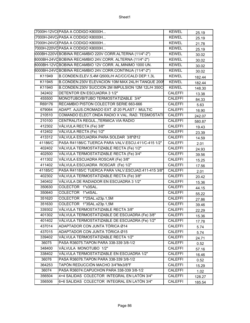|         | K7000H-12VC(PASA A CODIGO K8000H                        | <b>KEWEL</b>   | 25.19  |
|---------|---------------------------------------------------------|----------------|--------|
|         | (7000H-24VC/PASA A CODIGO K8000H                        | <b>KEWEL</b>   | 25.19  |
|         | 7000H-24VCIPASA A CODIGO K8000H                         | <b>KEWEL</b>   | 21.78  |
|         | 7000H-220VC PASA A CODIGO K8000H                        | <b>KEWEL</b>   | 25.19  |
|         | 000BH-220V(BOBINA RECAMBIO 220V CORR.ALTERNA (11/4"-2") | <b>KEWEL</b>   | 30.02  |
|         | 8000BH-24VOBOBINA RECAMBIO 24V.CORR. ALTERNA (11/4"-2") | <b>KEWEL</b>   | 30.02  |
|         | 8000BH-12VOBOBINA RECAMBIO 12V CORR. AL.MINIMO 1000 UN. | <b>KEWEL</b>   | 30.02  |
|         | 8000BH-24VOBOBINA RECAMBIO 24V.CORR.CONTINUA (11/4"-2") | <b>KEWEL</b>   | 30.02  |
| K11949  | B.CONDEN.ELEV.5,4M Q500L/H AC/CC/CALD DEP.1,3L          | <b>KEWEL</b>   | 182.44 |
| K11945  | B.CONDEN.230V ELEVACION 10M MAX 24L/H TANQUE 200        | <b>KEWEL</b>   | 182.44 |
| K11940  | B.CONDEN.230V SUCCION 2M IMPULSION 12M 12L/H 350C       | <b>KEWEL</b>   | 148.30 |
| 342402  | DETENTOR EN ESCUADRA 3 1/2"                             | <b>CALEFFI</b> | 13.38  |
| 455500  | MONOTUBO/BITUBO TERMOSTATIZABLE 3/4"                    | <b>CALEFFI</b> | 84.33  |
| R69176  | RECAMBIO PISTON COLECTOR SERIE 663-666                  | <b>CALEFFI</b> | 5.63   |
| 679064  | ADAPT. AJUS.CROMADO EXT. Ø 20 PLAST / MULTIC            | <b>CALEFFI</b> | 16.90  |
| 210510  | COMANDO ELECT.ONDA RADIO X VAL. RAD. TESMOSTATI         | <b>CALEFFI</b> | 242.07 |
| 210100  | CENTRALITA REGUL., TERMICA VIA RADIO                    | <b>CALEFFI</b> | 580.87 |
| 412302  | VÁLVULA RECTA (Fe) 3/8"                                 | <b>CALEFFI</b> | 19.43  |
| 412402  | VÁLVULA RECTA (Fe) 1/2"                                 | <b>CALEFFI</b> | 23.39  |
| 413312  | VÁLVULA ESCUADRA PARA SOLDAR 3/8"Ø12                    | <b>CALEFFI</b> | 14.59  |
| 41186/C | PASA R41186/C.TUERCA PARA VALV.ESCU.411/C-415 1/2"      | <b>CALEFFI</b> | 2.01   |
| 402402  | VÁLVULA TERMOSTATIZABLE RECTA (Fe) 1/2"                 | <b>CALEFFI</b> | 24.93  |
| 402500  | VÁLVULA TERMOSTATIZABLE RECTA (Fe) 3/4"                 | <b>CALEFFI</b> | 39.56  |
| 411302  | VÁLVULA ESCUADRA ROSCAR (Fe) 3/8"                       | <b>CALEFFI</b> | 15.25  |
| 411402  | VÁLVULA ESCUADRA ROSCAR (Fe) 1/2"                       | <b>CALEFFI</b> | 17.56  |
| 41185/C | PASA R41185/C TUERCA PARA VALV.ESCUAD.411-415 3/8"      | <b>CALEFFI</b> | 2.01   |
| 402302  | VÁLVULA TERMOSTATIZABLE RECTA (Fe) 3/8"                 | <b>CALEFFI</b> | 20.42  |
| 340402  | VÁLVULA DE RADIADOR EN ESCUADRA 3 1/2"                  | <b>CALEFFI</b> | 15.36  |
| 350630  | COLECTOR 1"x3SAL.                                       | <b>CALEFFI</b> | 44.15  |
| 350640  | COLECTOR 1"x4SAL.                                       | <b>CALEFFI</b> | 55.22  |
| 351620  | COLECTOR 1"2SAL.x23p.1,5M                               | <b>CALEFFI</b> | 27.86  |
| 351630  | COLECTOR 1"3SAL.x23p.1,5M                               | <b>CALEFFI</b> | 39.46  |
| 339302  | VÁLVULA TERMOSTATIZABLE RECTA 3/8"                      | <b>CALEFFI</b> | 22.29  |
| 401302  | VÁLVULA TERMOSTATIZABLE DE ESCUADRA (Fe) 3/8"           | <b>CALEFFI</b> | 15.36  |
| 401402  | VÁLVULA TERMOSTATIZABLE DE ESCUADRA (Fe) 1/2"           | <b>CALEFFI</b> | 17.78  |
| 437014  | ADAPTADOR CON JUNTA TÓRICA Ø14                          | <b>CALEFFI</b> | 5.74   |
| 437015  | ADAPTADOR CON JUNTA TÓRICA Ø15                          | <b>CALEFFI</b> | 5.74   |
| 339402  | VÁLVULA TERMOSTATIZABLE RECTA 1/2"                      | <b>CALEFFI</b> | 24.71  |
| 36075   | PASA R36075.TAPON PARA 338-339 3/8-1/2                  | <b>CALEFFI</b> | 0.52   |
| 348400  | VÁLVULA MONOTUBO 1/2"                                   | <b>CALEFFI</b> | 57.16  |
| 338402  | VÁLVULA TERMOSTATIZABLE EN ESCUADRA 1/2"                | <b>CALEFFI</b> | 16.46  |
| 36076   | PASA R36076.TAPON PARA 338-339 3/8-1/2                  | <b>CALEFFI</b> | 0.52   |
| 364253  | TAPÓN REDUCCIÓN MACHO 3/4"Mx3/8"F                       | <b>CALEFFI</b> | 15.29  |
| 36074   | PASA R36074.CAPUCHON PARA 338-339 3/8-1/2               | <b>CALEFFI</b> | 1.02   |
| 356504  | 4+4 SALIDAS COLECTOR INTEGRAL EN LATÓN 3/4"             | <b>CALEFFI</b> | 128.27 |
| 356506  | 6+6 SALIDAS COLECTOR INTEGRAL EN LATÓN 3/4"             | <b>CALEFFI</b> | 185.54 |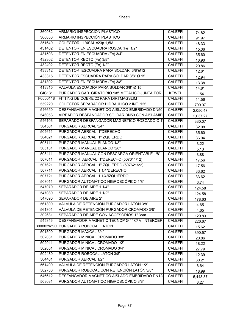| 360032   | ARMARIO INSPECCIÓN PLÁSTICO                       | <b>CALEFFI</b> | 74.82    |
|----------|---------------------------------------------------|----------------|----------|
| 360050   | ARMARIO INSPECCIÓN PLASTICO                       | <b>CALEFFI</b> | 91.97    |
| 351640   | COLECTOR 1"4SAL.x23p.1,5M                         | <b>CALEFFI</b> | 48.33    |
| 431402   | DETENTOR EN ESCUADRA ROSCA (Fe) 1/2"              | <b>CALEFFI</b> | 15.36    |
| 431503   | DETENTOR EN ESCUADRA (Fe) 3/4"                    | <b>CALEFFI</b> | 35.60    |
| 432302   | DETENTOR RECTO (Fe) 3/8"                          | <b>CALEFFI</b> | 16.90    |
| 432402   | DETENTOR RECTO (Fe) 1/2"                          | <b>CALEFFI</b> | 20.86    |
| 433312   | DETENTOR ESCUADRA PARA SOLDAR 3/8"Ø12             | <b>CALEFFI</b> | 12.61    |
| 433315   | DETENTOR ESCUADRA PARA SOLDAR 3/8" Ø 15           | <b>CALEFFI</b> | 12.94    |
| 431302   | DETENTOR EN ESCUADRA (Fe) 3/8"                    | <b>CALEFFI</b> | 13.38    |
| 413315   | VALVULA ESCUADRA PARA SOLDAR 3/8" Ø 15            | <b>CALEFFI</b> | 14.81    |
| GIC131   | PURGADOR CAB. GIRATORIO 1/8" METALICO JUNTA TORIO | <b>KEWEL</b>   | 1.54     |
| F0000118 | FITTING DE COBRE 22 PARA DIRTMAGSLIM              | <b>CALEFFI</b> | 11.56    |
| 559220   | COLECTOR SEPARADOR HIDRAULICO 2 INT. 125          | <b>CALEFFI</b> | 790.97   |
| 546650   | DESFANGADOR MAGNETICO AISLADO EMBRIDADO DN50      | <b>CALEFFI</b> | 2,050.47 |
| 546053   | AIREADOR DESFANGADOR SOLDAR DN50.CON AISLAMIEI    | <b>CALEFFI</b> | 2,037.27 |
| 546106   | SEPARADOR DESFANGADOR MAGNETICO ROSCADO Ø 1"      | <b>CALEFFI</b> | 330.07   |
| 504501   | PURGADOR AERCAL 3/4"                              | <b>CALEFFI</b> | 32.08    |
| 504611   | PURGADOR AERCAL 1"DERECHO                         | <b>CALEFFI</b> | 35.60    |
| 504621   | PURGADOR AERCAL 1"IZQUIERDO                       | <b>CALEFFI</b> | 36.04    |
| 505111   | PURGADOR MANUAL BLANCO 1/8"                       | <b>CALEFFI</b> | 3.22     |
| 505131   | PURGADOR MANUAL BLANCO 3/8"                       | <b>CALEFFI</b> | 5.13     |
| 505411   | PURGADOR MANUAL CON DESCARGA ORIENTABLE 1/8"      | <b>CALEFFI</b> | 3.88     |
| 507611   | PURGADOR AERCAL 1"DERECHO (507611/12)             | <b>CALEFFI</b> | 17.56    |
| 507621   | PURGADOR AERCAL 1"IZQUIERDO (507621/22)           | <b>CALEFFI</b> | 17.56    |
| 507711   | PURGADOR AERCAL 1 1/4"DERECHO                     | <b>CALEFFI</b> | 33.62    |
| 507721   | PURGADOR AERCAL 1 1/4"IZQUIERDO                   | <b>CALEFFI</b> | 33.62    |
| 508011   | PURGADOR AUTOMÁTICO HIGROSCÓPICO 1/8"             | <b>CALEFFI</b> | 6.74     |
| 547070   | SEPARADOR DE AIRE 1 1/4"                          | <b>CALEFFI</b> | 124.58   |
| 547080   | SEPARADOR DE AIRE 1 1/2"                          | <b>CALEFFI</b> | 124.58   |
| 547090   | <b>SEPARADOR DE AIRE 2"</b>                       | <b>CALEFFI</b> | 178.63   |
| 561300   | VÁLVULA DE RETENCIÓN PURGADOR LATÓN 3/8"          | <b>CALEFFI</b> | 4.65     |
| 561301   | VÁLVULA DE RETENCIÓN PURGADOR CROMADO 3/8"        | <b>CALEFFI</b> | 4.65     |
| 302631   | SEPARADOR DE AIRE CON ACCESORIOS 1" 3bar          | <b>CALEFFI</b> | 129.83   |
| 545346   | DESFANGADOR MAGNETIC TECNOP Ø 1" C/ V. INTERCEP   | <b>CALEFFI</b> | 226.67   |
|          | 300003WSC PURGADOR ROBOCAL LATON                  | <b>CALEFFI</b> | 15.62    |
| 501500   | PURGADOR MAXCAL 3/4"                              | <b>CALEFFI</b> | 390.57   |
| 502031   | PURGADOR MINICAL CROMADO 3/8"                     | <b>CALEFFI</b> | 20.86    |
| 502041   | PURGADOR MINICAL CROMADO 1/2"                     | <b>CALEFFI</b> | 18.22    |
| 502051   | PURGADOR MINICAL CROMADO 3/4"                     | <b>CALEFFI</b> | 27.79    |
| 502430   | PURGADOR ROBOCAL LATÓN 3/8"                       | <b>CALEFFI</b> | 12.39    |
| 504401   | PURGADOR AERCAL 1/2"                              | <b>CALEFFI</b> | 30.21    |
| 561400   | VÁLVULA DE RETENCIÓN PURGADOR LATÓN 1/2"          | <b>CALEFFI</b> | 6.64     |
| 502730   | PURGADOR ROBOCAL CON RETENCIÓN LATÓN 3/8"         | <b>CALEFFI</b> | 18.99    |
| 546612   | DESFANGADOR MAGNETICO AISLADO EMBRIDADO DN125     | <b>CALEFFI</b> | 5,448.37 |
| 508031   | PURGADOR AUTOMÁTICO HIGROSCÓPICO 3/8"             | <b>CALEFFI</b> | 8.27     |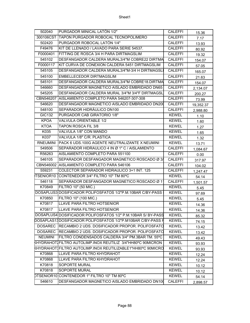| 300106CST<br>TAPON PURGADOR ROBOCAL TECNOPOLIMERO<br><b>CALEFFI</b><br>7.17<br>PURGADOR ROBOCAL LATÓN 1/4"<br><b>CALEFFI</b><br>502420<br>13.93<br>KIT DE LLENADO / LAVADO PARA SERIE 54537.<br>F49476<br><b>CALEFFI</b><br>80.92<br>F0000401<br>FITTING DE ROSCA 3/4 H PARA DIRTMAGSLIM<br><b>CALEFFI</b><br>19.32<br>545102<br>DESFANGADOR CALDERA MURAL3/4"M COBRE22 DIRTMA<br><b>CALEFFI</b><br>154.07<br>KIT CURVA DE CONEXION CALDERA 5451 DIRTMAGSLIM<br>F0000117<br><b>CALEFFI</b><br>57.05<br>DESFANGADOR CALDERA MURAL3/4"M-3/4 H DIRTMAGSLI<br>545105<br><b>CALEFFI</b><br>165.07<br>545100<br>EMBELLECEDOR DIRTMAGSLIM<br><b>CALEFFI</b><br>21.63<br>545101<br>DESFANGADOR CALDERA MURAL3/4"M COBRE18.DIRTMA<br><b>CALEFFI</b><br>154.07<br>DESFANGADOR MAGNETICO AISLADO EMBRIDADO DN65<br>546660<br><b>CALEFFI</b><br>2,134.07<br>545205<br>DESFANGADOR CALDERA MURAL 3/4"M 3/4"F DIRTMAGSL<br><b>CALEFFI</b><br>200.27<br>CBN546207<br>AISLAMIENTO COMPLETO PARA 546207-307-308<br><b>CALEFFI</b><br>73.99<br>DESFANGADOR MAGNETICO AISLADO EMBRIDADO DN200<br><b>CALEFFI</b><br>546620<br>19,352.37<br>SEPARADOR HIDRÁULICO DN100<br>548100<br><b>CALEFFI</b><br>2,988.80<br>GIC132<br>PURGADOR CAB GIRATORIO 1/8"<br><b>KEWEL</b><br>1.10<br>VALVULA ORIENTABLE 1/2<br><b>KPOA</b><br><b>KEWEL</b><br>1.60<br><b>KTOA</b><br>TAPON ROSCA FIL 3/8<br><b>KEWEL</b><br>1.27<br>K035<br>VALVULA 1/8" CON MANDO<br><b>KEWEL</b><br>1.65<br>VALVULA 1/8" C/R. PLASTICA<br>K037<br><b>KEWEL</b><br>1.32<br>PACK 6 UDS.100G AGENTE NEUTRALIZANTE X NEUMINI<br><b>KEWEL</b><br><b>RNEUMINI</b><br>13.71<br>SEPARADOR HIDRAULICO 4 IN Ø 1" C / AISLAMIENTO<br><b>CALEFFI</b><br>549506<br>1,084.67<br>AISLAMIENTO COMPLETO PARA 551100<br>R56263<br><b>CALEFFI</b><br>0.00<br>546105<br>SEPARADOR DESFANGADOR MAGNETICO ROSCADO Ø 3/<br><b>CALEFFI</b><br>317.97<br>CBN546002 AISLAMIENTO COMPLETO PARA 546106<br><b>CALEFFI</b><br>104.02<br>COLECTOR SEPARADOR HIDRAULICO 3+1 INT. 125<br><b>CALEFFI</b><br>559231<br>1,247.47<br><b>KEWEL</b><br>54.14<br>546118<br>SEPARADOR DESFANGADOR MAGNETICO ROSCADO Ø 11<br><b>CALEFFI</b><br>1,501.57<br>K70849<br>FILTRO 10" (50 MIC.)<br><b>KEWEL</b><br>5.45<br>DOSAPLUS3 DOSIFICADOR POLIFOSFATOS 1/2"P.M.10BAR C/BY-PASS<br><b>KEWEL</b><br>97.69<br>K70850<br>FILTRO 10" (100 MIC.)<br><b>KEWEL</b><br>5.45<br>LLAVE PARA FILTRO HOTSENIOR<br>K70817<br><b>KEWEL</b><br>14.36<br>K70817<br>LLAVE PARA FILTRO HOTSENIOR<br><b>KEWEL</b><br>14.36<br>DOSAPLUS4 DOSIFICADOR POLIFOSFATOS 1/2" P.M.10BAR S/ BY-PASS<br><b>KEWEL</b><br>85.32<br>DOSAPLAS13DOSIFICADOR POLIFOSFATOS 1/2"P.M10BAR C/BY-PASS F<br><b>KEWEL</b><br>74.15<br>DOSAREC RECAMBIO 2 UDS. DOSIFICADOR PROPOR. POLIFOSFATO<br><b>KEWEL</b><br>13.42<br>RECAMBIO 2 UDS. DOSIFICADOR PROPOR. POLIFOSFATO<br><b>DOSAREC</b><br><b>KEWEL</b><br>13.42<br><b>NEUMINI</b><br>FILTRO CONDENSADOS CALDERA 3/4" PM.3BAR TM. 55°C<br><b>KEWEL</b><br>49.43<br>KHYDRAHOTIFILTRO AUTOLIMP.INOX REUTILIZ 3/4"HH80°C 90MICRON<br><b>KEWEL</b><br>93.93<br>KHYDRAHOTIFILTRO AUTOLIMP.INOX REUTILIZABLE1"HH80°C 90MICRO<br><b>KEWEL</b><br>93.93<br>LLAVE PARA FILTRO KHYDRAHOT<br>K70868<br><b>KEWEL</b><br>12.24<br>K70868<br>LLAVE PARA FILTRO KHYDRAHOT<br><b>KEWEL</b><br>12.24<br>K70818<br>SOPORTE MURAL<br><b>KEWEL</b><br>10.12<br>K70818<br>SOPORTE MURAL<br><b>KEWEL</b><br>10.12<br>DTSENIOR10 CONTENEDOR 1" FILTRO 10" TM 80°C<br><b>KEWEL</b><br>54.14<br>546610<br>DESFANGADOR MAGNETICO AISLADO EMBRIDADO DN100<br>CALEFFI | 502040 | PURGADOR MINICAL LATÓN 1/2" | <b>CALEFFI</b> | 15.36    |
|------------------------------------------------------------------------------------------------------------------------------------------------------------------------------------------------------------------------------------------------------------------------------------------------------------------------------------------------------------------------------------------------------------------------------------------------------------------------------------------------------------------------------------------------------------------------------------------------------------------------------------------------------------------------------------------------------------------------------------------------------------------------------------------------------------------------------------------------------------------------------------------------------------------------------------------------------------------------------------------------------------------------------------------------------------------------------------------------------------------------------------------------------------------------------------------------------------------------------------------------------------------------------------------------------------------------------------------------------------------------------------------------------------------------------------------------------------------------------------------------------------------------------------------------------------------------------------------------------------------------------------------------------------------------------------------------------------------------------------------------------------------------------------------------------------------------------------------------------------------------------------------------------------------------------------------------------------------------------------------------------------------------------------------------------------------------------------------------------------------------------------------------------------------------------------------------------------------------------------------------------------------------------------------------------------------------------------------------------------------------------------------------------------------------------------------------------------------------------------------------------------------------------------------------------------------------------------------------------------------------------------------------------------------------------------------------------------------------------------------------------------------------------------------------------------------------------------------------------------------------------------------------------------------------------------------------------------------------------------------------------------------------------------------------------------------------------------------------------------------------------------------------------------------------------------------------------------------------------------------------------------------------------------------------------------------------------------------------------------------------------------------------------------------------------------------------------------------------------------------------------------------------------------------------------|--------|-----------------------------|----------------|----------|
|                                                                                                                                                                                                                                                                                                                                                                                                                                                                                                                                                                                                                                                                                                                                                                                                                                                                                                                                                                                                                                                                                                                                                                                                                                                                                                                                                                                                                                                                                                                                                                                                                                                                                                                                                                                                                                                                                                                                                                                                                                                                                                                                                                                                                                                                                                                                                                                                                                                                                                                                                                                                                                                                                                                                                                                                                                                                                                                                                                                                                                                                                                                                                                                                                                                                                                                                                                                                                                                                                                                                                      |        |                             |                |          |
|                                                                                                                                                                                                                                                                                                                                                                                                                                                                                                                                                                                                                                                                                                                                                                                                                                                                                                                                                                                                                                                                                                                                                                                                                                                                                                                                                                                                                                                                                                                                                                                                                                                                                                                                                                                                                                                                                                                                                                                                                                                                                                                                                                                                                                                                                                                                                                                                                                                                                                                                                                                                                                                                                                                                                                                                                                                                                                                                                                                                                                                                                                                                                                                                                                                                                                                                                                                                                                                                                                                                                      |        |                             |                |          |
|                                                                                                                                                                                                                                                                                                                                                                                                                                                                                                                                                                                                                                                                                                                                                                                                                                                                                                                                                                                                                                                                                                                                                                                                                                                                                                                                                                                                                                                                                                                                                                                                                                                                                                                                                                                                                                                                                                                                                                                                                                                                                                                                                                                                                                                                                                                                                                                                                                                                                                                                                                                                                                                                                                                                                                                                                                                                                                                                                                                                                                                                                                                                                                                                                                                                                                                                                                                                                                                                                                                                                      |        |                             |                |          |
|                                                                                                                                                                                                                                                                                                                                                                                                                                                                                                                                                                                                                                                                                                                                                                                                                                                                                                                                                                                                                                                                                                                                                                                                                                                                                                                                                                                                                                                                                                                                                                                                                                                                                                                                                                                                                                                                                                                                                                                                                                                                                                                                                                                                                                                                                                                                                                                                                                                                                                                                                                                                                                                                                                                                                                                                                                                                                                                                                                                                                                                                                                                                                                                                                                                                                                                                                                                                                                                                                                                                                      |        |                             |                |          |
|                                                                                                                                                                                                                                                                                                                                                                                                                                                                                                                                                                                                                                                                                                                                                                                                                                                                                                                                                                                                                                                                                                                                                                                                                                                                                                                                                                                                                                                                                                                                                                                                                                                                                                                                                                                                                                                                                                                                                                                                                                                                                                                                                                                                                                                                                                                                                                                                                                                                                                                                                                                                                                                                                                                                                                                                                                                                                                                                                                                                                                                                                                                                                                                                                                                                                                                                                                                                                                                                                                                                                      |        |                             |                |          |
|                                                                                                                                                                                                                                                                                                                                                                                                                                                                                                                                                                                                                                                                                                                                                                                                                                                                                                                                                                                                                                                                                                                                                                                                                                                                                                                                                                                                                                                                                                                                                                                                                                                                                                                                                                                                                                                                                                                                                                                                                                                                                                                                                                                                                                                                                                                                                                                                                                                                                                                                                                                                                                                                                                                                                                                                                                                                                                                                                                                                                                                                                                                                                                                                                                                                                                                                                                                                                                                                                                                                                      |        |                             |                |          |
|                                                                                                                                                                                                                                                                                                                                                                                                                                                                                                                                                                                                                                                                                                                                                                                                                                                                                                                                                                                                                                                                                                                                                                                                                                                                                                                                                                                                                                                                                                                                                                                                                                                                                                                                                                                                                                                                                                                                                                                                                                                                                                                                                                                                                                                                                                                                                                                                                                                                                                                                                                                                                                                                                                                                                                                                                                                                                                                                                                                                                                                                                                                                                                                                                                                                                                                                                                                                                                                                                                                                                      |        |                             |                |          |
|                                                                                                                                                                                                                                                                                                                                                                                                                                                                                                                                                                                                                                                                                                                                                                                                                                                                                                                                                                                                                                                                                                                                                                                                                                                                                                                                                                                                                                                                                                                                                                                                                                                                                                                                                                                                                                                                                                                                                                                                                                                                                                                                                                                                                                                                                                                                                                                                                                                                                                                                                                                                                                                                                                                                                                                                                                                                                                                                                                                                                                                                                                                                                                                                                                                                                                                                                                                                                                                                                                                                                      |        |                             |                |          |
|                                                                                                                                                                                                                                                                                                                                                                                                                                                                                                                                                                                                                                                                                                                                                                                                                                                                                                                                                                                                                                                                                                                                                                                                                                                                                                                                                                                                                                                                                                                                                                                                                                                                                                                                                                                                                                                                                                                                                                                                                                                                                                                                                                                                                                                                                                                                                                                                                                                                                                                                                                                                                                                                                                                                                                                                                                                                                                                                                                                                                                                                                                                                                                                                                                                                                                                                                                                                                                                                                                                                                      |        |                             |                |          |
|                                                                                                                                                                                                                                                                                                                                                                                                                                                                                                                                                                                                                                                                                                                                                                                                                                                                                                                                                                                                                                                                                                                                                                                                                                                                                                                                                                                                                                                                                                                                                                                                                                                                                                                                                                                                                                                                                                                                                                                                                                                                                                                                                                                                                                                                                                                                                                                                                                                                                                                                                                                                                                                                                                                                                                                                                                                                                                                                                                                                                                                                                                                                                                                                                                                                                                                                                                                                                                                                                                                                                      |        |                             |                |          |
|                                                                                                                                                                                                                                                                                                                                                                                                                                                                                                                                                                                                                                                                                                                                                                                                                                                                                                                                                                                                                                                                                                                                                                                                                                                                                                                                                                                                                                                                                                                                                                                                                                                                                                                                                                                                                                                                                                                                                                                                                                                                                                                                                                                                                                                                                                                                                                                                                                                                                                                                                                                                                                                                                                                                                                                                                                                                                                                                                                                                                                                                                                                                                                                                                                                                                                                                                                                                                                                                                                                                                      |        |                             |                |          |
|                                                                                                                                                                                                                                                                                                                                                                                                                                                                                                                                                                                                                                                                                                                                                                                                                                                                                                                                                                                                                                                                                                                                                                                                                                                                                                                                                                                                                                                                                                                                                                                                                                                                                                                                                                                                                                                                                                                                                                                                                                                                                                                                                                                                                                                                                                                                                                                                                                                                                                                                                                                                                                                                                                                                                                                                                                                                                                                                                                                                                                                                                                                                                                                                                                                                                                                                                                                                                                                                                                                                                      |        |                             |                |          |
|                                                                                                                                                                                                                                                                                                                                                                                                                                                                                                                                                                                                                                                                                                                                                                                                                                                                                                                                                                                                                                                                                                                                                                                                                                                                                                                                                                                                                                                                                                                                                                                                                                                                                                                                                                                                                                                                                                                                                                                                                                                                                                                                                                                                                                                                                                                                                                                                                                                                                                                                                                                                                                                                                                                                                                                                                                                                                                                                                                                                                                                                                                                                                                                                                                                                                                                                                                                                                                                                                                                                                      |        |                             |                |          |
|                                                                                                                                                                                                                                                                                                                                                                                                                                                                                                                                                                                                                                                                                                                                                                                                                                                                                                                                                                                                                                                                                                                                                                                                                                                                                                                                                                                                                                                                                                                                                                                                                                                                                                                                                                                                                                                                                                                                                                                                                                                                                                                                                                                                                                                                                                                                                                                                                                                                                                                                                                                                                                                                                                                                                                                                                                                                                                                                                                                                                                                                                                                                                                                                                                                                                                                                                                                                                                                                                                                                                      |        |                             |                |          |
|                                                                                                                                                                                                                                                                                                                                                                                                                                                                                                                                                                                                                                                                                                                                                                                                                                                                                                                                                                                                                                                                                                                                                                                                                                                                                                                                                                                                                                                                                                                                                                                                                                                                                                                                                                                                                                                                                                                                                                                                                                                                                                                                                                                                                                                                                                                                                                                                                                                                                                                                                                                                                                                                                                                                                                                                                                                                                                                                                                                                                                                                                                                                                                                                                                                                                                                                                                                                                                                                                                                                                      |        |                             |                |          |
|                                                                                                                                                                                                                                                                                                                                                                                                                                                                                                                                                                                                                                                                                                                                                                                                                                                                                                                                                                                                                                                                                                                                                                                                                                                                                                                                                                                                                                                                                                                                                                                                                                                                                                                                                                                                                                                                                                                                                                                                                                                                                                                                                                                                                                                                                                                                                                                                                                                                                                                                                                                                                                                                                                                                                                                                                                                                                                                                                                                                                                                                                                                                                                                                                                                                                                                                                                                                                                                                                                                                                      |        |                             |                |          |
|                                                                                                                                                                                                                                                                                                                                                                                                                                                                                                                                                                                                                                                                                                                                                                                                                                                                                                                                                                                                                                                                                                                                                                                                                                                                                                                                                                                                                                                                                                                                                                                                                                                                                                                                                                                                                                                                                                                                                                                                                                                                                                                                                                                                                                                                                                                                                                                                                                                                                                                                                                                                                                                                                                                                                                                                                                                                                                                                                                                                                                                                                                                                                                                                                                                                                                                                                                                                                                                                                                                                                      |        |                             |                |          |
|                                                                                                                                                                                                                                                                                                                                                                                                                                                                                                                                                                                                                                                                                                                                                                                                                                                                                                                                                                                                                                                                                                                                                                                                                                                                                                                                                                                                                                                                                                                                                                                                                                                                                                                                                                                                                                                                                                                                                                                                                                                                                                                                                                                                                                                                                                                                                                                                                                                                                                                                                                                                                                                                                                                                                                                                                                                                                                                                                                                                                                                                                                                                                                                                                                                                                                                                                                                                                                                                                                                                                      |        |                             |                |          |
|                                                                                                                                                                                                                                                                                                                                                                                                                                                                                                                                                                                                                                                                                                                                                                                                                                                                                                                                                                                                                                                                                                                                                                                                                                                                                                                                                                                                                                                                                                                                                                                                                                                                                                                                                                                                                                                                                                                                                                                                                                                                                                                                                                                                                                                                                                                                                                                                                                                                                                                                                                                                                                                                                                                                                                                                                                                                                                                                                                                                                                                                                                                                                                                                                                                                                                                                                                                                                                                                                                                                                      |        |                             |                |          |
|                                                                                                                                                                                                                                                                                                                                                                                                                                                                                                                                                                                                                                                                                                                                                                                                                                                                                                                                                                                                                                                                                                                                                                                                                                                                                                                                                                                                                                                                                                                                                                                                                                                                                                                                                                                                                                                                                                                                                                                                                                                                                                                                                                                                                                                                                                                                                                                                                                                                                                                                                                                                                                                                                                                                                                                                                                                                                                                                                                                                                                                                                                                                                                                                                                                                                                                                                                                                                                                                                                                                                      |        |                             |                |          |
|                                                                                                                                                                                                                                                                                                                                                                                                                                                                                                                                                                                                                                                                                                                                                                                                                                                                                                                                                                                                                                                                                                                                                                                                                                                                                                                                                                                                                                                                                                                                                                                                                                                                                                                                                                                                                                                                                                                                                                                                                                                                                                                                                                                                                                                                                                                                                                                                                                                                                                                                                                                                                                                                                                                                                                                                                                                                                                                                                                                                                                                                                                                                                                                                                                                                                                                                                                                                                                                                                                                                                      |        |                             |                |          |
|                                                                                                                                                                                                                                                                                                                                                                                                                                                                                                                                                                                                                                                                                                                                                                                                                                                                                                                                                                                                                                                                                                                                                                                                                                                                                                                                                                                                                                                                                                                                                                                                                                                                                                                                                                                                                                                                                                                                                                                                                                                                                                                                                                                                                                                                                                                                                                                                                                                                                                                                                                                                                                                                                                                                                                                                                                                                                                                                                                                                                                                                                                                                                                                                                                                                                                                                                                                                                                                                                                                                                      |        |                             |                |          |
|                                                                                                                                                                                                                                                                                                                                                                                                                                                                                                                                                                                                                                                                                                                                                                                                                                                                                                                                                                                                                                                                                                                                                                                                                                                                                                                                                                                                                                                                                                                                                                                                                                                                                                                                                                                                                                                                                                                                                                                                                                                                                                                                                                                                                                                                                                                                                                                                                                                                                                                                                                                                                                                                                                                                                                                                                                                                                                                                                                                                                                                                                                                                                                                                                                                                                                                                                                                                                                                                                                                                                      |        |                             |                |          |
|                                                                                                                                                                                                                                                                                                                                                                                                                                                                                                                                                                                                                                                                                                                                                                                                                                                                                                                                                                                                                                                                                                                                                                                                                                                                                                                                                                                                                                                                                                                                                                                                                                                                                                                                                                                                                                                                                                                                                                                                                                                                                                                                                                                                                                                                                                                                                                                                                                                                                                                                                                                                                                                                                                                                                                                                                                                                                                                                                                                                                                                                                                                                                                                                                                                                                                                                                                                                                                                                                                                                                      |        |                             |                |          |
|                                                                                                                                                                                                                                                                                                                                                                                                                                                                                                                                                                                                                                                                                                                                                                                                                                                                                                                                                                                                                                                                                                                                                                                                                                                                                                                                                                                                                                                                                                                                                                                                                                                                                                                                                                                                                                                                                                                                                                                                                                                                                                                                                                                                                                                                                                                                                                                                                                                                                                                                                                                                                                                                                                                                                                                                                                                                                                                                                                                                                                                                                                                                                                                                                                                                                                                                                                                                                                                                                                                                                      |        |                             |                |          |
|                                                                                                                                                                                                                                                                                                                                                                                                                                                                                                                                                                                                                                                                                                                                                                                                                                                                                                                                                                                                                                                                                                                                                                                                                                                                                                                                                                                                                                                                                                                                                                                                                                                                                                                                                                                                                                                                                                                                                                                                                                                                                                                                                                                                                                                                                                                                                                                                                                                                                                                                                                                                                                                                                                                                                                                                                                                                                                                                                                                                                                                                                                                                                                                                                                                                                                                                                                                                                                                                                                                                                      |        |                             |                |          |
|                                                                                                                                                                                                                                                                                                                                                                                                                                                                                                                                                                                                                                                                                                                                                                                                                                                                                                                                                                                                                                                                                                                                                                                                                                                                                                                                                                                                                                                                                                                                                                                                                                                                                                                                                                                                                                                                                                                                                                                                                                                                                                                                                                                                                                                                                                                                                                                                                                                                                                                                                                                                                                                                                                                                                                                                                                                                                                                                                                                                                                                                                                                                                                                                                                                                                                                                                                                                                                                                                                                                                      |        |                             |                |          |
|                                                                                                                                                                                                                                                                                                                                                                                                                                                                                                                                                                                                                                                                                                                                                                                                                                                                                                                                                                                                                                                                                                                                                                                                                                                                                                                                                                                                                                                                                                                                                                                                                                                                                                                                                                                                                                                                                                                                                                                                                                                                                                                                                                                                                                                                                                                                                                                                                                                                                                                                                                                                                                                                                                                                                                                                                                                                                                                                                                                                                                                                                                                                                                                                                                                                                                                                                                                                                                                                                                                                                      |        |                             |                |          |
|                                                                                                                                                                                                                                                                                                                                                                                                                                                                                                                                                                                                                                                                                                                                                                                                                                                                                                                                                                                                                                                                                                                                                                                                                                                                                                                                                                                                                                                                                                                                                                                                                                                                                                                                                                                                                                                                                                                                                                                                                                                                                                                                                                                                                                                                                                                                                                                                                                                                                                                                                                                                                                                                                                                                                                                                                                                                                                                                                                                                                                                                                                                                                                                                                                                                                                                                                                                                                                                                                                                                                      |        |                             |                |          |
|                                                                                                                                                                                                                                                                                                                                                                                                                                                                                                                                                                                                                                                                                                                                                                                                                                                                                                                                                                                                                                                                                                                                                                                                                                                                                                                                                                                                                                                                                                                                                                                                                                                                                                                                                                                                                                                                                                                                                                                                                                                                                                                                                                                                                                                                                                                                                                                                                                                                                                                                                                                                                                                                                                                                                                                                                                                                                                                                                                                                                                                                                                                                                                                                                                                                                                                                                                                                                                                                                                                                                      |        |                             |                |          |
|                                                                                                                                                                                                                                                                                                                                                                                                                                                                                                                                                                                                                                                                                                                                                                                                                                                                                                                                                                                                                                                                                                                                                                                                                                                                                                                                                                                                                                                                                                                                                                                                                                                                                                                                                                                                                                                                                                                                                                                                                                                                                                                                                                                                                                                                                                                                                                                                                                                                                                                                                                                                                                                                                                                                                                                                                                                                                                                                                                                                                                                                                                                                                                                                                                                                                                                                                                                                                                                                                                                                                      |        |                             |                |          |
|                                                                                                                                                                                                                                                                                                                                                                                                                                                                                                                                                                                                                                                                                                                                                                                                                                                                                                                                                                                                                                                                                                                                                                                                                                                                                                                                                                                                                                                                                                                                                                                                                                                                                                                                                                                                                                                                                                                                                                                                                                                                                                                                                                                                                                                                                                                                                                                                                                                                                                                                                                                                                                                                                                                                                                                                                                                                                                                                                                                                                                                                                                                                                                                                                                                                                                                                                                                                                                                                                                                                                      |        |                             |                |          |
|                                                                                                                                                                                                                                                                                                                                                                                                                                                                                                                                                                                                                                                                                                                                                                                                                                                                                                                                                                                                                                                                                                                                                                                                                                                                                                                                                                                                                                                                                                                                                                                                                                                                                                                                                                                                                                                                                                                                                                                                                                                                                                                                                                                                                                                                                                                                                                                                                                                                                                                                                                                                                                                                                                                                                                                                                                                                                                                                                                                                                                                                                                                                                                                                                                                                                                                                                                                                                                                                                                                                                      |        |                             |                |          |
|                                                                                                                                                                                                                                                                                                                                                                                                                                                                                                                                                                                                                                                                                                                                                                                                                                                                                                                                                                                                                                                                                                                                                                                                                                                                                                                                                                                                                                                                                                                                                                                                                                                                                                                                                                                                                                                                                                                                                                                                                                                                                                                                                                                                                                                                                                                                                                                                                                                                                                                                                                                                                                                                                                                                                                                                                                                                                                                                                                                                                                                                                                                                                                                                                                                                                                                                                                                                                                                                                                                                                      |        |                             |                |          |
|                                                                                                                                                                                                                                                                                                                                                                                                                                                                                                                                                                                                                                                                                                                                                                                                                                                                                                                                                                                                                                                                                                                                                                                                                                                                                                                                                                                                                                                                                                                                                                                                                                                                                                                                                                                                                                                                                                                                                                                                                                                                                                                                                                                                                                                                                                                                                                                                                                                                                                                                                                                                                                                                                                                                                                                                                                                                                                                                                                                                                                                                                                                                                                                                                                                                                                                                                                                                                                                                                                                                                      |        |                             |                |          |
|                                                                                                                                                                                                                                                                                                                                                                                                                                                                                                                                                                                                                                                                                                                                                                                                                                                                                                                                                                                                                                                                                                                                                                                                                                                                                                                                                                                                                                                                                                                                                                                                                                                                                                                                                                                                                                                                                                                                                                                                                                                                                                                                                                                                                                                                                                                                                                                                                                                                                                                                                                                                                                                                                                                                                                                                                                                                                                                                                                                                                                                                                                                                                                                                                                                                                                                                                                                                                                                                                                                                                      |        |                             |                |          |
|                                                                                                                                                                                                                                                                                                                                                                                                                                                                                                                                                                                                                                                                                                                                                                                                                                                                                                                                                                                                                                                                                                                                                                                                                                                                                                                                                                                                                                                                                                                                                                                                                                                                                                                                                                                                                                                                                                                                                                                                                                                                                                                                                                                                                                                                                                                                                                                                                                                                                                                                                                                                                                                                                                                                                                                                                                                                                                                                                                                                                                                                                                                                                                                                                                                                                                                                                                                                                                                                                                                                                      |        |                             |                |          |
|                                                                                                                                                                                                                                                                                                                                                                                                                                                                                                                                                                                                                                                                                                                                                                                                                                                                                                                                                                                                                                                                                                                                                                                                                                                                                                                                                                                                                                                                                                                                                                                                                                                                                                                                                                                                                                                                                                                                                                                                                                                                                                                                                                                                                                                                                                                                                                                                                                                                                                                                                                                                                                                                                                                                                                                                                                                                                                                                                                                                                                                                                                                                                                                                                                                                                                                                                                                                                                                                                                                                                      |        |                             |                |          |
|                                                                                                                                                                                                                                                                                                                                                                                                                                                                                                                                                                                                                                                                                                                                                                                                                                                                                                                                                                                                                                                                                                                                                                                                                                                                                                                                                                                                                                                                                                                                                                                                                                                                                                                                                                                                                                                                                                                                                                                                                                                                                                                                                                                                                                                                                                                                                                                                                                                                                                                                                                                                                                                                                                                                                                                                                                                                                                                                                                                                                                                                                                                                                                                                                                                                                                                                                                                                                                                                                                                                                      |        |                             |                |          |
|                                                                                                                                                                                                                                                                                                                                                                                                                                                                                                                                                                                                                                                                                                                                                                                                                                                                                                                                                                                                                                                                                                                                                                                                                                                                                                                                                                                                                                                                                                                                                                                                                                                                                                                                                                                                                                                                                                                                                                                                                                                                                                                                                                                                                                                                                                                                                                                                                                                                                                                                                                                                                                                                                                                                                                                                                                                                                                                                                                                                                                                                                                                                                                                                                                                                                                                                                                                                                                                                                                                                                      |        |                             |                |          |
|                                                                                                                                                                                                                                                                                                                                                                                                                                                                                                                                                                                                                                                                                                                                                                                                                                                                                                                                                                                                                                                                                                                                                                                                                                                                                                                                                                                                                                                                                                                                                                                                                                                                                                                                                                                                                                                                                                                                                                                                                                                                                                                                                                                                                                                                                                                                                                                                                                                                                                                                                                                                                                                                                                                                                                                                                                                                                                                                                                                                                                                                                                                                                                                                                                                                                                                                                                                                                                                                                                                                                      |        |                             |                |          |
|                                                                                                                                                                                                                                                                                                                                                                                                                                                                                                                                                                                                                                                                                                                                                                                                                                                                                                                                                                                                                                                                                                                                                                                                                                                                                                                                                                                                                                                                                                                                                                                                                                                                                                                                                                                                                                                                                                                                                                                                                                                                                                                                                                                                                                                                                                                                                                                                                                                                                                                                                                                                                                                                                                                                                                                                                                                                                                                                                                                                                                                                                                                                                                                                                                                                                                                                                                                                                                                                                                                                                      |        |                             |                |          |
|                                                                                                                                                                                                                                                                                                                                                                                                                                                                                                                                                                                                                                                                                                                                                                                                                                                                                                                                                                                                                                                                                                                                                                                                                                                                                                                                                                                                                                                                                                                                                                                                                                                                                                                                                                                                                                                                                                                                                                                                                                                                                                                                                                                                                                                                                                                                                                                                                                                                                                                                                                                                                                                                                                                                                                                                                                                                                                                                                                                                                                                                                                                                                                                                                                                                                                                                                                                                                                                                                                                                                      |        |                             |                |          |
|                                                                                                                                                                                                                                                                                                                                                                                                                                                                                                                                                                                                                                                                                                                                                                                                                                                                                                                                                                                                                                                                                                                                                                                                                                                                                                                                                                                                                                                                                                                                                                                                                                                                                                                                                                                                                                                                                                                                                                                                                                                                                                                                                                                                                                                                                                                                                                                                                                                                                                                                                                                                                                                                                                                                                                                                                                                                                                                                                                                                                                                                                                                                                                                                                                                                                                                                                                                                                                                                                                                                                      |        |                             |                |          |
|                                                                                                                                                                                                                                                                                                                                                                                                                                                                                                                                                                                                                                                                                                                                                                                                                                                                                                                                                                                                                                                                                                                                                                                                                                                                                                                                                                                                                                                                                                                                                                                                                                                                                                                                                                                                                                                                                                                                                                                                                                                                                                                                                                                                                                                                                                                                                                                                                                                                                                                                                                                                                                                                                                                                                                                                                                                                                                                                                                                                                                                                                                                                                                                                                                                                                                                                                                                                                                                                                                                                                      |        |                             |                | 2,898.57 |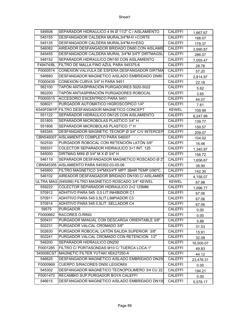| 549508    | SEPARADOR HIDRAULICO 4 IN Ø 11/2" C / AISLAMIENTO      | <b>CALEFFI</b> | 1,667.67  |
|-----------|--------------------------------------------------------|----------------|-----------|
| 545155    | DESFANGADOR CALDERA MURAL3/4"M-H +CORTE                | <b>CALEFFI</b> | 198.07    |
| 545135    | DESFANGADOR CALDERA MURAL3/4"M-H+ESQ                   | <b>CALEFFI</b> | 179.37    |
| 546082    | AIREADOR DESFANGADOR BRIDADO DN80.CON AISLAMIE         | <b>CALEFFI</b> | 3,990.87  |
| 545455    | DESFANGADOR CALDERA MURAL 3/4"M 3/4"F DIRTMAGSL        | <b>CALEFFI</b> | 286.07    |
| 548152    | SEPARADOR HIDRAULICO DN150 CON AISLAMIENTO             | <b>CALEFFI</b> | 7,055.47  |
| F49474/BL | FILTRO DE MALLA FINO AZUL PARA 545375-6                | <b>CALEFFI</b> | 28.78     |
| F0000574  | CONEXION VALVULA DE ESFERA DESFANGADOR DIRTMA          | <b>CALEFFI</b> | 57.20     |
| 546680    | DESFANGADOR MAGNETICO AISLADO EMBRIDADO DN80           | <b>CALEFFI</b> | 2,814.97  |
| F0000439  | CONEXION CURVA 3/4" H PARA 5451                        | <b>CALEFFI</b> | 22.18     |
| 562100    | TAPÓN ANTIASPIRACIÓN PURGADORES 5020-5022              | <b>CALEFFI</b> | 5.62      |
| 562200    | TAPÓN ANTIASPIRACIÓN PURGADORES ROBOCAL                | <b>CALEFFI</b> | 3.65      |
| F0000515  | ACCESORIO EXCENTRICO PARA 5451                         | <b>CALEFFI</b> | 44.07     |
| 508021    | PURGADOR AUTOMÁTICO HIGROSCÓPICO 1/4"                  | <b>CALEFFI</b> | 7.61      |
|           | K545FDM1P FILTRO DESFANGADOR MAGNETICO CONCEPT         | <b>KEWEL</b>   | 109.99    |
| 551122    | SEPARADOR HIDRAULICO DN125 CON AISLAMIENTO             | <b>CALEFFI</b> | 6,247.99  |
| 551805    | SEPARADOR MICROBOLAS PLASTICO 3/4" H                   | <b>CALEFFI</b> | 139.77    |
| 551806    | SEPARADOR MICROBOLAS PLASTICO 1" H                     | <b>CALEFFI</b> | 159.57    |
| 545345    | DESFANGADOR MAGNETIC TECNOP Ø 3/4" C/V INTERCEP        | <b>CALEFFI</b> | 209.07    |
|           | CBN546007 AISLAMIENTO COMPLETO PARA 546007             | <b>CALEFFI</b> | 104.02    |
| 502530    | PURGADOR ROBOCAL CON RETENCIÓN LATÓN 3/8"              | <b>CALEFFI</b> | 16.46     |
| 559331    | COLECTOR SEPARADOR HIDRAULICO 3+1 INT. 125             | <b>CALEFFI</b> | 1,340.97  |
| 545000    | DIRTMAG MINI Ø 3/4" M $X$ Ø 3/4" H                     | <b>CALEFFI</b> | 156.72    |
| 546119    | SEPARADOR DESFANGADOR MAGNETICO ROSCADO Ø 2"           | <b>CALEFFI</b> | 1,656.67  |
|           | CBN545305 AISLAMIENTO PARA 545302-03-05-06             | <b>CALEFFI</b> | 38.90     |
| 545900    | FILTRO MAGNETICO 3/4"MX3/4"F MPT 3BAR TEMP.0/90°C.     | <b>CALEFFI</b> | 142.30    |
| 546102    | AIREADOR DESFANGADOR BRIDADO DN100.C/ AISLAMIEN        | <b>CALEFFI</b> | 4,158.07  |
|           | ULTRA MAG (545099) FILTRO MAGNETICO ROSCADO 3/4" KEWEL | <b>KEWEL</b>   | 67.98     |
| 559222    | COLECTOR SEPARADOR HIDRAULICO 2+2 125MM                | <b>CALEFFI</b> | 1,096.77  |
| 570912    | ADHITIVO PARA 545 0,5 LIT. INHIBIDOR C1                | <b>CALEFFI</b> | 67.06     |
| 570911    | ADHITIVO PARA 545 0,5LIT.LIMPIADOR C3                  | <b>CALEFFI</b> | 67.06     |
| 570914    | ADHITIVO PARA 545 0,5LIT. SELLADOR C4                  | <b>CALEFFI</b> | 67.06     |
| 59575     | <b>PURGADOR</b>                                        | <b>CALEFFI</b> | 0.00      |
| F0000662  | <b>IRACORES O-RING</b>                                 | <b>CALEFFI</b> | 0.00      |
| 505431    | PURGADOR MANUAL CON DESCARGA ORIENTABLE 3/8"           | <b>CALEFFI</b> | 5.86      |
| 502231    | PURGADOR VALCAL CROMADO 3/8"                           | <b>CALEFFI</b> | 31.53     |
| 502630    | PURGADOR ROBOCAL LATÓN SALIDA SUPERIOR 3/8"            | <b>CALEFFI</b> | 15.91     |
| 502241    | PURGADOR VALCAL CROMADO CON RETENCION 1/2"             | CALEFFI        | 32.08     |
| 548200    | SEPARADOR HIDRAULICO DN200                             | <b>CALEFFI</b> | 16,500.07 |
| F0001285  | FILTRO C/ PORTASONDAS M10 C/ TUERCA LOCA 1"            | <b>CALEFFI</b> | 49.83     |
| 545006CST | MAGNETIC FILTER YUTAKI XEK27250-A                      | <b>CALEFFI</b> | 44.12     |
| 546625    | DESFANGADOR MAGNETICO AISLADO EMBRIDADO DN250          | <b>CALEFFI</b> | 23,476.31 |
| F0000969  | <b>CUERPO S/RACORES DN50 LEGIOMIX</b>                  | <b>CALEFFI</b> | 0.00      |
| 545302    | DESFANGADOR MAGNETICO TECNOPOLIMERO 3/4 CU 22          | <b>CALEFFI</b> | 194.21    |
| F0001470  | RECAMBIO SUP.PURGADOR BOYA CALEFFI                     | <b>CALEFFI</b> | 0.00      |
| 546615    | DESFANGADOR MAGNETICO AISLADO EMBRIDADO DN150          | <b>CALEFFI</b> | 5,578.17  |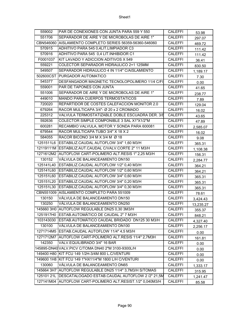| 559002    | PAR DE CONEXIONES CON JUNTA PARA 559 Y 550                   | <b>CALEFFI</b> | 53.98     |
|-----------|--------------------------------------------------------------|----------------|-----------|
| 551706    | SEPARADOR DE AIRE Y DE MICROBOLAS DE AIRE 1"                 | <b>CALEFFI</b> | 297.07    |
|           | CBN546060 AISLAMIENTO COMPLETO SERIES 56359-56360-546060     | <b>CALEFFI</b> | 469.72    |
| 570915    | ADHITIVO PARA 545 0,4LIT.LIMPIADOR C3                        | <b>CALEFFI</b> | 111.42    |
| 570916    | ADHITIVO PARA 545 0,4 LIT. INHIBIDOR C1                      | <b>CALEFFI</b> | 111.42    |
| F0001037  | KIT LAVADO Y ADICCION ADITIVOS X 549                         | <b>CALEFFI</b> | 36.41     |
| 559221    | COLECTOR SEPARADOR HIDRAULICO 2+1 125MM                      | <b>CALEFFI</b> | 830.50    |
| 549507    | SEPARADOR HIDRAULICO 4 IN 11/4" C/AISLAMIENTO                | <b>CALEFFI</b> | 1,189.17  |
|           | 502600CST PURGADOR AUTOMATICO                                | <b>CALEFFI</b> | 7.30      |
| 545377    | DESFANGADOR MAGNETIC TECNOLOPOLIMERO 11/4 C/FI               | <b>CALEFFI</b> | 0.00      |
| 559001    | PAR DE TAPONES CON JUNTA                                     | <b>CALEFFI</b> | 41.65     |
| 551006    | SEPARADOR DE AIRE Y DE MICROBOLAS DE AIRE 1"                 | <b>CALEFFI</b> | 238.77    |
| 449010    | MANDO PARA CUERPOS TERMOSTATICOS                             | <b>CALEFFI</b> | 7.89      |
| 720020    | REPARTIDOR DE COSTES CALEFACCION MONITOR 2.0                 | <b>CALEFFI</b> | 129.04    |
| 679264    | RACOR MULTICAPA 3/4"- Ø 20 x 2 CROMADO                       | <b>CALEFFI</b> | 16.02     |
| 225312    | VALVULA TERMOSTATIZABLE DOBLE ESCUADRA DER. 3/8              | <b>CALEFFI</b> | 43.65     |
| 592636    | COLECTOR SIMPLE COMPONIBLE 3 SAL X1"X1/2"M                   | <b>CALEFFI</b> | 47.89     |
| 600281    | RECAMBIO VALVULA, MOTOR Y SONDA PARA 600081                  | <b>CALEFFI</b> | 2,585.07  |
| 679544    | RACOR MULTICAPA TUBO 3/4" X 18 X 2                           | <b>CALEFFI</b> | 16.02     |
| 584055    | RACOR BICONO 3/4 M X 3/4 M Ø 18                              | <b>CALEFFI</b> | 9.08      |
|           | 1251511L6 ESTABILIZ.CAUDAL AUTOFLOW 3/4" 1,60 M3/H           | <b>CALEFFI</b> | 365.31    |
|           | 12119111M ESTABILIZ.AUT.CAUDAL C/VALV.CORTE 2" 11 M3/H       | <b>CALEFFI</b> | 1,108.38  |
|           | 1271612M2 AUTOFLOW CART-POLIMERO ALT.RESIS 1" 2,25 M3/H      | CALEFFI        | 156.31    |
| 130152    | VÁLVULA DE BALANCEAMIENTO DN150                              | <b>CALEFFI</b> | 2,284.77  |
|           | 125141L40 ESTABILIZ.CAUDAL AUTOFLOW 1/2" 0,40 M3/H           | <b>CALEFFI</b> | 364.21    |
|           | 125141L60 ESTABILIZ.CAUDAL AUTOFLOW 1/2" 0,60 M3/H           | <b>CALEFFI</b> | 364.21    |
|           | 125151L60 ESTABILIZ.CAUDAL AUTOFLOW 3/4" 0,60 M3/H           | <b>CALEFFI</b> | 365.31    |
|           | 125151L20 ESTABILIZ.CAUDAL AUTOFLOW 3/4" 0,20 M3/H           | <b>CALEFFI</b> | 365.31    |
| 125151L30 | ESTABILIZ.CAUDAL AUTOFLOW 3/4" 0,30 M3/H                     | <b>CALEFFI</b> | 365.31    |
|           | CBN551009 AISLAMIENTO COMPLETO PARA 551009                   | <b>CALEFFI</b> | 78.61     |
| 130150    | VÁLVULA DE BALANCEAMIENTO DN150                              | <b>CALEFFI</b> | 3,424.43  |
| 130250    | VÁLVULA DE BALANCEAMIENTO DN250                              | <b>CALEFFI</b> | 13,235.27 |
|           | 145660 3H0 AUTOFLOW REGULABLE DN25 0,30 3M3/H                | <b>CALEFFI</b> | 355.37    |
| 1251917H0 | ESTAB.AUTOMÁTICO DE CAUDAL 2" 7 M3/H                         | <b>CALEFFI</b> | 848.21    |
| 103143030 | ESTAB.AUTOMÁTICO CAUDAL BRIDADO DN125 30 M3/H                | <b>CALEFFI</b> | 4,327.40  |
| 130100    | VÁLVULA DE BALANCEAMIENTO DN100                              | <b>CALEFFI</b> | 2,256.17  |
|           | 1271714M5 ESTAB.CAUDAL AUTOFLOW 11/4" 4,5 M3/H               | <b>CALEFFI</b> | 0.00      |
|           | 1271712M7 AUTOFLOW CART-POLIMERO ALT.RESIS 11/4" 2,7M3H      | <b>CALEFFI</b> | 161.81    |
| 142350    | VALV.EQUILIBRADO 3/4" 16 BAR                                 | <b>CALEFFI</b> | 0.00      |
|           | 145895-DN40 VALV.PICV C/TOMA DN40 2"M 3100-9300L/H           | <b>CALEFFI</b> | 0.00      |
|           | 149400 H80 KIT FCU 149 1/2H-3/4M 800 L.C/VENTURI             | <b>CALEFFI</b> | 0.00      |
|           | 149600 1H8 KIT FCU 149 1"HX11/4"M 1800 L/H C/VENTURI         | <b>CALEFFI</b> | 0.00      |
| 130060    | VÁLVULA DE BALANCEAMIENTO DN65                               | <b>CALEFFI</b> | 1,333.17  |
|           | 145664 3H7 AUTOFLOW REGULABLE DN25 11/4" 3,7M3/H S/TOMAS     | <b>CALEFFI</b> | 315.95    |
|           | 125101 21L   DESCATALOGADO ESTAB.CAUDAL AUTOFLOW 2 /2" 21,5M | <b>CALEFFI</b> | 1,241.47  |
|           | 127141M04 AUTOFLOW CART-POLIMERO ALT.RESIST.1/2" 0,040M3/H   | <b>CALEFFI</b> | 85.58     |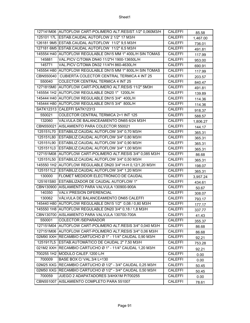|           | 127141M06 AUTOFLOW CART-POLIMERO ALT.RESIST.1/2" 0,060M3/H | <b>CALEFFI</b> | 85.58    |
|-----------|------------------------------------------------------------|----------------|----------|
|           | 125101 17L ESTAB.CAUDAL AUTOFLOW 2 1/2" 17 M3/H            | <b>CALEFFI</b> | 1,467.00 |
|           | 126181 9M5 ESTAB.CAUDAL AUTOFLOW 11/2" 9,5 M3/H            | <b>CALEFFI</b> | 736.01   |
|           | 127181 6M5 ESTAB.CAUDAL AUTOFLOW 11/2" 6,5 M3/H            | <b>CALEFFI</b> | 491.81   |
|           | 145554 H40 AUTOFLOW REGULABLE DN15 MM 1" 400L/H SIN TOMAS  | <b>CALEFFI</b> | 117.99   |
| 145881    | VAL.PICV C/TOMA DN40 11/2"H 1900-13650L/H                  | <b>CALEFFI</b> | 953.00   |
| 145771    | VAL. PICV C/TOMA DN32 11/4"H 860-4630L/H                   | <b>CALEFFI</b> | 690.91   |
|           | 145554 H80 AUTOFLOW REGULABLE DN15 MM 1" 800L/H SIN TOMAS  | <b>CALEFFI</b> | 117.99   |
|           | CBN550040   CUBIERTA COLECTOR CENTRAL TERMICA 4 INT 25     | <b>CALEFFI</b> | 203.57   |
| 550040    | COLECTOR CENTRAL TERMICA 4 INT 25                          | <b>CALEFFI</b> | 840.47   |
|           | 1271815M0 AUTOFLOW CART-POLIMERO ALT.RESIS 11/2" 5M3H      | <b>CALEFFI</b> | 491.81   |
|           | 145554 1H2 AUTOFLOW REGULABLE DN20 1" 1200L/H              | <b>CALEFFI</b> | 139.89   |
|           | 145444 H40 AUTOFLOW REGULABLE DN15 3/4" 400L/H             | <b>CALEFFI</b> | 114.36   |
|           | 145444 H80 AUTOFLOW REGULABLE DN15 3/4" 800L/H             | <b>CALEFFI</b> | 114.36   |
|           | SATK12313 CALEFFI SATK12313                                | <b>CALEFFI</b> | 918.37   |
| 550021    | COLECTOR CENTRAL TERMICA 2+1 INT 125                       | <b>CALEFFI</b> | 588.57   |
| 132060    | VÁLVULA DE BALANCEAMIENTO DN65 6/24 M3/H                   | <b>CALEFFI</b> | 1,806.27 |
|           | CBN550021 AISLAMIENTO PARA COLECTOR 550021                 | <b>CALEFFI</b> | 144.17   |
|           | 125151L70 ESTABILIZ.CAUDAL AUTOFLOW 3/4" 0,70 M3/H         | <b>CALEFFI</b> | 365.31   |
|           | 125151L80 ESTABILIZ.CAUDAL AUTOFLOW 3/4" 0,80 M3/H         | <b>CALEFFI</b> | 365.31   |
|           | 125151L90 ESTABILIZ.CAUDAL AUTOFLOW 3/4" 0,90 M3/H         | <b>CALEFFI</b> | 365.31   |
| 1251511L0 | ESTABILIZ.CAUDAL AUTOFLOW 3/4" 1,00 M3/H                   | <b>CALEFFI</b> | 365.31   |
|           | 127151M08 AUTOFLOW CART-POLIMERO ALT.RESIS 3/4" 0,085 M3/H | <b>CALEFFI</b> | 86.68    |
|           | 125151L50 ESTABILIZ.CAUDAL AUTOFLOW 3/4" 0,50 M3/H         | <b>CALEFFI</b> | 365.31   |
|           | 145550 1H2 AUTOFLOW REGULABLE DN20 3/4" H-H 0,12/1,20 M3/H | <b>CALEFFI</b> | 198.07   |
|           | 1251511L2 ESTABILIZ.CAUDAL AUTOFLOW 3/4" 1,20 M3/H         | <b>CALEFFI</b> | 365.31   |
| 130000    | FLOMET MEDIDOR ELECTRÓNICO DE CAUDAL                       | <b>CALEFFI</b> | 3,957.24 |
|           | 125161S80 ESTABILIZADOR DE CAUDAL AUTOFLOW 1"              | <b>CALEFFI</b> | 434.61   |
|           | CBN130900 AISLAMIENTO PARA VALVULA 130900-900A             | <b>CALEFFI</b> | 50.67    |
| 140350    | <b>VALV.PRESION DIFERENCIAL</b>                            | <b>CALEFFI</b> | 308.07   |
| 130062    | VÁLVULA DE BALANCEAMIENTO DN65 CALEFFI                     | <b>CALEFFI</b> | 793.17   |
|           | 145440 H80 AUTOFLOW REGULABLE DN15 1/2" 0,08 / 0,80 M3/H   | <b>CALEFFI</b> | 177.17   |
|           | 145550 1H8 AUTOFLOW REGULABLE DN20 3/4" 0,18 / 1,8 M3/H    | <b>CALEFFI</b> | 337.77   |
|           | CBN130700 AISLAMIENTO PARA VALVULA 130700-700A             | <b>CALEFFI</b> | 41.43    |
| 550001    | <b>COLECTOR /SEPARADOR</b>                                 | <b>CALEFFI</b> | 355.37   |
|           | 127151M04 AUTOFLOW CART-POLIMERO ALT.RESIS 3/4" 0,040 M3/H | <b>CALEFFI</b> | 86.68    |
|           | 127151M06 AUTOFLOW CART-POLIMERO ALT.RESIS 3/4" 0,06 M3/H  | <b>CALEFFI</b> | 86.68    |
|           | 02M90 XXH RECAMBIO CARTUCHO Ø 1" - 11/4" CAUDAL 0,90 M3/H  | <b>CALEFFI</b> | 92.21    |
| 1251917L5 | ESTAB.AUTOMÁTICO DE CAUDAL 2" 7,50 M3/H                    | <b>CALEFFI</b> | 753.28   |
|           | 021M2 XXH RECAMBIO CARTUCHO Ø 1" - 11/4" CAUDAL 1,20 M3/H  | <b>CALEFFI</b> | 92.21    |
|           | 700255 1H2 MODULO CALEF.1200 L/H                           | <b>CALEFFI</b> | 0.00     |
| 700009    | BASE BOX C/ VAL.3/4 L=130                                  | <b>CALEFFI</b> | 0.00     |
|           | 02M25 XXG RECAMBIO CARTUCHO Ø 1/2" - 3/4" CAUDAL 0,25 M3/H | <b>CALEFFI</b> | 50.45    |
|           | 02M50 XXG RECAMBIO CARTUCHO Ø 1/2" - 3/4" CAUDAL 0,50 M3/H | <b>CALEFFI</b> | 50.45    |
| 700059    | JUEGO 2 ADAPATADORES 3/4HX1M P/700255                      | <b>CALEFFI</b> | 0.00     |
|           | CBN551007 AISLAMIENTO COMPLETO PARA 551007                 | <b>CALEFFI</b> | 78.61    |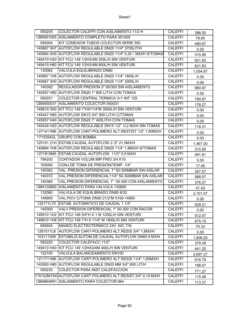| 550205    | COLECTOR CALEFFI CON AISLAMIENTO 11/2 H                       | <b>CALEFFI</b> | 396.00   |
|-----------|---------------------------------------------------------------|----------------|----------|
|           | CBN551005 AISLAMIENTO COMPLETO PARA 551005                    | <b>CALEFFI</b> | 78.65    |
| 550004    | KIT CONEXION TUBOS COLECTOR SERIE 550                         | <b>CALEFFI</b> | 490.67   |
|           | 145667 3H7 AUTOFLOW REGULABLE DN25 11/4" 3700LIT/H            | <b>CALEFFI</b> | 0.00     |
|           | 145664 3H0 AUTOFLOW REGULABLE DN25 11/4" 0,30 / 3M3/H S/TOMAS | <b>CALEFFI</b> | 315.95   |
|           | 149410 H20 KIT FCU 149 1/2H3/4M 200L/H SIN VENTURI            | <b>CALEFFI</b> | 621.83   |
|           | 149410 H80 KIT FCU 149 1/2H3/4M 800L/H SIN VENTURI            | <b>CALEFFI</b> | 621.83   |
| 130082    | <b>VALVULA EQUILIBRADO DN80</b>                               | <b>CALEFFI</b> | 1,054.97 |
|           | 145667 1H8 AUTOFLOW REGULABLE DN25 11/4" 1800L/H              | <b>CALEFFI</b> | 0.00     |
|           | 145667 3H0 AUTOFLOW REGULABLE DN25 11/4" 3000L/H              | <b>CALEFFI</b> | 0.00     |
| 140392    | REGULADOR PRESION 2" 50/300 SIN AISLAMIENTO                   | <b>CALEFFI</b> | 680.97   |
|           | 145557 H80 AUTOFLOW DN20 1" 800 LIT/H CON TOMAS               | <b>CALEFFI</b> | 0.00     |
| 550031    | COLECTOR CENTRAL TERMICA 3+1 INT 125                          | <b>CALEFFI</b> | 790.97   |
|           | CBN550031 AISLAMIENTO COLECTOR 550031                         | <b>CALEFFI</b> | 178.27   |
|           | 149610 3H0 KIT FCU 149 1"HX11/4"M 3000L/H SIN VENTURI         | <b>CALEFFI</b> | 0.00     |
|           | 145447 H80 AUTOFLOW DN15 3/4" 800 LIT/H C/TOMAS               | <b>CALEFFI</b> | 0.00     |
|           | 145557 H40 AUTOFLOW DN20 1" 400LIT/H CON TOMAS                | <b>CALEFFI</b> | 0.00     |
|           | 145434 H20 AUTOFLOW REGULABLE DN15 1/2" 0,2 M3/H SIN TOMAS    | <b>CALEFFI</b> | 118.31   |
|           | 1271411M6 AUTOFLOW CART-POLIMERO ALT.RESTIST 1/2" 1,60M3/H    | <b>CALEFFI</b> | 0.00     |
| 171525A2L | <b>GRUPO CON BOMBA</b>                                        | <b>CALEFFI</b> | 0.00     |
|           | 125101 21H ESTAB.CAUDAL AUTOFLOW 2 /2" 21,5M3/H               | <b>CALEFFI</b> | 1,467.00 |
|           | 145664 1H8 AUTOFLOW REGULABLE DN25 11/4" 1,8M3/H S/TOMAS      | <b>CALEFFI</b> | 315.95   |
|           | 1271815M5 ESTAB.CAUDAL AUTOFLOW 11/2" 5,5 M3/H                | <b>CALEFFI</b> | 491.81   |
| 794205    | CONTADOR VOLUM.IMP.FRIO 3/4 K10                               | <b>CALEFFI</b> | 0.00     |
| 100000    | CONJ.DE TOMA DE PRESIÓN/TEMP. 1/4"                            | <b>CALEFFI</b> | 17.45    |
| 140362    | VAL. PRESION DIFERENCIAL 1" 50-300MBAR SIN AISLAR             | <b>CALEFFI</b> | 357.57   |
| 140372    | VAL.PRESION DIFERENCIAL11/4" 50-300MBAR SIN AISLAR            | <b>CALEFFI</b> | 588.57   |
| 140360    | VAL.PRESION DIFERENCIAL 1" 50-300 CON AISLAMIENTO             | <b>CALEFFI</b> | 376.27   |
|           | CBN130800 AISLAMIENTO PARA VALVULA 130800                     | <b>CALEFFI</b> | 41.43    |
| 132080    | VALVULA DE EQUILIBRADO DN80 8/32                              | <b>CALEFFI</b> | 2,101.07 |
| 145905    | VAL. PICV C/TOMA DN50 21/2"M 5100-14800                       | <b>CALEFFI</b> | 0.00     |
| 125171L70 | ESTAB. AUTOMATICO DE CAUDAL 1 1/4"                            | <b>CALEFFI</b> | 529.21   |
| 140300    | VALV.PRESION DIFERENCIAL 1" 50-300 CON RACOR                  | <b>CALEFFI</b> | 0.00     |
|           | 149510 1H2 KIT FCU 149 3/4"H X 1 M 1200L/H SIN VENTURI        | <b>CALEFFI</b> | 512.07   |
|           | 149610 1H8 KIT FCU 149 1"H X 11/4" M 1800L/H SIN VENTURI      | <b>CALEFFI</b> | 675.15   |
| 656504    | MANDO ELECTROTERMICO 24V .N/C T/N                             | <b>CALEFFI</b> | 75.33    |
|           | 1261511L8 AUTOFLOW CART-POLIMERO ALT.RESIS 3/4" 1,8M3/H       | <b>CALEFFI</b> | 0.00     |
|           | 103111009 ESTABILIZ.AUTOM.DE CAUDAL AUTOFLOW DN65 9 M3/H      | <b>CALEFFI</b> | 1,806.20 |
| 550220    | COLECTOR CALEFACC.11/2"                                       | <b>CALEFFI</b> | 379.39   |
|           | 149410 H40 KIT FCU 149 1/2HX3/4M 400L/H SIN VENTURI           | <b>CALEFFI</b> | 441.20   |
| 132100    | VALVULA BALANCEAMIENTO DN100                                  | <b>CALEFFI</b> | 2,697.27 |
|           | 1211711M6 AUTOFLOW CART-POLIMERO ALT.RESIS 11/4" 1,60M3/H     | CALEFFI        | 616.75   |
|           | 145550 H80 AUTOFLOW REGULABLE DN20 MM 3/4" 800 LIT/H          | <b>CALEFFI</b> | 198.07   |
| 550230    | COLECTOR PARA INST.CALEFACCION                                | <b>CALEFFI</b> | 771.27   |
|           | 715102M15XXAUTOFLOW CART.POLIMERO ALT.RESIST.3/4" 0,15 M3/H   | <b>CALEFFI</b> | 115.48   |
|           | CBN6646N1 AISLAMIENTO PARA COLECTOR 664                       | <b>CALEFFI</b> | 113.37   |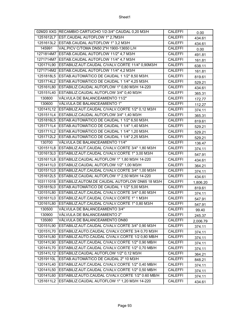|           | 02M20 XXG RECAMBIO CARTUCHO 1/2-3/4" CAUDAL 0,20 M3/H       | CALEFFI        | 0.00     |
|-----------|-------------------------------------------------------------|----------------|----------|
|           | 1251612L7 EST.CAUDAL AUTOFLOW 1" 2,7M3/H                    | <b>CALEFFI</b> | 434.61   |
|           | 1251613L2 ESTAB.CAUDAL AUTOFLOW 1" 3,2 M3/H                 | <b>CALEFFI</b> | 434.61   |
| 145991    | VAL. PICV C/TOMA DN50 2"H 1900-13650 L/H                    | <b>CALEFFI</b> | 0.00     |
|           | 1271814M7 ESTAB.CAUDAL AUTOFLOW 11/2" 4,7 M3/H              | <b>CALEFFI</b> | 491.81   |
|           | 1271714M7 ESTAB.CAUDAL AUTOFLOW 11/4" 4,7 M3/H              | <b>CALEFFI</b> | 161.81   |
|           | 120171L90 ESTABILIZ.AUT.CAUDAL C/VALV.CORTE 11/4" 0,90M3/H  | <b>CALEFFI</b> | 638.11   |
|           | 1271714M2 ESTAB.CAUDAL AUTOFLOW 11/4" 4,2 M3/H              | <b>CALEFFI</b> | 161.81   |
|           | 1251818L5 ESTAB.AUTOMÁTICO DE CAUDAL 1 1/2" 8,50 M3/H.      | <b>CALEFFI</b> | 819.61   |
|           | 1251714L2 ESTAB.AUTOMÁTICO DE CAUDAL 1 1/4" 4,25 M3/H.      | <b>CALEFFI</b> | 529.21   |
|           | 125161L80 ESTABILIZ.CAUDAL AUTOFLOW 1" 0,80 M3/H 14-220     | <b>CALEFFI</b> | 434.61   |
|           | 125151L40 ESTABILIZ.CAUDAL AUTOFLOW 3/4" 0,40 M3/H          | <b>CALEFFI</b> | 365.31   |
| 130800    | VÁLVULA DE BALANCEAMIENTO 11/2"                             | <b>CALEFFI</b> | 172.77   |
| 130600    | VÁLVULA DE BALANCEAMIENTO 1"                                | <b>CALEFFI</b> | 112.27   |
|           | 120141L12 ESTABILIZ.AUT.CAUDAL C/VALV.CORTE 1/2" 0,12 M3/H  | <b>CALEFFI</b> | 374.11   |
|           | 1251511L4 ESTABILIZ.CAUDAL AUTOFLOW 3/4" 1,40 M3/H          | <b>CALEFFI</b> | 365.31   |
|           | 1251816L5 ESTAB.AUTOMÁTICO DE CAUDAL 1 1/2" 6,50 M3/H.      | <b>CALEFFI</b> | 819.61   |
|           | 1251711L4 ESTAB.AUTOMÁTICO DE CAUDAL 1 1/4" 1.40 M3/H.      | <b>CALEFFI</b> | 529.21   |
|           | 1251711L2 ESTAB.AUTOMÁTICO DE CAUDAL 1 1/4" 1,20 M3/H.      | <b>CALEFFI</b> | 529.21   |
|           | 1251712L2 ESTAB.AUTOMÁTICO DE CAUDAL 1 1/4" 2,25 M3/H.      | <b>CALEFFI</b> | 529.21   |
| 130700    | VÁLVULA DE BALANCEAMIENTO 11/4"                             | <b>CALEFFI</b> | 136.47   |
|           | 1201511L8 ESTABILIZ.AUT.CAUDAL C/VALV.CORTE 3/4" 1,80 M3/H  | <b>CALEFFI</b> | 374.11   |
|           | 1201613L0 ESTABILIZ.AUT.CAUDAL C/VALV.CORTE 1" 3,00 M3/H    | <b>CALEFFI</b> | 547.91   |
|           | 1251611L8 ESTABILIZ.CAUDAL AUTOFLOW 1" 1,80 M3/H 14-220     | <b>CALEFFI</b> | 434.61   |
|           | 1251411L0 ESTABILIZ.CAUDAL AUTOFLOW 1/2" 1,00 M3/H          | <b>CALEFFI</b> | 364.21   |
|           | 1201511L0 ESTABILIZ.AUT.CAUDAL C/VALV.CORTE 3/4" 1,00 M3/H  | <b>CALEFFI</b> | 374.11   |
|           | 1251612L5 ESTABILIZ.CAUDAL AUTOFLOW 1" 2,50 M3/H 14-220     | <b>CALEFFI</b> | 434.61   |
| 103111018 | ESTABILIZ.AUTOM.DE CAUDAL AUTOFLOW DN65 18 M3/H             | <b>CALEFFI</b> | 1,806.20 |
| 1251815L0 | ESTAB.AUTOMÁTICO DE CAUDAL 1 1/2" 5,00 M3/H.                | <b>CALEFFI</b> | 819.61   |
| 120151L80 | ESTABILIZ.AUT.CAUDAL C/VALV.CORTE 3/4" 0,80 M3/H            | <b>CALEFFI</b> | 374.11   |
|           | 1201611L0 ESTABILIZ.AUT.CAUDAL C/VALV.CORTE 1" 1 M3/H       | <b>CALEFFI</b> | 547.91   |
| 120161L80 | ESTABILIZ.AUT.CAUDAL C/VALV.CORTE 1" 0,80 M3/H              | <b>CALEFFI</b> | 547.91   |
| 130500    | VÁLVULA DE BALANCEAMIENTO 3/4"                              | <b>CALEFFI</b> | 99.40    |
| 130900    | VÁLVULA DE BALANCEAMIENTO 2"                                | <b>CALEFFI</b> | 245.37   |
| 135080    | VÁLVULA DE BALANCEAMIENTO DN80                              | <b>CALEFFI</b> | 2,006.79 |
| 120151L90 | ESTABILIZ.AUT.CAUDAL C/VALV.CORTE 3/4" 0,90 M3/H            | <b>CALEFFI</b> | 374.11   |
|           | 120151L70 ESTABILIZ.AUTO.CAUDAL C/VALV.CORTE 3/4 0,70 M3/H  | CALEFFI        | 374.11   |
|           | 120141L80 ESTABILIZ.AUTO.CAUDAL C/VALV.CORTE 1/2 0,80 MB/H  | <b>CALEFFI</b> | 374.11   |
|           | 120141L90 ESTABILIZ.AUT.CAUDAL C/VALV.CORTE 1/2" 0,90 MB/H  | <b>CALEFFI</b> | 374.11   |
| 120141L70 | ESTABILIZ.AUT.CAUDAL C/VALV.CORTE 1/2" 0,70 MB/H            | CALEFFI        | 374.11   |
| 125141L12 | ESTABILIZ.CAUDAL AUTOFLOW 1/2" 0,12 M3/H                    | <b>CALEFFI</b> | 364.21   |
| 12519110L | ESTAB.AUTOMÁTICO DE CAUDAL 2" 10 M3/H                       | <b>CALEFFI</b> | 848.21   |
| 120141L40 | ESTABILIZ.AUT.CAUDAL C/VALV.CORTE 1/2" 0,40 MB/H            | CALEFFI        | 374.11   |
| 120141L50 | ESTABILIZ.AUT.CAUDAL C/VALV.CORTE 1/2" 0,50 MB/H            | CALEFFI        | 374.11   |
|           | 120141L60 ESTABILIZ.AUTO.CAUDAL C/VALV.CORTE 1/2" 0.60 MB/H | CALEFFI        | 374.11   |
| 1251611L2 | ESTABILIZ.CAUDAL AUTOFLOW 1" 1,20 M3/H 14-220               | <b>CALEFFI</b> | 434.61   |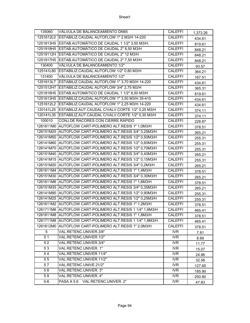| 135060          | VÁLVULA DE BALANCEAMIENTO DN65                             | <b>CALEFFI</b>          | 1,373.26 |
|-----------------|------------------------------------------------------------|-------------------------|----------|
|                 | 1251612L0 ESTABILIZ.CAUDAL AUTOFLOW 1" 2 M3/H 14-220       | <b>CALEFFI</b>          | 434.61   |
|                 | 1251813H5 ESTAB.AUTOMÁTICO DE CAUDAL 1 1/2" 3,50 M3/H.     | CALEFFI                 | 819.61   |
|                 | 1251918H5 ESTAB.AUTOMÁTICO DE CAUDAL 2" 8,50 M3/H          | <b>CALEFFI</b>          | 848.21   |
|                 | 12519112H ESTAB.AUTOMÁTICO DE CAUDAL 2" 12 M3/H            | <b>CALEFFI</b>          | 848.21   |
|                 | 1251917H5 ESTAB.AUTOMÁTICO DE CAUDAL 2" 7,50 M3/H          | <b>CALEFFI</b>          | 848.21   |
| 130400          | VÁLVULA DE BALANCEAMIENTO 1/2"                             | <b>CALEFFI</b>          | 93.57    |
|                 | 125141L80 ESTABILIZ.CAUDAL AUTOFLOW 1/2" 0,80 M3/H         | <b>CALEFFI</b>          | 364.21   |
| 131400          | VÁLVULA DE BALANCEAMIENTO 1/2"                             | <b>CALEFFI</b>          | 167.51   |
|                 | 1251613L7 ESTABILIZ.CAUDAL AUTOFLOW 1" 3,70 M3/H 14-220    | <b>CALEFFI</b>          | 434.61   |
|                 | 1251512H7 ESTABILIZ.CAUDAL AUTOFLOW 3/4" 2.75 M3/H         | <b>CALEFFI</b>          | 365.31   |
|                 | 1251818H5 ESTAB.AUTOMÁTICO DE CAUDAL 1 1/2" 8,50 M3/H      | <b>CALEFFI</b>          | 819.61   |
|                 | 1251613H5 ESTABILIZ.CAUDAL AUTOFLOW 1" 3,50 M3/H 35-410    | <b>CALEFFI</b>          | 434.61   |
|                 | 1251612L2 ESTABILIZ.CAUDAL AUTOFLOW 1" 2,25 M3/H 14-220    | <b>CALEFFI</b>          | 434.61   |
|                 | 120141L25 ESTABILIZ.AUT.CAUDAL C/VALV.CORTE 1/2" 0,25 M3/H | <b>CALEFFI</b>          | 374.11   |
|                 | 120141L35 ESTABILIZ.AUT.CAUDAL C/VALV.CORTE 1/2" 0,35 M3/H | <b>CALEFFI</b>          | 374.11   |
| 100010          | CONJ.DE RACORES CON CIERRE RÁPIDO                          | <b>CALEFFI</b>          | 228.87   |
|                 | 1261611M0 AUTOFLOW CART-POLIMERO ALT.RESIS 1" 1,0M3/H      | <b>CALEFFI</b>          | 378.51   |
|                 | 126151M25 AUTOFLOW CART-POLIMERO ALT.RESIS 3/4" 0,25M3/H   | <b>CALEFFI</b>          | 265.21   |
|                 | 126141M50 AUTOFLOW CART-POLIMERO ALT.RESIS 1/2" 0,50M3/H   | <b>CALEFFI</b>          | 255.31   |
|                 | 126141M60 AUTOFLOW CART-POLIMERO ALT.RESIS 1/2" 0,60M3/H   | <b>CALEFFI</b>          | 255.31   |
|                 | 126141M70 AUTOFLOW CART-POLIMERO ALT.RESIS 1/2" 0,70M3/H   | <b>CALEFFI</b>          | 255.31   |
|                 | 126151M40 AUTOFLOW CART-POLIMERO ALT.RESIS 3/4" 0,40M3/H   | CALEFFI                 | 265.21   |
|                 | 126141M15 AUTOFLOW CART-POLIMERO ALT.RESIS 1/2" 0,15M3/H   | <b>CALEFFI</b>          | 255.31   |
|                 | 126151M20 AUTOFLOW CART-POLIMERO ALT.RESIS 3/4" 0,2M3/H    | <b>CALEFFI</b>          | 265.21   |
|                 | 1261611M4 AUTOFLOW CART-POLIMERO ALT.RESIS 1" 1,4M3/H      | <b>CALEFFI</b>          | 378.51   |
|                 | 126151M30 AUTOFLOW CART-POLIMERO ALT.RESIS 3/4" 0,30M3/H   | <b>CALEFFI</b>          | 265.21   |
|                 | 1261611M6 AUTOFLOW CART-POLIMERO ALT.RESIS 1" 1,6M3/H      | <b>CALEFFI</b>          | 378.51   |
|                 | 126151M35 AUTOFLOW CART-POLIMERO ALT.RESIS 3/4" 0,35M3/H   | <b>CALEFFI</b>          | 265.21   |
|                 | 126141M90 AUTOFLOW CART-POLIMERO ALT.RESIS 1/2" 0,90M3/H   | <b>CALEFFI</b>          | 255.31   |
|                 | 126141M25 AUTOFLOW CART-POLIMERO ALT.RESIS 1/2" 0,25M3/H   | <b>CALEFFI</b>          | 255.31   |
|                 | 1261611M2 AUTOFLOW CART-POLIMERO ALT.RESIS 1" 1,2M3/H      | <b>CALEFFI</b>          | 378.51   |
|                 | 1261711M6 AUTOFLOW CART-POLIMERO ALT.RESIS 1 1/4" 1,6M3/H  | <b>CALEFFI</b>          | 465.41   |
|                 | 1261611M8 AUTOFLOW CART-POLIMERO ALT.RESIS 1" 1,8M3/H      | <b>CALEFFI</b>          | 378.51   |
|                 | 1261711M8 AUTOFLOW CART-POLIMERO ALT.RESIS 1 1/4" 1,8M3/H  | <b>CALEFFI</b>          | 465.41   |
|                 | 1261612M0 AUTOFLOW CART-POLIMERO ALT.RESIS 1" 2,0M3/H      | <b>CALEFFI</b>          | 378.51   |
| 5               | VAL.RETENC.UNIVER.3/8"                                     | <b>IVR</b>              | 7.81     |
| $\overline{51}$ | VAL.RETENC.UNIVER.1/2"                                     | <b>IVR</b>              | 8.69     |
| 52              | VAL.RETENC.UNIVER.3/4"                                     | <b>IVR</b>              | 11.77    |
| $\overline{53}$ | VAL.RETENC.UNIVER. 1"                                      | <b>IVR</b>              | 15.07    |
| 54              | VAL.RETENC.UNIVER.11/4"                                    | $\overline{\text{IVR}}$ | 24.86    |
| 55              | VAL.RETENC.UNIVER.11/2"                                    | <b>IVR</b>              | 32.56    |
| 57              | VAL.RETENC.UNIVE.21/2"                                     | <b>IVR</b>              | 127.60   |
| 58              | VAL.RETENC.UNIVER. 3"                                      | <b>IVR</b>              | 185.90   |
| 59              | VAL.RETENC.UNIVER. 4"                                      | <b>IVR</b>              | 250.80   |
| $5-6$           | VAL.RETENC.UNIVER. 2"<br>PASA A 56                         | <b>IVR</b>              | 47.83    |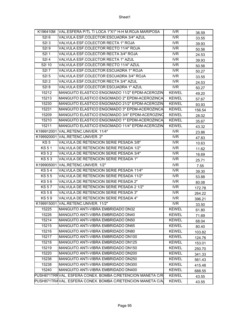| K196410M        | VAL.ESFERA P/TL T/ LOCA 1"X1" H-H M.ROJA MARIPOSA         | <b>IVR</b>               | 36.59  |
|-----------------|-----------------------------------------------------------|--------------------------|--------|
| 5216            | VALVULA ESF.COLECTOR ESCUADRA 3/4" AZUL                   | <b>IVR</b>               | 33.55  |
| 5213            | VALVULA ESF.COLECTOR RECTA 1" ROJA                        | <b>IVR</b>               | 39.93  |
| 5219            | VALVULA ESF.COLECTOR RECTO 11/4" ROJA                     | <b>IVR</b>               | 50.56  |
| 5211            | VALVULA ESF.COLECTOR RECTA 3/4" ROJA                      | <b>IVR</b>               | 24.53  |
| 5214            | VALVULA ESF.COLECTOR RECTA 1" AZUL                        | IVR                      | 39.93  |
| <b>52l 10</b>   | VALVULA ESF.COLECTOR RECTO 11/4" AZUL                     | $\overline{\text{IVR}}$  | 50.56  |
| 5217            | VALVULA ESF.COLECTOR ESCUADRA 1" ROJA                     | <b>IVR</b>               | 50.27  |
| 5215            | VALVULA ESF.COLECTOR ESCUADRA 3/4" ROJA                   | <b>IVR</b>               | 33.55  |
| 5212            | VALVULA ESF.COLECTOR RECTA 3/4" AZUL                      | <b>IVR</b>               | 24.53  |
| 5218            | VALVULA ESF.COLECTOR ESCUADRA 1" AZUL                     | $\overline{\text{IVR}}$  | 50.27  |
| 15212           | MANGUITO ELASTICO ENGOMADO 11/2" EPDM-ACEROZIN            | <b>KEWEL</b>             | 49.20  |
| 15213           | MANGUITO ELASTICO ENGOMADO 2" EPDM-ACEROZINCA             | <b>KEWEL</b>             | 57.67  |
| 15230           | MANGUITO ELASTICO ENGOMADO 21/2" EPDM-ACEROZIN            | <b>KEWEL</b>             | 93.93  |
| 15231           | MANGUITO ELASTICO ENGOMADO 3" EPDM-ACEROZINCA             | <b>KEWEL</b>             | 156.54 |
| 15209           | MANGUITO ELASTICO ENGOMADO 3/4" EPDM-ACEROZINO            | <b>KEWEL</b>             | 28.02  |
| 15210           | MANGUITO ELASTICO ENGOMADO 1" EPDM-ACEROZINCA             | <b>KEWEL</b>             | 35.67  |
| 15211           | MANGUITO ELASTICO ENGOMADO 11/4" EPDM-ACEROZIN            | <b>KEWEL</b>             | 43.32  |
|                 | K199912001 VAL.RETENC.UNIVER. 11/4"                       | <b>IVR</b>               | 23.86  |
|                 | K199920001 VAL.RETENC.UNIVER. 2"                          | $\overline{\text{IV}}$ R | 47.83  |
| KS <sub>5</sub> | VALVULA DE RETENCION SERIE PESADA 3/8"                    | <b>IVR</b>               | 10.63  |
| <b>KS51</b>     | VALVULA DE RETENCION SERIE PESADA 1/2"                    | <b>IVR</b>               | 11.62  |
| $KS$ 52         | VALVULA DE RETENCION SERIE PESADA 3/4"                    | $\overline{\text{IVR}}$  | 16.69  |
| <b>KS53</b>     | VALVULA DE RETENCION SERIE PESADA 1"                      | IVR                      | 25.71  |
|                 | K199905001 VAL.RETENC.UNIVER. 1/2"                        | <b>IVR</b>               | 7.55   |
| <b>KS54</b>     | VALVULA DE RETENCION SERIE PESADA 11/4"                   | $\overline{\text{IVR}}$  | 39.30  |
| <b>KS55</b>     | VALVULA DE RETENCION SERIE PESADA 11/2"                   | <b>IVR</b>               | 53.88  |
| <b>KS56</b>     | VALVULA DE RETENCION SERIE PESADA 2"                      | <b>IVR</b>               | 80.08  |
| <b>KS57</b>     | VALVULA DE RETENCION SERIE PESADA 2 1/2"                  | <b>IVR</b>               | 172.78 |
| KS58            | VALVULA DE RETENCION SERIE PESADA 3"                      | $\overline{\text{IVR}}$  | 264.22 |
| <b>KS59</b>     | VALVULA DE RETENCION SERIE PESADA 4"                      | <b>IVR</b>               | 396.21 |
|                 | K199915001 VAL.RETENC.UNIVER. 11/2"                       | <b>IVR</b>               | 33.50  |
| 15225           | MANGUITO ANTI-VIBRA EMBRIDADO DN32                        | <b>KEWEL</b>             | 61.80  |
| 15226           | MANGUITO ANTI-VIBRA EMBRIDADO DN40                        | <b>KEWEL</b>             | 71.69  |
| 15214           | <b>MANGUITO ANTI-VIBRA EMBRIDADO DN50</b>                 | <b>KEWEL</b>             | 68.04  |
| 15215           | MANGUITO ANTI-VIBRA EMBRIDADO DN65                        | <b>KEWEL</b>             | 80.40  |
| 15216           | MANGUITO ANTI-VIBRA EMBRIDADO DN80                        | <b>KEWEL</b>             | 103.82 |
| 15217           | MANGUITO ANTI-VIBRA EMBRIDADO DN100                       | <b>KEWEL</b>             | 124.76 |
| 15218           | MANGUITO ANTI-VIBRA EMBRIDADO DN125                       | <b>KEWEL</b>             | 153.01 |
| 15219           | MANGUITO ANTI-VIBRA EMBRIDADO DN150                       | <b>KEWEL</b>             | 250.70 |
| 15220           | MANGUITO ANTI-VIBRA EMBRIDADO DN200                       | <b>KEWEL</b>             | 341.33 |
| 15236           | MANGUITO ANTI-VIBRA EMBRIDADO DN250                       | <b>KEWEL</b>             | 561.43 |
| 15238           | MANGUITO ANTI-VIBRA EMBRIDADO DN300                       | <b>KEWEL</b>             | 415.48 |
| 15240           | MANGUITO ANTI-VIBRA EMBRIDADO DN400                       | <b>KEWEL</b>             | 688.55 |
|                 | PUSH871TRRVAL. ESFERA CONEX. BOMBA C/RETENCION MANETA C/R | <b>KEWEL</b>             | 43.55  |
|                 | PUSH871TRAVAL. ESFERA CONEX. BOMBA C/RETENCION MANETA C/A | <b>KEWEL</b>             | 43.55  |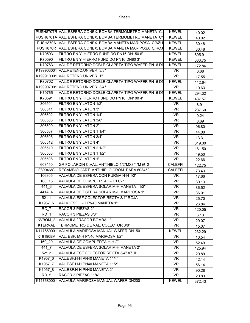|                    | PUSH870TR VAL. ESFERA CONEX. BOMBA TERMOMETRO MANETA C. | <b>KEWEL</b>            | 40.02  |
|--------------------|---------------------------------------------------------|-------------------------|--------|
|                    | PUSH870TA VAL. ESFERA CONEX. BOMBA TERMOMETRO MANETA C/ | <b>KEWEL</b>            | 40.02  |
|                    | PUSH870A VAL. ESFERA CONEX. BOMBA MANETA MARIPOSA C/AZU | <b>KEWEL</b>            | 30.48  |
|                    | PUSH870R VAL. ESFERA CONEX. BOMBA MANETA MARIPOSA C/ROJ | <b>KEWEL</b>            | 30.48  |
| K70593             | FILTRO EN Y HIERRO FUNDIDO PN16 DN150 6"                | <b>KEWEL</b>            | 895.91 |
| K70590             | FILTRO EN Y HIERRO FUNDIDO PN16 DN80 3"                 | <b>KEWEL</b>            | 333.75 |
| K70763             | VAL.DE RETORNO DOBLE CLAPETA TIPO WAFER PN16 DN         | <b>KEWEL</b>            | 172.84 |
|                    | K199903001 VAL.RETENC.UNIVER. 3/8"                      | <b>IVR</b>              | 6.68   |
|                    | K199910001 VAL.RETENC.UNIVER. 1"                        | <b>IVR</b>              | 17.55  |
| K70762             | VAL.DE RETORNO DOBLE CLAPETA TIPO WAFER PN16 DN         | <b>KEWEL</b>            | 112.64 |
|                    | K199907001 VAL.RETENC.UNIVER. 3/4"                      | $\overline{\text{IVR}}$ | 10.63  |
| K70765             | VAL.DE RETORNO DOBLE CLAPETA TIPO WAFER PN16 DN         | <b>KEWEL</b>            | 294.32 |
| K70591             | FILTRO EN Y HIERRO FUNDIDO PN16 DN100 4"                | <b>KEWEL</b>            | 437.57 |
| 306504             | FILTRO EN Y LATÓN 1/2"                                  | $\overline{\text{IVR}}$ | 8.91   |
| 306511             | FILTRO EN Y LATÓN 3"                                    | IVR                     | 237.60 |
| 306502             | FILTRO EN Y LATÓN 1/4"                                  | <b>IVR</b>              | 9.24   |
| 306503             | FILTRO EN Y LATÓN 3/8"                                  | <b>IVR</b>              | 8.69   |
| 306509             | FILTRO EN Y LATÓN 2"                                    | <b>IVR</b>              | 96.80  |
| 306507             | FILTRO EN Y LATÓN 1 1/4"                                | <b>IVR</b>              | 44.00  |
| 306505             | FILTRO EN Y LATÓN 3/4"                                  | <b>IVR</b>              | 13.31  |
| 306512             | FILTRO EN Y LATÓN 4"                                    | <b>IVR</b>              | 319.00 |
| 306510             | FILTRO EN Y LATÓN 2 1/2"                                | $\overline{\text{IVR}}$ | 181.50 |
| 306508             | FILTRO EN Y LATÓN 1 1/2"                                | <b>IVR</b>              | 49.50  |
| 306506             | FILTRO EN Y LATÓN 1"                                    | <b>IVR</b>              | 22.66  |
| 603450             | GRIFO JARDIN C.VAL. ANTIHIELO 1/2"MX3/4"M Ø12           | <b>CALEFFI</b>          | 122.75 |
| F89046/C           | RECAMBIO CART. ANTIHIELO CROM. PARA 603450              | <b>CALEFFI</b>          | 73.43  |
| 106805             | VALVULA DE ESFERA CON PURGA H-H 1/2"                    | <b>IVR</b>              | 17.66  |
| 160 15             | VALVULA DE COMPUERTA H-H 11/2"                          | <b>IVR</b>              | 30.13  |
| $\overline{441}$ 6 | VALVULA DE ESFERA SOLAR M-H MANETA 11/2"                | <b>IVR</b>              | 86.52  |
| 441A 4             | VALVULA DE ESFERA SOLAR M-H MARIPOSA 1"                 | $\overline{\text{IVR}}$ | 36.01  |
| 5211               | VALVULA ESF.COLECTOR RECTA 3/4" ROJA                    | <b>IVR</b>              | 25.70  |
| K1957 5            | VALV. ESF. H-H PN40 MANETA 1"                           | <b>IVR</b>              | 26.84  |
| RC 7               | RACOR 3 PIEZAS 2"                                       | <b>IVR</b>              | 120.05 |
| RD <sub>1</sub>    | RACOR 3 PIEZAS 3/8"                                     | <b>IVR</b>              | 6.13   |
| KVBOM 2            | VALVULA / RACOR BOMBA 1"                                | IVR                     | 29.07  |
| <b>KTERVAL</b>     | TERMOMETRO DE VAL. COLECTOR 3/8"                        | <b>IVR</b>              | 15.07  |
| K117660001         | VALVULA MARIPOSA MANUAL WAFER DN150                     | <b>KEWEL</b>            | 232.29 |
| K191908M           | VAL. ESF. M-H PN40 MARIPOSA 1/2"                        | <b>IVR</b>              | 10.54  |
| 160 20             | VALVULA DE COMPUERTA H-H 2"                             | <b>IVR</b>              | 52.49  |
| 4417               | VALVULA DE ESFERA SOLAR M-H MANETA 2"                   | IVR                     | 125.94 |
| 5212               | VALVULA ESF.COLECTOR RECTA 3/4" AZUL                    | <b>IVR</b>              | 20.89  |
| K1957_6            | VAL.ESF.H-H PN40 MANETA 11/4"                           | IVR                     | 42.14  |
| K1957 7            | VAL.ESF.H-H PN40 MANETA 11/2"                           | <b>IVR</b>              | 56.14  |
| K1957 8            | VAL.ESF.H-H PN40 MANETA 2"                              | IVR                     | 90.28  |
| RD <sub>5</sub>    | RACOR 3 PIEZAS 11/4"                                    | <b>IVR</b>              | 20.83  |
|                    | K117680001 VALVULA MARIPOSA MANUAL WAFER DN200          | <b>KEWEL</b>            | 372.43 |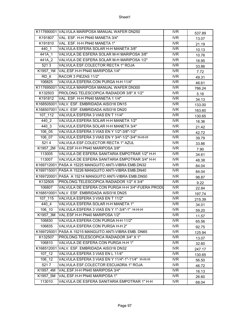|                     | K117690001 VALVULA MARIPOSA MANUAL WAFER DN250        | IVR                      | 537.89 |
|---------------------|-------------------------------------------------------|--------------------------|--------|
| K191807             | VAL. ESF. H-H PN40 MANETA 3/4"                        | <b>IVR</b>               | 13.07  |
| K191810             | VAL. ESF. H-H PN40 MANETA 1"                          | <b>IVR</b>               | 21.19  |
| 440 1               | VALVULA ESFERA SOLAR H-H MANETA 3/8"                  | <b>IVR</b>               | 10.13  |
| 441A 1              | VALVULA DE ESFERA SOLAR M-H MARIPOSA 3/8"             | <b>IVR</b>               | 10.76  |
| 441A 2              | VALVULA DE ESFERA SOLAR M-H MARIPOSA 1/2"             | <b>IVR</b>               | 16.95  |
| 5213                | VALVULA ESF.COLECTOR RECTA 1" ROJA                    | $\overline{\text{IVR}}$  | 33.86  |
|                     | K1957 1M VAL.ESF.H-H PN40 MARIPOSA 1/4"               | <b>IVR</b>               | 7.72   |
| $RD_6$              | RACOR 3 PIEZAS 11/2"                                  | <b>IVR</b>               | 49.31  |
| 106825              | VALVULA ESFERA CON PURGA H-H 11/4"                    | <b>IVR</b>               | 46.61  |
|                     | K117695001 VALVULA MARIPOSA MANUAL WAFER DN300        | <b>IVR</b>               | 786.24 |
| K132503             | PROLONG.TELESCOPICA RADIADOR 3/8" X 1/2"              | <b>IVR</b>               | 5.16   |
| K191812             | VAL. ESF. H-H PN40 MANETA 1 1/4"                      | <b>IVR</b>               | 34.13  |
|                     | K168505001 VALV. ESF. EMBRIDADA AISI316 DN15          | <b>IVR</b>               | 133.00 |
|                     | K168507001 VALV. ESF. EMBRIDADA AISI316 DN20          | <b>IVR</b>               | 163.60 |
| 107 112             | VALVULA ESFERA 3 VIAS EN T 11/4"                      | <b>IVR</b>               | 130.65 |
| 440 2               | VALVULA ESFERA SOLAR H-H MANETA 1/2"                  | <b>IVR</b>               | 16.36  |
| 440 3               | VALVULA ESFERA SOLAR H-H MANETA 3/4"                  | <b>IVR</b>               | 21.42  |
| 106 05              | VALVULA ESFERA 3 VIAS EN Y 1/2"-3/8"-1/2"             | $\overline{\text{IVR}}$  | 42.72  |
| 106 07              | VALVULA ESFERA 3 VIAS EN Y 3/4"-1/2"-3/4" H-H-H       | $\overline{\text{IV}}$ R | 39.79  |
| 5214                | VALVULA ESF.COLECTOR RECTA 1" AZUL                    | <b>IVR</b>               | 33.86  |
|                     | K1957 2M VAL.ESF.H-H PN40 MARIPOSA 3/8"               | <b>IVR</b>               | 7.90   |
| 113005              | VALVULA DE ESFERA SANITARIA EMPOTRAR 1/2" H-H         | <b>IVR</b>               | 34.61  |
| 113007              | VALVULA DE ESFERA SANITARIA EMPOTRAR 3/4" H-H         | <b>IVR</b>               | 48.38  |
|                     | K169712001 PASA A 15225 MANGUITO ANTI-VIBRA EMB.DN32  | IVR                      | 84.04  |
|                     | K169715001 PASA A 15226 MANGUITO ANTI-VIBRA EMB.DN40  | <b>IVR</b>               | 84.04  |
|                     | K169720001 PASA A 15214 MANGUITO ANTI-VIBRA EMB.DN50  | <b>IVR</b>               | 98.87  |
| K132505             | PROLONG.TELESCOPICA RADIADOR 1/2" X 3/4"              | <b>IVR</b>               | 9.22   |
| 106807              | VALVULA DE ESFERA CON PURGA H-H 3/4"-FUERA PRODU      | <b>IVR</b>               | 22.84  |
|                     | K168510001 VALV. ESF. EMBRIDADA AISI316 DN25          | $\overline{\text{IVR}}$  | 197.74 |
| 107 115             | VALVULA ESFERA 3 VIAS EN T 11/2"                      | <b>IVR</b>               | 215.39 |
| $440_4$             | VALVULA ESFERA SOLAR H-H MANETA 1"                    | IVR                      | 34.01  |
| 106 10              | VALVULA ESFERA 3 VIAS EN Y 1"-3/4"-1" H-H-H           | <b>IVR</b>               | 59.20  |
| K1957_3M            | VAL.ESF.H-H PN40 MARIPOSA 1/2"                        | IVR.                     | 11.57  |
| 106830              | VALVULA ESFERA CON PURGA H-H 11/2"                    | <b>IVR</b>               | 65.56  |
| 106835              | VALVULA ESFERA CON PURGA H-H 2"                       | IVR                      | 92.75  |
|                     | K169725001 PASA A 15215 MANGUITO ANTI-VIBRA EMB. DN65 | <b>IVR</b>               | 125.94 |
| K132507             | PROLONG.TELESCOPICA RADIADOR 3/4" X 1"                | <b>IVR</b>               | 13.07  |
| 106810              | VALVULA DE ESFERA CON PURGA H-H 1"                    | <b>IVR</b>               | 32.60  |
|                     | K168512001 VALV. ESF. EMBRIDADA AISI316 DN32          | <b>IVR</b>               | 247.17 |
| $107 \overline{12}$ | VALVULA ESFERA 3 VIAS EN L 11/4"                      | <b>IVR</b>               | 130.65 |
| 106 12              | VALVULA ESFERA 3 VIAS EN Y 11/4"-1"-11/4" H-H-H       | <b>IVR</b>               | 56.50  |
| 5217                | VALVULA ESF.COLECTOR ESCUADRA 1" ROJA                 | <b>IVR</b>               | 46.72  |
| K1957_4M            | VAL.ESF.H-H PN40 MARIPOSA 3/4"                        | IVR                      | 16.13  |
| K1957_5M            | VAL.ESF.H-H PN40 MARIPOSA 1"                          | <b>IVR</b>               | 26.60  |
| 113010              | VALVULA DE ESFERA SANITARIA EMPOTRAR 1" H-H           | IVR                      | 68.04  |